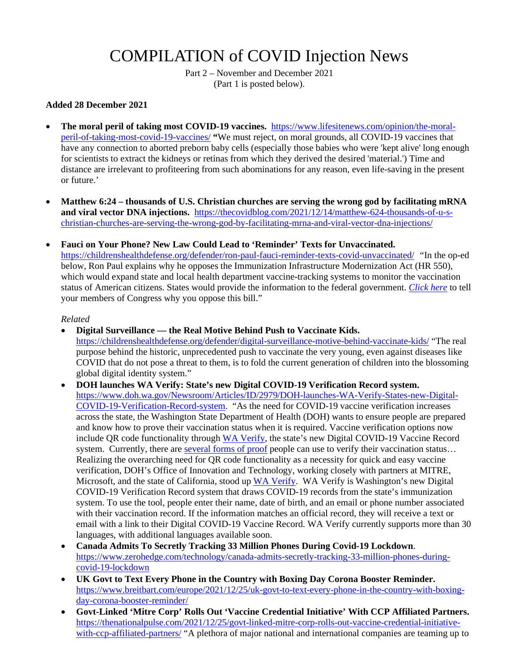# COMPILATION of COVID Injection News

Part 2 – November and December 2021 (Part 1 is posted below).

#### **Added 28 December 2021**

- **The moral peril of taking most COVID-19 vaccines.** [https://www.lifesitenews.com/opinion/the-moral](https://www.lifesitenews.com/opinion/the-moral-peril-of-taking-most-covid-19-vaccines/)[peril-of-taking-most-covid-19-vaccines/](https://www.lifesitenews.com/opinion/the-moral-peril-of-taking-most-covid-19-vaccines/) **"**We must reject, on moral grounds, all COVID-19 vaccines that have any connection to aborted preborn baby cells (especially those babies who were 'kept alive' long enough for scientists to extract the kidneys or retinas from which they derived the desired 'material.') Time and distance are irrelevant to profiteering from such abominations for any reason, even life-saving in the present or future.'
- **Matthew 6:24 thousands of U.S. Christian churches are serving the wrong god by facilitating mRNA and viral vector DNA injections.** [https://thecovidblog.com/2021/12/14/matthew-624-thousands-of-u-s](https://thecovidblog.com/2021/12/14/matthew-624-thousands-of-u-s-christian-churches-are-serving-the-wrong-god-by-facilitating-mrna-and-viral-vector-dna-injections/)[christian-churches-are-serving-the-wrong-god-by-facilitating-mrna-and-viral-vector-dna-injections/](https://thecovidblog.com/2021/12/14/matthew-624-thousands-of-u-s-christian-churches-are-serving-the-wrong-god-by-facilitating-mrna-and-viral-vector-dna-injections/)
- **Fauci on Your Phone? New Law Could Lead to 'Reminder' Texts for Unvaccinated.**  <https://childrenshealthdefense.org/defender/ron-paul-fauci-reminder-texts-covid-unvaccinated/> *"*In the op-ed below, Ron Paul explains why he opposes the Immunization Infrastructure Modernization Act (HR 550), which would expand state and local health department vaccine-tracking systems to monitor the vaccination status of American citizens. States would provide the information to the federal government. *[Click here](https://childrenshealthdefense.org/child-health-topics/take-action/action-alert-protect-americans-rights-to-medical-freedom/)* to tell your members of Congress why you oppose this bill."

- **Digital Surveillance the Real Motive Behind Push to Vaccinate Kids.**  <https://childrenshealthdefense.org/defender/digital-surveillance-motive-behind-vaccinate-kids/>"The real purpose behind the historic, unprecedented push to vaccinate the very young, even against diseases like COVID that do not pose a threat to them, is to fold the current generation of children into the blossoming global digital identity system."
- **DOH launches WA Verify: State's new Digital COVID-19 Verification Record system.**  [https://www.doh.wa.gov/Newsroom/Articles/ID/2979/DOH-launches-WA-Verify-States-new-Digital-](https://www.doh.wa.gov/Newsroom/Articles/ID/2979/DOH-launches-WA-Verify-States-new-Digital-COVID-19-Verification-Record-system)[COVID-19-Verification-Record-system.](https://www.doh.wa.gov/Newsroom/Articles/ID/2979/DOH-launches-WA-Verify-States-new-Digital-COVID-19-Verification-Record-system) "As the need for COVID-19 vaccine verification increases across the state, the Washington State Department of Health (DOH) wants to ensure people are prepared and know how to prove their vaccination status when it is required. Vaccine verification options now include QR code functionality throug[h WA Verify,](https://waverify.org/) the state's new Digital COVID-19 Vaccine Record system. Currently, there are [several forms of proof](https://www.doh.wa.gov/Portals/1/Documents/1600/coronavirus/348-810-COVID-19ProofGuide.pdf) people can use to verify their vaccination status... Realizing the overarching need for QR code functionality as a necessity for quick and easy vaccine verification, DOH's Office of Innovation and Technology, working closely with partners at MITRE, Microsoft, and the state of California, stood up [WA Verify.](https://waverify.org/) WA Verify is Washington's new Digital COVID-19 Verification Record system that draws COVID-19 records from the state's immunization system. To use the tool, people enter their name, date of birth, and an email or phone number associated with their vaccination record. If the information matches an official record, they will receive a text or email with a link to their Digital COVID-19 Vaccine Record. WA Verify currently supports more than 30 languages, with additional languages available soon.
- **Canada Admits To Secretly Tracking 33 Million Phones During Covid-19 Lockdown**. [https://www.zerohedge.com/technology/canada-admits-secretly-tracking-33-million-phones-during](https://www.zerohedge.com/technology/canada-admits-secretly-tracking-33-million-phones-during-covid-19-lockdown)[covid-19-lockdown](https://www.zerohedge.com/technology/canada-admits-secretly-tracking-33-million-phones-during-covid-19-lockdown)
- **UK Govt to Text Every Phone in the Country with Boxing Day Corona Booster Reminder.**  [https://www.breitbart.com/europe/2021/12/25/uk-govt-to-text-every-phone-in-the-country-with-boxing](https://www.breitbart.com/europe/2021/12/25/uk-govt-to-text-every-phone-in-the-country-with-boxing-day-corona-booster-reminder/)[day-corona-booster-reminder/](https://www.breitbart.com/europe/2021/12/25/uk-govt-to-text-every-phone-in-the-country-with-boxing-day-corona-booster-reminder/)
- **Govt-Linked 'Mitre Corp' Rolls Out 'Vaccine Credential Initiative' With CCP Affiliated Partners.** [https://thenationalpulse.com/2021/12/25/govt-linked-mitre-corp-rolls-out-vaccine-credential-initiative](https://thenationalpulse.com/2021/12/25/govt-linked-mitre-corp-rolls-out-vaccine-credential-initiative-with-ccp-affiliated-partners/)[with-ccp-affiliated-partners/](https://thenationalpulse.com/2021/12/25/govt-linked-mitre-corp-rolls-out-vaccine-credential-initiative-with-ccp-affiliated-partners/) "A plethora of major national and international companies are teaming up to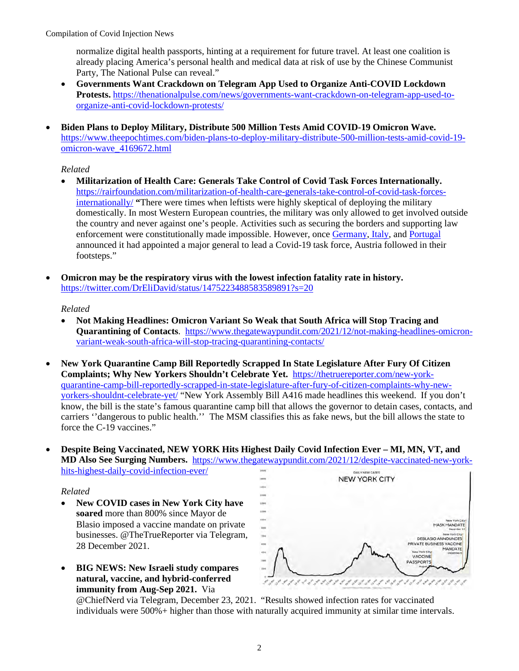normalize digital health passports, hinting at a requirement for future travel. At least one coalition is already placing America's personal health and medical data at risk of use by the Chinese Communist Party, The National Pulse can reveal."

- **Governments Want Crackdown on Telegram App Used to Organize Anti-COVID Lockdown Protests.** [https://thenationalpulse.com/news/governments-want-crackdown-on-telegram-app-used-to](https://thenationalpulse.com/news/governments-want-crackdown-on-telegram-app-used-to-organize-anti-covid-lockdown-protests/)[organize-anti-covid-lockdown-protests/](https://thenationalpulse.com/news/governments-want-crackdown-on-telegram-app-used-to-organize-anti-covid-lockdown-protests/)
- **Biden Plans to Deploy Military, Distribute 500 Million Tests Amid COVID-19 Omicron Wave.**  [https://www.theepochtimes.com/biden-plans-to-deploy-military-distribute-500-million-tests-amid-covid-19](https://www.theepochtimes.com/biden-plans-to-deploy-military-distribute-500-million-tests-amid-covid-19-omicron-wave_4169672.html) [omicron-wave\\_4169672.html](https://www.theepochtimes.com/biden-plans-to-deploy-military-distribute-500-million-tests-amid-covid-19-omicron-wave_4169672.html)

## *Related*

- **Militarization of Health Care: Generals Take Control of Covid Task Forces Internationally.**  [https://rairfoundation.com/militarization-of-health-care-generals-take-control-of-covid-task-forces](https://rairfoundation.com/militarization-of-health-care-generals-take-control-of-covid-task-forces-internationally/)[internationally/](https://rairfoundation.com/militarization-of-health-care-generals-take-control-of-covid-task-forces-internationally/) **"**There were times when leftists were highly skeptical of deploying the military domestically. In most Western European countries, the military was only allowed to get involved outside the country and never against one's people. Activities such as securing the borders and supporting law enforcement were constitutionally made impossible. However, once [Germany,](https://www.dw.com/en/germanys-new-covid-19-crisis-team-to-be-headed-by-two-star-general/a-59971302) [Italy,](https://www.wochenblick.at/brisant/corona-militarisierung-generaele-uebernehmen-international-fuehrung/) and [Portugal](https://apnews.com/article/europe-health-pandemics-coronavirus-pandemic-coronavirus-vaccine-84aa55fe5549da02766557669ca4141b) announced it had appointed a major general to lead a Covid-19 task force, Austria followed in their footsteps."
- **Omicron may be the respiratory virus with the lowest infection fatality rate in history.**  <https://twitter.com/DrEliDavid/status/1475223488583589891?s=20>

## *Related*

- **Not Making Headlines: Omicron Variant So Weak that South Africa will Stop Tracing and Quarantining of Contacts**. [https://www.thegatewaypundit.com/2021/12/not-making-headlines-omicron](https://www.thegatewaypundit.com/2021/12/not-making-headlines-omicron-variant-weak-south-africa-will-stop-tracing-quarantining-contacts/)[variant-weak-south-africa-will-stop-tracing-quarantining-contacts/](https://www.thegatewaypundit.com/2021/12/not-making-headlines-omicron-variant-weak-south-africa-will-stop-tracing-quarantining-contacts/)
- **New York Quarantine Camp Bill Reportedly Scrapped In State Legislature After Fury Of Citizen Complaints; Why New Yorkers Shouldn't Celebrate Yet.** [https://thetruereporter.com/new-york](https://thetruereporter.com/new-york-quarantine-camp-bill-reportedly-scrapped-in-state-legislature-after-fury-of-citizen-complaints-why-new-yorkers-shouldnt-celebrate-yet/)[quarantine-camp-bill-reportedly-scrapped-in-state-legislature-after-fury-of-citizen-complaints-why-new](https://thetruereporter.com/new-york-quarantine-camp-bill-reportedly-scrapped-in-state-legislature-after-fury-of-citizen-complaints-why-new-yorkers-shouldnt-celebrate-yet/)[yorkers-shouldnt-celebrate-yet/](https://thetruereporter.com/new-york-quarantine-camp-bill-reportedly-scrapped-in-state-legislature-after-fury-of-citizen-complaints-why-new-yorkers-shouldnt-celebrate-yet/) "New York Assembly Bill A416 made headlines this weekend. If you don't know, the bill is the state's famous quarantine camp bill that allows the governor to detain cases, contacts, and carriers ''dangerous to public health.'' The MSM classifies this as fake news, but the bill allows the state to force the C-19 vaccines."
- **Despite Being Vaccinated, NEW YORK Hits Highest Daily Covid Infection Ever MI, MN, VT, and MD Also See Surging Numbers.** [https://www.thegatewaypundit.com/2021/12/despite-vaccinated-new-york](https://www.thegatewaypundit.com/2021/12/despite-vaccinated-new-york-hits-highest-daily-covid-infection-ever/)[hits-highest-daily-covid-infection-ever/](https://www.thegatewaypundit.com/2021/12/despite-vaccinated-new-york-hits-highest-daily-covid-infection-ever/)

#### *Related*

- **New COVID cases in New York City have soared** more than 800% since Mayor de Blasio imposed a vaccine mandate on private businesses. @TheTrueReporter via Telegram, 28 December 2021.
- **BIG NEWS: New Israeli study compares natural, vaccine, and hybrid-conferred immunity from Aug-Sep 2021.** Via



@ChiefNerd via Telegram, December 23, 2021. "Results showed infection rates for vaccinated individuals were 500%+ higher than those with naturally acquired immunity at similar time intervals.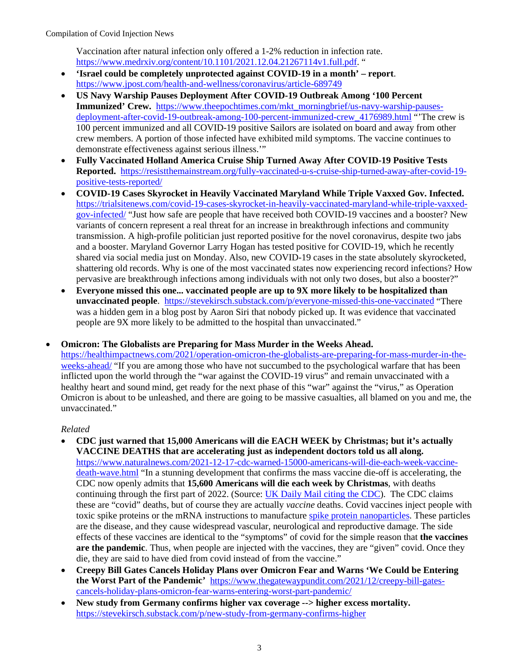Vaccination after natural infection only offered a 1-2% reduction in infection rate. [https://www.medrxiv.org/content/10.1101/2021.12.04.21267114v1.full.pdf.](https://www.medrxiv.org/content/10.1101/2021.12.04.21267114v1.full.pdf) "

- **'Israel could be completely unprotected against COVID-19 in a month' report**. <https://www.jpost.com/health-and-wellness/coronavirus/article-689749>
- **US Navy Warship Pauses Deployment After COVID-19 Outbreak Among '100 Percent Immunized' Crew.** [https://www.theepochtimes.com/mkt\\_morningbrief/us-navy-warship-pauses](https://www.theepochtimes.com/mkt_morningbrief/us-navy-warship-pauses-deployment-after-covid-19-outbreak-among-100-percent-immunized-crew_4176989.html)deployment-after-covid-19-outbreak-among-100-percent-immunized-crew 4176989.html "The crew is 100 percent immunized and all COVID-19 positive Sailors are isolated on board and away from other crew members. A portion of those infected have exhibited mild symptoms. The vaccine continues to demonstrate effectiveness against serious illness.'"
- **Fully Vaccinated Holland America Cruise Ship Turned Away After COVID-19 Positive Tests Reported.** [https://resistthemainstream.org/fully-vaccinated-u-s-cruise-ship-turned-away-after-covid-19](https://resistthemainstream.org/fully-vaccinated-u-s-cruise-ship-turned-away-after-covid-19-positive-tests-reported/) [positive-tests-reported/](https://resistthemainstream.org/fully-vaccinated-u-s-cruise-ship-turned-away-after-covid-19-positive-tests-reported/)
- **COVID-19 Cases Skyrocket in Heavily Vaccinated Maryland While Triple Vaxxed Gov. Infected.**  [https://trialsitenews.com/covid-19-cases-skyrocket-in-heavily-vaccinated-maryland-while-triple-vaxxed](https://trialsitenews.com/covid-19-cases-skyrocket-in-heavily-vaccinated-maryland-while-triple-vaxxed-gov-infected/)[gov-infected/](https://trialsitenews.com/covid-19-cases-skyrocket-in-heavily-vaccinated-maryland-while-triple-vaxxed-gov-infected/) "Just how safe are people that have received both COVID-19 vaccines and a booster? New variants of concern represent a real threat for an increase in breakthrough infections and community transmission. A high-profile politician just reported positive for the novel coronavirus, despite two jabs and a booster. Maryland Governor Larry Hogan has tested positive for COVID-19, which he recently shared via social media just on Monday. Also, new COVID-19 cases in the state absolutely skyrocketed, shattering old records. Why is one of the most vaccinated states now experiencing record infections? How pervasive are breakthrough infections among individuals with not only two doses, but also a booster?"
- **Everyone missed this one... vaccinated people are up to 9X more likely to be hospitalized than unvaccinated people**. <https://stevekirsch.substack.com/p/everyone-missed-this-one-vaccinated>"There was a hidden gem in a blog post by Aaron Siri that nobody picked up. It was evidence that vaccinated people are 9X more likely to be admitted to the hospital than unvaccinated."

• **Omicron: The Globalists are Preparing for Mass Murder in the Weeks Ahead.** 

[https://healthimpactnews.com/2021/operation-omicron-the-globalists-are-preparing-for-mass-murder-in-the](https://healthimpactnews.com/2021/operation-omicron-the-globalists-are-preparing-for-mass-murder-in-the-weeks-ahead/)[weeks-ahead/](https://healthimpactnews.com/2021/operation-omicron-the-globalists-are-preparing-for-mass-murder-in-the-weeks-ahead/) "If you are among those who have not succumbed to the psychological warfare that has been inflicted upon the world through the "war against the COVID-19 virus" and remain unvaccinated with a healthy heart and sound mind, get ready for the next phase of this "war" against the "virus," as Operation Omicron is about to be unleashed, and there are going to be massive casualties, all blamed on you and me, the unvaccinated."

- **CDC just warned that 15,000 Americans will die EACH WEEK by Christmas; but it's actually VACCINE DEATHS that are accelerating just as independent doctors told us all along.** [https://www.naturalnews.com/2021-12-17-cdc-warned-15000-americans-will-die-each-week-vaccine](https://www.naturalnews.com/2021-12-17-cdc-warned-15000-americans-will-die-each-week-vaccine-death-wave.html)[death-wave.html](https://www.naturalnews.com/2021-12-17-cdc-warned-15000-americans-will-die-each-week-vaccine-death-wave.html) "In a stunning development that confirms the mass vaccine die-off is accelerating, the CDC now openly admits that **15,600 Americans will die each week by Christmas**, with deaths continuing through the first part of 2022. (Source[: UK Daily Mail citing the CDC\)](https://www.dailymail.co.uk/health/article-10314687/CDC-issues-grim-forecast-warning-weekly-COVID-cases-jump-55-1-3-MILLION-Christmas-Day.html). The CDC claims these are "covid" deaths, but of course they are actually *vaccine* deaths. Covid vaccines inject people with toxic spike proteins or the mRNA instructions to manufactur[e spike protein nanoparticles.](http://spikeprotein.news/) These particles are the disease, and they cause widespread vascular, neurological and reproductive damage. The side effects of these vaccines are identical to the "symptoms" of covid for the simple reason that **the vaccines are the pandemic**. Thus, when people are injected with the vaccines, they are "given" covid. Once they die, they are said to have died from covid instead of from the vaccine."
- **Creepy Bill Gates Cancels Holiday Plans over Omicron Fear and Warns 'We Could be Entering the Worst Part of the Pandemic'** [https://www.thegatewaypundit.com/2021/12/creepy-bill-gates](https://www.thegatewaypundit.com/2021/12/creepy-bill-gates-cancels-holiday-plans-omicron-fear-warns-entering-worst-part-pandemic/)[cancels-holiday-plans-omicron-fear-warns-entering-worst-part-pandemic/](https://www.thegatewaypundit.com/2021/12/creepy-bill-gates-cancels-holiday-plans-omicron-fear-warns-entering-worst-part-pandemic/)
- **New study from Germany confirms higher vax coverage --> higher excess mortality.**  <https://stevekirsch.substack.com/p/new-study-from-germany-confirms-higher>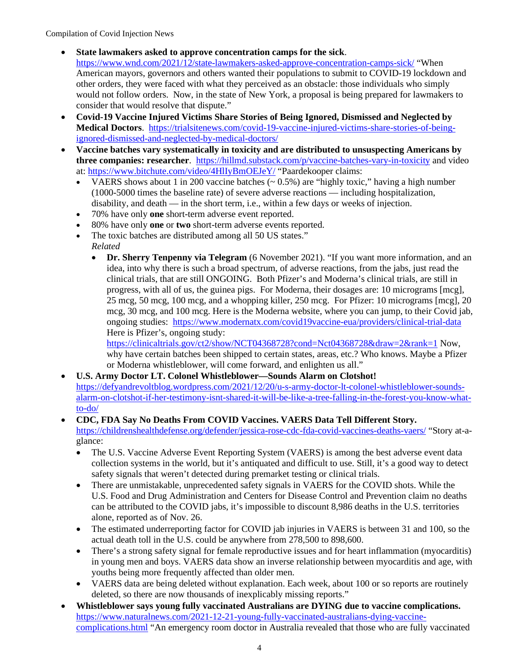## • **State lawmakers asked to approve concentration camps for the sick**.

- <https://www.wnd.com/2021/12/state-lawmakers-asked-approve-concentration-camps-sick/>"When American mayors, governors and others wanted their populations to submit to COVID-19 lockdown and other orders, they were faced with what they perceived as an obstacle: those individuals who simply would not follow orders. Now, in the state of New York, a proposal is being prepared for lawmakers to consider that would resolve that dispute."
- **Covid-19 Vaccine Injured Victims Share Stories of Being Ignored, Dismissed and Neglected by Medical Doctors**. [https://trialsitenews.com/covid-19-vaccine-injured-victims-share-stories-of-being](https://trialsitenews.com/covid-19-vaccine-injured-victims-share-stories-of-being-ignored-dismissed-and-neglected-by-medical-doctors/)[ignored-dismissed-and-neglected-by-medical-doctors/](https://trialsitenews.com/covid-19-vaccine-injured-victims-share-stories-of-being-ignored-dismissed-and-neglected-by-medical-doctors/)
- **Vaccine batches vary systematically in toxicity and are distributed to unsuspecting Americans by three companies: researcher**. <https://hillmd.substack.com/p/vaccine-batches-vary-in-toxicity>and video at[: https://www.bitchute.com/video/4HlIyBmOEJeY/](https://www.bitchute.com/video/4HlIyBmOEJeY/) "Paardekooper claims:
	- VAERS shows about 1 in 200 vaccine batches  $(-0.5\%)$  are "highly toxic," having a high number (1000-5000 times the baseline rate) of severe adverse reactions — including hospitalization, disability, and death — in the short term, i.e., within a few days or weeks of injection.
	- 70% have only **one** short-term adverse event reported.
	- 80% have only **one** or **two** short-term adverse events reported.
	- The toxic batches are distributed among all 50 US states."
	- *Related*
		- **Dr. Sherry Tenpenny via Telegram** (6 November 2021). "If you want more information, and an idea, into why there is such a broad spectrum, of adverse reactions, from the jabs, just read the clinical trials, that are still ONGOING. Both Pfizer's and Moderna's clinical trials, are still in progress, with all of us, the guinea pigs. For Moderna, their dosages are: 10 micrograms [mcg], 25 mcg, 50 mcg, 100 mcg, and a whopping killer, 250 mcg. For Pfizer: 10 micrograms [mcg], 20 mcg, 30 mcg, and 100 mcg. Here is the Moderna website, where you can jump, to their Covid jab, ongoing studies: <https://www.modernatx.com/covid19vaccine-eua/providers/clinical-trial-data> Here is Pfizer's, ongoing study:

<https://clinicaltrials.gov/ct2/show/NCT04368728?cond=Nct04368728&draw=2&rank=1> Now, why have certain batches been shipped to certain states, areas, etc.? Who knows. Maybe a Pfizer or Moderna whistleblower, will come forward, and enlighten us all."

- **U.S. Army Doctor LT. Colonel Whistleblower—Sounds Alarm on Clotshot!** [https://defyandrevoltblog.wordpress.com/2021/12/20/u-s-army-doctor-lt-colonel-whistleblower-sounds](https://defyandrevoltblog.wordpress.com/2021/12/20/u-s-army-doctor-lt-colonel-whistleblower-sounds-alarm-on-clotshot-if-her-testimony-isnt-shared-it-will-be-like-a-tree-falling-in-the-forest-you-know-what-to-do/)[alarm-on-clotshot-if-her-testimony-isnt-shared-it-will-be-like-a-tree-falling-in-the-forest-you-know-what](https://defyandrevoltblog.wordpress.com/2021/12/20/u-s-army-doctor-lt-colonel-whistleblower-sounds-alarm-on-clotshot-if-her-testimony-isnt-shared-it-will-be-like-a-tree-falling-in-the-forest-you-know-what-to-do/)[to-do/](https://defyandrevoltblog.wordpress.com/2021/12/20/u-s-army-doctor-lt-colonel-whistleblower-sounds-alarm-on-clotshot-if-her-testimony-isnt-shared-it-will-be-like-a-tree-falling-in-the-forest-you-know-what-to-do/)
- **CDC, FDA Say No Deaths From COVID Vaccines. VAERS Data Tell Different Story.** <https://childrenshealthdefense.org/defender/jessica-rose-cdc-fda-covid-vaccines-deaths-vaers/>"Story at-aglance:
	- The U.S. Vaccine Adverse Event Reporting System (VAERS) is among the best adverse event data collection systems in the world, but it's antiquated and difficult to use. Still, it's a good way to detect safety signals that weren't detected during premarket testing or clinical trials.
	- There are unmistakable, unprecedented safety signals in VAERS for the COVID shots. While the U.S. Food and Drug Administration and Centers for Disease Control and Prevention claim no deaths can be attributed to the COVID jabs, it's impossible to discount 8,986 deaths in the U.S. territories alone, reported as of Nov. 26.
	- The estimated underreporting factor for COVID jab injuries in VAERS is between 31 and 100, so the actual death toll in the U.S. could be anywhere from 278,500 to 898,600.
	- There's a strong safety signal for female reproductive issues and for heart inflammation (myocarditis) in young men and boys. VAERS data show an inverse relationship between myocarditis and age, with youths being more frequently affected than older men.
	- VAERS data are being deleted without explanation. Each week, about 100 or so reports are routinely deleted, so there are now thousands of inexplicably missing reports."
- **Whistleblower says young fully vaccinated Australians are DYING due to vaccine complications.**  [https://www.naturalnews.com/2021-12-21-young-fully-vaccinated-australians-dying-vaccine](https://www.naturalnews.com/2021-12-21-young-fully-vaccinated-australians-dying-vaccine-complications.html)[complications.html](https://www.naturalnews.com/2021-12-21-young-fully-vaccinated-australians-dying-vaccine-complications.html) "An emergency room doctor in Australia revealed that those who are fully vaccinated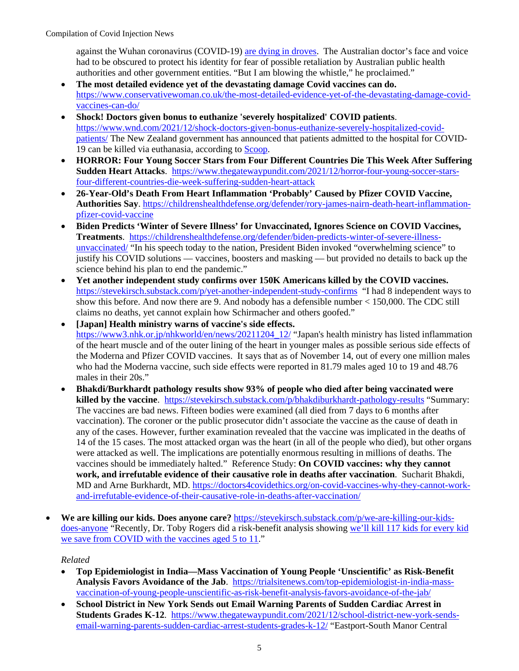against the Wuhan coronavirus (COVID-19) [are dying in droves.](https://www.brighteon.com/2a8b23ab-5d0b-4e1e-aeb1-8d9bac15c8b1) The Australian doctor's face and voice had to be obscured to protect his identity for fear of possible retaliation by Australian public health authorities and other government entities. "But I am blowing the whistle," he proclaimed."

- **The most detailed evidence yet of the devastating damage Covid vaccines can do.** [https://www.conservativewoman.co.uk/the-most-detailed-evidence-yet-of-the-devastating-damage-covid](https://www.conservativewoman.co.uk/the-most-detailed-evidence-yet-of-the-devastating-damage-covid-vaccines-can-do/)[vaccines-can-do/](https://www.conservativewoman.co.uk/the-most-detailed-evidence-yet-of-the-devastating-damage-covid-vaccines-can-do/)
- **Shock! Doctors given bonus to euthanize 'severely hospitalized' COVID patients**. [https://www.wnd.com/2021/12/shock-doctors-given-bonus-euthanize-severely-hospitalized-covid](https://www.wnd.com/2021/12/shock-doctors-given-bonus-euthanize-severely-hospitalized-covid-patients/)[patients/](https://www.wnd.com/2021/12/shock-doctors-given-bonus-euthanize-severely-hospitalized-covid-patients/) The New Zealand government has announced that patients admitted to the hospital for COVID-19 can be killed via euthanasia, according to [Scoop.](https://www.scoop.co.nz/stories/AK2112/S00446/moh-says-kiwis-with-covid-19-can-be-eligible-for-euthanasia.htm)
- **HORROR: Four Young Soccer Stars from Four Different Countries Die This Week After Suffering Sudden Heart Attacks**. [https://www.thegatewaypundit.com/2021/12/horror-four-young-soccer-stars](https://www.thegatewaypundit.com/2021/12/horror-four-young-soccer-stars-four-different-countries-die-week-suffering-sudden-heart-attack)[four-different-countries-die-week-suffering-sudden-heart-attack](https://www.thegatewaypundit.com/2021/12/horror-four-young-soccer-stars-four-different-countries-die-week-suffering-sudden-heart-attack)
- **26-Year-Old's Death From Heart Inflammation 'Probably' Caused by Pfizer COVID Vaccine, Authorities Say**. [https://childrenshealthdefense.org/defender/rory-james-nairn-death-heart-inflammation](https://childrenshealthdefense.org/defender/rory-james-nairn-death-heart-inflammation-pfizer-covid-vaccine)[pfizer-covid-vaccine](https://childrenshealthdefense.org/defender/rory-james-nairn-death-heart-inflammation-pfizer-covid-vaccine)
- **Biden Predicts 'Winter of Severe Illness' for Unvaccinated, Ignores Science on COVID Vaccines, Treatments**. [https://childrenshealthdefense.org/defender/biden-predicts-winter-of-severe-illness](https://childrenshealthdefense.org/defender/biden-predicts-winter-of-severe-illness-unvaccinated/)[unvaccinated/](https://childrenshealthdefense.org/defender/biden-predicts-winter-of-severe-illness-unvaccinated/) "In his speech today to the nation, President Biden invoked "overwhelming science" to justify his COVID solutions — vaccines, boosters and masking — but provided no details to back up the science behind his plan to end the pandemic."
- **Yet another independent study confirms over 150K Americans killed by the COVID vaccines.**  <https://stevekirsch.substack.com/p/yet-another-independent-study-confirms>"I had 8 independent ways to show this before. And now there are 9. And nobody has a defensible number < 150,000. The CDC still claims no deaths, yet cannot explain how Schirmacher and others goofed."
- **[Japan] Health ministry warns of vaccine's side effects.**  [https://www3.nhk.or.jp/nhkworld/en/news/20211204\\_12/](https://www3.nhk.or.jp/nhkworld/en/news/20211204_12/) "Japan's health ministry has listed inflammation of the heart muscle and of the outer lining of the heart in younger males as possible serious side effects of the Moderna and Pfizer COVID vaccines. It says that as of November 14, out of every one million males who had the Moderna vaccine, such side effects were reported in 81.79 males aged 10 to 19 and 48.76 males in their 20s."
- **Bhakdi/Burkhardt pathology results show 93% of people who died after being vaccinated were killed by the vaccine**. <https://stevekirsch.substack.com/p/bhakdiburkhardt-pathology-results>"Summary: The vaccines are bad news. Fifteen bodies were examined (all died from 7 days to 6 months after vaccination). The coroner or the public prosecutor didn't associate the vaccine as the cause of death in any of the cases. However, further examination revealed that the vaccine was implicated in the deaths of 14 of the 15 cases. The most attacked organ was the heart (in all of the people who died), but other organs were attacked as well. The implications are potentially enormous resulting in millions of deaths. The vaccines should be immediately halted." Reference Study: **On COVID vaccines: why they cannot work, and irrefutable evidence of their causative role in deaths after vaccination**. Sucharit Bhakdi, MD and Arne Burkhardt, MD. [https://doctors4covidethics.org/on-covid-vaccines-why-they-cannot-work](https://doctors4covidethics.org/on-covid-vaccines-why-they-cannot-work-and-irrefutable-evidence-of-their-causative-role-in-deaths-after-vaccination/)[and-irrefutable-evidence-of-their-causative-role-in-deaths-after-vaccination/](https://doctors4covidethics.org/on-covid-vaccines-why-they-cannot-work-and-irrefutable-evidence-of-their-causative-role-in-deaths-after-vaccination/)
- **We are killing our kids. Does anyone care?** [https://stevekirsch.substack.com/p/we-are-killing-our-kids](https://stevekirsch.substack.com/p/we-are-killing-our-kids-does-anyone)[does-anyone](https://stevekirsch.substack.com/p/we-are-killing-our-kids-does-anyone) "Recently, Dr. Toby Rogers did a risk-benefit analysis showing [we'll kill 117 kids for every kid](https://stevekirsch.substack.com/p/we-will-kill-117-kids-to-save-one)  [we save from COVID with the vaccines aged 5 to 11.](https://stevekirsch.substack.com/p/we-will-kill-117-kids-to-save-one)"

- **Top Epidemiologist in India—Mass Vaccination of Young People 'Unscientific' as Risk-Benefit Analysis Favors Avoidance of the Jab**. [https://trialsitenews.com/top-epidemiologist-in-india-mass](https://trialsitenews.com/top-epidemiologist-in-india-mass-vaccination-of-young-people-unscientific-as-risk-benefit-analysis-favors-avoidance-of-the-jab/)[vaccination-of-young-people-unscientific-as-risk-benefit-analysis-favors-avoidance-of-the-jab/](https://trialsitenews.com/top-epidemiologist-in-india-mass-vaccination-of-young-people-unscientific-as-risk-benefit-analysis-favors-avoidance-of-the-jab/)
- **School District in New York Sends out Email Warning Parents of Sudden Cardiac Arrest in Students Grades K-12**. [https://www.thegatewaypundit.com/2021/12/school-district-new-york-sends](https://www.thegatewaypundit.com/2021/12/school-district-new-york-sends-email-warning-parents-sudden-cardiac-arrest-students-grades-k-12/)[email-warning-parents-sudden-cardiac-arrest-students-grades-k-12/](https://www.thegatewaypundit.com/2021/12/school-district-new-york-sends-email-warning-parents-sudden-cardiac-arrest-students-grades-k-12/) "Eastport-South Manor Central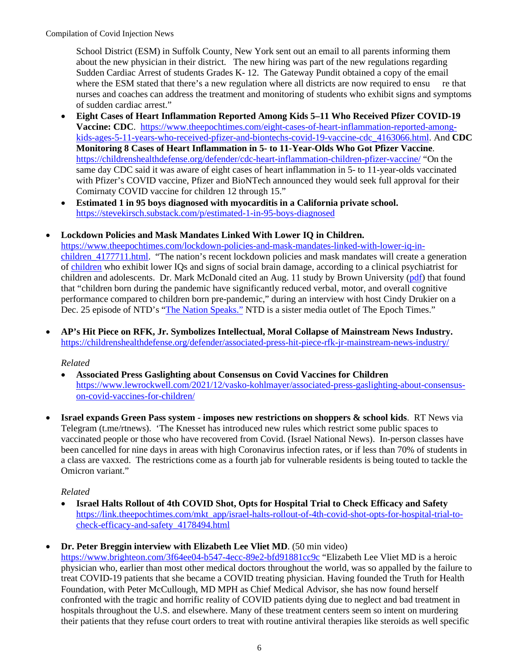School District (ESM) in Suffolk County, New York sent out an email to all parents informing them about the new physician in their district. The new hiring was part of the new regulations regarding Sudden Cardiac Arrest of students Grades K- 12. The Gateway Pundit obtained a copy of the email where the ESM stated that there's a new regulation where all districts are now required to ensu re that nurses and coaches can address the treatment and monitoring of students who exhibit signs and symptoms of sudden cardiac arrest."

- **Eight Cases of Heart Inflammation Reported Among Kids 5–11 Who Received Pfizer COVID-19 Vaccine: CDC**. [https://www.theepochtimes.com/eight-cases-of-heart-inflammation-reported-among](https://www.theepochtimes.com/eight-cases-of-heart-inflammation-reported-among-kids-ages-5-11-years-who-received-pfizer-and-biontechs-covid-19-vaccine-cdc_4163066.html)[kids-ages-5-11-years-who-received-pfizer-and-biontechs-covid-19-vaccine-cdc\\_4163066.html.](https://www.theepochtimes.com/eight-cases-of-heart-inflammation-reported-among-kids-ages-5-11-years-who-received-pfizer-and-biontechs-covid-19-vaccine-cdc_4163066.html) And **CDC Monitoring 8 Cases of Heart Inflammation in 5- to 11-Year-Olds Who Got Pfizer Vaccine**. <https://childrenshealthdefense.org/defender/cdc-heart-inflammation-children-pfizer-vaccine/>"On the same day CDC said it was aware of eight cases of heart inflammation in 5- to 11-year-olds vaccinated with Pfizer's COVID vaccine, Pfizer and BioNTech announced they would seek full approval for their Comirnaty COVID vaccine for children 12 through 15."
- **Estimated 1 in 95 boys diagnosed with myocarditis in a California private school.**  <https://stevekirsch.substack.com/p/estimated-1-in-95-boys-diagnosed>

# • **Lockdown Policies and Mask Mandates Linked With Lower IQ in Children.**

[https://www.theepochtimes.com/lockdown-policies-and-mask-mandates-linked-with-lower-iq-in](https://www.theepochtimes.com/lockdown-policies-and-mask-mandates-linked-with-lower-iq-in-children_4177711.html)children 4177711.html. "The nation's recent lockdown policies and mask mandates will create a generation of [children](https://www.theepochtimes.com/t-children) who exhibit lower IQs and signs of social brain damage, according to a clinical psychiatrist for children and adolescents. Dr. Mark McDonald cited an Aug. 11 study by Brown University [\(pdf\)](https://www.medrxiv.org/content/10.1101/2021.08.10.21261846v1.full.pdf) that found that "children born during the pandemic have significantly reduced verbal, motor, and overall cognitive performance compared to children born pre-pandemic," during an interview with host Cindy Drukier on a Dec. 25 episode of NTD's ["The Nation Speaks."](https://www.theepochtimes.com/lower-iq-brain-damage-anxiety-children-pay-high-price-for-pandemic-policies_4177325.html) NTD is a sister media outlet of The Epoch Times."

• **AP's Hit Piece on RFK, Jr. Symbolizes Intellectual, Moral Collapse of Mainstream News Industry.**  <https://childrenshealthdefense.org/defender/associated-press-hit-piece-rfk-jr-mainstream-news-industry/>

## *Related*

- **Associated Press Gaslighting about Consensus on Covid Vaccines for Children** [https://www.lewrockwell.com/2021/12/vasko-kohlmayer/associated-press-gaslighting-about-consensus](https://www.lewrockwell.com/2021/12/vasko-kohlmayer/associated-press-gaslighting-about-consensus-on-covid-vaccines-for-children/)[on-covid-vaccines-for-children/](https://www.lewrockwell.com/2021/12/vasko-kohlmayer/associated-press-gaslighting-about-consensus-on-covid-vaccines-for-children/)
- **Israel expands Green Pass system imposes new restrictions on shoppers & school kids**. RT News via Telegram (t.me/rtnews). 'The Knesset has introduced new rules which restrict some public spaces to vaccinated people or those who have recovered from Covid. (Israel National News). In-person classes have been cancelled for nine days in areas with high Coronavirus infection rates, or if less than 70% of students in a class are vaxxed. The restrictions come as a fourth jab for vulnerable residents is being touted to tackle the Omicron variant."

## *Related*

- **Israel Halts Rollout of 4th COVID Shot, Opts for Hospital Trial to Check Efficacy and Safety** [https://link.theepochtimes.com/mkt\\_app/israel-halts-rollout-of-4th-covid-shot-opts-for-hospital-trial-to](https://link.theepochtimes.com/mkt_app/israel-halts-rollout-of-4th-covid-shot-opts-for-hospital-trial-to-check-efficacy-and-safety_4178494.html)[check-efficacy-and-safety\\_4178494.html](https://link.theepochtimes.com/mkt_app/israel-halts-rollout-of-4th-covid-shot-opts-for-hospital-trial-to-check-efficacy-and-safety_4178494.html)
- **Dr. Peter Breggin interview with Elizabeth Lee Vliet MD**. (50 min video)

<https://www.brighteon.com/3f64ee04-b547-4ecc-89e2-bfd91881cc9c>"Elizabeth Lee Vliet MD is a heroic physician who, earlier than most other medical doctors throughout the world, was so appalled by the failure to treat COVID-19 patients that she became a COVID treating physician. Having founded the Truth for Health Foundation, with Peter McCullough, MD MPH as Chief Medical Advisor, she has now found herself confronted with the tragic and horrific reality of COVID patients dying due to neglect and bad treatment in hospitals throughout the U.S. and elsewhere. Many of these treatment centers seem so intent on murdering their patients that they refuse court orders to treat with routine antiviral therapies like steroids as well specific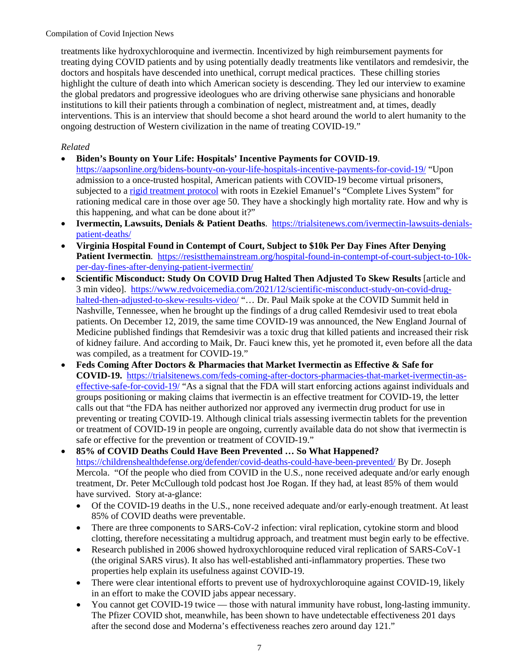treatments like hydroxychloroquine and ivermectin. Incentivized by high reimbursement payments for treating dying COVID patients and by using potentially deadly treatments like ventilators and remdesivir, the doctors and hospitals have descended into unethical, corrupt medical practices. These chilling stories highlight the culture of death into which American society is descending. They led our interview to examine the global predators and progressive ideologues who are driving otherwise sane physicians and honorable institutions to kill their patients through a combination of neglect, mistreatment and, at times, deadly interventions. This is an interview that should become a shot heard around the world to alert humanity to the ongoing destruction of Western civilization in the name of treating COVID-19."

- **Biden's Bounty on Your Life: Hospitals' Incentive Payments for COVID-19**. <https://aapsonline.org/bidens-bounty-on-your-life-hospitals-incentive-payments-for-covid-19/>"Upon admission to a once-trusted hospital, American patients with COVID-19 become virtual prisoners, subjected to a [rigid treatment protocol](https://www.wnd.com/2021/10/exposed-inhumane-lethal-covid-protocol-hospitals/) with roots in Ezekiel Emanuel's "Complete Lives System" for rationing medical care in those over age 50. They have a shockingly high mortality rate. How and why is this happening, and what can be done about it?"
- **Ivermectin, Lawsuits, Denials & Patient Deaths**. [https://trialsitenews.com/ivermectin-lawsuits-denials](https://trialsitenews.com/ivermectin-lawsuits-denials-patient-deaths/)[patient-deaths/](https://trialsitenews.com/ivermectin-lawsuits-denials-patient-deaths/)
- **Virginia Hospital Found in Contempt of Court, Subject to \$10k Per Day Fines After Denying**  Patient Ivermectin. [https://resistthemainstream.org/hospital-found-in-contempt-of-court-subject-to-10k](https://resistthemainstream.org/hospital-found-in-contempt-of-court-subject-to-10k-per-day-fines-after-denying-patient-ivermectin/)[per-day-fines-after-denying-patient-ivermectin/](https://resistthemainstream.org/hospital-found-in-contempt-of-court-subject-to-10k-per-day-fines-after-denying-patient-ivermectin/)
- **Scientific Misconduct: Study On COVID Drug Halted Then Adjusted To Skew Results** [article and 3 min video]. [https://www.redvoicemedia.com/2021/12/scientific-misconduct-study-on-covid-drug](https://www.redvoicemedia.com/2021/12/scientific-misconduct-study-on-covid-drug-halted-then-adjusted-to-skew-results-video/)[halted-then-adjusted-to-skew-results-video/](https://www.redvoicemedia.com/2021/12/scientific-misconduct-study-on-covid-drug-halted-then-adjusted-to-skew-results-video/) "... Dr. Paul Maik spoke at the COVID Summit held in Nashville, Tennessee, when he brought up the findings of a drug called Remdesivir used to treat ebola patients. On December 12, 2019, the same time COVID-19 was announced, the New England Journal of Medicine published findings that Remdesivir was a toxic drug that killed patients and increased their risk of kidney failure. And according to Maik, Dr. Fauci knew this, yet he promoted it, even before all the data was compiled, as a treatment for COVID-19."
- **Feds Coming After Doctors & Pharmacies that Market Ivermectin as Effective & Safe for COVID-19.** [https://trialsitenews.com/feds-coming-after-doctors-pharmacies-that-market-ivermectin-as](https://trialsitenews.com/feds-coming-after-doctors-pharmacies-that-market-ivermectin-as-effective-safe-for-covid-19/)[effective-safe-for-covid-19/](https://trialsitenews.com/feds-coming-after-doctors-pharmacies-that-market-ivermectin-as-effective-safe-for-covid-19/) "As a signal that the FDA will start enforcing actions against individuals and groups positioning or making claims that ivermectin is an effective treatment for COVID-19, the letter calls out that "the FDA has neither authorized nor approved any ivermectin drug product for use in preventing or treating COVID-19. Although clinical trials assessing ivermectin tablets for the prevention or treatment of COVID-19 in people are ongoing, currently available data do not show that ivermectin is safe or effective for the prevention or treatment of COVID-19."
- **85% of COVID Deaths Could Have Been Prevented … So What Happened?** <https://childrenshealthdefense.org/defender/covid-deaths-could-have-been-prevented/>By Dr. Joseph Mercola. "Of the people who died from COVID in the U.S., none received adequate and/or early enough treatment, Dr. Peter McCullough told podcast host Joe Rogan. If they had, at least 85% of them would have survived. Story at-a-glance:
	- Of the COVID-19 deaths in the U.S., none received adequate and/or early-enough treatment. At least 85% of COVID deaths were preventable.
	- There are three components to SARS-CoV-2 infection: viral replication, cytokine storm and blood clotting, therefore necessitating a multidrug approach, and treatment must begin early to be effective.
	- Research published in 2006 showed hydroxychloroquine reduced viral replication of SARS-CoV-1 (the original SARS virus). It also has well-established anti-inflammatory properties. These two properties help explain its usefulness against COVID-19.
	- There were clear intentional efforts to prevent use of hydroxychloroquine against COVID-19, likely in an effort to make the COVID jabs appear necessary.
	- You cannot get COVID-19 twice those with natural immunity have robust, long-lasting immunity. The Pfizer COVID shot, meanwhile, has been shown to have undetectable effectiveness 201 days after the second dose and Moderna's effectiveness reaches zero around day 121."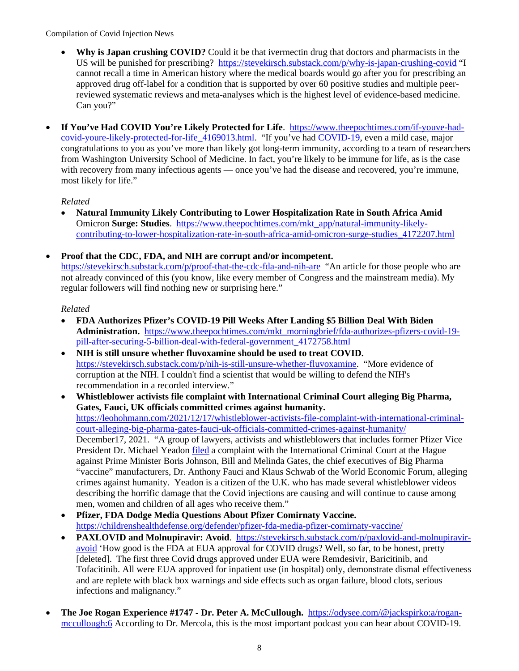- **Why is Japan crushing COVID?** Could it be that ivermectin drug that doctors and pharmacists in the US will be punished for prescribing?<https://stevekirsch.substack.com/p/why-is-japan-crushing-covid>"I cannot recall a time in American history where the medical boards would go after you for prescribing an approved drug off-label for a condition that is supported by over 60 positive studies and multiple peerreviewed systematic reviews and meta-analyses which is the highest level of evidence-based medicine. Can you?"
- **If You've Had COVID You're Likely Protected for Life**. [https://www.theepochtimes.com/if-youve-had](https://www.theepochtimes.com/if-youve-had-covid-youre-likely-protected-for-life_4169013.html)[covid-youre-likely-protected-for-life\\_4169013.html.](https://www.theepochtimes.com/if-youve-had-covid-youre-likely-protected-for-life_4169013.html) "If you've had [COVID-19,](https://www.theepochtimes.com/t-covid-19) even a mild case, major congratulations to you as you've more than likely got long-term immunity, according to a team of researchers from Washington University School of Medicine. In fact, you're likely to be immune for life, as is the case with recovery from many infectious agents — once you've had the disease and recovered, you're immune, most likely for life."

# *Related*

- **Natural Immunity Likely Contributing to Lower Hospitalization Rate in South Africa Amid**  Omicron **Surge: Studies**. [https://www.theepochtimes.com/mkt\\_app/natural-immunity-likely](https://www.theepochtimes.com/mkt_app/natural-immunity-likely-contributing-to-lower-hospitalization-rate-in-south-africa-amid-omicron-surge-studies_4172207.html)[contributing-to-lower-hospitalization-rate-in-south-africa-amid-omicron-surge-studies\\_4172207.html](https://www.theepochtimes.com/mkt_app/natural-immunity-likely-contributing-to-lower-hospitalization-rate-in-south-africa-amid-omicron-surge-studies_4172207.html)
- **Proof that the CDC, FDA, and NIH are corrupt and/or incompetent.**  <https://stevekirsch.substack.com/p/proof-that-the-cdc-fda-and-nih-are>"An article for those people who are not already convinced of this (you know, like every member of Congress and the mainstream media). My regular followers will find nothing new or surprising here."

- **FDA Authorizes Pfizer's COVID-19 Pill Weeks After Landing \$5 Billion Deal With Biden Administration.** [https://www.theepochtimes.com/mkt\\_morningbrief/fda-authorizes-pfizers-covid-19](https://www.theepochtimes.com/mkt_morningbrief/fda-authorizes-pfizers-covid-19-pill-after-securing-5-billion-deal-with-federal-government_4172758.html) [pill-after-securing-5-billion-deal-with-federal-government\\_4172758.html](https://www.theepochtimes.com/mkt_morningbrief/fda-authorizes-pfizers-covid-19-pill-after-securing-5-billion-deal-with-federal-government_4172758.html)
- **NIH is still unsure whether fluvoxamine should be used to treat COVID.**  [https://stevekirsch.substack.com/p/nih-is-still-unsure-whether-fluvoxamine.](https://stevekirsch.substack.com/p/nih-is-still-unsure-whether-fluvoxamine) "More evidence of corruption at the NIH. I couldn't find a scientist that would be willing to defend the NIH's recommendation in a recorded interview."
- **Whistleblower activists file complaint with International Criminal Court alleging Big Pharma, Gates, Fauci, UK officials committed crimes against humanity.** [https://leohohmann.com/2021/12/17/whistleblower-activists-file-complaint-with-international-criminal](https://leohohmann.com/2021/12/17/whistleblower-activists-file-complaint-with-international-criminal-court-alleging-big-pharma-gates-fauci-uk-officials-committed-crimes-against-humanity/)[court-alleging-big-pharma-gates-fauci-uk-officials-committed-crimes-against-humanity/](https://leohohmann.com/2021/12/17/whistleblower-activists-file-complaint-with-international-criminal-court-alleging-big-pharma-gates-fauci-uk-officials-committed-crimes-against-humanity/) December17, 2021. "A group of lawyers, activists and whistleblowers that includes former Pfizer Vice President Dr. Michael Yeadon [filed](https://dailyexpose.uk/2021/12/10/uk-team-file-complaint-of-crimes-against-humanity-with-the-international-criminal-court/) a complaint with the International Criminal Court at the Hague against Prime Minister Boris Johnson, Bill and Melinda Gates, the chief executives of Big Pharma "vaccine" manufacturers, Dr. Anthony Fauci and Klaus Schwab of the World Economic Forum, alleging crimes against humanity. Yeadon is a citizen of the U.K. who has made several whistleblower videos describing the horrific damage that the Covid injections are causing and will continue to cause among men, women and children of all ages who receive them."
- **Pfizer, FDA Dodge Media Questions About Pfizer Comirnaty Vaccine.** <https://childrenshealthdefense.org/defender/pfizer-fda-media-pfizer-comirnaty-vaccine/>
- **PAXLOVID and Molnupiravir: Avoid**. [https://stevekirsch.substack.com/p/paxlovid-and-molnupiravir](https://stevekirsch.substack.com/p/paxlovid-and-molnupiravir-avoid)[avoid](https://stevekirsch.substack.com/p/paxlovid-and-molnupiravir-avoid) 'How good is the FDA at EUA approval for COVID drugs? Well, so far, to be honest, pretty [deleted]. The first three Covid drugs approved under EUA were Remdesivir, Baricitinib, and Tofacitinib. All were EUA approved for inpatient use (in hospital) only, demonstrate dismal effectiveness and are replete with black box warnings and side effects such as organ failure, blood clots, serious infections and malignancy."
- **The Joe Rogan Experience #1747 Dr. Peter A. McCullough.** [https://odysee.com/@jackspirko:a/rogan](https://odysee.com/@jackspirko:a/rogan-mccullough:6)[mccullough:6](https://odysee.com/@jackspirko:a/rogan-mccullough:6) According to Dr. Mercola, this is the most important podcast you can hear about COVID-19.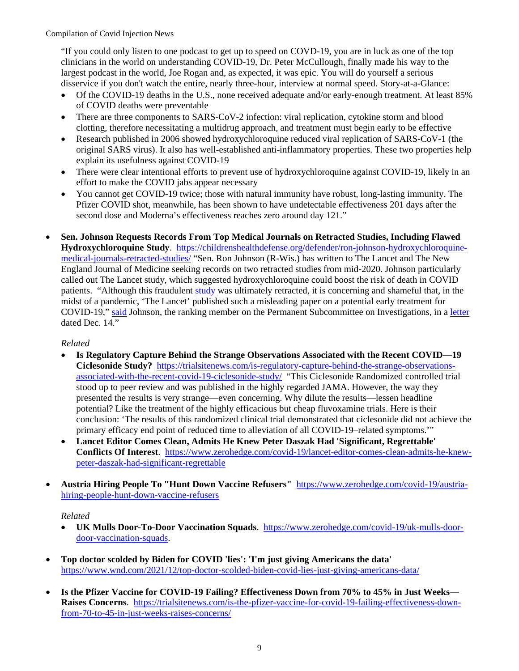"If you could only listen to one podcast to get up to speed on COVD-19, you are in luck as one of the top clinicians in the world on understanding COVID-19, Dr. Peter McCullough, finally made his way to the largest podcast in the world, Joe Rogan and, as expected, it was epic. You will do yourself a serious disservice if you don't watch the entire, nearly three-hour, interview at normal speed. Story-at-a-Glance:

- Of the COVID-19 deaths in the U.S., none received adequate and/or early-enough treatment. At least 85% of COVID deaths were preventable
- There are three components to SARS-CoV-2 infection: viral replication, cytokine storm and blood clotting, therefore necessitating a multidrug approach, and treatment must begin early to be effective
- Research published in 2006 showed hydroxychloroquine reduced viral replication of SARS-CoV-1 (the original SARS virus). It also has well-established anti-inflammatory properties. These two properties help explain its usefulness against COVID-19
- There were clear intentional efforts to prevent use of hydroxychloroquine against COVID-19, likely in an effort to make the COVID jabs appear necessary
- You cannot get COVID-19 twice; those with natural immunity have robust, long-lasting immunity. The Pfizer COVID shot, meanwhile, has been shown to have undetectable effectiveness 201 days after the second dose and Moderna's effectiveness reaches zero around day 121."
- **Sen. Johnson Requests Records From Top Medical Journals on Retracted Studies, Including Flawed Hydroxychloroquine Study**. [https://childrenshealthdefense.org/defender/ron-johnson-hydroxychloroquine](https://childrenshealthdefense.org/defender/ron-johnson-hydroxychloroquine-medical-journals-retracted-studies/)[medical-journals-retracted-studies/](https://childrenshealthdefense.org/defender/ron-johnson-hydroxychloroquine-medical-journals-retracted-studies/) "Sen. Ron Johnson (R-Wis.) has written to The Lancet and The New England Journal of Medicine seeking records on two retracted studies from mid-2020. Johnson particularly called out The Lancet study, which suggested hydroxychloroquine could boost the risk of death in COVID patients. "Although this fraudulent [study](https://www.thelancet.com/journals/lancet/article/PIIS0140-6736(20)31324-6/fulltext) was ultimately retracted, it is concerning and shameful that, in the midst of a pandemic, 'The Lancet' published such a misleading paper on a potential early treatment for COVID-19," [said](https://www.ronjohnson.senate.gov/2021/12/sen-johnson-requests-records-from-top-medical-journals-regarding-retracted-studies) Johnson, the ranking member on the Permanent Subcommittee on Investigations, in a [letter](https://www.ronjohnson.senate.gov/services/files/0C198AC9-BCB9-4686-BA02-659D691EF373) dated Dec. 14."

## *Related*

- **Is Regulatory Capture Behind the Strange Observations Associated with the Recent COVID—19 Ciclesonide Study?** [https://trialsitenews.com/is-regulatory-capture-behind-the-strange-observations](https://trialsitenews.com/is-regulatory-capture-behind-the-strange-observations-associated-with-the-recent-covid-19-ciclesonide-study/)[associated-with-the-recent-covid-19-ciclesonide-study/](https://trialsitenews.com/is-regulatory-capture-behind-the-strange-observations-associated-with-the-recent-covid-19-ciclesonide-study/) "This Ciclesonide Randomized controlled trial stood up to peer review and was published in the highly regarded JAMA. However, the way they presented the results is very strange—even concerning. Why dilute the results—lessen headline potential? Like the treatment of the highly efficacious but cheap fluvoxamine trials. Here is their conclusion: 'The results of this randomized clinical trial demonstrated that ciclesonide did not achieve the primary efficacy end point of reduced time to alleviation of all COVID-19–related symptoms.'"
- **Lancet Editor Comes Clean, Admits He Knew Peter Daszak Had 'Significant, Regrettable' Conflicts Of Interest**. [https://www.zerohedge.com/covid-19/lancet-editor-comes-clean-admits-he-knew](https://www.zerohedge.com/covid-19/lancet-editor-comes-clean-admits-he-knew-peter-daszak-had-significant-regrettable)[peter-daszak-had-significant-regrettable](https://www.zerohedge.com/covid-19/lancet-editor-comes-clean-admits-he-knew-peter-daszak-had-significant-regrettable)
- **Austria Hiring People To "Hunt Down Vaccine Refusers"** [https://www.zerohedge.com/covid-19/austria](https://www.zerohedge.com/covid-19/austria-hiring-people-hunt-down-vaccine-refusers)[hiring-people-hunt-down-vaccine-refusers](https://www.zerohedge.com/covid-19/austria-hiring-people-hunt-down-vaccine-refusers)

- **UK Mulls Door-To-Door Vaccination Squads**. [https://www.zerohedge.com/covid-19/uk-mulls-door](https://www.zerohedge.com/covid-19/uk-mulls-door-door-vaccination-squads)[door-vaccination-squads.](https://www.zerohedge.com/covid-19/uk-mulls-door-door-vaccination-squads)
- **Top doctor scolded by Biden for COVID 'lies': 'I'm just giving Americans the data'**  <https://www.wnd.com/2021/12/top-doctor-scolded-biden-covid-lies-just-giving-americans-data/>
- **Is the Pfizer Vaccine for COVID-19 Failing? Effectiveness Down from 70% to 45% in Just Weeks— Raises Concerns**. [https://trialsitenews.com/is-the-pfizer-vaccine-for-covid-19-failing-effectiveness-down](https://trialsitenews.com/is-the-pfizer-vaccine-for-covid-19-failing-effectiveness-down-from-70-to-45-in-just-weeks-raises-concerns/)[from-70-to-45-in-just-weeks-raises-concerns/](https://trialsitenews.com/is-the-pfizer-vaccine-for-covid-19-failing-effectiveness-down-from-70-to-45-in-just-weeks-raises-concerns/)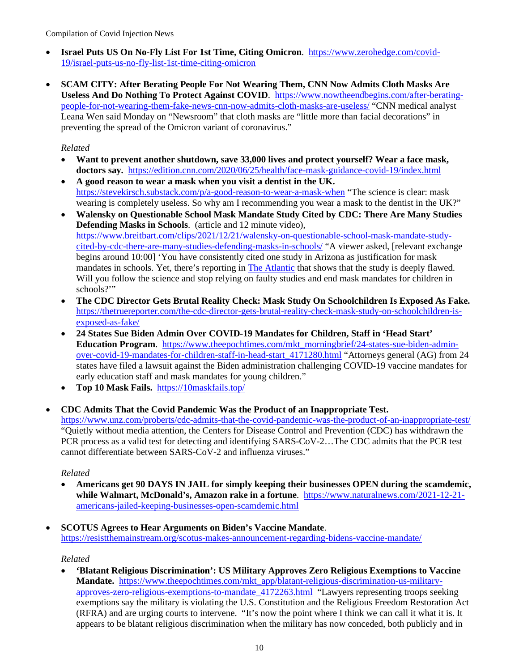- **Israel Puts US On No-Fly List For 1st Time, Citing Omicron**. [https://www.zerohedge.com/covid-](https://www.zerohedge.com/covid-19/israel-puts-us-no-fly-list-1st-time-citing-omicron)[19/israel-puts-us-no-fly-list-1st-time-citing-omicron](https://www.zerohedge.com/covid-19/israel-puts-us-no-fly-list-1st-time-citing-omicron)
- **SCAM CITY: After Berating People For Not Wearing Them, CNN Now Admits Cloth Masks Are Useless And Do Nothing To Protect Against COVID**. [https://www.nowtheendbegins.com/after-berating](https://www.nowtheendbegins.com/after-berating-people-for-not-wearing-them-fake-news-cnn-now-admits-cloth-masks-are-useless/)[people-for-not-wearing-them-fake-news-cnn-now-admits-cloth-masks-are-useless/](https://www.nowtheendbegins.com/after-berating-people-for-not-wearing-them-fake-news-cnn-now-admits-cloth-masks-are-useless/) "CNN medical analyst Leana Wen said Monday on "Newsroom" that cloth masks are "little more than facial decorations" in preventing the spread of the Omicron variant of coronavirus."

## *Related*

- **Want to prevent another shutdown, save 33,000 lives and protect yourself? Wear a face mask, doctors say.** <https://edition.cnn.com/2020/06/25/health/face-mask-guidance-covid-19/index.html>
- **A good reason to wear a mask when you visit a dentist in the UK.**  <https://stevekirsch.substack.com/p/a-good-reason-to-wear-a-mask-when>"The science is clear: mask wearing is completely useless. So why am I recommending you wear a mask to the dentist in the UK?"
- **Walensky on Questionable School Mask Mandate Study Cited by CDC: There Are Many Studies Defending Masks in Schools**. (article and 12 minute video), [https://www.breitbart.com/clips/2021/12/21/walensky-on-questionable-school-mask-mandate-study](https://www.breitbart.com/clips/2021/12/21/walensky-on-questionable-school-mask-mandate-study-cited-by-cdc-there-are-many-studies-defending-masks-in-schools/)[cited-by-cdc-there-are-many-studies-defending-masks-in-schools/](https://www.breitbart.com/clips/2021/12/21/walensky-on-questionable-school-mask-mandate-study-cited-by-cdc-there-are-many-studies-defending-masks-in-schools/) "A viewer asked, [relevant exchange begins around 10:00] 'You have consistently cited one study in Arizona as justification for mask mandates in schools. Yet, there's reporting in [The Atlantic](https://www.theatlantic.com/science/archive/2021/12/mask-guidelines-cdc-walensky/621035/) that shows that the study is deeply flawed. Will you follow the science and stop relying on faulty studies and end mask mandates for children in schools?"
- **The CDC Director Gets Brutal Reality Check: Mask Study On Schoolchildren Is Exposed As Fake.**  [https://thetruereporter.com/the-cdc-director-gets-brutal-reality-check-mask-study-on-schoolchildren-is](https://thetruereporter.com/the-cdc-director-gets-brutal-reality-check-mask-study-on-schoolchildren-is-exposed-as-fake/)[exposed-as-fake/](https://thetruereporter.com/the-cdc-director-gets-brutal-reality-check-mask-study-on-schoolchildren-is-exposed-as-fake/)
- **24 States Sue Biden Admin Over COVID-19 Mandates for Children, Staff in 'Head Start' Education Program**. [https://www.theepochtimes.com/mkt\\_morningbrief/24-states-sue-biden-admin](https://www.theepochtimes.com/mkt_morningbrief/24-states-sue-biden-admin-over-covid-19-mandates-for-children-staff-in-head-start_4171280.html)[over-covid-19-mandates-for-children-staff-in-head-start\\_4171280.html](https://www.theepochtimes.com/mkt_morningbrief/24-states-sue-biden-admin-over-covid-19-mandates-for-children-staff-in-head-start_4171280.html) "Attorneys general (AG) from 24 states have filed a lawsuit against the Biden administration challenging COVID-19 vaccine mandates for early education staff and mask mandates for young children."
- **Top 10 Mask Fails.** <https://10maskfails.top/>
- **CDC Admits That the Covid Pandemic Was the Product of an Inappropriate Test.**  <https://www.unz.com/proberts/cdc-admits-that-the-covid-pandemic-was-the-product-of-an-inappropriate-test/> "Quietly without media attention, the Centers for Disease Control and Prevention (CDC) has withdrawn the PCR process as a valid test for detecting and identifying SARS-CoV-2…The CDC admits that the PCR test cannot differentiate between SARS-CoV-2 and influenza viruses."

#### *Related*

- **Americans get 90 DAYS IN JAIL for simply keeping their businesses OPEN during the scamdemic, while Walmart, McDonald's, Amazon rake in a fortune**. [https://www.naturalnews.com/2021-12-21](https://www.naturalnews.com/2021-12-21-americans-jailed-keeping-businesses-open-scamdemic.html) [americans-jailed-keeping-businesses-open-scamdemic.html](https://www.naturalnews.com/2021-12-21-americans-jailed-keeping-businesses-open-scamdemic.html)
- **SCOTUS Agrees to Hear Arguments on Biden's Vaccine Mandate**.

<https://resistthemainstream.org/scotus-makes-announcement-regarding-bidens-vaccine-mandate/>

*Related*

• **'Blatant Religious Discrimination': US Military Approves Zero Religious Exemptions to Vaccine Mandate.** [https://www.theepochtimes.com/mkt\\_app/blatant-religious-discrimination-us-military](https://www.theepochtimes.com/mkt_app/blatant-religious-discrimination-us-military-approves-zero-religious-exemptions-to-mandate_4172263.html)[approves-zero-religious-exemptions-to-mandate\\_4172263.html](https://www.theepochtimes.com/mkt_app/blatant-religious-discrimination-us-military-approves-zero-religious-exemptions-to-mandate_4172263.html) "Lawyers representing troops seeking exemptions say the military is violating the U.S. Constitution and the Religious Freedom Restoration Act (RFRA) and are urging courts to intervene. "It's now the point where I think we can call it what it is. It appears to be blatant religious discrimination when the military has now conceded, both publicly and in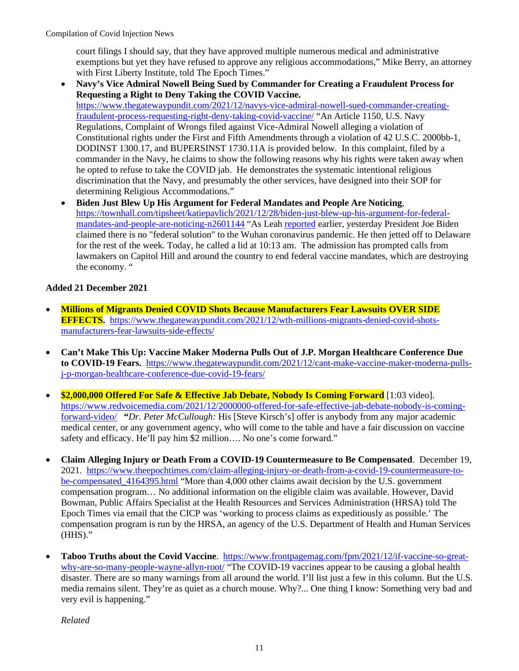court filings I should say, that they have approved multiple numerous medical and administrative exemptions but yet they have refused to approve any religious accommodations," Mike Berry, an attorney with First Liberty Institute, told The Epoch Times."

- **Navy's Vice Admiral Nowell Being Sued by Commander for Creating a Fraudulent Process for Requesting a Right to Deny Taking the COVID Vaccine.** [https://www.thegatewaypundit.com/2021/12/navys-vice-admiral-nowell-sued-commander-creating](https://www.thegatewaypundit.com/2021/12/navys-vice-admiral-nowell-sued-commander-creating-fraudulent-process-requesting-right-deny-taking-covid-vaccine/)[fraudulent-process-requesting-right-deny-taking-covid-vaccine/](https://www.thegatewaypundit.com/2021/12/navys-vice-admiral-nowell-sued-commander-creating-fraudulent-process-requesting-right-deny-taking-covid-vaccine/) "An Article 1150, U.S. Navy Regulations, Complaint of Wrongs filed against Vice-Admiral Nowell alleging a violation of Constitutional rights under the First and Fifth Amendments through a violation of 42 U.S.C. 2000bb-1, DODINST 1300.17, and BUPERSINST 1730.11A is provided below. In this complaint, filed by a commander in the Navy, he claims to show the following reasons why his rights were taken away when he opted to refuse to take the COVID jab. He demonstrates the systematic intentional religious discrimination that the Navy, and presumably the other services, have designed into their SOP for determining Religious Accommodations."
- **Biden Just Blew Up His Argument for Federal Mandates and People Are Noticing**, [https://townhall.com/tipsheet/katiepavlich/2021/12/28/biden-just-blew-up-his-argument-for-federal](https://townhall.com/tipsheet/katiepavlich/2021/12/28/biden-just-blew-up-his-argument-for-federal-mandates-and-people-are-noticing-n2601144)[mandates-and-people-are-noticing-n2601144](https://townhall.com/tipsheet/katiepavlich/2021/12/28/biden-just-blew-up-his-argument-for-federal-mandates-and-people-are-noticing-n2601144) "As Leah [reported](https://townhall.com/tipsheet/leahbarkoukis/2021/12/28/biden-there-is-no-federal-solution-to-covid19-n2601115) earlier, yesterday President Joe Biden claimed there is no "federal solution" to the Wuhan coronavirus pandemic. He then jetted off to Delaware for the rest of the week. Today, he called a lid at 10:13 am. The admission has prompted calls from lawmakers on Capitol Hill and around the country to end federal vaccine mandates, which are destroying the economy. "

# **Added 21 December 2021**

- **Millions of Migrants Denied COVID Shots Because Manufacturers Fear Lawsuits OVER SIDE EFFECTS.** [https://www.thegatewaypundit.com/2021/12/wth-millions-migrants-denied-covid-shots](https://www.thegatewaypundit.com/2021/12/wth-millions-migrants-denied-covid-shots-manufacturers-fear-lawsuits-side-effects/)[manufacturers-fear-lawsuits-side-effects/](https://www.thegatewaypundit.com/2021/12/wth-millions-migrants-denied-covid-shots-manufacturers-fear-lawsuits-side-effects/)
- **Can't Make This Up: Vaccine Maker Moderna Pulls Out of J.P. Morgan Healthcare Conference Due to COVID-19 Fears.** [https://www.thegatewaypundit.com/2021/12/cant-make-vaccine-maker-moderna-pulls](https://www.thegatewaypundit.com/2021/12/cant-make-vaccine-maker-moderna-pulls-j-p-morgan-healthcare-conference-due-covid-19-fears/)[j-p-morgan-healthcare-conference-due-covid-19-fears/](https://www.thegatewaypundit.com/2021/12/cant-make-vaccine-maker-moderna-pulls-j-p-morgan-healthcare-conference-due-covid-19-fears/)
- **\$2,000,000 Offered For Safe & Effective Jab Debate, Nobody Is Coming Forward** [1:03 video]. [https://www.redvoicemedia.com/2021/12/2000000-offered-for-safe-effective-jab-debate-nobody-is-coming](https://www.redvoicemedia.com/2021/12/2000000-offered-for-safe-effective-jab-debate-nobody-is-coming-forward-video/)[forward-video/](https://www.redvoicemedia.com/2021/12/2000000-offered-for-safe-effective-jab-debate-nobody-is-coming-forward-video/) **"***Dr. Peter McCullough:* His [Steve Kirsch's] offer is anybody from any major academic medical center, or any government agency, who will come to the table and have a fair discussion on vaccine safety and efficacy. He'll pay him \$2 million…. No one's come forward."
- **Claim Alleging Injury or Death From a COVID-19 Countermeasure to Be Compensated**. December 19, 2021. [https://www.theepochtimes.com/claim-alleging-injury-or-death-from-a-covid-19-countermeasure-to](https://www.theepochtimes.com/claim-alleging-injury-or-death-from-a-covid-19-countermeasure-to-be-compensated_4164395.html)[be-compensated\\_4164395.html](https://www.theepochtimes.com/claim-alleging-injury-or-death-from-a-covid-19-countermeasure-to-be-compensated_4164395.html) "More than 4,000 other claims await decision by the U.S. government compensation program… No additional information on the eligible claim was available. However, David Bowman, Public Affairs Specialist at the Health Resources and Services Administration (HRSA) told The Epoch Times via email that the CICP was 'working to process claims as expeditiously as possible.' The compensation program is run by the HRSA, an agency of the U.S. Department of Health and Human Services (HHS)."
- **Taboo Truths about the Covid Vaccine**. [https://www.frontpagemag.com/fpm/2021/12/if-vaccine-so-great](https://www.frontpagemag.com/fpm/2021/12/if-vaccine-so-great-why-are-so-many-people-wayne-allyn-root/)[why-are-so-many-people-wayne-allyn-root/](https://www.frontpagemag.com/fpm/2021/12/if-vaccine-so-great-why-are-so-many-people-wayne-allyn-root/) "The COVID-19 vaccines appear to be causing a global health disaster. There are so many warnings from all around the world. I'll list just a few in this column. But the U.S. media remains silent. They're as quiet as a church mouse. Why?... One thing I know: Something very bad and very evil is happening."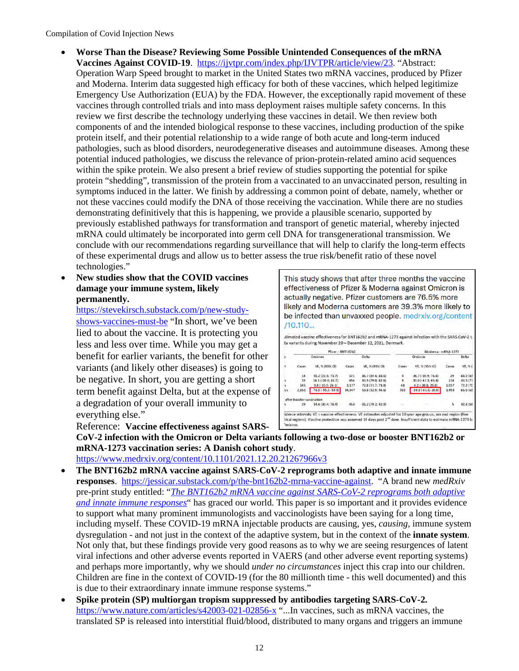- **Worse Than the Disease? Reviewing Some Possible Unintended Consequences of the mRNA Vaccines Against COVID-19**. [https://ijvtpr.com/index.php/IJVTPR/article/view/23.](https://ijvtpr.com/index.php/IJVTPR/article/view/23) "Abstract: Operation Warp Speed brought to market in the United States two mRNA vaccines, produced by Pfizer and Moderna. Interim data suggested high efficacy for both of these vaccines, which helped legitimize Emergency Use Authorization (EUA) by the FDA. However, the exceptionally rapid movement of these vaccines through controlled trials and into mass deployment raises multiple safety concerns. In this review we first describe the technology underlying these vaccines in detail. We then review both components of and the intended biological response to these vaccines, including production of the spike protein itself, and their potential relationship to a wide range of both acute and long-term induced pathologies, such as blood disorders, neurodegenerative diseases and autoimmune diseases. Among these potential induced pathologies, we discuss the relevance of prion-protein-related amino acid sequences within the spike protein. We also present a brief review of studies supporting the potential for spike protein "shedding", transmission of the protein from a vaccinated to an unvaccinated person, resulting in symptoms induced in the latter. We finish by addressing a common point of debate, namely, whether or not these vaccines could modify the DNA of those receiving the vaccination. While there are no studies demonstrating definitively that this is happening, we provide a plausible scenario, supported by previously established pathways for transformation and transport of genetic material, whereby injected mRNA could ultimately be incorporated into germ cell DNA for transgenerational transmission. We conclude with our recommendations regarding surveillance that will help to clarify the long-term effects of these experimental drugs and allow us to better assess the true risk/benefit ratio of these novel technologies."
- **New studies show that the COVID vaccines damage your immune system, likely permanently.**

[https://stevekirsch.substack.com/p/new-study](https://stevekirsch.substack.com/p/new-study-shows-vaccines-must-be)[shows-vaccines-must-be](https://stevekirsch.substack.com/p/new-study-shows-vaccines-must-be) "In short, we've been lied to about the vaccine. It is protecting you less and less over time. While you may get a benefit for earlier variants, the benefit for other variants (and likely other diseases) is going to be negative. In short, you are getting a short term benefit against Delta, but at the expense of a degradation of your overall immunity to everything else."

This study shows that after three months the vaccine effectiveness of Pfizer & Moderna against Omicron is actually negative. Pfizer customers are 76.5% more likely and Moderna customers are 39.3% more likely to be infected than unvaxxed people. medrxiv.org/content  $/10.110...$ 

|      | Pfizer - BNT162b2         |                         |        |                   | Moderna - mRNA-1273 |                        |       |           |
|------|---------------------------|-------------------------|--------|-------------------|---------------------|------------------------|-------|-----------|
|      | Omicron                   |                         | Delta  |                   | Omicron             |                        |       | Delta     |
| n    | Cases                     | VE. % (95% CI)          | Cases  | VE. % (95% CI)    | Cases               | VE. % (95% CI)         | Cases | VE. %     |
|      | 14                        | 55.2 (23.5: 73.7)       | 171    | 86.7 (84.6: 88.6) |                     | $36.7(-69.9; 76.4)$    | 29    | 88.2183   |
| ١s   | 32                        | $16.1$ (-20.8; 41.7)    | 454    | 80.9 (79.0; 82.6) | $\mathbf{R}$        | $30.0$ $(-41.3; 65.4)$ | 116   | 81.5(77)  |
| ۱s   | 145                       | $9.8$ ( $-10.0$ ; 26.1) | 3,177  | 72.8 (71.7: 73.8) | 48                  | 4.2 (-30.8; 29.8)      | 1,037 | 72.2 (7C) |
| ivs. | 2,851                     | $-76.5(-95.3,-59.5)$    | 34,947 | 53.8 (52.9; 54.6) | 393                 | $-39.3(-61.6,-20.0)$   | 3,459 | 65.0163   |
|      | after booster vaccination |                         |        |                   |                     |                        |       |           |
|      | 29                        | 54.6 (30.4; 70.4)       | 453    | 81.2 (79.2; 82.9) |                     |                        | 5     | 82.8 (58) |

Reference: **Vaccine effectiveness against SARS-CoV-2 infection with the Omicron or Delta variants following a two-dose or booster BNT162b2 or mRNA-1273 vaccination series: A Danish cohort study**.

<https://www.medrxiv.org/content/10.1101/2021.12.20.21267966v3>

- **The BNT162b2 mRNA vaccine against SARS-CoV-2 reprograms both adaptive and innate immune responses**. [https://jessicar.substack.com/p/the-bnt162b2-mrna-vaccine-against.](https://jessicar.substack.com/p/the-bnt162b2-mrna-vaccine-against) "A brand new *medRxiv* pre-print study entitled: "*[The BNT162b2 mRNA vaccine against SARS-CoV-2 reprograms both adaptive](https://www.medrxiv.org/content/10.1101/2021.05.03.21256520v1)  [and innate immune responses](https://www.medrxiv.org/content/10.1101/2021.05.03.21256520v1)*" has graced our world. This paper is so important and it provides evidence to support what many prominent immunologists and vaccinologists have been saying for a long time, including myself. These COVID-19 mRNA injectable products are causing, yes, *causing*, immune system dysregulation - and not just in the context of the adaptive system, but in the context of the **innate system**. Not only that, but these findings provide very good reasons as to why we are seeing resurgences of latent viral infections and other adverse events reported in VAERS (and other adverse event reporting systems) and perhaps more importantly, why we should *under no circumstances* inject this crap into our children. Children are fine in the context of COVID-19 (for the 80 millionth time - this well documented) and this is due to their extraordinary innate immune response systems."
- **Spike protein (SP) multiorgan tropism suppressed by antibodies targeting SARS-CoV-2.**  <https://www.nature.com/articles/s42003-021-02856-x>"...In vaccines, such as mRNA vaccines, the translated SP is released into interstitial fluid/blood, distributed to many organs and triggers an immune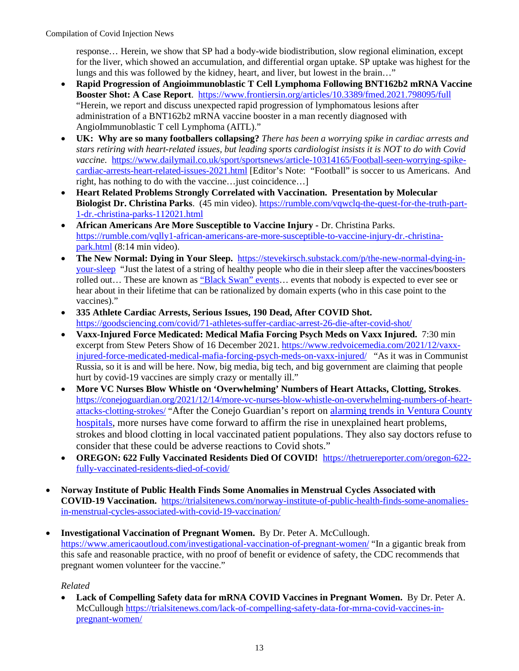response… Herein, we show that SP had a body-wide biodistribution, slow regional elimination, except for the liver, which showed an accumulation, and differential organ uptake. SP uptake was highest for the lungs and this was followed by the kidney, heart, and liver, but lowest in the brain…"

- **Rapid Progression of Angioimmunoblastic T Cell Lymphoma Following BNT162b2 mRNA Vaccine Booster Shot: A Case Report**. <https://www.frontiersin.org/articles/10.3389/fmed.2021.798095/full> "Herein, we report and discuss unexpected rapid progression of lymphomatous lesions after administration of a BNT162b2 mRNA vaccine booster in a man recently diagnosed with AngioImmunoblastic T cell Lymphoma (AITL)."
- **UK: Why are so many footballers collapsing?** *There has been a worrying spike in cardiac arrests and stars retiring with heart-related issues, but leading sports cardiologist insists it is NOT to do with Covid vaccine.* [https://www.dailymail.co.uk/sport/sportsnews/article-10314165/Football-seen-worrying-spike](https://www.dailymail.co.uk/sport/sportsnews/article-10314165/Football-seen-worrying-spike-cardiac-arrests-heart-related-issues-2021.html)[cardiac-arrests-heart-related-issues-2021.html](https://www.dailymail.co.uk/sport/sportsnews/article-10314165/Football-seen-worrying-spike-cardiac-arrests-heart-related-issues-2021.html) [Editor's Note: "Football" is soccer to us Americans. And right, has nothing to do with the vaccine…just coincidence…]
- **Heart Related Problems Strongly Correlated with Vaccination. Presentation by Molecular Biologist Dr. Christina Parks**. (45 min video). [https://rumble.com/vqwclq-the-quest-for-the-truth-part-](https://rumble.com/vqwclq-the-quest-for-the-truth-part-1-dr.-christina-parks-112021.html)[1-dr.-christina-parks-112021.html](https://rumble.com/vqwclq-the-quest-for-the-truth-part-1-dr.-christina-parks-112021.html)
- **African Americans Are More Susceptible to Vaccine Injury** Dr. Christina Parks. [https://rumble.com/vqlly1-african-americans-are-more-susceptible-to-vaccine-injury-dr.-christina](https://rumble.com/vqlly1-african-americans-are-more-susceptible-to-vaccine-injury-dr.-christina-park.html)[park.html](https://rumble.com/vqlly1-african-americans-are-more-susceptible-to-vaccine-injury-dr.-christina-park.html) (8:14 min video).
- **The New Normal: Dying in Your Sleep.** [https://stevekirsch.substack.com/p/the-new-normal-dying-in](https://stevekirsch.substack.com/p/the-new-normal-dying-in-your-sleep)[your-sleep](https://stevekirsch.substack.com/p/the-new-normal-dying-in-your-sleep)"Just the latest of a string of healthy people who die in their sleep after the vaccines/boosters rolled out... These are known as "Black Swan" events... events that nobody is expected to ever see or hear about in their lifetime that can be rationalized by domain experts (who in this case point to the vaccines)."
- **335 Athlete Cardiac Arrests, Serious Issues, 190 Dead, After COVID Shot.**  <https://goodsciencing.com/covid/71-athletes-suffer-cardiac-arrest-26-die-after-covid-shot/>
- **Vaxx-Injured Force Medicated: Medical Mafia Forcing Psych Meds on Vaxx Injured.** 7:30 min excerpt from Stew Peters Show of 16 December 2021. [https://www.redvoicemedia.com/2021/12/vaxx](https://www.redvoicemedia.com/2021/12/vaxx-injured-force-medicated-medical-mafia-forcing-psych-meds-on-vaxx-injured/)[injured-force-medicated-medical-mafia-forcing-psych-meds-on-vaxx-injured/](https://www.redvoicemedia.com/2021/12/vaxx-injured-force-medicated-medical-mafia-forcing-psych-meds-on-vaxx-injured/) "As it was in Communist Russia, so it is and will be here. Now, big media, big tech, and big government are claiming that people hurt by covid-19 vaccines are simply crazy or mentally ill."
- **More VC Nurses Blow Whistle on 'Overwhelming' Numbers of Heart Attacks, Clotting, Strokes**. [https://conejoguardian.org/2021/12/14/more-vc-nurses-blow-whistle-on-overwhelming-numbers-of-heart](https://conejoguardian.org/2021/12/14/more-vc-nurses-blow-whistle-on-overwhelming-numbers-of-heart-attacks-clotting-strokes/)[attacks-clotting-strokes/](https://conejoguardian.org/2021/12/14/more-vc-nurses-blow-whistle-on-overwhelming-numbers-of-heart-attacks-clotting-strokes/) "After the Conejo Guardian's report on [alarming trends in Ventura County](https://conejoguardian.org/2021/10/21/ventura-county-nurses-blow-the-whistle-on-crisis-in-local-health-care/)  [hospitals,](https://conejoguardian.org/2021/10/21/ventura-county-nurses-blow-the-whistle-on-crisis-in-local-health-care/) more nurses have come forward to affirm the rise in unexplained heart problems, strokes and blood clotting in local vaccinated patient populations. They also say doctors refuse to consider that these could be adverse reactions to Covid shots."
- **OREGON: 622 Fully Vaccinated Residents Died Of COVID!** [https://thetruereporter.com/oregon-622](https://thetruereporter.com/oregon-622-fully-vaccinated-residents-died-of-covid/) [fully-vaccinated-residents-died-of-covid/](https://thetruereporter.com/oregon-622-fully-vaccinated-residents-died-of-covid/)
- **Norway Institute of Public Health Finds Some Anomalies in Menstrual Cycles Associated with COVID-19 Vaccination.** [https://trialsitenews.com/norway-institute-of-public-health-finds-some-anomalies](https://trialsitenews.com/norway-institute-of-public-health-finds-some-anomalies-in-menstrual-cycles-associated-with-covid-19-vaccination/)[in-menstrual-cycles-associated-with-covid-19-vaccination/](https://trialsitenews.com/norway-institute-of-public-health-finds-some-anomalies-in-menstrual-cycles-associated-with-covid-19-vaccination/)
- **Investigational Vaccination of Pregnant Women.** By Dr. Peter A. McCullough. <https://www.americaoutloud.com/investigational-vaccination-of-pregnant-women/>"In a gigantic break from this safe and reasonable practice, with no proof of benefit or evidence of safety, the CDC recommends that pregnant women volunteer for the vaccine."

# *Related*

• **Lack of Compelling Safety data for mRNA COVID Vaccines in Pregnant Women.** By Dr. Peter A. McCullough [https://trialsitenews.com/lack-of-compelling-safety-data-for-mrna-covid-vaccines-in](https://trialsitenews.com/lack-of-compelling-safety-data-for-mrna-covid-vaccines-in-pregnant-women/)[pregnant-women/](https://trialsitenews.com/lack-of-compelling-safety-data-for-mrna-covid-vaccines-in-pregnant-women/)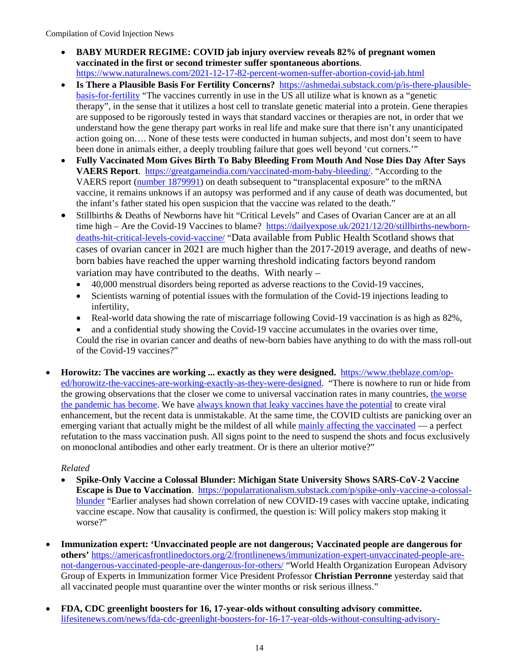- **BABY MURDER REGIME: COVID jab injury overview reveals 82% of pregnant women vaccinated in the first or second trimester suffer spontaneous abortions**. <https://www.naturalnews.com/2021-12-17-82-percent-women-suffer-abortion-covid-jab.html>
- **Is There a Plausible Basis For Fertility Concerns?** [https://ashmedai.substack.com/p/is-there-plausible](https://ashmedai.substack.com/p/is-there-plausible-basis-for-fertility)[basis-for-fertility](https://ashmedai.substack.com/p/is-there-plausible-basis-for-fertility) "The vaccines currently in use in the US all utilize what is known as a "genetic therapy", in the sense that it utilizes a host cell to translate genetic material into a protein. Gene therapies are supposed to be rigorously tested in ways that standard vaccines or therapies are not, in order that we understand how the gene therapy part works in real life and make sure that there isn't any unanticipated action going on…. None of these tests were conducted in human subjects, and most don't seem to have been done in animals either, a deeply troubling failure that goes well beyond 'cut corners.'"
- **Fully Vaccinated Mom Gives Birth To Baby Bleeding From Mouth And Nose Dies Day After Says VAERS Report**. [https://greatgameindia.com/vaccinated-mom-baby-bleeding/.](https://greatgameindia.com/vaccinated-mom-baby-bleeding/) "According to the VAERS report [\(number 1879991\)](https://medalerts.org/vaersdb/findfield.php?IDNUMBER=1879991&WAYBACKHISTORY=ON) on death subsequent to "transplacental exposure" to the mRNA vaccine, it remains unknows if an autopsy was performed and if any cause of death was documented, but the infant's father stated his open suspicion that the vaccine was related to the death."
- Stillbirths & Deaths of Newborns have hit "Critical Levels" and Cases of Ovarian Cancer are at an all time high – Are the Covid-19 Vaccines to blame? [https://dailyexpose.uk/2021/12/20/stillbirths-newborn](https://dailyexpose.uk/2021/12/20/stillbirths-newborn-deaths-hit-critical-levels-covid-vaccine/)[deaths-hit-critical-levels-covid-vaccine/](https://dailyexpose.uk/2021/12/20/stillbirths-newborn-deaths-hit-critical-levels-covid-vaccine/) "Data available from Public Health Scotland shows that cases of ovarian cancer in 2021 are much higher than the 2017-2019 average, and deaths of newborn babies have reached the upper warning threshold indicating factors beyond random variation may have contributed to the deaths. With nearly –
	- 40,000 menstrual disorders being reported as adverse reactions to the Covid-19 vaccines,
	- Scientists warning of potential issues with the formulation of the Covid-19 injections leading to infertility,
	- Real-world data showing the rate of miscarriage following Covid-19 vaccination is as high as  $82\%$ .
	- and a confidential study showing the Covid-19 vaccine accumulates in the ovaries over time, Could the rise in ovarian cancer and deaths of new-born babies have anything to do with the mass roll-out of the Covid-19 vaccines?"
- **Horowitz: The vaccines are working ... exactly as they were designed.** [https://www.theblaze.com/op](https://www.theblaze.com/op-ed/horowitz-the-vaccines-are-working-exactly-as-they-were-designed)[ed/horowitz-the-vaccines-are-working-exactly-as-they-were-designed.](https://www.theblaze.com/op-ed/horowitz-the-vaccines-are-working-exactly-as-they-were-designed) "There is nowhere to run or hide from the growing observations that the closer we come to universal vaccination rates in many countries, [the worse](https://www.theblaze.com/op-ed/horowitz-10-places-that-show-the-covid-shots-have-failed-miserably)  [the pandemic has become.](https://www.theblaze.com/op-ed/horowitz-10-places-that-show-the-covid-shots-have-failed-miserably) We have always known that leaky [vaccines have the potential](https://www.theblaze.com/op-ed/horowitz-science-mag-that-warned-about-danger-of-leaky-vaccines-in-2018-posts-false-editors-note-to-cover-for-covid-shots) to create viral enhancement, but the recent data is unmistakable. At the same time, the COVID cultists are panicking over an emerging variant that actually might be the mildest of all while [mainly affecting the vaccinated](https://www.telegraph.co.uk/global-health/science-and-disease/omicron-wave-driven-young-healthy-vaccinated-population/) — a perfect refutation to the mass vaccination push. All signs point to the need to suspend the shots and focus exclusively on monoclonal antibodies and other early treatment. Or is there an ulterior motive?"

- **Spike-Only Vaccine a Colossal Blunder: Michigan State University Shows SARS-CoV-2 Vaccine Escape is Due to Vaccination**. [https://popularrationalism.substack.com/p/spike-only-vaccine-a-colossal](https://popularrationalism.substack.com/p/spike-only-vaccine-a-colossal-blunder)[blunder](https://popularrationalism.substack.com/p/spike-only-vaccine-a-colossal-blunder) "Earlier analyses had shown correlation of new COVID-19 cases with vaccine uptake, indicating vaccine escape. Now that causality is confirmed, the question is: Will policy makers stop making it worse?"
- **Immunization expert: 'Unvaccinated people are not dangerous; Vaccinated people are dangerous for others'** [https://americasfrontlinedoctors.org/2/frontlinenews/immunization-expert-unvaccinated-people-are](https://americasfrontlinedoctors.org/2/frontlinenews/immunization-expert-unvaccinated-people-are-not-dangerous-vaccinated-people-are-dangerous-for-others/)[not-dangerous-vaccinated-people-are-dangerous-for-others/](https://americasfrontlinedoctors.org/2/frontlinenews/immunization-expert-unvaccinated-people-are-not-dangerous-vaccinated-people-are-dangerous-for-others/) "World Health Organization European Advisory Group of Experts in Immunization former Vice President Professor **Christian Perronne** yesterday said that all vaccinated people must quarantine over the winter months or risk serious illness."
- **FDA, CDC greenlight boosters for 16, 17-year-olds without consulting advisory committee.** [lifesitenews.com/news/fda-cdc-greenlight-boosters-for-16-17-year-olds-without-consulting-advisory-](https://www.lifesitenews.com/news/fda-cdc-greenlight-boosters-for-16-17-year-olds-without-consulting-advisory-committee/)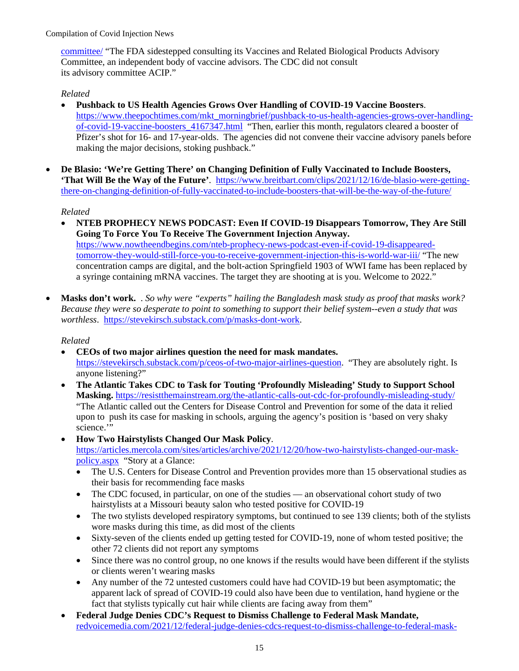[committee/](https://www.lifesitenews.com/news/fda-cdc-greenlight-boosters-for-16-17-year-olds-without-consulting-advisory-committee/) "The FDA sidestepped consulting its Vaccines and Related Biological Products Advisory Committee, an independent body of vaccine advisors. The CDC did not consult its advisory committee ACIP."

# *Related*

- **Pushback to US Health Agencies Grows Over Handling of COVID-19 Vaccine Boosters**. [https://www.theepochtimes.com/mkt\\_morningbrief/pushback-to-us-health-agencies-grows-over-handling](https://www.theepochtimes.com/mkt_morningbrief/pushback-to-us-health-agencies-grows-over-handling-of-covid-19-vaccine-boosters_4167347.html)[of-covid-19-vaccine-boosters\\_4167347.html](https://www.theepochtimes.com/mkt_morningbrief/pushback-to-us-health-agencies-grows-over-handling-of-covid-19-vaccine-boosters_4167347.html) "Then, earlier this month, regulators cleared a booster of Pfizer's shot for 16- and 17-year-olds. The agencies did not convene their vaccine advisory panels before making the major decisions, stoking pushback."
- **De Blasio: 'We're Getting There' on Changing Definition of Fully Vaccinated to Include Boosters, 'That Will Be the Way of the Future'**. [https://www.breitbart.com/clips/2021/12/16/de-blasio-were-getting](https://www.breitbart.com/clips/2021/12/16/de-blasio-were-getting-there-on-changing-definition-of-fully-vaccinated-to-include-boosters-that-will-be-the-way-of-the-future/)[there-on-changing-definition-of-fully-vaccinated-to-include-boosters-that-will-be-the-way-of-the-future/](https://www.breitbart.com/clips/2021/12/16/de-blasio-were-getting-there-on-changing-definition-of-fully-vaccinated-to-include-boosters-that-will-be-the-way-of-the-future/)

# *Related*

- **NTEB PROPHECY NEWS PODCAST: Even If COVID-19 Disappears Tomorrow, They Are Still Going To Force You To Receive The Government Injection Anyway.** [https://www.nowtheendbegins.com/nteb-prophecy-news-podcast-even-if-covid-19-disappeared](https://www.nowtheendbegins.com/nteb-prophecy-news-podcast-even-if-covid-19-disappeared-tomorrow-they-would-still-force-you-to-receive-government-injection-this-is-world-war-iii/)[tomorrow-they-would-still-force-you-to-receive-government-injection-this-is-world-war-iii/](https://www.nowtheendbegins.com/nteb-prophecy-news-podcast-even-if-covid-19-disappeared-tomorrow-they-would-still-force-you-to-receive-government-injection-this-is-world-war-iii/) "The new concentration camps are digital, and the bolt-action Springfield 1903 of WWI fame has been replaced by a syringe containing mRNA vaccines. The target they are shooting at is you. Welcome to 2022."
- **Masks don't work.** . *So why were "experts" hailing the Bangladesh mask study as proof that masks work? Because they were so desperate to point to something to support their belief system--even a study that was worthless*. [https://stevekirsch.substack.com/p/masks-dont-work.](https://stevekirsch.substack.com/p/masks-dont-work)

- **CEOs of two major airlines question the need for mask mandates.**  [https://stevekirsch.substack.com/p/ceos-of-two-major-airlines-question.](https://stevekirsch.substack.com/p/ceos-of-two-major-airlines-question) "They are absolutely right. Is anyone listening?"
- **The Atlantic Takes CDC to Task for Touting 'Profoundly Misleading' Study to Support School Masking.** <https://resistthemainstream.org/the-atlantic-calls-out-cdc-for-profoundly-misleading-study/> "The Atlantic called out the Centers for Disease Control and Prevention for some of the data it relied upon to push its case for masking in schools, arguing the agency's position is 'based on very shaky science."
- **How Two Hairstylists Changed Our Mask Policy**. [https://articles.mercola.com/sites/articles/archive/2021/12/20/how-two-hairstylists-changed-our-mask](https://articles.mercola.com/sites/articles/archive/2021/12/20/how-two-hairstylists-changed-our-mask-policy.aspx)[policy.aspx](https://articles.mercola.com/sites/articles/archive/2021/12/20/how-two-hairstylists-changed-our-mask-policy.aspx) "Story at a Glance:
	- The U.S. Centers for Disease Control and Prevention provides more than 15 observational studies as their basis for recommending face masks
	- The CDC focused, in particular, on one of the studies an observational cohort study of two hairstylists at a Missouri beauty salon who tested positive for COVID-19
	- The two stylists developed respiratory symptoms, but continued to see 139 clients; both of the stylists wore masks during this time, as did most of the clients
	- Sixty-seven of the clients ended up getting tested for COVID-19, none of whom tested positive; the other 72 clients did not report any symptoms
	- Since there was no control group, no one knows if the results would have been different if the stylists or clients weren't wearing masks
	- Any number of the 72 untested customers could have had COVID-19 but been asymptomatic; the apparent lack of spread of COVID-19 could also have been due to ventilation, hand hygiene or the fact that stylists typically cut hair while clients are facing away from them"
- **Federal Judge Denies CDC's Request to Dismiss Challenge to Federal Mask Mandate,**  [redvoicemedia.com/2021/12/federal-judge-denies-cdcs-request-to-dismiss-challenge-to-federal-mask-](https://www.redvoicemedia.com/2021/12/federal-judge-denies-cdcs-request-to-dismiss-challenge-to-federal-mask-mandate/)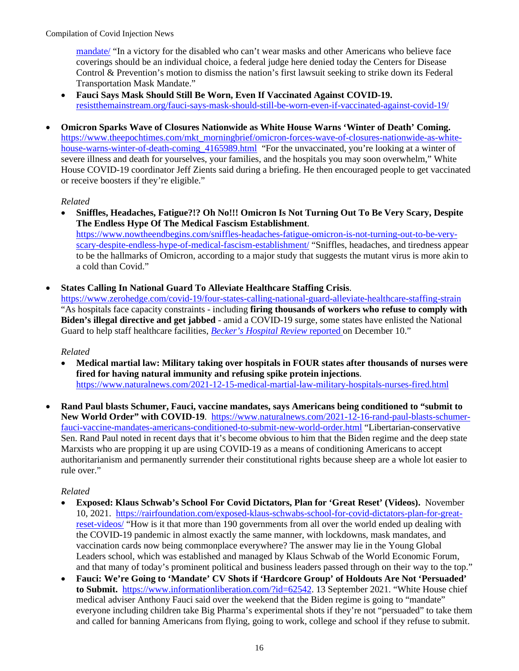[mandate/](https://www.redvoicemedia.com/2021/12/federal-judge-denies-cdcs-request-to-dismiss-challenge-to-federal-mask-mandate/) "In a victory for the disabled who can't wear masks and other Americans who believe face coverings should be an individual choice, a federal judge here denied today the Centers for Disease Control & Prevention's motion to dismiss the nation's first lawsuit seeking to strike down its Federal Transportation Mask Mandate."

- **Fauci Says Mask Should Still Be Worn, Even If Vaccinated Against COVID-19.**  [resistthemainstream.org/fauci-says-mask-should-still-be-worn-even-if-vaccinated-against-covid-19/](https://resistthemainstream.org/fauci-says-mask-should-still-be-worn-even-if-vaccinated-against-covid-19/)
- **Omicron Sparks Wave of Closures Nationwide as White House Warns 'Winter of Death' Coming.**  [https://www.theepochtimes.com/mkt\\_morningbrief/omicron-forces-wave-of-closures-nationwide-as-white](https://www.theepochtimes.com/mkt_morningbrief/omicron-forces-wave-of-closures-nationwide-as-white-house-warns-winter-of-death-coming_4165989.html)[house-warns-winter-of-death-coming\\_4165989.html](https://www.theepochtimes.com/mkt_morningbrief/omicron-forces-wave-of-closures-nationwide-as-white-house-warns-winter-of-death-coming_4165989.html) "For the unvaccinated, you're looking at a winter of severe illness and death for yourselves, your families, and the hospitals you may soon overwhelm," White House COVID-19 coordinator Jeff Zients said during a briefing. He then encouraged people to get vaccinated or receive boosters if they're eligible."

## *Related*

- **Sniffles, Headaches, Fatigue?!? Oh No!!! Omicron Is Not Turning Out To Be Very Scary, Despite The Endless Hype Of The Medical Fascism Establishment**. [https://www.nowtheendbegins.com/sniffles-headaches-fatigue-omicron-is-not-turning-out-to-be-very](https://www.nowtheendbegins.com/sniffles-headaches-fatigue-omicron-is-not-turning-out-to-be-very-scary-despite-endless-hype-of-medical-fascism-establishment/)[scary-despite-endless-hype-of-medical-fascism-establishment/](https://www.nowtheendbegins.com/sniffles-headaches-fatigue-omicron-is-not-turning-out-to-be-very-scary-despite-endless-hype-of-medical-fascism-establishment/) "Sniffles, headaches, and tiredness appear to be the hallmarks of Omicron, according to a major study that suggests the mutant virus is more akin to a cold than Covid."
- **States Calling In National Guard To Alleviate Healthcare Staffing Crisis**.

<https://www.zerohedge.com/covid-19/four-states-calling-national-guard-alleviate-healthcare-staffing-strain> "As hospitals face capacity constraints - including **firing thousands of workers who refuse to comply with Biden's illegal directive and get jabbed** - amid a COVID-19 surge, some states have enlisted the National Guard to help staff healthcare facilities, *[Becker's Hospital Review](https://www.beckershospitalreview.com/workforce/4-states-calling-in-national-guard-to-alleviate-hospital-staffing-strain.html?origin=BHRE&utm_source=BHRE&utm_medium=email&utm_content=newsletter&oly_enc_id=8220I2676190A1C)* reported on December 10."

#### *Related*

- **Medical martial law: Military taking over hospitals in FOUR states after thousands of nurses were fired for having natural immunity and refusing spike protein injections**. <https://www.naturalnews.com/2021-12-15-medical-martial-law-military-hospitals-nurses-fired.html>
- **Rand Paul blasts Schumer, Fauci, vaccine mandates, says Americans being conditioned to "submit to New World Order" with COVID-19**. [https://www.naturalnews.com/2021-12-16-rand-paul-blasts-schumer](https://www.naturalnews.com/2021-12-16-rand-paul-blasts-schumer-fauci-vaccine-mandates-americans-conditioned-to-submit-new-world-order.html)[fauci-vaccine-mandates-americans-conditioned-to-submit-new-world-order.html](https://www.naturalnews.com/2021-12-16-rand-paul-blasts-schumer-fauci-vaccine-mandates-americans-conditioned-to-submit-new-world-order.html) "Libertarian-conservative Sen. Rand Paul noted in recent days that it's become obvious to him that the Biden regime and the deep state Marxists who are propping it up are using COVID-19 as a means of conditioning Americans to accept authoritarianism and permanently surrender their constitutional rights because sheep are a whole lot easier to rule over."

- **Exposed: Klaus Schwab's School For Covid Dictators, Plan for 'Great Reset' (Videos).** November 10, 2021. [https://rairfoundation.com/exposed-klaus-schwabs-school-for-covid-dictators-plan-for-great](https://rairfoundation.com/exposed-klaus-schwabs-school-for-covid-dictators-plan-for-great-reset-videos/)[reset-videos/](https://rairfoundation.com/exposed-klaus-schwabs-school-for-covid-dictators-plan-for-great-reset-videos/) "How is it that more than 190 governments from all over the world ended up dealing with the COVID-19 pandemic in almost exactly the same manner, with lockdowns, mask mandates, and vaccination cards now being commonplace everywhere? The answer may lie in the Young Global Leaders school, which was established and managed by Klaus Schwab of the World Economic Forum, and that many of today's prominent political and business leaders passed through on their way to the top."
- **Fauci: We're Going to 'Mandate' CV Shots if 'Hardcore Group' of Holdouts Are Not 'Persuaded' to Submit.** [https://www.informationliberation.com/?id=62542.](https://www.informationliberation.com/?id=62542) 13 September 2021. "White House chief medical adviser Anthony Fauci said over the weekend that the Biden regime is going to "mandate" everyone including children take Big Pharma's experimental shots if they're not "persuaded" to take them and called for banning Americans from flying, going to work, college and school if they refuse to submit.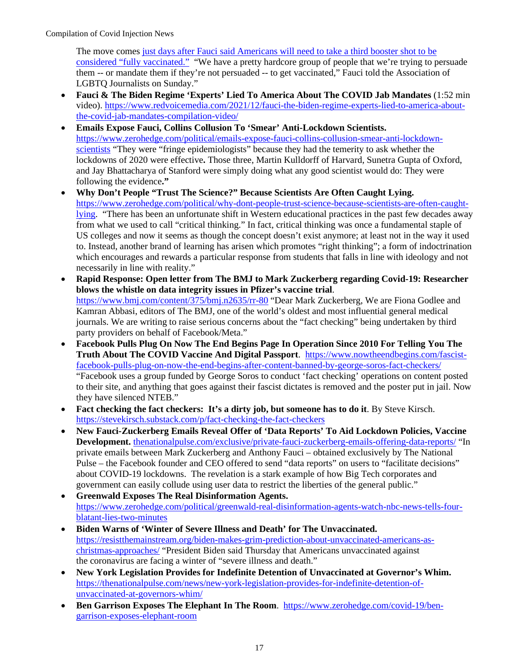The move comes [just days after Fauci said Americans will need to take a third booster](https://www.informationliberation.com/?id=62520) shot to be [considered "fully vaccinated."](https://www.informationliberation.com/?id=62520) "We have a pretty hardcore group of people that we're trying to persuade them -- or mandate them if they're not persuaded -- to get vaccinated," Fauci told the Association of LGBTQ Journalists on Sunday."

- **Fauci & The Biden Regime 'Experts' Lied To America About The COVID Jab Mandates** (1:52 min video). [https://www.redvoicemedia.com/2021/12/fauci-the-biden-regime-experts-lied-to-america-about](https://www.redvoicemedia.com/2021/12/fauci-the-biden-regime-experts-lied-to-america-about-the-covid-jab-mandates-compilation-video/)[the-covid-jab-mandates-compilation-video/](https://www.redvoicemedia.com/2021/12/fauci-the-biden-regime-experts-lied-to-america-about-the-covid-jab-mandates-compilation-video/)
- **Emails Expose Fauci, Collins Collusion To 'Smear' Anti-Lockdown Scientists.**  [https://www.zerohedge.com/political/emails-expose-fauci-collins-collusion-smear-anti-lockdown](https://www.zerohedge.com/political/emails-expose-fauci-collins-collusion-smear-anti-lockdown-scientists)[scientists](https://www.zerohedge.com/political/emails-expose-fauci-collins-collusion-smear-anti-lockdown-scientists) "They were "fringe epidemiologists" because they had the temerity to ask whether the lockdowns of 2020 were effective**.** Those three, Martin Kulldorff of Harvard, Sunetra Gupta of Oxford, and Jay Bhattacharya of Stanford were simply doing what any good scientist would do: They were following the evidence**."**
- **Why Don't People "Trust The Science?" Because Scientists Are Often Caught Lying.**  [https://www.zerohedge.com/political/why-dont-people-trust-science-because-scientists-are-often-caught](https://www.zerohedge.com/political/why-dont-people-trust-science-because-scientists-are-often-caught-lying)[lying.](https://www.zerohedge.com/political/why-dont-people-trust-science-because-scientists-are-often-caught-lying) "There has been an unfortunate shift in Western educational practices in the past few decades away from what we used to call "critical thinking." In fact, critical thinking was once a fundamental staple of US colleges and now it seems as though the concept doesn't exist anymore; at least not in the way it used to. Instead, another brand of learning has arisen which promotes "right thinking"; a form of indoctrination which encourages and rewards a particular response from students that falls in line with ideology and not necessarily in line with reality."
- **Rapid Response: Open letter from The BMJ to Mark Zuckerberg regarding Covid-19: Researcher blows the whistle on data integrity issues in Pfizer's vaccine trial**. <https://www.bmj.com/content/375/bmj.n2635/rr-80>"Dear Mark Zuckerberg, We are Fiona Godlee and Kamran Abbasi, editors of The BMJ, one of the world's oldest and most influential general medical journals. We are writing to raise serious concerns about the "fact checking" being undertaken by third party providers on behalf of Facebook/Meta."
- **Facebook Pulls Plug On Now The End Begins Page In Operation Since 2010 For Telling You The Truth About The COVID Vaccine And Digital Passport**. [https://www.nowtheendbegins.com/fascist](https://www.nowtheendbegins.com/fascist-facebook-pulls-plug-on-now-the-end-begins-after-content-banned-by-george-soros-fact-checkers/)[facebook-pulls-plug-on-now-the-end-begins-after-content-banned-by-george-soros-fact-checkers/](https://www.nowtheendbegins.com/fascist-facebook-pulls-plug-on-now-the-end-begins-after-content-banned-by-george-soros-fact-checkers/) "Facebook uses a group funded by George Soros to conduct 'fact checking' operations on content posted to their site, and anything that goes against their fascist dictates is removed and the poster put in jail. Now they have silenced NTEB."
- **Fact checking the fact checkers: It's a dirty job, but someone has to do it**. By Steve Kirsch. <https://stevekirsch.substack.com/p/fact-checking-the-fact-checkers>
- **New Fauci-Zuckerberg Emails Reveal Offer of 'Data Reports' To Aid Lockdown Policies, Vaccine Development.** [thenationalpulse.com/exclusive/private-fauci-zuckerberg-emails-offering-data-reports/](https://thenationalpulse.com/exclusive/private-fauci-zuckerberg-emails-offering-data-reports/) "In private emails between Mark Zuckerberg and Anthony Fauci – obtained exclusively by The National Pulse – the Facebook founder and CEO offered to send "data reports" on users to "facilitate decisions" about COVID-19 lockdowns. The revelation is a stark example of how Big Tech corporates and government can easily collude using user data to restrict the liberties of the general public."
- **Greenwald Exposes The Real Disinformation Agents.**  [https://www.zerohedge.com/political/greenwald-real-disinformation-agents-watch-nbc-news-tells-four](https://www.zerohedge.com/political/greenwald-real-disinformation-agents-watch-nbc-news-tells-four-blatant-lies-two-minutes)[blatant-lies-two-minutes](https://www.zerohedge.com/political/greenwald-real-disinformation-agents-watch-nbc-news-tells-four-blatant-lies-two-minutes)
- **Biden Warns of 'Winter of Severe Illness and Death' for The Unvaccinated.**  [https://resistthemainstream.org/biden-makes-grim-prediction-about-unvaccinated-americans-as](https://resistthemainstream.org/biden-makes-grim-prediction-about-unvaccinated-americans-as-christmas-approaches/)[christmas-approaches/](https://resistthemainstream.org/biden-makes-grim-prediction-about-unvaccinated-americans-as-christmas-approaches/) "President Biden said Thursday that Americans unvaccinated against the coronavirus are facing a winter of "severe illness and death."
- **New York Legislation Provides for Indefinite Detention of Unvaccinated at Governor's Whim.** [https://thenationalpulse.com/news/new-york-legislation-provides-for-indefinite-detention-of](https://thenationalpulse.com/news/new-york-legislation-provides-for-indefinite-detention-of-unvaccinated-at-governors-whim/)[unvaccinated-at-governors-whim/](https://thenationalpulse.com/news/new-york-legislation-provides-for-indefinite-detention-of-unvaccinated-at-governors-whim/)
- **Ben Garrison Exposes The Elephant In The Room**. [https://www.zerohedge.com/covid-19/ben](https://www.zerohedge.com/covid-19/ben-garrison-exposes-elephant-room)[garrison-exposes-elephant-room](https://www.zerohedge.com/covid-19/ben-garrison-exposes-elephant-room)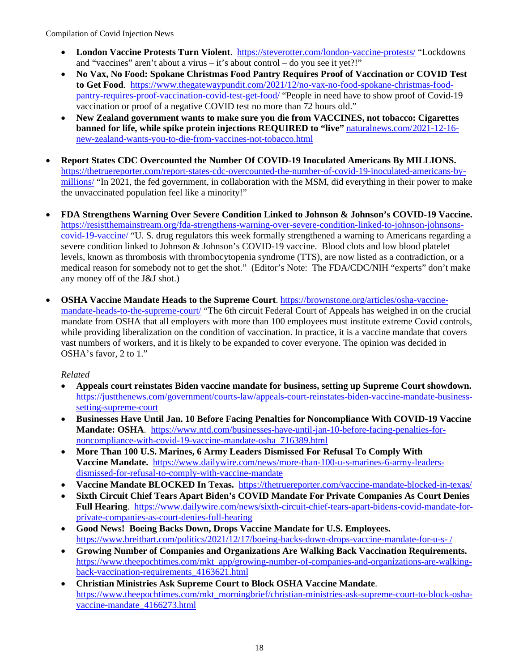- **London Vaccine Protests Turn Violent**. <https://steverotter.com/london-vaccine-protests/>"Lockdowns and "vaccines" aren't about a virus – it's about control – do you see it yet?!"
- **No Vax, No Food: Spokane Christmas Food Pantry Requires Proof of Vaccination or COVID Test to Get Food**. [https://www.thegatewaypundit.com/2021/12/no-vax-no-food-spokane-christmas-food](https://www.thegatewaypundit.com/2021/12/no-vax-no-food-spokane-christmas-food-pantry-requires-proof-vaccination-covid-test-get-food/)[pantry-requires-proof-vaccination-covid-test-get-food/](https://www.thegatewaypundit.com/2021/12/no-vax-no-food-spokane-christmas-food-pantry-requires-proof-vaccination-covid-test-get-food/) "People in need have to show proof of Covid-19 vaccination or proof of a negative COVID test no more than 72 hours old."
- **New Zealand government wants to make sure you die from VACCINES, not tobacco: Cigarettes banned for life, while spike protein injections REQUIRED to "live"** [naturalnews.com/2021-12-16](https://www.naturalnews.com/2021-12-16-new-zealand-wants-you-to-die-from-vaccines-not-tobacco.html) [new-zealand-wants-you-to-die-from-vaccines-not-tobacco.html](https://www.naturalnews.com/2021-12-16-new-zealand-wants-you-to-die-from-vaccines-not-tobacco.html)
- **Report States CDC Overcounted the Number Of COVID-19 Inoculated Americans By MILLIONS.**  [https://thetruereporter.com/report-states-cdc-overcounted-the-number-of-covid-19-inoculated-americans-by](https://thetruereporter.com/report-states-cdc-overcounted-the-number-of-covid-19-inoculated-americans-by-millions/)[millions/](https://thetruereporter.com/report-states-cdc-overcounted-the-number-of-covid-19-inoculated-americans-by-millions/) "In 2021, the fed government, in collaboration with the MSM, did everything in their power to make the unvaccinated population feel like a minority!"
- **FDA Strengthens Warning Over Severe Condition Linked to Johnson & Johnson's COVID-19 Vaccine.**  [https://resistthemainstream.org/fda-strengthens-warning-over-severe-condition-linked-to-johnson-johnsons](https://resistthemainstream.org/fda-strengthens-warning-over-severe-condition-linked-to-johnson-johnsons-covid-19-vaccine/)[covid-19-vaccine/](https://resistthemainstream.org/fda-strengthens-warning-over-severe-condition-linked-to-johnson-johnsons-covid-19-vaccine/) "U. S. drug regulators this week formally strengthened a warning to Americans regarding a severe condition linked to Johnson & Johnson's COVID-19 vaccine. Blood clots and low blood platelet levels, known as thrombosis with thrombocytopenia syndrome (TTS), are now listed as a contradiction, or a medical reason for somebody not to get the shot." (Editor's Note: The FDA/CDC/NIH "experts" don't make any money off of the J&J shot.)
- **OSHA Vaccine Mandate Heads to the Supreme Court**. [https://brownstone.org/articles/osha-vaccine](https://brownstone.org/articles/osha-vaccine-mandate-heads-to-the-supreme-court/)[mandate-heads-to-the-supreme-court/](https://brownstone.org/articles/osha-vaccine-mandate-heads-to-the-supreme-court/) "The 6th circuit Federal Court of Appeals has weighed in on the crucial mandate from OSHA that all employers with more than 100 employees must institute extreme Covid controls, while providing liberalization on the condition of vaccination. In practice, it is a vaccine mandate that covers vast numbers of workers, and it is likely to be expanded to cover everyone. The opinion was decided in OSHA's favor, 2 to 1."

- **Appeals court reinstates Biden vaccine mandate for business, setting up Supreme Court showdown.**  [https://justthenews.com/government/courts-law/appeals-court-reinstates-biden-vaccine-mandate-business](https://justthenews.com/government/courts-law/appeals-court-reinstates-biden-vaccine-mandate-business-setting-supreme-court)[setting-supreme-court](https://justthenews.com/government/courts-law/appeals-court-reinstates-biden-vaccine-mandate-business-setting-supreme-court)
- **Businesses Have Until Jan. 10 Before Facing Penalties for Noncompliance With COVID-19 Vaccine Mandate: OSHA**. [https://www.ntd.com/businesses-have-until-jan-10-before-facing-penalties-for](https://www.ntd.com/businesses-have-until-jan-10-before-facing-penalties-for-noncompliance-with-covid-19-vaccine-mandate-osha_716389.html)[noncompliance-with-covid-19-vaccine-mandate-osha\\_716389.html](https://www.ntd.com/businesses-have-until-jan-10-before-facing-penalties-for-noncompliance-with-covid-19-vaccine-mandate-osha_716389.html)
- **More Than 100 U.S. Marines, 6 Army Leaders Dismissed For Refusal To Comply With Vaccine Mandate.** [https://www.dailywire.com/news/more-than-100-u-s-marines-6-army-leaders](https://www.dailywire.com/news/more-than-100-u-s-marines-6-army-leaders-dismissed-for-refusal-to-comply-with-vaccine-mandate)[dismissed-for-refusal-to-comply-with-vaccine-mandate](https://www.dailywire.com/news/more-than-100-u-s-marines-6-army-leaders-dismissed-for-refusal-to-comply-with-vaccine-mandate)
- **Vaccine Mandate BLOCKED In Texas.** <https://thetruereporter.com/vaccine-mandate-blocked-in-texas/>
- **Sixth Circuit Chief Tears Apart Biden's COVID Mandate For Private Companies As Court Denies Full Hearing**. [https://www.dailywire.com/news/sixth-circuit-chief-tears-apart-bidens-covid-mandate-for](https://www.dailywire.com/news/sixth-circuit-chief-tears-apart-bidens-covid-mandate-for-private-companies-as-court-denies-full-hearing)[private-companies-as-court-denies-full-hearing](https://www.dailywire.com/news/sixth-circuit-chief-tears-apart-bidens-covid-mandate-for-private-companies-as-court-denies-full-hearing)
- **Good News! Boeing Backs Down, Drops Vaccine Mandate for U.S. Employees.**  [https://www.breitbart.com/politics/2021/12/17/boeing-backs-down-drops-vaccine-mandate-for-u-s- /](https://www.breitbart.com/politics/2021/12/17/boeing-backs-down-drops-vaccine-mandate-for-u-s-employees/)
- **Growing Number of Companies and Organizations Are Walking Back Vaccination Requirements.**  [https://www.theepochtimes.com/mkt\\_app/growing-number-of-companies-and-organizations-are-walking](https://www.theepochtimes.com/mkt_app/growing-number-of-companies-and-organizations-are-walking-back-vaccination-requirements_4163621.html)[back-vaccination-requirements\\_4163621.html](https://www.theepochtimes.com/mkt_app/growing-number-of-companies-and-organizations-are-walking-back-vaccination-requirements_4163621.html)
- **Christian Ministries Ask Supreme Court to Block OSHA Vaccine Mandate**. [https://www.theepochtimes.com/mkt\\_morningbrief/christian-ministries-ask-supreme-court-to-block-osha](https://www.theepochtimes.com/mkt_morningbrief/christian-ministries-ask-supreme-court-to-block-osha-vaccine-mandate_4166273.html)[vaccine-mandate\\_4166273.html](https://www.theepochtimes.com/mkt_morningbrief/christian-ministries-ask-supreme-court-to-block-osha-vaccine-mandate_4166273.html)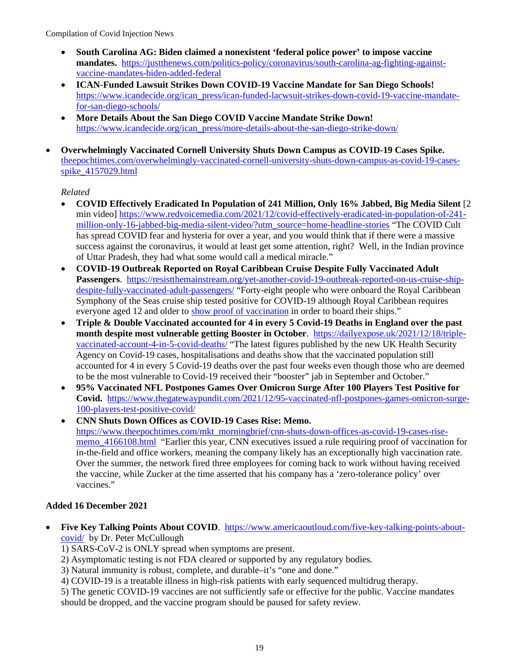- **South Carolina AG: Biden claimed a nonexistent 'federal police power' to impose vaccine mandates.** [https://justthenews.com/politics-policy/coronavirus/south-carolina-ag-fighting-against](https://justthenews.com/politics-policy/coronavirus/south-carolina-ag-fighting-against-vaccine-mandates-biden-added-federal)[vaccine-mandates-biden-added-federal](https://justthenews.com/politics-policy/coronavirus/south-carolina-ag-fighting-against-vaccine-mandates-biden-added-federal)
- **ICAN-Funded Lawsuit Strikes Down COVID-19 Vaccine Mandate for San Diego Schools!** [https://www.icandecide.org/ican\\_press/ican-funded-lacwsuit-strikes-down-covid-19-vaccine-mandate](https://www.icandecide.org/ican_press/ican-funded-lacwsuit-strikes-down-covid-19-vaccine-mandate-for-san-diego-schools/)[for-san-diego-schools/](https://www.icandecide.org/ican_press/ican-funded-lacwsuit-strikes-down-covid-19-vaccine-mandate-for-san-diego-schools/)
- **More Details About the San Diego COVID Vaccine Mandate Strike Down!** [https://www.icandecide.org/ican\\_press/more-details-about-the-san-diego-strike-down/](https://www.icandecide.org/ican_press/more-details-about-the-san-diego-strike-down/)
- **Overwhelmingly Vaccinated Cornell University Shuts Down Campus as COVID-19 Cases Spike.**  [theepochtimes.com/overwhelmingly-vaccinated-cornell-university-shuts-down-campus-as-covid-19-cases](https://www.theepochtimes.com/overwhelmingly-vaccinated-cornell-university-shuts-down-campus-as-covid-19-cases-spike_4157029.html)[spike\\_4157029.html](https://www.theepochtimes.com/overwhelmingly-vaccinated-cornell-university-shuts-down-campus-as-covid-19-cases-spike_4157029.html)

## *Related*

- **COVID Effectively Eradicated In Population of 241 Million, Only 16% Jabbed, Big Media Silent** [2 min video[\] https://www.redvoicemedia.com/2021/12/covid-effectively-eradicated-in-population-of-241](https://www.redvoicemedia.com/2021/12/covid-effectively-eradicated-in-population-of-241-million-only-16-jabbed-big-media-silent-video/?utm_source=home-headline-stories) [million-only-16-jabbed-big-media-silent-video/?utm\\_source=home-headline-stories](https://www.redvoicemedia.com/2021/12/covid-effectively-eradicated-in-population-of-241-million-only-16-jabbed-big-media-silent-video/?utm_source=home-headline-stories) "The COVID Cult has spread COVID fear and hysteria for over a year, and you would think that if there were a massive success against the coronavirus, it would at least get some attention, right? Well, in the Indian province of Uttar Pradesh, they had what some would call a medical miracle."
- **COVID-19 Outbreak Reported on Royal Caribbean Cruise Despite Fully Vaccinated Adult Passengers**. [https://resistthemainstream.org/yet-another-covid-19-outbreak-reported-on-us-cruise-ship](https://resistthemainstream.org/yet-another-covid-19-outbreak-reported-on-us-cruise-ship-despite-fully-vaccinated-adult-passengers/)[despite-fully-vaccinated-adult-passengers/](https://resistthemainstream.org/yet-another-covid-19-outbreak-reported-on-us-cruise-ship-despite-fully-vaccinated-adult-passengers/) "Forty-eight people who were onboard the Royal Caribbean Symphony of the Seas cruise ship tested positive for COVID-19 although Royal Caribbean requires everyone aged 12 and older to [show proof of vaccination](https://www.royalcaribbean.com/faq/questions/do-i-need-a-covid-vaccine-to-cruise-what-counts-as-proof) in order to board their ships."
- **Triple & Double Vaccinated accounted for 4 in every 5 Covid-19 Deaths in England over the past month despite most vulnerable getting Booster in October**. [https://dailyexpose.uk/2021/12/18/triple](https://dailyexpose.uk/2021/12/18/triple-vaccinated-account-4-in-5-covid-deaths/)[vaccinated-account-4-in-5-covid-deaths/](https://dailyexpose.uk/2021/12/18/triple-vaccinated-account-4-in-5-covid-deaths/) "The latest figures published by the new UK Health Security Agency on Covid-19 cases, hospitalisations and deaths show that the vaccinated population still accounted for 4 in every 5 Covid-19 deaths over the past four weeks even though those who are deemed to be the most vulnerable to Covid-19 received their "booster" jab in September and October."
- **95% Vaccinated NFL Postpones Games Over Omicron Surge After 100 Players Test Positive for Covid.** [https://www.thegatewaypundit.com/2021/12/95-vaccinated-nfl-postpones-games-omicron-surge-](https://www.thegatewaypundit.com/2021/12/95-vaccinated-nfl-postpones-games-omicron-surge-100-players-test-positive-covid/)[100-players-test-positive-covid/](https://www.thegatewaypundit.com/2021/12/95-vaccinated-nfl-postpones-games-omicron-surge-100-players-test-positive-covid/)
- **CNN Shuts Down Offices as COVID-19 Cases Rise: Memo.** [https://www.theepochtimes.com/mkt\\_morningbrief/cnn-shuts-down-offices-as-covid-19-cases-rise](https://www.theepochtimes.com/mkt_morningbrief/cnn-shuts-down-offices-as-covid-19-cases-rise-memo_4166108.html)[memo\\_4166108.html](https://www.theepochtimes.com/mkt_morningbrief/cnn-shuts-down-offices-as-covid-19-cases-rise-memo_4166108.html) "Earlier this year, CNN executives issued a rule requiring proof of vaccination for in-the-field and office workers, meaning the company likely has an exceptionally high vaccination rate. Over the summer, the network fired three employees for coming back to work without having received the vaccine, while Zucker at the time asserted that his company has a 'zero-tolerance policy' over vaccines."

## **Added 16 December 2021**

- **Five Key Talking Points About COVID**. [https://www.americaoutloud.com/five-key-talking-points-about](https://www.americaoutloud.com/five-key-talking-points-about-covid/)[covid/](https://www.americaoutloud.com/five-key-talking-points-about-covid/) by Dr. Peter McCullough
	- 1) SARS-CoV-2 is ONLY spread when symptoms are present.
	- 2) Asymptomatic testing is not FDA cleared or supported by any regulatory bodies.
	- 3) Natural immunity is robust, complete, and durable–it's "one and done."
	- 4) COVID-19 is a treatable illness in high-risk patients with early sequenced multidrug therapy.

5) The genetic COVID-19 vaccines are not sufficiently safe or effective for the public. Vaccine mandates should be dropped, and the vaccine program should be paused for safety review.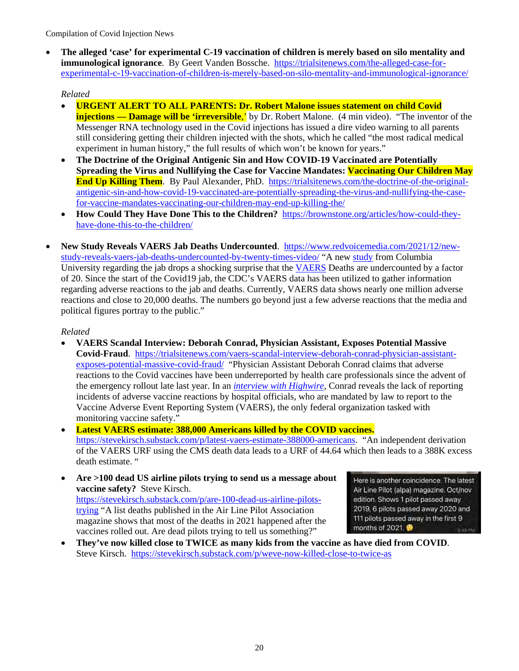• **The alleged 'case' for experimental C-19 vaccination of children is merely based on silo mentality and immunological ignorance**. By Geert Vanden Bossche. [https://trialsitenews.com/the-alleged-case-for](https://trialsitenews.com/the-alleged-case-for-experimental-c-19-vaccination-of-children-is-merely-based-on-silo-mentality-and-immunological-ignorance/)[experimental-c-19-vaccination-of-children-is-merely-based-on-silo-mentality-and-immunological-ignorance/](https://trialsitenews.com/the-alleged-case-for-experimental-c-19-vaccination-of-children-is-merely-based-on-silo-mentality-and-immunological-ignorance/) 

# *Related*

- **URGENT ALERT TO ALL PARENTS: Dr. Robert Malone issues statement on child Covid injections — Damage will be 'irreversible**,' by Dr. Robert Malone. (4 min video). "The inventor of the Messenger RNA technology used in the Covid injections has issued a dire video warning to all parents still considering getting their children injected with the shots, which he called "the most radical medical experiment in human history," the full results of which won't be known for years."
- **The Doctrine of the Original Antigenic Sin and How COVID-19 Vaccinated are Potentially Spreading the Virus and Nullifying the Case for Vaccine Mandates: Vaccinating Our Children May End Up Killing Them**. By Paul Alexander, PhD. [https://trialsitenews.com/the-doctrine-of-the-original](https://trialsitenews.com/the-doctrine-of-the-original-antigenic-sin-and-how-covid-19-vaccinated-are-potentially-spreading-the-virus-and-nullifying-the-case-for-vaccine-mandates-vaccinating-our-children-may-end-up-killing-the/)[antigenic-sin-and-how-covid-19-vaccinated-are-potentially-spreading-the-virus-and-nullifying-the-case](https://trialsitenews.com/the-doctrine-of-the-original-antigenic-sin-and-how-covid-19-vaccinated-are-potentially-spreading-the-virus-and-nullifying-the-case-for-vaccine-mandates-vaccinating-our-children-may-end-up-killing-the/)[for-vaccine-mandates-vaccinating-our-children-may-end-up-killing-the/](https://trialsitenews.com/the-doctrine-of-the-original-antigenic-sin-and-how-covid-19-vaccinated-are-potentially-spreading-the-virus-and-nullifying-the-case-for-vaccine-mandates-vaccinating-our-children-may-end-up-killing-the/)
- **How Could They Have Done This to the Children?** [https://brownstone.org/articles/how-could-they](https://brownstone.org/articles/how-could-they-have-done-this-to-the-children/)[have-done-this-to-the-children/](https://brownstone.org/articles/how-could-they-have-done-this-to-the-children/)
- **New Study Reveals VAERS Jab Deaths Undercounted**. [https://www.redvoicemedia.com/2021/12/new](https://www.redvoicemedia.com/2021/12/new-study-reveals-vaers-jab-deaths-undercounted-by-twenty-times-video/)[study-reveals-vaers-jab-deaths-undercounted-by-twenty-times-video/](https://www.redvoicemedia.com/2021/12/new-study-reveals-vaers-jab-deaths-undercounted-by-twenty-times-video/) "A new [study](https://www.researchgate.net/publication/355581860_COVID_vaccination_and_age-stratified_all-cause_mortality_risk) from Columbia University regarding the jab drops a shocking surprise that the [VAERS](https://openvaers.com/covid-data) Deaths are undercounted by a factor of 20. Since the start of the Covid19 jab, the CDC's VAERS data has been utilized to gather information regarding adverse reactions to the jab and deaths. Currently, VAERS data shows nearly one million adverse reactions and close to 20,000 deaths. The numbers go beyond just a few adverse reactions that the media and political figures portray to the public."

# *Related*

- **VAERS Scandal Interview: Deborah Conrad, Physician Assistant, Exposes Potential Massive Covid-Fraud**. [https://trialsitenews.com/vaers-scandal-interview-deborah-conrad-physician-assistant](https://trialsitenews.com/vaers-scandal-interview-deborah-conrad-physician-assistant-exposes-potential-massive-covid-fraud/)[exposes-potential-massive-covid-fraud/](https://trialsitenews.com/vaers-scandal-interview-deborah-conrad-physician-assistant-exposes-potential-massive-covid-fraud/) "Physician Assistant Deborah Conrad claims that adverse reactions to the Covid vaccines have been underreported by health care professionals since the advent of the emergency rollout late last year. In an *[interview with Highwire](https://ugetube.com/watch/vaers-scandal-interview-debra-conrad-physician-assistant-exposes-potential-massive-covid-19-fraud-mp_WGoLRYt72zHcFrM.html)*, Conrad reveals the lack of reporting incidents of adverse vaccine reactions by hospital officials, who are mandated by law to report to the Vaccine Adverse Event Reporting System (VAERS), the only federal organization tasked with monitoring vaccine safety."
- **Latest VAERS estimate: 388,000 Americans killed by the COVID vaccines.**  [https://stevekirsch.substack.com/p/latest-vaers-estimate-388000-americans.](https://stevekirsch.substack.com/p/latest-vaers-estimate-388000-americans) "An independent derivation of the VAERS URF using the CMS death data leads to a URF of 44.64 which then leads to a 388K excess death estimate. "
- **Are >100 dead US airline pilots trying to send us a message about vaccine safety?** Steve Kirsch. [https://stevekirsch.substack.com/p/are-100-dead-us-airline-pilots](https://stevekirsch.substack.com/p/are-100-dead-us-airline-pilots-trying)[trying](https://stevekirsch.substack.com/p/are-100-dead-us-airline-pilots-trying) "A list deaths published in the Air Line Pilot Association magazine shows that most of the deaths in 2021 happened after the vaccines rolled out. Are dead pilots trying to tell us something?"

Here is another coincidence. The latest Air Line Pilot (alpa) magazine. Oct/nov edition. Shows 1 pilot passed away 2019, 6 pilots passed away 2020 and 111 pilots passed away in the first 9 months of 2021. **B:49 PM** 

• **They've now killed close to TWICE as many kids from the vaccine as have died from COVID**. Steve Kirsch. <https://stevekirsch.substack.com/p/weve-now-killed-close-to-twice-as>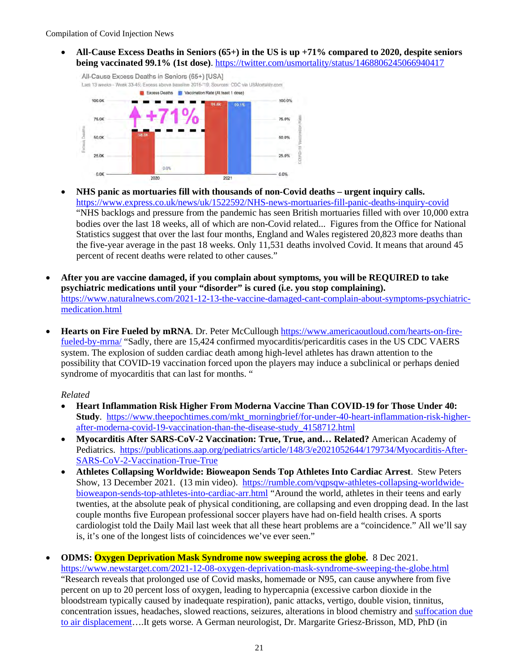• **All-Cause Excess Deaths in Seniors (65+) in the US is up +71% compared to 2020, despite seniors being vaccinated 99.1% (1st dose)**.<https://twitter.com/usmortality/status/1468806245066940417>



- **NHS panic as mortuaries fill with thousands of non-Covid deaths urgent inquiry calls.**  <https://www.express.co.uk/news/uk/1522592/NHS-news-mortuaries-fill-panic-deaths-inquiry-covid> "NHS backlogs and pressure from the pandemic has seen British mortuaries filled with over 10,000 extra bodies over the last 18 weeks, all of which are non-Covid related... Figures from the Office for National Statistics suggest that over the last four months, England and Wales registered 20,823 more deaths than the five-year average in the past 18 weeks. Only 11,531 deaths involved Covid. It means that around 45 percent of recent deaths were related to other causes."
- **After you are vaccine damaged, if you complain about symptoms, you will be REQUIRED to take psychiatric medications until your "disorder" is cured (i.e. you stop complaining).** [https://www.naturalnews.com/2021-12-13-the-vaccine-damaged-cant-complain-about-symptoms-psychiatric](https://www.naturalnews.com/2021-12-13-the-vaccine-damaged-cant-complain-about-symptoms-psychiatric-medication.html)[medication.html](https://www.naturalnews.com/2021-12-13-the-vaccine-damaged-cant-complain-about-symptoms-psychiatric-medication.html)
- **Hearts on Fire Fueled by mRNA**. Dr. Peter McCullough [https://www.americaoutloud.com/hearts-on-fire](https://www.americaoutloud.com/hearts-on-fire-fueled-by-mrna/)[fueled-by-mrna/](https://www.americaoutloud.com/hearts-on-fire-fueled-by-mrna/) "Sadly, there are 15,424 confirmed myocarditis/pericarditis cases in the US CDC VAERS system. The explosion of sudden cardiac death among high-level athletes has drawn attention to the possibility that COVID-19 vaccination forced upon the players may induce a subclinical or perhaps denied syndrome of myocarditis that can last for months. "

- **Heart Inflammation Risk Higher From Moderna Vaccine Than COVID-19 for Those Under 40: Study**. [https://www.theepochtimes.com/mkt\\_morningbrief/for-under-40-heart-inflammation-risk-higher](https://www.theepochtimes.com/mkt_morningbrief/for-under-40-heart-inflammation-risk-higher-after-moderna-covid-19-vaccination-than-the-disease-study_4158712.html)[after-moderna-covid-19-vaccination-than-the-disease-study\\_4158712.html](https://www.theepochtimes.com/mkt_morningbrief/for-under-40-heart-inflammation-risk-higher-after-moderna-covid-19-vaccination-than-the-disease-study_4158712.html)
- **Myocarditis After SARS-CoV-2 Vaccination: True, True, and… Related?** American Academy of Pediatrics. [https://publications.aap.org/pediatrics/article/148/3/e2021052644/179734/Myocarditis-After-](https://publications.aap.org/pediatrics/article/148/3/e2021052644/179734/Myocarditis-After-SARS-CoV-2-Vaccination-True-True)[SARS-CoV-2-Vaccination-True-True](https://publications.aap.org/pediatrics/article/148/3/e2021052644/179734/Myocarditis-After-SARS-CoV-2-Vaccination-True-True)
- **Athletes Collapsing Worldwide: Bioweapon Sends Top Athletes Into Cardiac Arrest**. Stew Peters Show, 13 December 2021. (13 min video). [https://rumble.com/vqpsqw-athletes-collapsing-worldwide](https://rumble.com/vqpsqw-athletes-collapsing-worldwide-bioweapon-sends-top-athletes-into-cardiac-arr.html)[bioweapon-sends-top-athletes-into-cardiac-arr.html](https://rumble.com/vqpsqw-athletes-collapsing-worldwide-bioweapon-sends-top-athletes-into-cardiac-arr.html) "Around the world, athletes in their teens and early twenties, at the absolute peak of physical conditioning, are collapsing and even dropping dead. In the last couple months five European professional soccer players have had on-field health crises. A sports cardiologist told the Daily Mail last week that all these heart problems are a "coincidence." All we'll say is, it's one of the longest lists of coincidences we've ever seen."
- **ODMS: Oxygen Deprivation Mask Syndrome now sweeping across the globe.** 8 Dec 2021. <https://www.newstarget.com/2021-12-08-oxygen-deprivation-mask-syndrome-sweeping-the-globe.html> "Research reveals that prolonged use of Covid masks, homemade or N95, can cause anywhere from five percent on up to 20 percent loss of oxygen, leading to hypercapnia (excessive carbon dioxide in the bloodstream typically caused by inadequate respiration), panic attacks, vertigo, double vision, tinnitus, concentration issues, headaches, slowed reactions, seizures, alterations in blood chemistry and [suffocation due](https://www.ucc.org/daily_covid_19_brief_issue_39/)  [to air displacement…](https://www.ucc.org/daily_covid_19_brief_issue_39/).It gets worse. A German neurologist, Dr. Margarite Griesz-Brisson, MD, PhD (in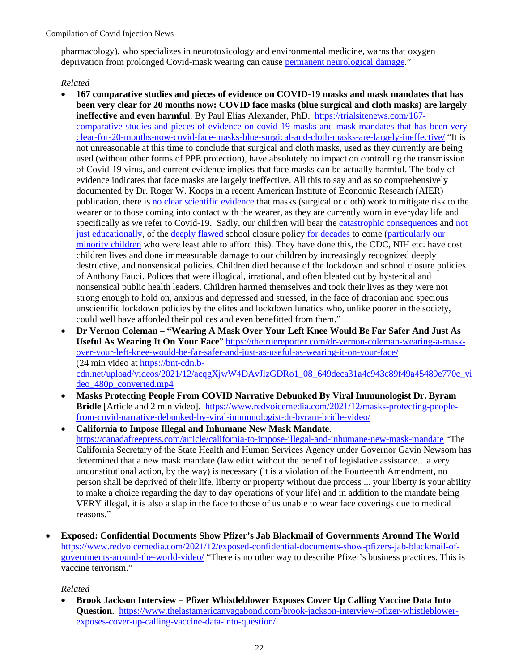pharmacology), who specializes in neurotoxicology and environmental medicine, warns that oxygen deprivation from prolonged Covid-mask wearing can cause [permanent neurological damage.](https://braindamaged.news/)"

#### *Related*

- **167 comparative studies and pieces of evidence on COVID-19 masks and mask mandates that has been very clear for 20 months now: COVID face masks (blue surgical and cloth masks) are largely ineffective and even harmful**. By Paul Elias Alexander, PhD. [https://trialsitenews.com/167](https://trialsitenews.com/167-comparative-studies-and-pieces-of-evidence-on-covid-19-masks-and-mask-mandates-that-has-been-very-clear-for-20-months-now-covid-face-masks-blue-surgical-and-cloth-masks-are-largely-ineffective/) [comparative-studies-and-pieces-of-evidence-on-covid-19-masks-and-mask-mandates-that-has-been-very](https://trialsitenews.com/167-comparative-studies-and-pieces-of-evidence-on-covid-19-masks-and-mask-mandates-that-has-been-very-clear-for-20-months-now-covid-face-masks-blue-surgical-and-cloth-masks-are-largely-ineffective/)[clear-for-20-months-now-covid-face-masks-blue-surgical-and-cloth-masks-are-largely-ineffective/](https://trialsitenews.com/167-comparative-studies-and-pieces-of-evidence-on-covid-19-masks-and-mask-mandates-that-has-been-very-clear-for-20-months-now-covid-face-masks-blue-surgical-and-cloth-masks-are-largely-ineffective/) "It is not unreasonable at this time to conclude that surgical and cloth masks, used as they currently are being used (without other forms of PPE protection), have absolutely no impact on controlling the transmission of Covid-19 virus, and current evidence implies that face masks can be actually harmful. The body of evidence indicates that face masks are largely ineffective. All this to say and as so comprehensively documented by Dr. Roger W. Koops in a recent American Institute of Economic Research (AIER) publication, there is [no clear scientific evidence](https://www.aier.org/article/the-year-of-disguises/) that masks (surgical or cloth) work to mitigate risk to the wearer or to those coming into contact with the wearer, as they are currently worn in everyday life and specifically as we refer to Covid-19. Sadly, our children will bear the [catastrophic](https://www.upi.com/Top_News/World-News/2021/02/01/Study-says-COVID-19-school-closures-will-cost-children-future-income/7531612190182/) [consequences](https://www.psychologytoday.com/us/blog/hope-resilience/202006/the-impact-prolonged-school-closures-children) and [not](https://www.wsj.com/articles/student-test-scores-drop-in-math-since-covid-19-pandemic-11605974400#:%7E:text=American%20children%20started%20school%20this,pandemic%20shut%20schools%20in%20March.)  [just educationally,](https://www.wsj.com/articles/student-test-scores-drop-in-math-since-covid-19-pandemic-11605974400#:%7E:text=American%20children%20started%20school%20this,pandemic%20shut%20schools%20in%20March.) of the [deeply flawed](https://www.independent.co.uk/news/uk/home-news/coronavirus-child-abuse-domestic-violence-family-charity-a9519186.html) school closure policy [for decades](https://data.unicef.org/covid-19-and-children/) to come (particularly our [minority children](https://www.aier.org/article/the-catastrophic-impact-of-covid-forced-societal-lockdowns/) who were least able to afford this). They have done this, the CDC, NIH etc. have cost children lives and done immeasurable damage to our children by increasingly recognized deeply destructive, and nonsensical policies. Children died because of the lockdown and school closure policies of Anthony Fauci. Polices that were illogical, irrational, and often bleated out by hysterical and nonsensical public health leaders. Children harmed themselves and took their lives as they were not strong enough to hold on, anxious and depressed and stressed, in the face of draconian and specious unscientific lockdown policies by the elites and lockdown lunatics who, unlike poorer in the society, could well have afforded their polices and even benefitted from them."
- **Dr Vernon Coleman "Wearing A Mask Over Your Left Knee Would Be Far Safer And Just As Useful As Wearing It On Your Face**" [https://thetruereporter.com/dr-vernon-coleman-wearing-a-mask](https://thetruereporter.com/dr-vernon-coleman-wearing-a-mask-over-your-left-knee-would-be-far-safer-and-just-as-useful-as-wearing-it-on-your-face/)[over-your-left-knee-would-be-far-safer-and-just-as-useful-as-wearing-it-on-your-face/](https://thetruereporter.com/dr-vernon-coleman-wearing-a-mask-over-your-left-knee-would-be-far-safer-and-just-as-useful-as-wearing-it-on-your-face/)  (24 min video at [https://bnt-cdn.b](https://bnt-cdn.b-cdn.net/upload/videos/2021/12/acqgXjwW4DAvJlzGDRo1_08_649deca31a4c943c89f49a45489e770c_video_480p_converted.mp4)[cdn.net/upload/videos/2021/12/acqgXjwW4DAvJlzGDRo1\\_08\\_649deca31a4c943c89f49a45489e770c\\_vi](https://bnt-cdn.b-cdn.net/upload/videos/2021/12/acqgXjwW4DAvJlzGDRo1_08_649deca31a4c943c89f49a45489e770c_video_480p_converted.mp4) [deo\\_480p\\_converted.mp4](https://bnt-cdn.b-cdn.net/upload/videos/2021/12/acqgXjwW4DAvJlzGDRo1_08_649deca31a4c943c89f49a45489e770c_video_480p_converted.mp4)
- **Masks Protecting People From COVID Narrative Debunked By Viral Immunologist Dr. Byram Bridle** [Article and 2 min video]. [https://www.redvoicemedia.com/2021/12/masks-protecting-people](https://www.redvoicemedia.com/2021/12/masks-protecting-people-from-covid-narrative-debunked-by-viral-immunologist-dr-byram-bridle-video/)[from-covid-narrative-debunked-by-viral-immunologist-dr-byram-bridle-video/](https://www.redvoicemedia.com/2021/12/masks-protecting-people-from-covid-narrative-debunked-by-viral-immunologist-dr-byram-bridle-video/)
- **California to Impose Illegal and Inhumane New Mask Mandate**. <https://canadafreepress.com/article/california-to-impose-illegal-and-inhumane-new-mask-mandate>"The California Secretary of the State Health and Human Services Agency under Governor Gavin Newsom has determined that a new mask mandate (law edict without the benefit of legislative assistance…a very unconstitutional action, by the way) is necessary (it is a violation of the Fourteenth Amendment, no person shall be deprived of their life, liberty or property without due process ... your liberty is your ability to make a choice regarding the day to day operations of your life) and in addition to the mandate being VERY illegal, it is also a slap in the face to those of us unable to wear face coverings due to medical reasons."
- **Exposed: Confidential Documents Show Pfizer's Jab Blackmail of Governments Around The World** [https://www.redvoicemedia.com/2021/12/exposed-confidential-documents-show-pfizers-jab-blackmail-of](https://www.redvoicemedia.com/2021/12/exposed-confidential-documents-show-pfizers-jab-blackmail-of-governments-around-the-world-video/)[governments-around-the-world-video/](https://www.redvoicemedia.com/2021/12/exposed-confidential-documents-show-pfizers-jab-blackmail-of-governments-around-the-world-video/) "There is no other way to describe Pfizer's business practices. This is vaccine terrorism."

#### *Related*

• **Brook Jackson Interview – Pfizer Whistleblower Exposes Cover Up Calling Vaccine Data Into Question**. [https://www.thelastamericanvagabond.com/brook-jackson-interview-pfizer-whistleblower](https://www.thelastamericanvagabond.com/brook-jackson-interview-pfizer-whistleblower-exposes-cover-up-calling-vaccine-data-into-question/)[exposes-cover-up-calling-vaccine-data-into-question/](https://www.thelastamericanvagabond.com/brook-jackson-interview-pfizer-whistleblower-exposes-cover-up-calling-vaccine-data-into-question/)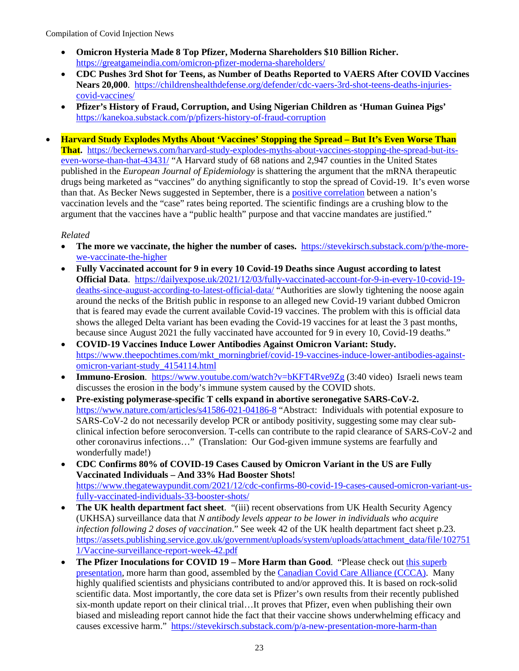- **Omicron Hysteria Made 8 Top Pfizer, Moderna Shareholders \$10 Billion Richer.**  <https://greatgameindia.com/omicron-pfizer-moderna-shareholders/>
- **CDC Pushes 3rd Shot for Teens, as Number of Deaths Reported to VAERS After COVID Vaccines Nears 20,000**. [https://childrenshealthdefense.org/defender/cdc-vaers-3rd-shot-teens-deaths-injuries](https://childrenshealthdefense.org/defender/cdc-vaers-3rd-shot-teens-deaths-injuries-covid-vaccines/)[covid-vaccines/](https://childrenshealthdefense.org/defender/cdc-vaers-3rd-shot-teens-deaths-injuries-covid-vaccines/)
- **Pfizer's History of Fraud, Corruption, and Using Nigerian Children as 'Human Guinea Pigs'**  <https://kanekoa.substack.com/p/pfizers-history-of-fraud-corruption>
- **Harvard Study Explodes Myths About 'Vaccines' Stopping the Spread But It's Even Worse Than That.** [https://beckernews.com/harvard-study-explodes-myths-about-vaccines-stopping-the-spread-but-its](https://beckernews.com/harvard-study-explodes-myths-about-vaccines-stopping-the-spread-but-its-even-worse-than-that-43431/)[even-worse-than-that-43431/](https://beckernews.com/harvard-study-explodes-myths-about-vaccines-stopping-the-spread-but-its-even-worse-than-that-43431/) "A Harvard study of 68 nations and 2,947 counties in the United States published in the *European Journal of Epidemiology* is shattering the argument that the mRNA therapeutic drugs being marketed as "vaccines" do anything significantly to stop the spread of Covid-19. It's even worse than that. As Becker News suggested in September, there is a [positive correlation](https://beckernews.com/more-vaccines-more-covid-why-are-case-rates-exploding-in-areas-with-high-levels-of-vaccination-41523/) between a nation's vaccination levels and the "case" rates being reported. The scientific findings are a crushing blow to the argument that the vaccines have a "public health" purpose and that vaccine mandates are justified."

- **The more we vaccinate, the higher the number of cases.** [https://stevekirsch.substack.com/p/the-more](https://stevekirsch.substack.com/p/the-more-we-vaccinate-the-higher)[we-vaccinate-the-higher](https://stevekirsch.substack.com/p/the-more-we-vaccinate-the-higher)
- **Fully Vaccinated account for 9 in every 10 Covid-19 Deaths since August according to latest Official Data**. [https://dailyexpose.uk/2021/12/03/fully-vaccinated-account-for-9-in-every-10-covid-19](https://dailyexpose.uk/2021/12/03/fully-vaccinated-account-for-9-in-every-10-covid-19-deaths-since-august-according-to-latest-official-data/) [deaths-since-august-according-to-latest-official-data/](https://dailyexpose.uk/2021/12/03/fully-vaccinated-account-for-9-in-every-10-covid-19-deaths-since-august-according-to-latest-official-data/) "Authorities are slowly tightening the noose again around the necks of the British public in response to an alleged new Covid-19 variant dubbed Omicron that is feared may evade the current available Covid-19 vaccines. The problem with this is official data shows the alleged Delta variant has been evading the Covid-19 vaccines for at least the 3 past months, because since August 2021 the fully vaccinated have accounted for 9 in every 10, Covid-19 deaths."
- **COVID-19 Vaccines Induce Lower Antibodies Against Omicron Variant: Study.**  [https://www.theepochtimes.com/mkt\\_morningbrief/covid-19-vaccines-induce-lower-antibodies-against](https://www.theepochtimes.com/mkt_morningbrief/covid-19-vaccines-induce-lower-antibodies-against-omicron-variant-study_4154114.html)[omicron-variant-study\\_4154114.html](https://www.theepochtimes.com/mkt_morningbrief/covid-19-vaccines-induce-lower-antibodies-against-omicron-variant-study_4154114.html)
- **Immuno-Erosion.** <https://www.youtube.com/watch?v=bKFT4Rve9Zg>(3:40 video) Israeli news team discusses the erosion in the body's immune system caused by the COVID shots.
- **Pre-existing polymerase-specific T cells expand in abortive seronegative SARS-CoV-2.** <https://www.nature.com/articles/s41586-021-04186-8>"Abstract: Individuals with potential exposure to SARS-CoV-2 do not necessarily develop PCR or antibody positivity, suggesting some may clear subclinical infection before seroconversion. T-cells can contribute to the rapid clearance of SARS-CoV-2 and other coronavirus infections…" (Translation: Our God-given immune systems are fearfully and wonderfully made!)
- **CDC Confirms 80% of COVID-19 Cases Caused by Omicron Variant in the US are Fully Vaccinated Individuals – And 33% Had Booster Shots!** [https://www.thegatewaypundit.com/2021/12/cdc-confirms-80-covid-19-cases-caused-omicron-variant-us](https://www.thegatewaypundit.com/2021/12/cdc-confirms-80-covid-19-cases-caused-omicron-variant-us-fully-vaccinated-individuals-33-booster-shots/)[fully-vaccinated-individuals-33-booster-shots/](https://www.thegatewaypundit.com/2021/12/cdc-confirms-80-covid-19-cases-caused-omicron-variant-us-fully-vaccinated-individuals-33-booster-shots/)
- **The UK health department fact sheet**. "(iii) recent observations from UK Health Security Agency (UKHSA) surveillance data that *N antibody levels appear to be lower in individuals who acquire infection following 2 doses of vaccination*." See week 42 of the UK health department fact sheet p.23. [https://assets.publishing.service.gov.uk/government/uploads/system/uploads/attachment\\_data/file/102751](https://assets.publishing.service.gov.uk/government/uploads/system/uploads/attachment_data/file/1027511/Vaccine-surveillance-report-week-42.pdf) [1/Vaccine-surveillance-report-week-42.pdf](https://assets.publishing.service.gov.uk/government/uploads/system/uploads/attachment_data/file/1027511/Vaccine-surveillance-report-week-42.pdf)
- **The Pfizer Inoculations for COVID 19 – More Harm than Good**. "Please check out [this superb](https://www.skirsch.com/covid/MoreHarm.pdf)  [presentation,](https://www.skirsch.com/covid/MoreHarm.pdf) more harm than good, assembled by th[e Canadian Covid Care Alliance \(CCCA\).](https://www.canadiancovidcarealliance.org/) Many highly qualified scientists and physicians contributed to and/or approved this. It is based on rock-solid scientific data. Most importantly, the core data set is Pfizer's own results from their recently published six-month update report on their clinical trial…It proves that Pfizer, even when publishing their own biased and misleading report cannot hide the fact that their vaccine shows underwhelming efficacy and causes excessive harm." <https://stevekirsch.substack.com/p/a-new-presentation-more-harm-than>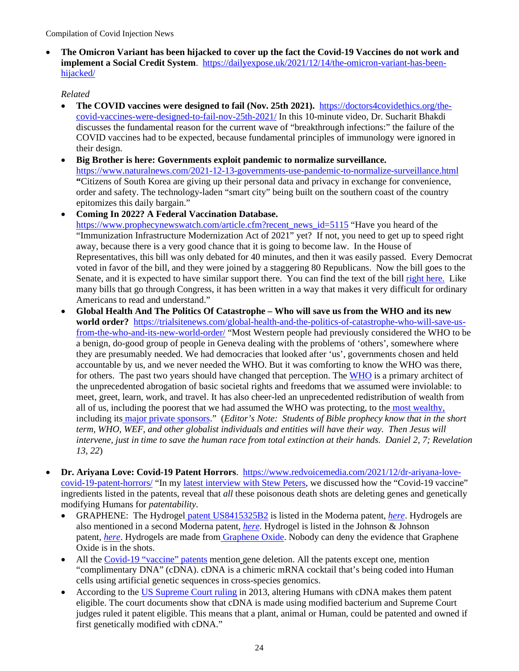• **The Omicron Variant has been hijacked to cover up the fact the Covid-19 Vaccines do not work and implement a Social Credit System**. [https://dailyexpose.uk/2021/12/14/the-omicron-variant-has-been](https://dailyexpose.uk/2021/12/14/the-omicron-variant-has-been-hijacked/)[hijacked/](https://dailyexpose.uk/2021/12/14/the-omicron-variant-has-been-hijacked/) 

- **The COVID vaccines were designed to fail (Nov. 25th 2021).** [https://doctors4covidethics.org/the](https://doctors4covidethics.org/the-covid-vaccines-were-designed-to-fail-nov-25th-2021/)[covid-vaccines-were-designed-to-fail-nov-25th-2021/](https://doctors4covidethics.org/the-covid-vaccines-were-designed-to-fail-nov-25th-2021/) In this 10-minute video, Dr. Sucharit Bhakdi discusses the fundamental reason for the current wave of "breakthrough infections:" the failure of the COVID vaccines had to be expected, because fundamental principles of immunology were ignored in their design.
- **Big Brother is here: Governments exploit pandemic to normalize surveillance.**  <https://www.naturalnews.com/2021-12-13-governments-use-pandemic-to-normalize-surveillance.html> **"**Citizens of South Korea are giving up their personal data and privacy in exchange for convenience, order and safety. The technology-laden "smart city" being built on the southern coast of the country epitomizes this daily bargain."
- **Coming In 2022? A Federal Vaccination Database.**  [https://www.prophecynewswatch.com/article.cfm?recent\\_news\\_id=5115](https://www.prophecynewswatch.com/article.cfm?recent_news_id=5115) "Have you heard of the "Immunization Infrastructure Modernization Act of 2021" yet? If not, you need to get up to speed right away, because there is a very good chance that it is going to become law. In the House of Representatives, this bill was only debated for 40 minutes, and then it was easily passed. Every Democrat voted in favor of the bill, and they were joined by a staggering 80 Republicans. Now the bill goes to the Senate, and it is expected to have similar support there. You can find the text of the bill [right here.](https://www.congress.gov/bill/117th-congress/house-bill/550/text) Like many bills that go through Congress, it has been written in a way that makes it very difficult for ordinary Americans to read and understand."
- **Global Health And The Politics Of Catastrophe Who will save us from the WHO and its new world order?** [https://trialsitenews.com/global-health-and-the-politics-of-catastrophe-who-will-save-us](https://trialsitenews.com/global-health-and-the-politics-of-catastrophe-who-will-save-us-from-the-who-and-its-new-world-order/)[from-the-who-and-its-new-world-order/](https://trialsitenews.com/global-health-and-the-politics-of-catastrophe-who-will-save-us-from-the-who-and-its-new-world-order/) "Most Western people had previously considered the WHO to be a benign, do-good group of people in Geneva dealing with the problems of 'others', somewhere where they are presumably needed. We had democracies that looked after 'us', governments chosen and held accountable by us, and we never needed the WHO. But it was comforting to know the WHO was there, for others. The past two years should have changed that perception. The [WHO](https://www.pandata.org/who-and-covid-19-re-establishing-colonialism-in-public-health/) is a primary architect of the unprecedented abrogation of basic societal rights and freedoms that we assumed were inviolable: to meet, greet, learn, work, and travel. It has also cheer-led an unprecedented redistribution of wealth from all of us, including the poorest that we had assumed the WHO was protecting, to the [most wealthy,](https://www.forbes.com/sites/giacomotognini/2021/04/06/meet-the-40-new-billionaires-who-got-rich-fighting-covid-19/?sh=956f9ca17e54)  including it[s](https://www.investors.com/etfs-and-funds/sectors/bill-gates-whos-making-more-money-during-pandemic/) [major private sponsors.](https://www.investors.com/etfs-and-funds/sectors/bill-gates-whos-making-more-money-during-pandemic/)" (*Editor's Note: Students of Bible prophecy know that in the short term, WHO, WEF, and other globalist individuals and entities will have their way. Then Jesus will intervene, just in time to save the human race from total extinction at their hands. Daniel 2, 7; Revelation 13, 22*)
- **Dr. Ariyana Love: Covid-19 Patent Horrors**. [https://www.redvoicemedia.com/2021/12/dr-ariyana-love](https://www.redvoicemedia.com/2021/12/dr-ariyana-love-covid-19-patent-horrors/)[covid-19-patent-horrors/](https://www.redvoicemedia.com/2021/12/dr-ariyana-love-covid-19-patent-horrors/) "In my [latest interview with Stew](https://www.redvoicemedia.com/2021/12/moderna-patent-uncovers-horror-nanocensor-contained-in-bioweapon/) Peters, we discussed how the "Covid-19 vaccine" ingredients listed in the patents, reveal that *all* these poisonous death shots are deleting genes and genetically modifying Humans for *patentability*.
	- GRAPHENE: The Hydrogel [patent US8415325B2](https://patents.google.com/patent/US8415325B2/en) is listed in the Moderna patent, *[here](https://patents.google.com/patent/US10898574B2)*. Hydrogels are also mentioned in a second Moderna patent, *[here](https://patents.google.com/patent/US10703789B2/)*. Hydrogel is listed in the Johnson & Johnson patent, *[here](https://patents.google.com/patent/WO2021155323A1)*. Hydrogels are made from [Graphene Oxide.](https://pubmed.ncbi.nlm.nih.gov/22970805/) Nobody can deny the evidence that Graphene Oxide is in the shots.
	- All the [Covid-19 "vaccine" patents](https://ambassadorlove.wordpress.com/2021/12/08/covid-vaxx-patents-gene-deletion-lentivirus-cdna-open-codon/?preview_id=6195&preview_nonce=c054a02351&preview=true&_thumbnail_id=6208) mention gene deletion. All the patents except one, mention "complimentary DNA" (cDNA). cDNA is a chimeric mRNA cocktail that's being coded into Human cells using artificial genetic sequences in cross-species genomics.
	- According to the [US Supreme Court](https://www.supremecourt.gov/opinions/12pdf/12-398_1b7d.pdf) ruling in 2013, altering Humans with cDNA makes them patent eligible. The court documents show that cDNA is made using modified bacterium and Supreme Court judges ruled it patent eligible. This means that a plant, animal or Human, could be patented and owned if first genetically modified with cDNA."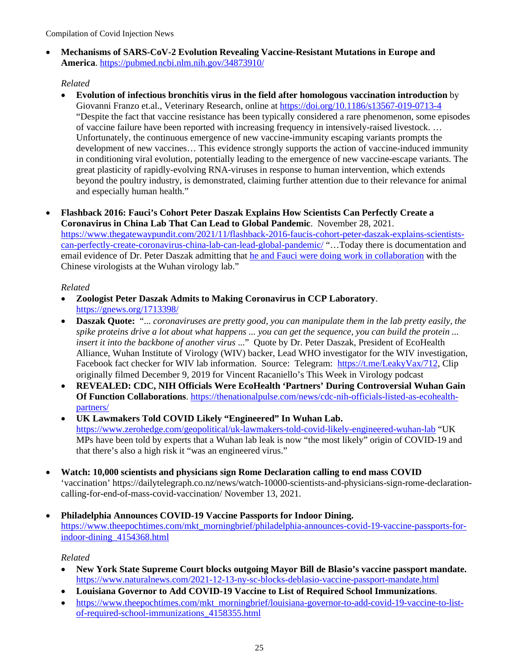• **Mechanisms of SARS-CoV-2 Evolution Revealing Vaccine-Resistant Mutations in Europe and America**.<https://pubmed.ncbi.nlm.nih.gov/34873910/>

## *Related*

• **Evolution of infectious bronchitis virus in the field after homologous vaccination introduction** by Giovanni Franzo et.al., Veterinary Research, online at<https://doi.org/10.1186/s13567-019-0713-4> "Despite the fact that vaccine resistance has been typically considered a rare phenomenon, some episodes of vaccine failure have been reported with increasing frequency in intensively-raised livestock. … Unfortunately, the continuous emergence of new vaccine-immunity escaping variants prompts the development of new vaccines… This evidence strongly supports the action of vaccine-induced immunity in conditioning viral evolution, potentially leading to the emergence of new vaccine-escape variants. The great plasticity of rapidly-evolving RNA-viruses in response to human intervention, which extends beyond the poultry industry, is demonstrated, claiming further attention due to their relevance for animal and especially human health."

# • **Flashback 2016: Fauci's Cohort Peter Daszak Explains How Scientists Can Perfectly Create a Coronavirus in China Lab That Can Lead to Global Pandemic**. November 28, 2021. [https://www.thegatewaypundit.com/2021/11/flashback-2016-faucis-cohort-peter-daszak-explains-scientists-](https://www.thegatewaypundit.com/2021/11/flashback-2016-faucis-cohort-peter-daszak-explains-scientists-can-perfectly-create-coronavirus-china-lab-can-lead-global-pandemic/)

[can-perfectly-create-coronavirus-china-lab-can-lead-global-pandemic/](https://www.thegatewaypundit.com/2021/11/flashback-2016-faucis-cohort-peter-daszak-explains-scientists-can-perfectly-create-coronavirus-china-lab-can-lead-global-pandemic/) "…Today there is documentation and email evidence of Dr. Peter Daszak admitting that [he and Fauci were doing work in collaboration](https://www.thegatewaypundit.com/2021/07/breaking-gop-senators-reveal-politicized-hhs-redacted-fauci-letter-hide-collaboration-dr-daszack-wuhan-lab/) with the Chinese virologists at the Wuhan virology lab."

## *Related*

- **Zoologist Peter Daszak Admits to Making Coronavirus in CCP Laboratory**. <https://gnews.org/1713398/>
- **Daszak Quote:** "... *coronaviruses are pretty good, you can manipulate them in the lab pretty easily, the spike proteins drive a lot about what happens ... you can get the sequence, you can build the protein ... insert it into the backbone of another virus* ..." Quote by Dr. Peter Daszak, President of EcoHealth Alliance, Wuhan Institute of Virology (WIV) backer, Lead WHO investigator for the WIV investigation, Facebook fact checker for WIV lab information. Source: Telegram: [https://t.me/LeakyVax/712,](https://t.me/LeakyVax/712) Clip originally filmed December 9, 2019 for Vincent Racaniello's This Week in Virology podcast
- **REVEALED: CDC, NIH Officials Were EcoHealth 'Partners' During Controversial Wuhan Gain Of Function Collaborations**. [https://thenationalpulse.com/news/cdc-nih-officials-listed-as-ecohealth](https://thenationalpulse.com/news/cdc-nih-officials-listed-as-ecohealth-partners/)[partners/](https://thenationalpulse.com/news/cdc-nih-officials-listed-as-ecohealth-partners/)
- **UK Lawmakers Told COVID Likely "Engineered" In Wuhan Lab.**  <https://www.zerohedge.com/geopolitical/uk-lawmakers-told-covid-likely-engineered-wuhan-lab>"UK MPs have been told by experts that a Wuhan lab leak is now "the most likely" origin of COVID-19 and that there's also a high risk it "was an engineered virus."
- **Watch: 10,000 scientists and physicians sign Rome Declaration calling to end mass COVID**  'vaccination' [https://dailytelegraph.co.nz/news/watch-10000-scientists-and-physicians-sign-rome-declaration](https://dailytelegraph.co.nz/news/watch-10000-scientists-and-physicians-sign-rome-declaration-calling-for-end-of-mass-covid-vaccination/)[calling-for-end-of-mass-covid-vaccination/](https://dailytelegraph.co.nz/news/watch-10000-scientists-and-physicians-sign-rome-declaration-calling-for-end-of-mass-covid-vaccination/) November 13, 2021.
- **Philadelphia Announces COVID-19 Vaccine Passports for Indoor Dining.**  [https://www.theepochtimes.com/mkt\\_morningbrief/philadelphia-announces-covid-19-vaccine-passports-for](https://www.theepochtimes.com/mkt_morningbrief/philadelphia-announces-covid-19-vaccine-passports-for-indoor-dining_4154368.html)[indoor-dining\\_4154368.html](https://www.theepochtimes.com/mkt_morningbrief/philadelphia-announces-covid-19-vaccine-passports-for-indoor-dining_4154368.html)

- **New York State Supreme Court blocks outgoing Mayor Bill de Blasio's vaccine passport mandate.**  <https://www.naturalnews.com/2021-12-13-ny-sc-blocks-deblasio-vaccine-passport-mandate.html>
- **Louisiana Governor to Add COVID-19 Vaccine to List of Required School Immunizations**.
- [https://www.theepochtimes.com/mkt\\_morningbrief/louisiana-governor-to-add-covid-19-vaccine-to-list](https://www.theepochtimes.com/mkt_morningbrief/louisiana-governor-to-add-covid-19-vaccine-to-list-of-required-school-immunizations_4158355.html)[of-required-school-immunizations\\_4158355.html](https://www.theepochtimes.com/mkt_morningbrief/louisiana-governor-to-add-covid-19-vaccine-to-list-of-required-school-immunizations_4158355.html)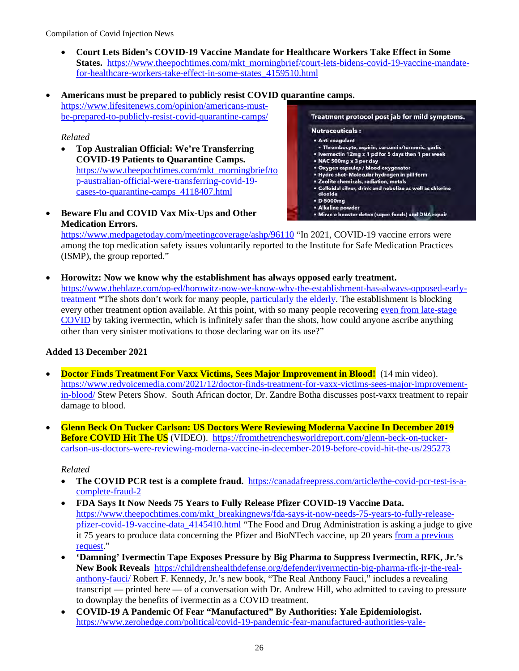- **Court Lets Biden's COVID-19 Vaccine Mandate for Healthcare Workers Take Effect in Some States.** [https://www.theepochtimes.com/mkt\\_morningbrief/court-lets-bidens-covid-19-vaccine-mandate](https://www.theepochtimes.com/mkt_morningbrief/court-lets-bidens-covid-19-vaccine-mandate-for-healthcare-workers-take-effect-in-some-states_4159510.html)[for-healthcare-workers-take-effect-in-some-states\\_4159510.html](https://www.theepochtimes.com/mkt_morningbrief/court-lets-bidens-covid-19-vaccine-mandate-for-healthcare-workers-take-effect-in-some-states_4159510.html)
- **Americans must be prepared to publicly resist COVID quarantine camps.** [https://www.lifesitenews.com/opinion/americans-must](https://www.lifesitenews.com/opinion/americans-must-be-prepared-to-publicly-resist-covid-quarantine-camps/)[be-prepared-to-publicly-resist-covid-quarantine-camps/](https://www.lifesitenews.com/opinion/americans-must-be-prepared-to-publicly-resist-covid-quarantine-camps/)

## *Related*

• **Top Australian Official: We're Transferring COVID-19 Patients to Quarantine Camps.**  [https://www.theepochtimes.com/mkt\\_morningbrief/to](https://www.theepochtimes.com/mkt_morningbrief/top-australian-official-were-transferring-covid-19-cases-to-quarantine-camps_4118407.html) [p-australian-official-were-transferring-covid-19](https://www.theepochtimes.com/mkt_morningbrief/top-australian-official-were-transferring-covid-19-cases-to-quarantine-camps_4118407.html) [cases-to-quarantine-camps\\_4118407.html](https://www.theepochtimes.com/mkt_morningbrief/top-australian-official-were-transferring-covid-19-cases-to-quarantine-camps_4118407.html)

• **Beware Flu and COVID Vax Mix-Ups and Other Medication Errors.**

Treatment protocol post jab for mild symptoms. **Nutraceuticals:** · Anti coagulant · Thrombocyte, aspirin, curcumin/turmeric, garlic . Ivermectin 12mg x 1 pd for 5 days then 1 per week • NAC 500mg x 3 per day • Oxygen capsules / blood oxygenator<br>• Oxygen capsules / blood oxygenator<br>• Hydro shot- Molecular hydrogen in pill form · Zeolite chemicals, radiation, metals . Colloidal silver, drink and nebulize as well as chlorine dioxide • D 5000mg **\* Alkaline powder** . Miracle booster detox (super foods) and DNA repair

<https://www.medpagetoday.com/meetingcoverage/ashp/96110>"In 2021, COVID-19 vaccine errors were among the top medication safety issues voluntarily reported to the Institute for Safe Medication Practices (ISMP), the group reported."

• **Horowitz: Now we know why the establishment has always opposed early treatment.**  [https://www.theblaze.com/op-ed/horowitz-now-we-know-why-the-establishment-has-always-opposed-early](https://www.theblaze.com/op-ed/horowitz-now-we-know-why-the-establishment-has-always-opposed-early-treatment)[treatment](https://www.theblaze.com/op-ed/horowitz-now-we-know-why-the-establishment-has-always-opposed-early-treatment) **"**The shots don't work for many people, [particularly the elderly.](https://www.theblaze.com/op-ed/horowitz-covid-injections-continue-to-fail-nursing-homes-as-alternatives-continue-to-be-ignored) The establishment is blocking every other treatment option available. At this point, with so many people recovering [even from late-stage](https://www.theblaze.com/op-ed/horowitz-why-every-red-state-has-an-obligation-to-fight-hospitals-killing-patients-on-ventilators)  [COVID](https://www.theblaze.com/op-ed/horowitz-why-every-red-state-has-an-obligation-to-fight-hospitals-killing-patients-on-ventilators) by taking ivermectin, which is infinitely safer than the shots, how could anyone ascribe anything other than very sinister motivations to those declaring war on its use?"

#### **Added 13 December 2021**

- **Doctor Finds Treatment For Vaxx Victims, Sees Major Improvement in Blood!** (14 min video). [https://www.redvoicemedia.com/2021/12/doctor-finds-treatment-for-vaxx-victims-sees-major-improvement](https://www.redvoicemedia.com/2021/12/doctor-finds-treatment-for-vaxx-victims-sees-major-improvement-in-blood/)[in-blood/](https://www.redvoicemedia.com/2021/12/doctor-finds-treatment-for-vaxx-victims-sees-major-improvement-in-blood/) Stew Peters Show. South African doctor, Dr. Zandre Botha discusses post-vaxx treatment to repair damage to blood.
- **Glenn Beck On Tucker Carlson: US Doctors Were Reviewing Moderna Vaccine In December 2019 Before COVID Hit The US** (VIDEO). [https://fromthetrenchesworldreport.com/glenn-beck-on-tucker](https://fromthetrenchesworldreport.com/glenn-beck-on-tucker-carlson-us-doctors-were-reviewing-moderna-vaccine-in-december-2019-before-covid-hit-the-us/295273)[carlson-us-doctors-were-reviewing-moderna-vaccine-in-december-2019-before-covid-hit-the-us/295273](https://fromthetrenchesworldreport.com/glenn-beck-on-tucker-carlson-us-doctors-were-reviewing-moderna-vaccine-in-december-2019-before-covid-hit-the-us/295273)

- **The COVID PCR test is a complete fraud.** [https://canadafreepress.com/article/the-covid-pcr-test-is-a](https://canadafreepress.com/article/the-covid-pcr-test-is-a-complete-fraud-2)[complete-fraud-2](https://canadafreepress.com/article/the-covid-pcr-test-is-a-complete-fraud-2)
- **FDA Says It Now Needs 75 Years to Fully Release Pfizer COVID-19 Vaccine Data.**  [https://www.theepochtimes.com/mkt\\_breakingnews/fda-says-it-now-needs-75-years-to-fully-release](https://www.theepochtimes.com/mkt_breakingnews/fda-says-it-now-needs-75-years-to-fully-release-pfizer-covid-19-vaccine-data_4145410.html)[pfizer-covid-19-vaccine-data\\_4145410.html](https://www.theepochtimes.com/mkt_breakingnews/fda-says-it-now-needs-75-years-to-fully-release-pfizer-covid-19-vaccine-data_4145410.html) "The Food and Drug Administration is asking a judge to give it 75 years to produce data concerning the Pfizer and BioNTech vaccine, up 20 years from [a previous](https://www.theepochtimes.com/fda-asks-court-for-55-years-to-fully-release-pfizer-covid-19-vaccine-data_4110761.html)  [request.](https://www.theepochtimes.com/fda-asks-court-for-55-years-to-fully-release-pfizer-covid-19-vaccine-data_4110761.html)"
- **'Damning' Ivermectin Tape Exposes Pressure by Big Pharma to Suppress Ivermectin, RFK, Jr.'s New Book Reveals** [https://childrenshealthdefense.org/defender/ivermectin-big-pharma-rfk-jr-the-real](https://childrenshealthdefense.org/defender/ivermectin-big-pharma-rfk-jr-the-real-anthony-fauci/)[anthony-fauci/](https://childrenshealthdefense.org/defender/ivermectin-big-pharma-rfk-jr-the-real-anthony-fauci/) Robert F. Kennedy, Jr.'s new book, "The Real Anthony Fauci," includes a revealing transcript — printed here — of a conversation with Dr. Andrew Hill, who admitted to caving to pressure to downplay the benefits of ivermectin as a COVID treatment.
- **COVID-19 A Pandemic Of Fear "Manufactured" By Authorities: Yale Epidemiologist.**  [https://www.zerohedge.com/political/covid-19-pandemic-fear-manufactured-authorities-yale-](https://www.zerohedge.com/political/covid-19-pandemic-fear-manufactured-authorities-yale-epidemiologist)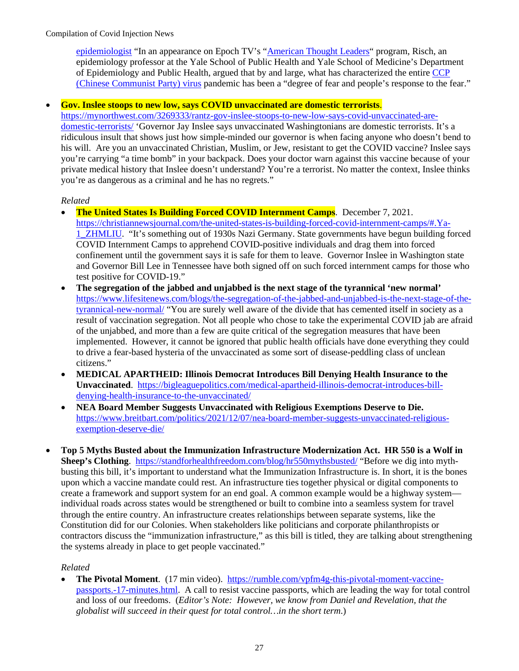[epidemiologist](https://www.zerohedge.com/political/covid-19-pandemic-fear-manufactured-authorities-yale-epidemiologist) "In an appearance on Epoch TV's ["American Thought Leaders"](https://www.theepochtimes.com/dr-harvey-risch-hydroxychloroquine-ivermectin-and-other-therapeutics-highly-effective-in-early-covid-treatment_4131804.html) program, Risch, an epidemiology professor at the Yale School of Public Health and Yale School of Medicine's Department of Epidemiology and Public Health, argued that by and large, what has characterized the entire [CCP](https://www.theepochtimes.com/giving-the-right-name-to-the-virus-causing-a-worldwide-pandemic-2_3277200.html)  [\(Chinese Communist Party\)](https://www.theepochtimes.com/giving-the-right-name-to-the-virus-causing-a-worldwide-pandemic-2_3277200.html) virus pandemic has been a "degree of fear and people's response to the fear."

#### • **Gov. Inslee stoops to new low, says COVID unvaccinated are domestic terrorists**.

[https://mynorthwest.com/3269333/rantz-gov-inslee-stoops-to-new-low-says-covid-unvaccinated-are](https://mynorthwest.com/3269333/rantz-gov-inslee-stoops-to-new-low-says-covid-unvaccinated-are-domestic-terrorists/)[domestic-terrorists/](https://mynorthwest.com/3269333/rantz-gov-inslee-stoops-to-new-low-says-covid-unvaccinated-are-domestic-terrorists/) 'Governor Jay Inslee says unvaccinated Washingtonians are domestic terrorists. It's a ridiculous insult that shows just how simple-minded our governor is when facing anyone who doesn't bend to his will. Are you an unvaccinated Christian, Muslim, or Jew, resistant to get the COVID vaccine? Inslee says you're carrying "a time bomb" in your backpack. Does your doctor warn against this vaccine because of your private medical history that Inslee doesn't understand? You're a terrorist. No matter the context, Inslee thinks you're as dangerous as a criminal and he has no regrets."

#### *Related*

- **The United States Is Building Forced COVID Internment Camps**. December 7, 2021. [https://christiannewsjournal.com/the-united-states-is-building-forced-covid-internment-camps/#.Ya-](https://christiannewsjournal.com/the-united-states-is-building-forced-covid-internment-camps/#.Ya-1_ZHMLIU)[1\\_ZHMLIU.](https://christiannewsjournal.com/the-united-states-is-building-forced-covid-internment-camps/#.Ya-1_ZHMLIU) "It's something out of 1930s Nazi Germany. State governments have begun building forced COVID Internment Camps to apprehend COVID-positive individuals and drag them into forced confinement until the government says it is safe for them to leave. Governor Inslee in Washington state and Governor Bill Lee in Tennessee have both signed off on such forced internment camps for those who test positive for COVID-19."
- **The segregation of the jabbed and unjabbed is the next stage of the tyrannical 'new normal'**  [https://www.lifesitenews.com/blogs/the-segregation-of-the-jabbed-and-unjabbed-is-the-next-stage-of-the](https://www.lifesitenews.com/blogs/the-segregation-of-the-jabbed-and-unjabbed-is-the-next-stage-of-the-tyrannical-new-normal/)[tyrannical-new-normal/](https://www.lifesitenews.com/blogs/the-segregation-of-the-jabbed-and-unjabbed-is-the-next-stage-of-the-tyrannical-new-normal/) "You are surely well aware of the divide that has cemented itself in society as a result of vaccination segregation. Not all people who chose to take the experimental COVID jab are afraid of the unjabbed, and more than a few are quite critical of the segregation measures that have been implemented. However, it cannot be ignored that public health officials have done everything they could to drive a fear-based hysteria of the unvaccinated as some sort of disease-peddling class of unclean citizens."
- **MEDICAL APARTHEID: Illinois Democrat Introduces Bill Denying Health Insurance to the Unvaccinated**. [https://bigleaguepolitics.com/medical-apartheid-illinois-democrat-introduces-bill](https://bigleaguepolitics.com/medical-apartheid-illinois-democrat-introduces-bill-denying-health-insurance-to-the-unvaccinated/)[denying-health-insurance-to-the-unvaccinated/](https://bigleaguepolitics.com/medical-apartheid-illinois-democrat-introduces-bill-denying-health-insurance-to-the-unvaccinated/)
- **NEA Board Member Suggests Unvaccinated with Religious Exemptions Deserve to Die.**  [https://www.breitbart.com/politics/2021/12/07/nea-board-member-suggests-unvaccinated-religious](https://www.breitbart.com/politics/2021/12/07/nea-board-member-suggests-unvaccinated-religious-exemption-deserve-die/)[exemption-deserve-die/](https://www.breitbart.com/politics/2021/12/07/nea-board-member-suggests-unvaccinated-religious-exemption-deserve-die/)
- **Top 5 Myths Busted about the Immunization Infrastructure Modernization Act. HR 550 is a Wolf in Sheep's Clothing**. <https://standforhealthfreedom.com/blog/hr550mythsbusted/>"Before we dig into mythbusting this bill, it's important to understand what the Immunization Infrastructure is. In short, it is the bones upon which a vaccine mandate could rest. An infrastructure ties together physical or digital components to create a framework and support system for an end goal. A common example would be a highway system individual roads across states would be strengthened or built to combine into a seamless system for travel through the entire country. An infrastructure creates relationships between separate systems, like the Constitution did for our Colonies. When stakeholders like politicians and corporate philanthropists or contractors discuss the "immunization infrastructure," as this bill is titled, they are talking about strengthening the systems already in place to get people vaccinated."

#### *Related*

• **The Pivotal Moment**. (17 min video). [https://rumble.com/vpfm4g-this-pivotal-moment-vaccine](https://rumble.com/vpfm4g-this-pivotal-moment-vaccine-passports.-17-minutes.html)[passports.-17-minutes.html.](https://rumble.com/vpfm4g-this-pivotal-moment-vaccine-passports.-17-minutes.html) A call to resist vaccine passports, which are leading the way for total control and loss of our freedoms. (*Editor's Note: However, we know from Daniel and Revelation, that the globalist will succeed in their quest for total control…in the short term*.)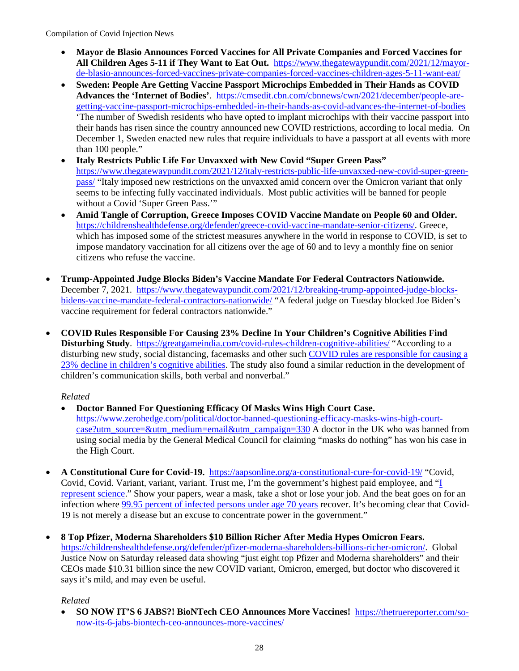- **Mayor de Blasio Announces Forced Vaccines for All Private Companies and Forced Vaccines for All Children Ages 5-11 if They Want to Eat Out.** [https://www.thegatewaypundit.com/2021/12/mayor](https://www.thegatewaypundit.com/2021/12/mayor-de-blasio-announces-forced-vaccines-private-companies-forced-vaccines-children-ages-5-11-want-eat/)[de-blasio-announces-forced-vaccines-private-companies-forced-vaccines-children-ages-5-11-want-eat/](https://www.thegatewaypundit.com/2021/12/mayor-de-blasio-announces-forced-vaccines-private-companies-forced-vaccines-children-ages-5-11-want-eat/)
- **Sweden: People Are Getting Vaccine Passport Microchips Embedded in Their Hands as COVID Advances the 'Internet of Bodies'**. [https://cmsedit.cbn.com/cbnnews/cwn/2021/december/people-are](https://cmsedit.cbn.com/cbnnews/cwn/2021/december/people-are-getting-vaccine-passport-microchips-embedded-in-their-hands-as-covid-advances-the-internet-of-bodies)[getting-vaccine-passport-microchips-embedded-in-their-hands-as-covid-advances-the-internet-of-bodies](https://cmsedit.cbn.com/cbnnews/cwn/2021/december/people-are-getting-vaccine-passport-microchips-embedded-in-their-hands-as-covid-advances-the-internet-of-bodies) 'The number of Swedish residents who have opted to implant microchips with their vaccine passport into their hands has risen since the country announced new COVID restrictions, according to local media. On December 1, Sweden enacted new rules that require individuals to have a passport at all events with more than 100 people."
- **Italy Restricts Public Life For Unvaxxed with New Covid "Super Green Pass"**  [https://www.thegatewaypundit.com/2021/12/italy-restricts-public-life-unvaxxed-new-covid-super-green](https://www.thegatewaypundit.com/2021/12/italy-restricts-public-life-unvaxxed-new-covid-super-green-pass/)[pass/](https://www.thegatewaypundit.com/2021/12/italy-restricts-public-life-unvaxxed-new-covid-super-green-pass/) "Italy imposed new restrictions on the unvaxxed amid concern over the Omicron variant that only seems to be infecting fully vaccinated individuals. Most public activities will be banned for people without a Covid 'Super Green Pass.'"
- **Amid Tangle of Corruption, Greece Imposes COVID Vaccine Mandate on People 60 and Older.** [https://childrenshealthdefense.org/defender/greece-covid-vaccine-mandate-senior-citizens/.](https://childrenshealthdefense.org/defender/greece-covid-vaccine-mandate-senior-citizens/) Greece, which has imposed some of the strictest measures anywhere in the world in response to COVID, is set to impose mandatory vaccination for all citizens over the age of 60 and to levy a monthly fine on senior citizens who refuse the vaccine.
- **Trump-Appointed Judge Blocks Biden's Vaccine Mandate For Federal Contractors Nationwide.** December 7, 2021. [https://www.thegatewaypundit.com/2021/12/breaking-trump-appointed-judge-blocks](https://www.thegatewaypundit.com/2021/12/breaking-trump-appointed-judge-blocks-bidens-vaccine-mandate-federal-contractors-nationwide/)[bidens-vaccine-mandate-federal-contractors-nationwide/](https://www.thegatewaypundit.com/2021/12/breaking-trump-appointed-judge-blocks-bidens-vaccine-mandate-federal-contractors-nationwide/) "A federal judge on Tuesday blocked Joe Biden's vaccine requirement for federal contractors nationwide."
- **COVID Rules Responsible For Causing 23% Decline In Your Children's Cognitive Abilities Find Disturbing Study**. <https://greatgameindia.com/covid-rules-children-cognitive-abilities/>"According to a disturbing new study, social distancing, facemasks and other such [COVID rules are responsible for causing a](https://greatgameindia.com/covid-rules-children-cognitive-abilities/)  [23% decline in children's cognitive abilities.](https://greatgameindia.com/covid-rules-children-cognitive-abilities/) The study also found a similar reduction in the development of children's communication skills, both verbal and nonverbal."

# *Related*

- **Doctor Banned For Questioning Efficacy Of Masks Wins High Court Case.**  [https://www.zerohedge.com/political/doctor-banned-questioning-efficacy-masks-wins-high-court](https://www.zerohedge.com/political/doctor-banned-questioning-efficacy-masks-wins-high-court-case?utm_source=&utm_medium=email&utm_campaign=330)[case?utm\\_source=&utm\\_medium=email&utm\\_campaign=330](https://www.zerohedge.com/political/doctor-banned-questioning-efficacy-masks-wins-high-court-case?utm_source=&utm_medium=email&utm_campaign=330) A doctor in the UK who was banned from using social media by the General Medical Council for claiming "masks do nothing" has won his case in the High Court.
- **A Constitutional Cure for Covid-19.** <https://aapsonline.org/a-constitutional-cure-for-covid-19/>"Covid, Covid, Covid. Variant, variant, variant. Trust me, I'm the government's highest paid employee, and ["I](https://www.mediaite.com/news/fauci-says-criticizing-him-is-dangerous-theyre-really-criticizing-science-because-i-represent-science/)  [represent science.](https://www.mediaite.com/news/fauci-says-criticizing-him-is-dangerous-theyre-really-criticizing-science-because-i-represent-science/)" Show your papers, wear a mask, take a shot or lose your job. And the beat goes on for an infection where [99.95 percent of infected persons under age 70 years](https://www.ncbi.nlm.nih.gov/labs/pmc/articles/PMC7947934/) recover. It's becoming clear that Covid-19 is not merely a disease but an excuse to concentrate power in the government."
- **8 Top Pfizer, Moderna Shareholders \$10 Billion Richer After Media Hypes Omicron Fears.**  [https://childrenshealthdefense.org/defender/pfizer-moderna-shareholders-billions-richer-omicron/.](https://childrenshealthdefense.org/defender/pfizer-moderna-shareholders-billions-richer-omicron/) Global Justice Now on Saturday released data showing "just eight top Pfizer and Moderna shareholders" and their CEOs made \$10.31 billion since the new COVID variant, Omicron, emerged, but doctor who discovered it says it's mild, and may even be useful.

*Related*

• **SO NOW IT'S 6 JABS?! BioNTech CEO Announces More Vaccines!** [https://thetruereporter.com/so](https://thetruereporter.com/so-now-its-6-jabs-biontech-ceo-announces-more-vaccines/)[now-its-6-jabs-biontech-ceo-announces-more-vaccines/](https://thetruereporter.com/so-now-its-6-jabs-biontech-ceo-announces-more-vaccines/)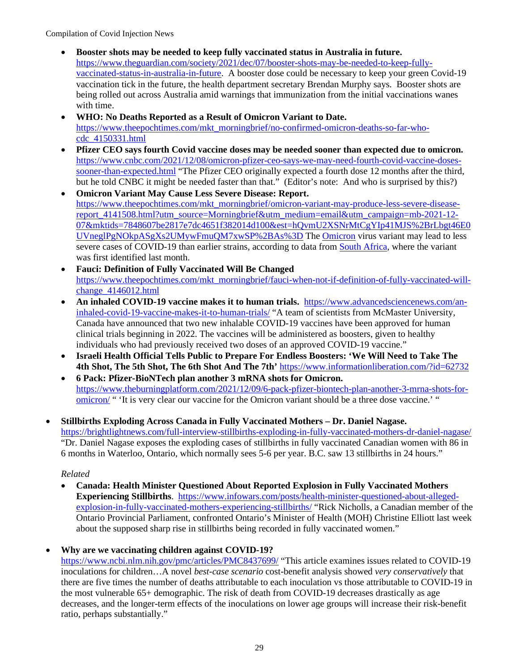- **Booster shots may be needed to keep fully vaccinated status in Australia in future.** [https://www.theguardian.com/society/2021/dec/07/booster-shots-may-be-needed-to-keep-fully](https://www.theguardian.com/society/2021/dec/07/booster-shots-may-be-needed-to-keep-fully-vaccinated-status-in-australia-in-future)[vaccinated-status-in-australia-in-future.](https://www.theguardian.com/society/2021/dec/07/booster-shots-may-be-needed-to-keep-fully-vaccinated-status-in-australia-in-future) A booster dose could be necessary to keep your green Covid-19 vaccination tick in the future, the health department secretary Brendan Murphy says. Booster shots are being rolled out across Australia amid warnings that immunization from the initial vaccinations wanes with time.
- **WHO: No Deaths Reported as a Result of Omicron Variant to Date.**  [https://www.theepochtimes.com/mkt\\_morningbrief/no-confirmed-omicron-deaths-so-far-who](https://www.theepochtimes.com/mkt_morningbrief/no-confirmed-omicron-deaths-so-far-who-cdc_4150331.html)[cdc\\_4150331.html](https://www.theepochtimes.com/mkt_morningbrief/no-confirmed-omicron-deaths-so-far-who-cdc_4150331.html)
- **Pfizer CEO says fourth Covid vaccine doses may be needed sooner than expected due to omicron.**  [https://www.cnbc.com/2021/12/08/omicron-pfizer-ceo-says-we-may-need-fourth-covid-vaccine-doses](https://www.cnbc.com/2021/12/08/omicron-pfizer-ceo-says-we-may-need-fourth-covid-vaccine-doses-sooner-than-expected.html)[sooner-than-expected.html](https://www.cnbc.com/2021/12/08/omicron-pfizer-ceo-says-we-may-need-fourth-covid-vaccine-doses-sooner-than-expected.html) "The Pfizer CEO originally expected a fourth dose 12 months after the third, but he told CNBC it might be needed faster than that." (Editor's note: And who is surprised by this?)
- **Omicron Variant May Cause Less Severe Disease: Report.** [https://www.theepochtimes.com/mkt\\_morningbrief/omicron-variant-may-produce-less-severe-disease](https://www.theepochtimes.com/mkt_morningbrief/omicron-variant-may-produce-less-severe-disease-report_4141508.html?utm_source=Morningbrief&utm_medium=email&utm_campaign=mb-2021-12-07&mktids=7848607be2817e7dc4651f382014d100&est=hQvmU2XSNrMtCgYIp41MJS%2BrLbgt46E0UVneglPgNOkpASgXs2UMywFmuQM7xwSP%2BAs%3D)[report\\_4141508.html?utm\\_source=Morningbrief&utm\\_medium=email&utm\\_campaign=mb-2021-12-](https://www.theepochtimes.com/mkt_morningbrief/omicron-variant-may-produce-less-severe-disease-report_4141508.html?utm_source=Morningbrief&utm_medium=email&utm_campaign=mb-2021-12-07&mktids=7848607be2817e7dc4651f382014d100&est=hQvmU2XSNrMtCgYIp41MJS%2BrLbgt46E0UVneglPgNOkpASgXs2UMywFmuQM7xwSP%2BAs%3D) [07&mktids=7848607be2817e7dc4651f382014d100&est=hQvmU2XSNrMtCgYIp41MJS%2BrLbgt46E0](https://www.theepochtimes.com/mkt_morningbrief/omicron-variant-may-produce-less-severe-disease-report_4141508.html?utm_source=Morningbrief&utm_medium=email&utm_campaign=mb-2021-12-07&mktids=7848607be2817e7dc4651f382014d100&est=hQvmU2XSNrMtCgYIp41MJS%2BrLbgt46E0UVneglPgNOkpASgXs2UMywFmuQM7xwSP%2BAs%3D) [UVneglPgNOkpASgXs2UMywFmuQM7xwSP%2BAs%3D](https://www.theepochtimes.com/mkt_morningbrief/omicron-variant-may-produce-less-severe-disease-report_4141508.html?utm_source=Morningbrief&utm_medium=email&utm_campaign=mb-2021-12-07&mktids=7848607be2817e7dc4651f382014d100&est=hQvmU2XSNrMtCgYIp41MJS%2BrLbgt46E0UVneglPgNOkpASgXs2UMywFmuQM7xwSP%2BAs%3D) The [Omicron](https://www.theepochtimes.com/t-omicron) virus variant may lead to less severe cases of COVID-19 than earlier strains, according to data from [South Africa,](https://www.theepochtimes.com/t-south-africa) where the variant was first identified last month.
- **Fauci: Definition of Fully Vaccinated Will Be Changed**  [https://www.theepochtimes.com/mkt\\_morningbrief/fauci-when-not-if-definition-of-fully-vaccinated-will](https://www.theepochtimes.com/mkt_morningbrief/fauci-when-not-if-definition-of-fully-vaccinated-will-change_4146012.html)[change\\_4146012.html](https://www.theepochtimes.com/mkt_morningbrief/fauci-when-not-if-definition-of-fully-vaccinated-will-change_4146012.html)
- **An inhaled COVID-19 vaccine makes it to human trials.** [https://www.advancedsciencenews.com/an](https://www.advancedsciencenews.com/an-inhaled-covid-19-vaccine-makes-it-to-human-trials/)[inhaled-covid-19-vaccine-makes-it-to-human-trials/](https://www.advancedsciencenews.com/an-inhaled-covid-19-vaccine-makes-it-to-human-trials/) "A team of scientists from McMaster University, Canada have announced that two new inhalable COVID-19 vaccines have been approved for human clinical trials beginning in 2022. The vaccines will be administered as boosters, given to healthy individuals who had previously received two doses of an approved COVID-19 vaccine."
- **Israeli Health Official Tells Public to Prepare For Endless Boosters: 'We Will Need to Take The 4th Shot, The 5th Shot, The 6th Shot And The 7th'** <https://www.informationliberation.com/?id=62732>
- **6 Pack: Pfizer-BioNTech plan another 3 mRNA shots for Omicron.** [https://www.theburningplatform.com/2021/12/09/6-pack-pfizer-biontech-plan-another-3-mrna-shots-for](https://www.theburningplatform.com/2021/12/09/6-pack-pfizer-biontech-plan-another-3-mrna-shots-for-omicron/)[omicron/](https://www.theburningplatform.com/2021/12/09/6-pack-pfizer-biontech-plan-another-3-mrna-shots-for-omicron/) " 'It is very clear our vaccine for the Omicron variant should be a three dose vaccine.' "
- **Stillbirths Exploding Across Canada in Fully Vaccinated Mothers Dr. Daniel Nagase.**  <https://brightlightnews.com/full-interview-stillbirths-exploding-in-fully-vaccinated-mothers-dr-daniel-nagase/> "Dr. Daniel Nagase exposes the exploding cases of stillbirths in fully vaccinated Canadian women with 86 in 6 months in Waterloo, Ontario, which normally sees 5-6 per year. B.C. saw 13 stillbirths in 24 hours."

## *Related*

• **Canada: Health Minister Questioned About Reported Explosion in Fully Vaccinated Mothers Experiencing Stillbirths**. [https://www.infowars.com/posts/health-minister-questioned-about-alleged](https://www.infowars.com/posts/health-minister-questioned-about-alleged-explosion-in-fully-vaccinated-mothers-experiencing-stillbirths/)[explosion-in-fully-vaccinated-mothers-experiencing-stillbirths/](https://www.infowars.com/posts/health-minister-questioned-about-alleged-explosion-in-fully-vaccinated-mothers-experiencing-stillbirths/) "Rick Nicholls, a Canadian member of the Ontario Provincial Parliament, confronted Ontario's Minister of Health (MOH) Christine Elliott last week about the supposed sharp rise in stillbirths being recorded in fully vaccinated women."

# • **Why are we vaccinating children against COVID-19?**

<https://www.ncbi.nlm.nih.gov/pmc/articles/PMC8437699/>"This article examines issues related to COVID-19 inoculations for children…A novel *best-case scenario* cost-benefit analysis showed *very conservatively* that there are five times the number of deaths attributable to each inoculation vs those attributable to COVID-19 in the most vulnerable 65+ demographic. The risk of death from COVID-19 decreases drastically as age decreases, and the longer-term effects of the inoculations on lower age groups will increase their risk-benefit ratio, perhaps substantially."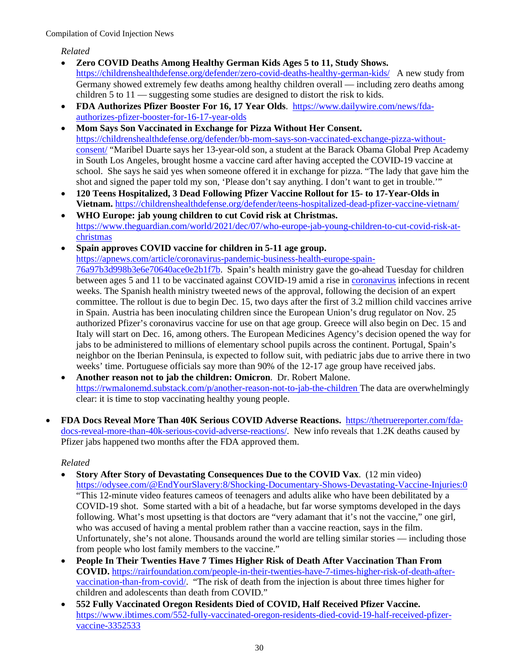*Related*

- **Zero COVID Deaths Among Healthy German Kids Ages 5 to 11, Study Shows.**  <https://childrenshealthdefense.org/defender/zero-covid-deaths-healthy-german-kids/>A new study from Germany showed extremely few deaths among healthy children overall — including zero deaths among children 5 to 11 — suggesting some studies are designed to distort the risk to kids.
- **FDA Authorizes Pfizer Booster For 16, 17 Year Olds**. [https://www.dailywire.com/news/fda](https://www.dailywire.com/news/fda-authorizes-pfizer-booster-for-16-17-year-olds)[authorizes-pfizer-booster-for-16-17-year-olds](https://www.dailywire.com/news/fda-authorizes-pfizer-booster-for-16-17-year-olds)
- **Mom Says Son Vaccinated in Exchange for Pizza Without Her Consent.**  [https://childrenshealthdefense.org/defender/bb-mom-says-son-vaccinated-exchange-pizza-without](https://childrenshealthdefense.org/defender/bb-mom-says-son-vaccinated-exchange-pizza-without-consent/)[consent/](https://childrenshealthdefense.org/defender/bb-mom-says-son-vaccinated-exchange-pizza-without-consent/) "Maribel Duarte says her 13-year-old son, a student at the Barack Obama Global Prep Academy in South Los Angeles, brought hosme a vaccine card after having accepted the COVID-19 vaccine at school. She says he said yes when someone offered it in exchange for pizza. "The lady that gave him the shot and signed the paper told my son, 'Please don't say anything. I don't want to get in trouble.'"
- **120 Teens Hospitalized, 3 Dead Following Pfizer Vaccine Rollout for 15- to 17-Year-Olds in Vietnam.** <https://childrenshealthdefense.org/defender/teens-hospitalized-dead-pfizer-vaccine-vietnam/>
- **WHO Europe: jab young children to cut Covid risk at Christmas.** [https://www.theguardian.com/world/2021/dec/07/who-europe-jab-young-children-to-cut-covid-risk-at](https://www.theguardian.com/world/2021/dec/07/who-europe-jab-young-children-to-cut-covid-risk-at-christmas)[christmas](https://www.theguardian.com/world/2021/dec/07/who-europe-jab-young-children-to-cut-covid-risk-at-christmas)
- **Spain approves COVID vaccine for children in 5-11 age group.**

[https://apnews.com/article/coronavirus-pandemic-business-health-europe-spain-](https://apnews.com/article/coronavirus-pandemic-business-health-europe-spain-76a97b3d998b3e6e70640ace0e2b1f7b)

[76a97b3d998b3e6e70640ace0e2b1f7b.](https://apnews.com/article/coronavirus-pandemic-business-health-europe-spain-76a97b3d998b3e6e70640ace0e2b1f7b) Spain's health ministry gave the go-ahead Tuesday for children between ages 5 and 11 to be vaccinated against COVID-19 amid a rise in [coronavirus](https://apnews.com/article/coronavirus) infections in recent weeks. The Spanish health ministry tweeted news of the approval, following the decision of an expert committee. The rollout is due to begin Dec. 15, two days after the first of 3.2 million child vaccines arrive in Spain. Austria has been inoculating children since the European Union's drug regulator on Nov. 25 authorized Pfizer's coronavirus vaccine for use on that age group. Greece will also begin on Dec. 15 and Italy will start on Dec. 16, among others. The European Medicines Agency's decision opened the way for jabs to be administered to millions of elementary school pupils across the continent. Portugal, Spain's neighbor on the Iberian Peninsula, is expected to follow suit, with pediatric jabs due to arrive there in two weeks' time. Portuguese officials say more than 90% of the 12-17 age group have received jabs.

- **Another reason not to jab the children: Omicron**. Dr. Robert Malone. <https://rwmalonemd.substack.com/p/another-reason-not-to-jab-the-children> The data are overwhelmingly clear: it is time to stop vaccinating healthy young people.
- **FDA Docs Reveal More Than 40K Serious COVID Adverse Reactions.** [https://thetruereporter.com/fda](https://thetruereporter.com/fda-docs-reveal-more-than-40k-serious-covid-adverse-reactions/)[docs-reveal-more-than-40k-serious-covid-adverse-reactions/.](https://thetruereporter.com/fda-docs-reveal-more-than-40k-serious-covid-adverse-reactions/) New info reveals that 1.2K deaths caused by Pfizer jabs happened two months after the FDA approved them.

- **Story After Story of Devastating Consequences Due to the COVID Vax**. (12 min video) <https://odysee.com/@EndYourSlavery:8/Shocking-Documentary-Shows-Devastating-Vaccine-Injuries:0> "This 12-minute video features cameos of teenagers and adults alike who have been debilitated by a COVID-19 shot. Some started with a bit of a headache, but far worse symptoms developed in the days following. What's most upsetting is that doctors are "very adamant that it's not the vaccine," one girl, who was accused of having a mental problem rather than a vaccine reaction, says in the film. Unfortunately, she's not alone. Thousands around the world are telling similar stories — including those from people who lost family members to the vaccine."
- **People In Their Twenties Have 7 Times Higher Risk of Death After Vaccination Than From COVID.** [https://rairfoundation.com/people-in-their-twenties-have-7-times-higher-risk-of-death-after](https://rairfoundation.com/people-in-their-twenties-have-7-times-higher-risk-of-death-after-vaccination-than-from-covid/)[vaccination-than-from-covid/.](https://rairfoundation.com/people-in-their-twenties-have-7-times-higher-risk-of-death-after-vaccination-than-from-covid/) "The risk of death from the injection is about three times higher for children and adolescents than death from COVID."
- **552 Fully Vaccinated Oregon Residents Died of COVID, Half Received Pfizer Vaccine.**  [https://www.ibtimes.com/552-fully-vaccinated-oregon-residents-died-covid-19-half-received-pfizer](https://www.ibtimes.com/552-fully-vaccinated-oregon-residents-died-covid-19-half-received-pfizer-vaccine-3352533)[vaccine-3352533](https://www.ibtimes.com/552-fully-vaccinated-oregon-residents-died-covid-19-half-received-pfizer-vaccine-3352533)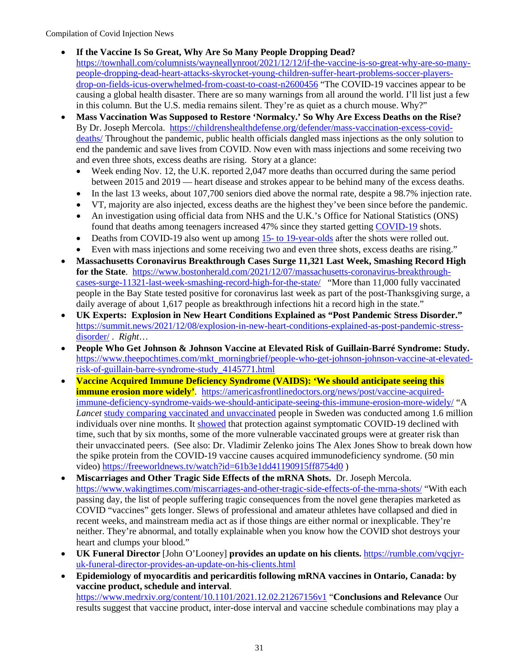- **If the Vaccine Is So Great, Why Are So Many People Dropping Dead?** [https://townhall.com/columnists/wayneallynroot/2021/12/12/if-the-vaccine-is-so-great-why-are-so-many](https://townhall.com/columnists/wayneallynroot/2021/12/12/if-the-vaccine-is-so-great-why-are-so-many-people-dropping-dead-heart-attacks-skyrocket-young-children-suffer-heart-problems-soccer-players-drop-on-fields-icus-overwhelmed-from-coast-to-coast-n2600456)[people-dropping-dead-heart-attacks-skyrocket-young-children-suffer-heart-problems-soccer-players](https://townhall.com/columnists/wayneallynroot/2021/12/12/if-the-vaccine-is-so-great-why-are-so-many-people-dropping-dead-heart-attacks-skyrocket-young-children-suffer-heart-problems-soccer-players-drop-on-fields-icus-overwhelmed-from-coast-to-coast-n2600456)[drop-on-fields-icus-overwhelmed-from-coast-to-coast-n2600456](https://townhall.com/columnists/wayneallynroot/2021/12/12/if-the-vaccine-is-so-great-why-are-so-many-people-dropping-dead-heart-attacks-skyrocket-young-children-suffer-heart-problems-soccer-players-drop-on-fields-icus-overwhelmed-from-coast-to-coast-n2600456) "The COVID-19 vaccines appear to be causing a global health disaster. There are so many warnings from all around the world. I'll list just a few in this column. But the U.S. media remains silent. They're as quiet as a church mouse. Why?"
- **Mass Vaccination Was Supposed to Restore 'Normalcy.' So Why Are Excess Deaths on the Rise?** By Dr. Joseph Mercola. [https://childrenshealthdefense.org/defender/mass-vaccination-excess-covid](https://childrenshealthdefense.org/defender/mass-vaccination-excess-covid-deaths/)[deaths/](https://childrenshealthdefense.org/defender/mass-vaccination-excess-covid-deaths/) Throughout the pandemic, public health officials dangled mass injections as the only solution to end the pandemic and save lives from COVID. Now even with mass injections and some receiving two and even three shots, excess deaths are rising. Story at a glance:
	- Week ending Nov. 12, the U.K. reported 2,047 more deaths than occurred during the same period between 2015 and 2019 — heart disease and strokes appear to be behind many of the excess deaths.
	- In the last 13 weeks, about 107,700 seniors died above the normal rate, despite a 98.7% injection rate.
	- VT, majority are also injected, excess deaths are the highest they've been since before the pandemic.
	- An investigation using official data from NHS and the U.K.'s Office for National Statistics (ONS) found that deaths among teenagers increased 47% since they started getting [COVID-19](https://childrenshealthdefense.org/defender_category/covid/) shots.
	- Deaths from COVID-19 also went up amon[g 15- to 19-year-olds](https://childrenshealthdefense.org/defender/teens-hospitalized-dead-pfizer-vaccine-vietnam/) after the shots were rolled out.
	- Even with mass injections and some receiving two and even three shots, excess deaths are rising."
- **Massachusetts Coronavirus Breakthrough Cases Surge 11,321 Last Week, Smashing Record High for the State**. [https://www.bostonherald.com/2021/12/07/massachusetts-coronavirus-breakthrough](https://www.bostonherald.com/2021/12/07/massachusetts-coronavirus-breakthrough-cases-surge-11321-last-week-smashing-record-high-for-the-state/)[cases-surge-11321-last-week-smashing-record-high-for-the-state/](https://www.bostonherald.com/2021/12/07/massachusetts-coronavirus-breakthrough-cases-surge-11321-last-week-smashing-record-high-for-the-state/) "More than 11,000 fully vaccinated people in the Bay State tested positive for coronavirus last week as part of the post-Thanksgiving surge, a daily average of about 1,617 people as breakthrough infections hit a record high in the state."
- **UK Experts: Explosion in New Heart Conditions Explained as "Post Pandemic Stress Disorder."**  [https://summit.news/2021/12/08/explosion-in-new-heart-conditions-explained-as-post-pandemic-stress](https://summit.news/2021/12/08/explosion-in-new-heart-conditions-explained-as-post-pandemic-stress-disorder/)[disorder/](https://summit.news/2021/12/08/explosion-in-new-heart-conditions-explained-as-post-pandemic-stress-disorder/) . *Right*…
- **People Who Get Johnson & Johnson Vaccine at Elevated Risk of Guillain-Barré Syndrome: Study.** [https://www.theepochtimes.com/mkt\\_morningbrief/people-who-get-johnson-johnson-vaccine-at-elevated](https://www.theepochtimes.com/mkt_morningbrief/people-who-get-johnson-johnson-vaccine-at-elevated-risk-of-guillain-barre-syndrome-study_4145771.html)[risk-of-guillain-barre-syndrome-study\\_4145771.html](https://www.theepochtimes.com/mkt_morningbrief/people-who-get-johnson-johnson-vaccine-at-elevated-risk-of-guillain-barre-syndrome-study_4145771.html)
- **Vaccine Acquired Immune Deficiency Syndrome (VAIDS): 'We should anticipate seeing this immune erosion more widely'**. [https://americasfrontlinedoctors.org/news/post/vaccine-acquired](https://americasfrontlinedoctors.org/news/post/vaccine-acquired-immune-deficiency-syndrome-vaids-we-should-anticipate-seeing-this-immune-erosion-more-widely/)[immune-deficiency-syndrome-vaids-we-should-anticipate-seeing-this-immune-erosion-more-widely/](https://americasfrontlinedoctors.org/news/post/vaccine-acquired-immune-deficiency-syndrome-vaids-we-should-anticipate-seeing-this-immune-erosion-more-widely/) "A *Lancet* [study comparing vaccinated and unvaccinated](https://papers.ssrn.com/sol3/papers.cfm?abstract_id=3949410) people in Sweden was conducted among 1.6 million individuals over nine months. It [showed](https://boriquagato.substack.com/p/swedish-study-shows-covid-vaccines) that protection against symptomatic COVID-19 declined with time, such that by six months, some of the more vulnerable vaccinated groups were at greater risk than their unvaccinated peers. (See also: Dr. Vladimir Zelenko joins The Alex Jones Show to break down how the spike protein from the COVID-19 vaccine causes acquired immunodeficiency syndrome. (50 min video)<https://freeworldnews.tv/watch?id=61b3e1dd41190915ff8754d0>)
- **Miscarriages and Other Tragic Side Effects of the mRNA Shots.** Dr. Joseph Mercola. <https://www.wakingtimes.com/miscarriages-and-other-tragic-side-effects-of-the-mrna-shots/>"With each passing day, the list of people suffering tragic consequences from the novel gene therapies marketed as COVID "vaccines" gets longer. Slews of professional and amateur athletes have collapsed and died in recent weeks, and mainstream media act as if those things are either normal or inexplicable. They're neither. They're abnormal, and totally explainable when you know how the COVID shot destroys your heart and clumps your blood."
- **UK Funeral Director** [John O'Looney] **provides an update on his clients.** [https://rumble.com/vqcjyr](https://rumble.com/vqcjyr-uk-funeral-director-provides-an-update-on-his-clients.html)[uk-funeral-director-provides-an-update-on-his-clients.html](https://rumble.com/vqcjyr-uk-funeral-director-provides-an-update-on-his-clients.html)
- **Epidemiology of myocarditis and pericarditis following mRNA vaccines in Ontario, Canada: by vaccine product, schedule and interval**. <https://www.medrxiv.org/content/10.1101/2021.12.02.21267156v1>"**Conclusions and Relevance** Our results suggest that vaccine product, inter-dose interval and vaccine schedule combinations may play a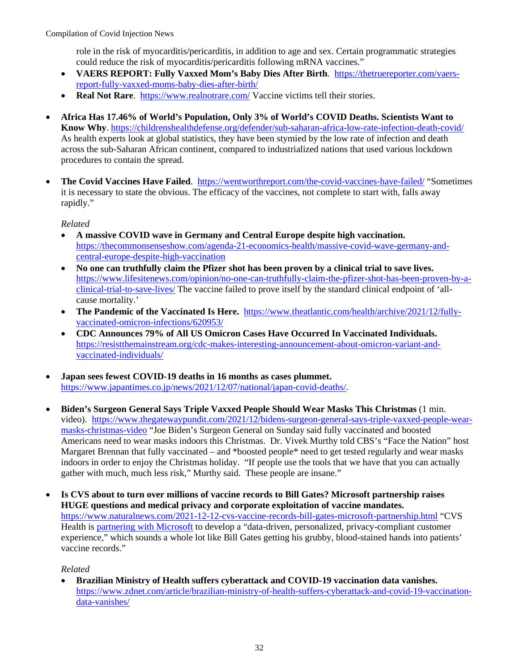role in the risk of myocarditis/pericarditis, in addition to age and sex. Certain programmatic strategies could reduce the risk of myocarditis/pericarditis following mRNA vaccines."

- **VAERS REPORT: Fully Vaxxed Mom's Baby Dies After Birth**. [https://thetruereporter.com/vaers](https://thetruereporter.com/vaers-report-fully-vaxxed-moms-baby-dies-after-birth/)[report-fully-vaxxed-moms-baby-dies-after-birth/](https://thetruereporter.com/vaers-report-fully-vaxxed-moms-baby-dies-after-birth/)
- **Real Not Rare**. <https://www.realnotrare.com/> Vaccine victims tell their stories.
- **Africa Has 17.46% of World's Population, Only 3% of World's COVID Deaths. Scientists Want to Know Why**.<https://childrenshealthdefense.org/defender/sub-saharan-africa-low-rate-infection-death-covid/> As health experts look at global statistics, they have been stymied by the low rate of infection and death across the sub-Saharan African continent, compared to industrialized nations that used various lockdown procedures to contain the spread.
- The Covid Vaccines Have Failed. <https://wentworthreport.com/the-covid-vaccines-have-failed/>"Sometimes it is necessary to state the obvious. The efficacy of the vaccines, not complete to start with, falls away rapidly."

*Related*

- **A massive COVID wave in Germany and Central Europe despite high vaccination.** [https://thecommonsenseshow.com/agenda-21-economics-health/massive-covid-wave-germany-and](https://thecommonsenseshow.com/agenda-21-economics-health/massive-covid-wave-germany-and-central-europe-despite-high-vaccination)[central-europe-despite-high-vaccination](https://thecommonsenseshow.com/agenda-21-economics-health/massive-covid-wave-germany-and-central-europe-despite-high-vaccination)
- **No one can truthfully claim the Pfizer shot has been proven by a clinical trial to save lives.** [https://www.lifesitenews.com/opinion/no-one-can-truthfully-claim-the-pfizer-shot-has-been-proven-by-a](https://www.lifesitenews.com/opinion/no-one-can-truthfully-claim-the-pfizer-shot-has-been-proven-by-a-clinical-trial-to-save-lives/)[clinical-trial-to-save-lives/](https://www.lifesitenews.com/opinion/no-one-can-truthfully-claim-the-pfizer-shot-has-been-proven-by-a-clinical-trial-to-save-lives/) The vaccine failed to prove itself by the standard clinical endpoint of 'allcause mortality.'
- **The Pandemic of the Vaccinated Is Here.** [https://www.theatlantic.com/health/archive/2021/12/fully](https://www.theatlantic.com/health/archive/2021/12/fully-vaccinated-omicron-infections/620953/)[vaccinated-omicron-infections/620953/](https://www.theatlantic.com/health/archive/2021/12/fully-vaccinated-omicron-infections/620953/)
- **CDC Announces 79% of All US Omicron Cases Have Occurred In Vaccinated Individuals.**  [https://resistthemainstream.org/cdc-makes-interesting-announcement-about-omicron-variant-and](https://resistthemainstream.org/cdc-makes-interesting-announcement-about-omicron-variant-and-vaccinated-individuals/)[vaccinated-individuals/](https://resistthemainstream.org/cdc-makes-interesting-announcement-about-omicron-variant-and-vaccinated-individuals/)
- **Japan sees fewest COVID-19 deaths in 16 months as cases plummet.**  [https://www.japantimes.co.jp/news/2021/12/07/national/japan-covid-deaths/.](https://www.japantimes.co.jp/news/2021/12/07/national/japan-covid-deaths/)
- **Biden's Surgeon General Says Triple Vaxxed People Should Wear Masks This Christmas** (1 min. video). [https://www.thegatewaypundit.com/2021/12/bidens-surgeon-general-says-triple-vaxxed-people-wear](https://www.thegatewaypundit.com/2021/12/bidens-surgeon-general-says-triple-vaxxed-people-wear-masks-christmas-video)[masks-christmas-video](https://www.thegatewaypundit.com/2021/12/bidens-surgeon-general-says-triple-vaxxed-people-wear-masks-christmas-video) "Joe Biden's Surgeon General on Sunday said fully vaccinated and boosted Americans need to wear masks indoors this Christmas. Dr. Vivek Murthy told CBS's "Face the Nation" host Margaret Brennan that fully vaccinated – and \*boosted people\* need to get tested regularly and wear masks indoors in order to enjoy the Christmas holiday. "If people use the tools that we have that you can actually gather with much, much less risk," Murthy said. These people are insane."
- **Is CVS about to turn over millions of vaccine records to Bill Gates? Microsoft partnership raises HUGE questions and medical privacy and corporate exploitation of vaccine mandates.** <https://www.naturalnews.com/2021-12-12-cvs-vaccine-records-bill-gates-microsoft-partnership.html>"CVS Health is [partnering with Microsoft](https://chainstoreage.com/cvs-enters-digital-health-partnership-microsoft) to develop a "data-driven, personalized, privacy-compliant customer experience," which sounds a whole lot like Bill Gates getting his grubby, blood-stained hands into patients' vaccine records."

## *Related*

• **Brazilian Ministry of Health suffers cyberattack and COVID-19 vaccination data vanishes.** [https://www.zdnet.com/article/brazilian-ministry-of-health-suffers-cyberattack-and-covid-19-vaccination](https://www.zdnet.com/article/brazilian-ministry-of-health-suffers-cyberattack-and-covid-19-vaccination-data-vanishes/)[data-vanishes/](https://www.zdnet.com/article/brazilian-ministry-of-health-suffers-cyberattack-and-covid-19-vaccination-data-vanishes/)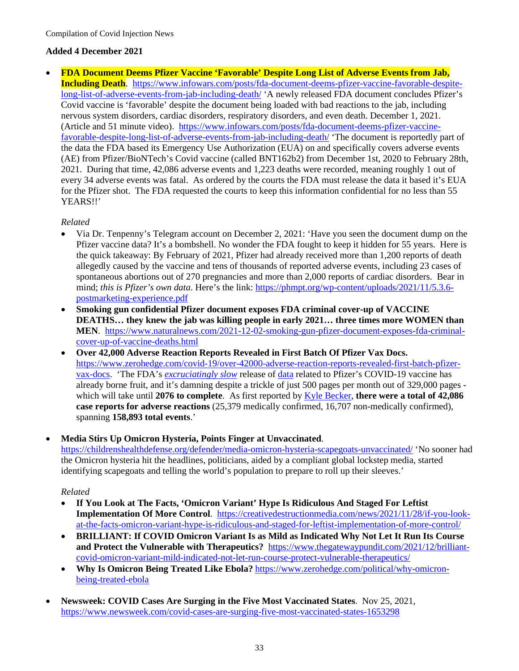## **Added 4 December 2021**

• **FDA Document Deems Pfizer Vaccine 'Favorable' Despite Long List of Adverse Events from Jab, Including Death**. [https://www.infowars.com/posts/fda-document-deems-pfizer-vaccine-favorable-despite](https://www.infowars.com/posts/fda-document-deems-pfizer-vaccine-favorable-despite-long-list-of-adverse-events-from-jab-including-death/)[long-list-of-adverse-events-from-jab-including-death/](https://www.infowars.com/posts/fda-document-deems-pfizer-vaccine-favorable-despite-long-list-of-adverse-events-from-jab-including-death/) 'A newly released FDA document concludes Pfizer's Covid vaccine is 'favorable' despite the document being loaded with bad reactions to the jab, including nervous system disorders, cardiac disorders, respiratory disorders, and even death. December 1, 2021. (Article and 51 minute video). [https://www.infowars.com/posts/fda-document-deems-pfizer-vaccine](https://www.infowars.com/posts/fda-document-deems-pfizer-vaccine-favorable-despite-long-list-of-adverse-events-from-jab-including-death/)[favorable-despite-long-list-of-adverse-events-from-jab-including-death/](https://www.infowars.com/posts/fda-document-deems-pfizer-vaccine-favorable-despite-long-list-of-adverse-events-from-jab-including-death/) 'The document is reportedly part of the data the FDA based its Emergency Use Authorization (EUA) on and specifically covers adverse events (AE) from Pfizer/BioNTech's Covid vaccine (called BNT162b2) from December 1st, 2020 to February 28th, 2021. During that time, 42,086 adverse events and 1,223 deaths were recorded, meaning roughly 1 out of every 34 adverse events was fatal. As ordered by the courts the FDA must release the data it based it's EUA for the Pfizer shot. The FDA requested the courts to keep this information confidential for no less than 55 YEARS!!'

## *Related*

- Via Dr. Tenpenny's Telegram account on December 2, 2021: 'Have you seen the document dump on the Pfizer vaccine data? It's a bombshell. No wonder the FDA fought to keep it hidden for 55 years. Here is the quick takeaway: By February of 2021, Pfizer had already received more than 1,200 reports of death allegedly caused by the vaccine and tens of thousands of reported adverse events, including 23 cases of spontaneous abortions out of 270 pregnancies and more than 2,000 reports of cardiac disorders. Bear in mind; *this is Pfizer's own data*. Here's the link: [https://phmpt.org/wp-content/uploads/2021/11/5.3.6](https://phmpt.org/wp-content/uploads/2021/11/5.3.6-postmarketing-experience.pdf) [postmarketing-experience.pdf](https://phmpt.org/wp-content/uploads/2021/11/5.3.6-postmarketing-experience.pdf)
- **Smoking gun confidential Pfizer document exposes FDA criminal cover-up of VACCINE DEATHS… they knew the jab was killing people in early 2021… three times more WOMEN than MEN**. [https://www.naturalnews.com/2021-12-02-smoking-gun-pfizer-document-exposes-fda-criminal](https://www.naturalnews.com/2021-12-02-smoking-gun-pfizer-document-exposes-fda-criminal-cover-up-of-vaccine-deaths.html)[cover-up-of-vaccine-deaths.html](https://www.naturalnews.com/2021-12-02-smoking-gun-pfizer-document-exposes-fda-criminal-cover-up-of-vaccine-deaths.html)
- **Over 42,000 Adverse Reaction Reports Revealed in First Batch Of Pfizer Vax Docs.** [https://www.zerohedge.com/covid-19/over-42000-adverse-reaction-reports-revealed-first-batch-pfizer](https://www.zerohedge.com/covid-19/over-42000-adverse-reaction-reports-revealed-first-batch-pfizer-vax-docs)[vax-docs.](https://www.zerohedge.com/covid-19/over-42000-adverse-reaction-reports-revealed-first-batch-pfizer-vax-docs) 'The FDA's *[excruciatingly slow](https://www.zerohedge.com/covid-19/fda-wants-until-2076-fully-release-pfizer-vaccine-data-lawsuit)* release of [data](https://phmpt.org/wp-content/uploads/2021/11/5.3.6-postmarketing-experience.pdf) related to Pfizer's COVID-19 vaccine has already borne fruit, and it's damning despite a trickle of just 500 pages per month out of 329,000 pages which will take until **2076 to complete**. As first reported by [Kyle Becker,](https://thekylebecker.substack.com/p/the-fda-produced-first-batch-of-confidential) **there were a total of 42,086 case reports for adverse reactions** (25,379 medically confirmed, 16,707 non-medically confirmed), spanning **158,893 total events**.'

#### • **Media Stirs Up Omicron Hysteria, Points Finger at Unvaccinated**.

<https://childrenshealthdefense.org/defender/media-omicron-hysteria-scapegoats-unvaccinated/>'No sooner had the Omicron hysteria hit the headlines, politicians, aided by a compliant global lockstep media, started identifying scapegoats and telling the world's population to prepare to roll up their sleeves.'

- **If You Look at The Facts, 'Omicron Variant' Hype Is Ridiculous And Staged For Leftist Implementation Of More Control**. [https://creativedestructionmedia.com/news/2021/11/28/if-you-look](https://creativedestructionmedia.com/news/2021/11/28/if-you-look-at-the-facts-omicron-variant-hype-is-ridiculous-and-staged-for-leftist-implementation-of-more-control/)[at-the-facts-omicron-variant-hype-is-ridiculous-and-staged-for-leftist-implementation-of-more-control/](https://creativedestructionmedia.com/news/2021/11/28/if-you-look-at-the-facts-omicron-variant-hype-is-ridiculous-and-staged-for-leftist-implementation-of-more-control/)
- **BRILLIANT: If COVID Omicron Variant Is as Mild as Indicated Why Not Let It Run Its Course and Protect the Vulnerable with Therapeutics?** [https://www.thegatewaypundit.com/2021/12/brilliant](https://www.thegatewaypundit.com/2021/12/brilliant-covid-omicron-variant-mild-indicated-not-let-run-course-protect-vulnerable-therapeutics/)[covid-omicron-variant-mild-indicated-not-let-run-course-protect-vulnerable-therapeutics/](https://www.thegatewaypundit.com/2021/12/brilliant-covid-omicron-variant-mild-indicated-not-let-run-course-protect-vulnerable-therapeutics/)
- **Why Is Omicron Being Treated Like Ebola?** [https://www.zerohedge.com/political/why-omicron](https://www.zerohedge.com/political/why-omicron-being-treated-ebola)[being-treated-ebola](https://www.zerohedge.com/political/why-omicron-being-treated-ebola)
- **Newsweek: COVID Cases Are Surging in the Five Most Vaccinated States**. Nov 25, 2021, <https://www.newsweek.com/covid-cases-are-surging-five-most-vaccinated-states-1653298>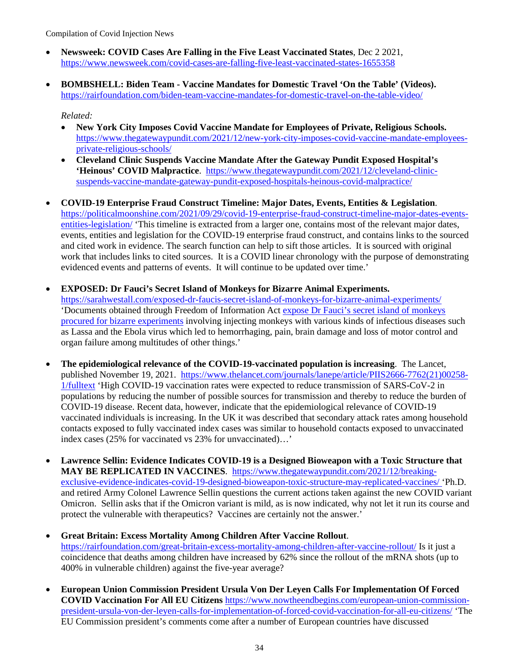- **Newsweek: COVID Cases Are Falling in the Five Least Vaccinated States**, Dec 2 2021, <https://www.newsweek.com/covid-cases-are-falling-five-least-vaccinated-states-1655358>
- **BOMBSHELL: Biden Team Vaccine Mandates for Domestic Travel 'On the Table' (Videos).**  <https://rairfoundation.com/biden-team-vaccine-mandates-for-domestic-travel-on-the-table-video/>

#### *Related:*

- **New York City Imposes Covid Vaccine Mandate for Employees of Private, Religious Schools.**  [https://www.thegatewaypundit.com/2021/12/new-york-city-imposes-covid-vaccine-mandate-employees](https://www.thegatewaypundit.com/2021/12/new-york-city-imposes-covid-vaccine-mandate-employees-private-religious-schools/)[private-religious-schools/](https://www.thegatewaypundit.com/2021/12/new-york-city-imposes-covid-vaccine-mandate-employees-private-religious-schools/)
- **Cleveland Clinic Suspends Vaccine Mandate After the Gateway Pundit Exposed Hospital's**  'Heinous' COVID Malpractice. [https://www.thegatewaypundit.com/2021/12/cleveland-clinic](https://www.thegatewaypundit.com/2021/12/cleveland-clinic-suspends-vaccine-mandate-gateway-pundit-exposed-hospitals-heinous-covid-malpractice/)[suspends-vaccine-mandate-gateway-pundit-exposed-hospitals-heinous-covid-malpractice/](https://www.thegatewaypundit.com/2021/12/cleveland-clinic-suspends-vaccine-mandate-gateway-pundit-exposed-hospitals-heinous-covid-malpractice/)
- **COVID-19 Enterprise Fraud Construct Timeline: Major Dates, Events, Entities & Legislation**. [https://politicalmoonshine.com/2021/09/29/covid-19-enterprise-fraud-construct-timeline-major-dates-events](https://politicalmoonshine.com/2021/09/29/covid-19-enterprise-fraud-construct-timeline-major-dates-events-entities-legislation/)[entities-legislation/](https://politicalmoonshine.com/2021/09/29/covid-19-enterprise-fraud-construct-timeline-major-dates-events-entities-legislation/) 'This timeline is extracted from a larger one, contains most of the relevant major dates, events, entities and legislation for the COVID-19 enterprise fraud construct, and contains links to the sourced and cited work in evidence. The search function can help to sift those articles. It is sourced with original work that includes links to cited sources. It is a COVID linear chronology with the purpose of demonstrating evidenced events and patterns of events. It will continue to be updated over time.'

## • **EXPOSED: Dr Fauci's Secret Island of Monkeys for Bizarre Animal Experiments.**

<https://sarahwestall.com/exposed-dr-faucis-secret-island-of-monkeys-for-bizarre-animal-experiments/> 'Documents obtained through Freedom of Information Act [expose Dr Fauci's secret island of monkeys](https://greatgameindia.com/fauci-secret-island-monkeys/)  [procured for bizarre experiments](https://greatgameindia.com/fauci-secret-island-monkeys/) involving injecting monkeys with various kinds of infectious diseases such as Lassa and the Ebola virus which led to hemorrhaging, pain, brain damage and loss of motor control and organ failure among multitudes of other things.'

- **The epidemiological relevance of the COVID-19-vaccinated population is increasing**. The Lancet, published November 19, 2021. [https://www.thelancet.com/journals/lanepe/article/PIIS2666-7762\(21\)00258-](https://www.thelancet.com/journals/lanepe/article/PIIS2666-7762(21)00258-1/fulltext) [1/fulltext](https://www.thelancet.com/journals/lanepe/article/PIIS2666-7762(21)00258-1/fulltext) 'High COVID-19 vaccination rates were expected to reduce transmission of SARS-CoV-2 in populations by reducing the number of possible sources for transmission and thereby to reduce the burden of COVID-19 disease. Recent data, however, indicate that the epidemiological relevance of COVID-19 vaccinated individuals is increasing. In the UK it was described that secondary attack rates among household contacts exposed to fully vaccinated index cases was similar to household contacts exposed to unvaccinated index cases (25% for vaccinated vs 23% for unvaccinated)…'
- **Lawrence Sellin: Evidence Indicates COVID-19 is a Designed Bioweapon with a Toxic Structure that MAY BE REPLICATED IN VACCINES**. [https://www.thegatewaypundit.com/2021/12/breaking](https://www.thegatewaypundit.com/2021/12/breaking-exclusive-evidence-indicates-covid-19-designed-bioweapon-toxic-structure-may-replicated-vaccines/)[exclusive-evidence-indicates-covid-19-designed-bioweapon-toxic-structure-may-replicated-vaccines/](https://www.thegatewaypundit.com/2021/12/breaking-exclusive-evidence-indicates-covid-19-designed-bioweapon-toxic-structure-may-replicated-vaccines/) 'Ph.D. and retired Army Colonel Lawrence Sellin questions the current actions taken against the new COVID variant Omicron. Sellin asks that if the Omicron variant is mild, as is now indicated, why not let it run its course and protect the vulnerable with therapeutics? Vaccines are certainly not the answer.'
- **Great Britain: Excess Mortality Among Children After Vaccine Rollout**. <https://rairfoundation.com/great-britain-excess-mortality-among-children-after-vaccine-rollout/> Is it just a coincidence that deaths among children have increased by 62% since the rollout of the mRNA shots (up to 400% in vulnerable children) against the five-year average?
- **European Union Commission President Ursula Von Der Leyen Calls For Implementation Of Forced COVID Vaccination For All EU Citizens** [https://www.nowtheendbegins.com/european-union-commission](https://www.nowtheendbegins.com/european-union-commission-president-ursula-von-der-leyen-calls-for-implementation-of-forced-covid-vaccination-for-all-eu-citizens/)[president-ursula-von-der-leyen-calls-for-implementation-of-forced-covid-vaccination-for-all-eu-citizens/](https://www.nowtheendbegins.com/european-union-commission-president-ursula-von-der-leyen-calls-for-implementation-of-forced-covid-vaccination-for-all-eu-citizens/) 'The EU Commission president's comments come after a number of European countries have discussed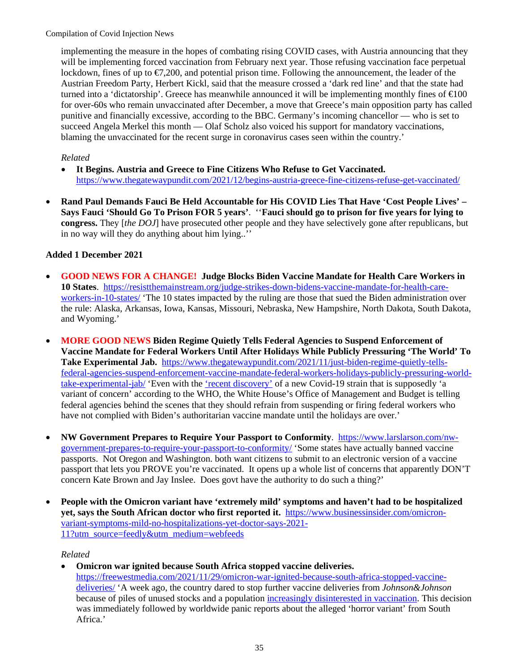implementing the measure in the hopes of combating rising COVID cases, with Austria announcing that they will be implementing forced vaccination from February next year. Those refusing vaccination face perpetual lockdown, fines of up to  $\epsilon 7.200$ , and potential prison time. Following the announcement, the leader of the Austrian Freedom Party, Herbert Kickl, said that the measure crossed a 'dark red line' and that the state had turned into a 'dictatorship'. Greece has meanwhile announced it will be implementing monthly fines of  $\trianglelefteq 00$ for over-60s who remain unvaccinated after December, a move that Greece's main opposition party has called punitive and financially excessive, according to the BBC. Germany's incoming chancellor — who is set to succeed Angela Merkel this month — Olaf Scholz also voiced his support for mandatory vaccinations, blaming the unvaccinated for the recent surge in coronavirus cases seen within the country.'

## *Related*

- **It Begins. Austria and Greece to Fine Citizens Who Refuse to Get Vaccinated.**  <https://www.thegatewaypundit.com/2021/12/begins-austria-greece-fine-citizens-refuse-get-vaccinated/>
- **Rand Paul Demands Fauci Be Held Accountable for His COVID Lies That Have 'Cost People Lives' Says Fauci 'Should Go To Prison FOR 5 years'**. ''**Fauci should go to prison for five years for lying to congress.** They [*the DOJ*] have prosecuted other people and they have selectively gone after republicans, but in no way will they do anything about him lying..''

# **Added 1 December 2021**

- **GOOD NEWS FOR A CHANGE! Judge Blocks Biden Vaccine Mandate for Health Care Workers in 10 States**. [https://resistthemainstream.org/judge-strikes-down-bidens-vaccine-mandate-for-health-care](https://resistthemainstream.org/judge-strikes-down-bidens-vaccine-mandate-for-health-care-workers-in-10-states/)[workers-in-10-states/](https://resistthemainstream.org/judge-strikes-down-bidens-vaccine-mandate-for-health-care-workers-in-10-states/) 'The 10 states impacted by the ruling are those that sued the Biden administration over the rule: Alaska, Arkansas, Iowa, Kansas, Missouri, Nebraska, New Hampshire, North Dakota, South Dakota, and Wyoming.'
- **MORE GOOD NEWS Biden Regime Quietly Tells Federal Agencies to Suspend Enforcement of Vaccine Mandate for Federal Workers Until After Holidays While Publicly Pressuring 'The World' To Take Experimental Jab.** [https://www.thegatewaypundit.com/2021/11/just-biden-regime-quietly-tells](https://www.thegatewaypundit.com/2021/11/just-biden-regime-quietly-tells-federal-agencies-suspend-enforcement-vaccine-mandate-federal-workers-holidays-publicly-pressuring-world-take-experimental-jab/)[federal-agencies-suspend-enforcement-vaccine-mandate-federal-workers-holidays-publicly-pressuring-world](https://www.thegatewaypundit.com/2021/11/just-biden-regime-quietly-tells-federal-agencies-suspend-enforcement-vaccine-mandate-federal-workers-holidays-publicly-pressuring-world-take-experimental-jab/)[take-experimental-jab/](https://www.thegatewaypundit.com/2021/11/just-biden-regime-quietly-tells-federal-agencies-suspend-enforcement-vaccine-mandate-federal-workers-holidays-publicly-pressuring-world-take-experimental-jab/) 'Even with the ['recent discovery'](https://www.thegatewaypundit.com/2021/11/shocking-big-pharma-received-emergency-use-approval-couple-weeks-ago-covid-discovered-couple-days-ago/) of a new Covid-19 strain that is supposedly 'a variant of concern' according to the WHO, the White House's Office of Management and Budget is telling federal agencies behind the scenes that they should refrain from suspending or firing federal workers who have not complied with Biden's authoritarian vaccine mandate until the holidays are over.'
- **NW Government Prepares to Require Your Passport to Conformity**. [https://www.larslarson.com/nw](https://www.larslarson.com/nw-government-prepares-to-require-your-passport-to-conformity/)[government-prepares-to-require-your-passport-to-conformity/](https://www.larslarson.com/nw-government-prepares-to-require-your-passport-to-conformity/) 'Some states have actually banned vaccine passports. Not Oregon and Washington. both want citizens to submit to an electronic version of a vaccine passport that lets you PROVE you're vaccinated. It opens up a whole list of concerns that apparently DON'T concern Kate Brown and Jay Inslee. Does govt have the authority to do such a thing?'
- **People with the Omicron variant have 'extremely mild' symptoms and haven't had to be hospitalized yet, says the South African doctor who first reported it.** [https://www.businessinsider.com/omicron](https://www.businessinsider.com/omicron-variant-symptoms-mild-no-hospitalizations-yet-doctor-says-2021-11?utm_source=feedly&utm_medium=webfeeds)[variant-symptoms-mild-no-hospitalizations-yet-doctor-says-2021-](https://www.businessinsider.com/omicron-variant-symptoms-mild-no-hospitalizations-yet-doctor-says-2021-11?utm_source=feedly&utm_medium=webfeeds) [11?utm\\_source=feedly&utm\\_medium=webfeeds](https://www.businessinsider.com/omicron-variant-symptoms-mild-no-hospitalizations-yet-doctor-says-2021-11?utm_source=feedly&utm_medium=webfeeds)

## *Related*

• **Omicron war ignited because South Africa stopped vaccine deliveries.** [https://freewestmedia.com/2021/11/29/omicron-war-ignited-because-south-africa-stopped-vaccine](https://freewestmedia.com/2021/11/29/omicron-war-ignited-because-south-africa-stopped-vaccine-deliveries/)[deliveries/](https://freewestmedia.com/2021/11/29/omicron-war-ignited-because-south-africa-stopped-vaccine-deliveries/) 'A week ago, the country dared to stop further vaccine deliveries from *Johnson&Johnson* because of piles of unused stocks and a population [increasingly disinterested in vaccination.](https://www.news24.com/health24/medical/infectious-diseases/coronavirus/experts-explain-why-so-many-young-adults-in-sa-dont-want-covid-19-vaccine-20211123) This decision was immediately followed by worldwide panic reports about the alleged 'horror variant' from South Africa.'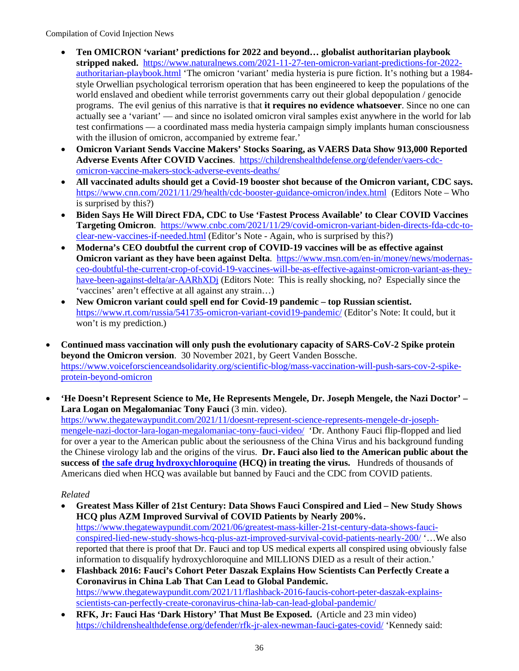- **Ten OMICRON 'variant' predictions for 2022 and beyond… globalist authoritarian playbook**  stripped naked. [https://www.naturalnews.com/2021-11-27-ten-omicron-variant-predictions-for-2022](https://www.naturalnews.com/2021-11-27-ten-omicron-variant-predictions-for-2022-authoritarian-playbook.html) [authoritarian-playbook.html](https://www.naturalnews.com/2021-11-27-ten-omicron-variant-predictions-for-2022-authoritarian-playbook.html) 'The omicron 'variant' media hysteria is pure fiction. It's nothing but a 1984 style Orwellian psychological terrorism operation that has been engineered to keep the populations of the world enslaved and obedient while terrorist governments carry out their global depopulation / genocide programs. The evil genius of this narrative is that **it requires no evidence whatsoever**. Since no one can actually see a 'variant' — and since no isolated omicron viral samples exist anywhere in the world for lab test confirmations — a coordinated mass media hysteria campaign simply implants human consciousness with the illusion of omicron, accompanied by extreme fear.'
- **Omicron Variant Sends Vaccine Makers' Stocks Soaring, as VAERS Data Show 913,000 Reported Adverse Events After COVID Vaccines**. [https://childrenshealthdefense.org/defender/vaers-cdc](https://childrenshealthdefense.org/defender/vaers-cdc-omicron-vaccine-makers-stock-adverse-events-deaths/)[omicron-vaccine-makers-stock-adverse-events-deaths/](https://childrenshealthdefense.org/defender/vaers-cdc-omicron-vaccine-makers-stock-adverse-events-deaths/)
- **All vaccinated adults should get a Covid-19 booster shot because of the Omicron variant, CDC says.**  <https://www.cnn.com/2021/11/29/health/cdc-booster-guidance-omicron/index.html>(Editors Note – Who is surprised by this?)
- **Biden Says He Will Direct FDA, CDC to Use 'Fastest Process Available' to Clear COVID Vaccines Targeting Omicron**. [https://www.cnbc.com/2021/11/29/covid-omicron-variant-biden-directs-fda-cdc-to](https://www.cnbc.com/2021/11/29/covid-omicron-variant-biden-directs-fda-cdc-to-clear-new-vaccines-if-needed.html)[clear-new-vaccines-if-needed.html](https://www.cnbc.com/2021/11/29/covid-omicron-variant-biden-directs-fda-cdc-to-clear-new-vaccines-if-needed.html) (Editor's Note - Again, who is surprised by this?)
- **Moderna's CEO doubtful the current crop of COVID-19 vaccines will be as effective against Omicron variant as they have been against Delta**. [https://www.msn.com/en-in/money/news/modernas](https://www.msn.com/en-in/money/news/modernas-ceo-doubtful-the-current-crop-of-covid-19-vaccines-will-be-as-effective-against-omicron-variant-as-they-have-been-against-delta/ar-AARhXDj)[ceo-doubtful-the-current-crop-of-covid-19-vaccines-will-be-as-effective-against-omicron-variant-as-they](https://www.msn.com/en-in/money/news/modernas-ceo-doubtful-the-current-crop-of-covid-19-vaccines-will-be-as-effective-against-omicron-variant-as-they-have-been-against-delta/ar-AARhXDj)[have-been-against-delta/ar-AARhXDj](https://www.msn.com/en-in/money/news/modernas-ceo-doubtful-the-current-crop-of-covid-19-vaccines-will-be-as-effective-against-omicron-variant-as-they-have-been-against-delta/ar-AARhXDj) (Editors Note: This is really shocking, no? Especially since the 'vaccines' aren't effective at all against any strain…)
- **New Omicron variant could spell end for Covid-19 pandemic top Russian scientist.** <https://www.rt.com/russia/541735-omicron-variant-covid19-pandemic/> (Editor's Note: It could, but it won't is my prediction.)
- **Continued mass vaccination will only push the evolutionary capacity of SARS-CoV-2 Spike protein beyond the Omicron version**. 30 November 2021, by Geert Vanden Bossche. [https://www.voiceforscienceandsolidarity.org/scientific-blog/mass-vaccination-will-push-sars-cov-2-spike](https://www.voiceforscienceandsolidarity.org/scientific-blog/mass-vaccination-will-push-sars-cov-2-spike-protein-beyond-omicron)[protein-beyond-omicron](https://www.voiceforscienceandsolidarity.org/scientific-blog/mass-vaccination-will-push-sars-cov-2-spike-protein-beyond-omicron)
- **'He Doesn't Represent Science to Me, He Represents Mengele, Dr. Joseph Mengele, the Nazi Doctor' Lara Logan on Megalomaniac Tony Fauci** (3 min. video).

[https://www.thegatewaypundit.com/2021/11/doesnt-represent-science-represents-mengele-dr-joseph](https://www.thegatewaypundit.com/2021/11/doesnt-represent-science-represents-mengele-dr-joseph-mengele-nazi-doctor-lara-logan-megalomaniac-tony-fauci-video/)[mengele-nazi-doctor-lara-logan-megalomaniac-tony-fauci-video/](https://www.thegatewaypundit.com/2021/11/doesnt-represent-science-represents-mengele-dr-joseph-mengele-nazi-doctor-lara-logan-megalomaniac-tony-fauci-video/) 'Dr. Anthony Fauci flip-flopped and lied for over a year to the American public about the seriousness of the China Virus and his background funding the Chinese virology lab and the origins of the virus. **Dr. Fauci also lied to the American public about the success of [the safe drug hydroxychloroquine](https://c19hcq.com/) (HCQ) in treating the virus.** Hundreds of thousands of Americans died when HCQ was available but banned by Fauci and the CDC from COVID patients.

- **Greatest Mass Killer of 21st Century: Data Shows Fauci Conspired and Lied New Study Shows HCQ plus AZM Improved Survival of COVID Patients by Nearly 200%.** [https://www.thegatewaypundit.com/2021/06/greatest-mass-killer-21st-century-data-shows-fauci](https://www.thegatewaypundit.com/2021/06/greatest-mass-killer-21st-century-data-shows-fauci-conspired-lied-new-study-shows-hcq-plus-azt-improved-survival-covid-patients-nearly-200/)[conspired-lied-new-study-shows-hcq-plus-azt-improved-survival-covid-patients-nearly-200/](https://www.thegatewaypundit.com/2021/06/greatest-mass-killer-21st-century-data-shows-fauci-conspired-lied-new-study-shows-hcq-plus-azt-improved-survival-covid-patients-nearly-200/) '…We also reported that there is proof that Dr. Fauci and top US medical experts all conspired using obviously false information to disqualify hydroxychloroquine and MILLIONS DIED as a result of their action.'
- **Flashback 2016: Fauci's Cohort Peter Daszak Explains How Scientists Can Perfectly Create a Coronavirus in China Lab That Can Lead to Global Pandemic.** [https://www.thegatewaypundit.com/2021/11/flashback-2016-faucis-cohort-peter-daszak-explains](https://www.thegatewaypundit.com/2021/11/flashback-2016-faucis-cohort-peter-daszak-explains-scientists-can-perfectly-create-coronavirus-china-lab-can-lead-global-pandemic/)[scientists-can-perfectly-create-coronavirus-china-lab-can-lead-global-pandemic/](https://www.thegatewaypundit.com/2021/11/flashback-2016-faucis-cohort-peter-daszak-explains-scientists-can-perfectly-create-coronavirus-china-lab-can-lead-global-pandemic/)
- **RFK, Jr: Fauci Has 'Dark History' That Must Be Exposed.** (Article and 23 min video) <https://childrenshealthdefense.org/defender/rfk-jr-alex-newman-fauci-gates-covid/>'Kennedy said: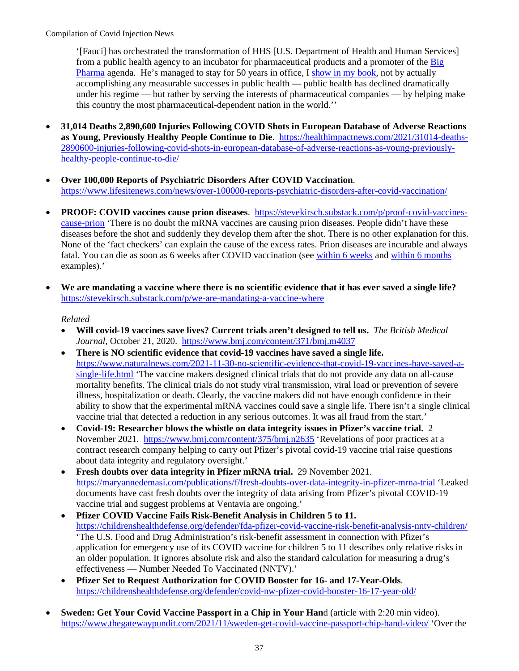'[Fauci] has orchestrated the transformation of HHS [U.S. Department of Health and Human Services] from a public health agency to an incubator for pharmaceutical products and a promoter of the [Big](https://childrenshealthdefense.org/defender_category/big-pharma/)  [Pharma](https://childrenshealthdefense.org/defender_category/big-pharma/) agenda. He's managed to stay for 50 years in office, [I show in my book,](https://www.amazon.com/Real-Anthony-Fauci-Democracy-Childrens/dp/1510766804) not by actually accomplishing any measurable successes in public health — public health has declined dramatically under his regime — but rather by serving the interests of pharmaceutical companies — by helping make this country the most pharmaceutical-dependent nation in the world.''

- **31,014 Deaths 2,890,600 Injuries Following COVID Shots in European Database of Adverse Reactions as Young, Previously Healthy People Continue to Die**. [https://healthimpactnews.com/2021/31014-deaths-](https://healthimpactnews.com/2021/31014-deaths-2890600-injuries-following-covid-shots-in-european-database-of-adverse-reactions-as-young-previously-healthy-people-continue-to-die/)[2890600-injuries-following-covid-shots-in-european-database-of-adverse-reactions-as-young-previously](https://healthimpactnews.com/2021/31014-deaths-2890600-injuries-following-covid-shots-in-european-database-of-adverse-reactions-as-young-previously-healthy-people-continue-to-die/)[healthy-people-continue-to-die/](https://healthimpactnews.com/2021/31014-deaths-2890600-injuries-following-covid-shots-in-european-database-of-adverse-reactions-as-young-previously-healthy-people-continue-to-die/)
- **Over 100,000 Reports of Psychiatric Disorders After COVID Vaccination**. <https://www.lifesitenews.com/news/over-100000-reports-psychiatric-disorders-after-covid-vaccination/>
- **PROOF: COVID vaccines cause prion diseases**. [https://stevekirsch.substack.com/p/proof-covid-vaccines](https://stevekirsch.substack.com/p/proof-covid-vaccines-cause-prion)[cause-prion](https://stevekirsch.substack.com/p/proof-covid-vaccines-cause-prion) 'There is no doubt the mRNA vaccines are causing prion diseases. People didn't have these diseases before the shot and suddenly they develop them after the shot. There is no other explanation for this. None of the 'fact checkers' can explain the cause of the excess rates. Prion diseases are incurable and always fatal. You can die as soon as 6 weeks after COVID vaccination (see [within 6 weeks](https://medalerts.org/vaersdb/findfield.php?IDNUMBER=1754471) and [within 6 months](https://medalerts.org/vaersdb/findfield.php?IDNUMBER=1777781) examples).'
- **We are mandating a vaccine where there is no scientific evidence that it has ever saved a single life?** <https://stevekirsch.substack.com/p/we-are-mandating-a-vaccine-where>

- **Will covid-19 vaccines save lives? Current trials aren't designed to tell us.** *The British Medical Journal,* October 21, 2020.<https://www.bmj.com/content/371/bmj.m4037>
- **There is NO scientific evidence that covid-19 vaccines have saved a single life.** [https://www.naturalnews.com/2021-11-30-no-scientific-evidence-that-covid-19-vaccines-have-saved-a](https://www.naturalnews.com/2021-11-30-no-scientific-evidence-that-covid-19-vaccines-have-saved-a-single-life.html)[single-life.html](https://www.naturalnews.com/2021-11-30-no-scientific-evidence-that-covid-19-vaccines-have-saved-a-single-life.html) 'The vaccine makers designed clinical trials that do not provide any data on all-cause mortality benefits. The clinical trials do not study viral transmission, viral load or prevention of severe illness, hospitalization or death. Clearly, the vaccine makers did not have enough confidence in their ability to show that the experimental mRNA vaccines could save a single life. There isn't a single clinical vaccine trial that detected a reduction in any serious outcomes. It was all fraud from the start.'
- **Covid-19: Researcher blows the whistle on data integrity issues in Pfizer's vaccine trial.** 2 November 2021. <https://www.bmj.com/content/375/bmj.n2635>'Revelations of poor practices at a contract research company helping to carry out Pfizer's pivotal covid-19 vaccine trial raise questions about data integrity and regulatory oversight.'
- **Fresh doubts over data integrity in Pfizer mRNA trial.** 29 November 2021. <https://maryannedemasi.com/publications/f/fresh-doubts-over-data-integrity-in-pfizer-mrna-trial>'Leaked documents have cast fresh doubts over the integrity of data arising from Pfizer's pivotal COVID-19 vaccine trial and suggest problems at Ventavia are ongoing.'
- **Pfizer COVID Vaccine Fails Risk-Benefit Analysis in Children 5 to 11.** <https://childrenshealthdefense.org/defender/fda-pfizer-covid-vaccine-risk-benefit-analysis-nntv-children/> 'The U.S. Food and Drug Administration's risk-benefit assessment in connection with Pfizer's application for emergency use of its COVID vaccine for children 5 to 11 describes only relative risks in an older population. It ignores absolute risk and also the standard calculation for measuring a drug's effectiveness — Number Needed To Vaccinated (NNTV).'
- **Pfizer Set to Request Authorization for COVID Booster for 16- and 17-Year-Olds**. <https://childrenshealthdefense.org/defender/covid-nw-pfizer-covid-booster-16-17-year-old/>
- **Sweden: Get Your Covid Vaccine Passport in a Chip in Your Han**d (article with 2:20 min video). <https://www.thegatewaypundit.com/2021/11/sweden-get-covid-vaccine-passport-chip-hand-video/>'Over the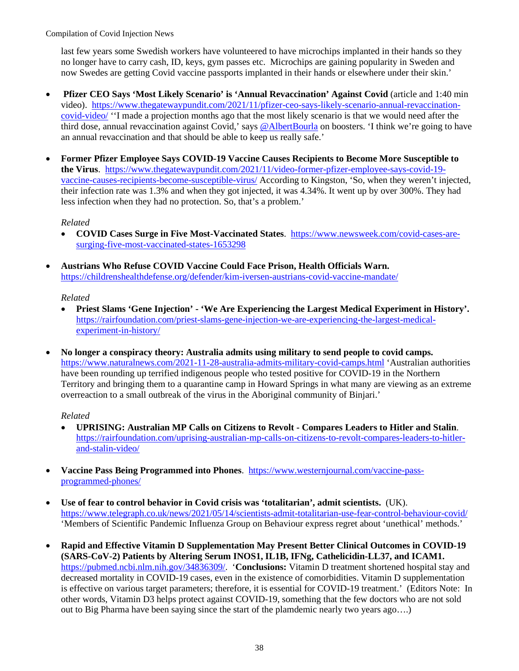last few years some Swedish workers have volunteered to have microchips implanted in their hands so they no longer have to carry cash, ID, keys, gym passes etc. Microchips are gaining popularity in Sweden and now Swedes are getting Covid vaccine passports implanted in their hands or elsewhere under their skin.'

- **Pfizer CEO Says 'Most Likely Scenario' is 'Annual Revaccination' Against Covid** (article and 1:40 min video). [https://www.thegatewaypundit.com/2021/11/pfizer-ceo-says-likely-scenario-annual-revaccination](https://www.thegatewaypundit.com/2021/11/pfizer-ceo-says-likely-scenario-annual-revaccination-covid-video/)[covid-video/](https://www.thegatewaypundit.com/2021/11/pfizer-ceo-says-likely-scenario-annual-revaccination-covid-video/) ''I made a projection months ago that the most likely scenario is that we would need after the third dose, annual revaccination against Covid,' says [@AlbertBourla](https://twitter.com/AlbertBourla) on boosters. 'I think we're going to have an annual revaccination and that should be able to keep us really safe.'
- **Former Pfizer Employee Says COVID-19 Vaccine Causes Recipients to Become More Susceptible to the Virus**. [https://www.thegatewaypundit.com/2021/11/video-former-pfizer-employee-says-covid-19](https://www.thegatewaypundit.com/2021/11/video-former-pfizer-employee-says-covid-19-vaccine-causes-recipients-become-susceptible-virus/) [vaccine-causes-recipients-become-susceptible-virus/](https://www.thegatewaypundit.com/2021/11/video-former-pfizer-employee-says-covid-19-vaccine-causes-recipients-become-susceptible-virus/) According to Kingston, 'So, when they weren't injected, their infection rate was 1.3% and when they got injected, it was 4.34%. It went up by over 300%. They had less infection when they had no protection. So, that's a problem.'

#### *Related*

- **COVID Cases Surge in Five Most-Vaccinated States**. [https://www.newsweek.com/covid-cases-are](https://www.newsweek.com/covid-cases-are-surging-five-most-vaccinated-states-1653298)[surging-five-most-vaccinated-states-1653298](https://www.newsweek.com/covid-cases-are-surging-five-most-vaccinated-states-1653298)
- **Austrians Who Refuse COVID Vaccine Could Face Prison, Health Officials Warn.** <https://childrenshealthdefense.org/defender/kim-iversen-austrians-covid-vaccine-mandate/>

#### *Related*

- **Priest Slams 'Gene Injection' 'We Are Experiencing the Largest Medical Experiment in History'.**  [https://rairfoundation.com/priest-slams-gene-injection-we-are-experiencing-the-largest-medical](https://rairfoundation.com/priest-slams-gene-injection-we-are-experiencing-the-largest-medical-experiment-in-history/)[experiment-in-history/](https://rairfoundation.com/priest-slams-gene-injection-we-are-experiencing-the-largest-medical-experiment-in-history/)
- **No longer a conspiracy theory: Australia admits using military to send people to covid camps.** <https://www.naturalnews.com/2021-11-28-australia-admits-military-covid-camps.html>'Australian authorities have been rounding up terrified indigenous people who tested positive for COVID-19 in the Northern Territory and bringing them to a quarantine camp in Howard Springs in what many are viewing as an extreme overreaction to a small outbreak of the virus in the Aboriginal community of Binjari.'

- **UPRISING: Australian MP Calls on Citizens to Revolt Compares Leaders to Hitler and Stalin**. [https://rairfoundation.com/uprising-australian-mp-calls-on-citizens-to-revolt-compares-leaders-to-hitler](https://rairfoundation.com/uprising-australian-mp-calls-on-citizens-to-revolt-compares-leaders-to-hitler-and-stalin-video/)[and-stalin-video/](https://rairfoundation.com/uprising-australian-mp-calls-on-citizens-to-revolt-compares-leaders-to-hitler-and-stalin-video/)
- **Vaccine Pass Being Programmed into Phones**. [https://www.westernjournal.com/vaccine-pass](https://www.westernjournal.com/vaccine-pass-programmed-phones/)[programmed-phones/](https://www.westernjournal.com/vaccine-pass-programmed-phones/)
- **Use of fear to control behavior in Covid crisis was 'totalitarian', admit scientists.** (UK). <https://www.telegraph.co.uk/news/2021/05/14/scientists-admit-totalitarian-use-fear-control-behaviour-covid/> 'Members of Scientific Pandemic Influenza Group on Behaviour express regret about 'unethical' methods.'
- **Rapid and Effective Vitamin D Supplementation May Present Better Clinical Outcomes in COVID-19 (SARS-CoV-2) Patients by Altering Serum INOS1, IL1B, IFNg, Cathelicidin-LL37, and ICAM1.**  [https://pubmed.ncbi.nlm.nih.gov/34836309/.](https://pubmed.ncbi.nlm.nih.gov/34836309/) '**Conclusions:** Vitamin D treatment shortened hospital stay and decreased mortality in COVID-19 cases, even in the existence of comorbidities. Vitamin D supplementation is effective on various target parameters; therefore, it is essential for COVID-19 treatment.' (Editors Note: In other words, Vitamin D3 helps protect against COVID-19, something that the few doctors who are not sold out to Big Pharma have been saying since the start of the plamdemic nearly two years ago….)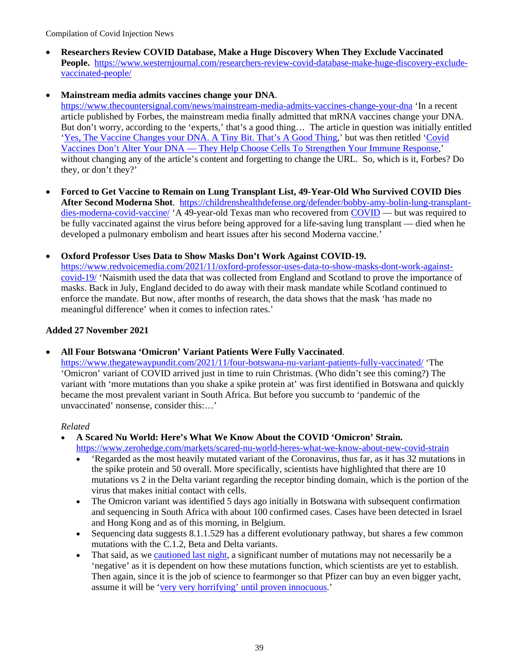• **Researchers Review COVID Database, Make a Huge Discovery When They Exclude Vaccinated** People. [https://www.westernjournal.com/researchers-review-covid-database-make-huge-discovery-exclude](https://www.westernjournal.com/researchers-review-covid-database-make-huge-discovery-exclude-vaccinated-people/)[vaccinated-people/](https://www.westernjournal.com/researchers-review-covid-database-make-huge-discovery-exclude-vaccinated-people/) 

## • **Mainstream media admits vaccines change your DNA**.

<https://www.thecountersignal.com/news/mainstream-media-admits-vaccines-change-your-dna>'In a recent article published by Forbes, the mainstream media finally admitted that mRNA vaccines change your DNA. But don't worry, according to the 'experts,' that's a good thing… The article in question was initially entitled ['Yes, The Vaccine Changes your DNA. A Tiny Bit. That's A Good Thing,](https://archive.md/QpJk0)' but was then retitled ['Covid](https://www.forbes.com/sites/stevensalzberg/2021/11/29/yes-the-vaccine-changes-your-dna-a-tiny-bit-thats-a-good-thing/?sh=45c7df5d2691)  Vaccines [Don't Alter Your DNA — They Help Choose Cells To Strengthen Your Immune Response,](https://www.forbes.com/sites/stevensalzberg/2021/11/29/yes-the-vaccine-changes-your-dna-a-tiny-bit-thats-a-good-thing/?sh=45c7df5d2691)' without changing any of the article's content and forgetting to change the URL. So, which is it, Forbes? Do they, or don't they?'

- **Forced to Get Vaccine to Remain on Lung Transplant List, 49-Year-Old Who Survived COVID Dies After Second Moderna Shot**. [https://childrenshealthdefense.org/defender/bobby-amy-bolin-lung-transplant](https://childrenshealthdefense.org/defender/bobby-amy-bolin-lung-transplant-dies-moderna-covid-vaccine/)[dies-moderna-covid-vaccine/](https://childrenshealthdefense.org/defender/bobby-amy-bolin-lung-transplant-dies-moderna-covid-vaccine/) 'A 49-year-old Texas man who recovered from [COVID](https://childrenshealthdefense.org/defender_category/covid/) — but was required to be fully vaccinated against the virus before being approved for a life-saving lung transplant — died when he developed a pulmonary embolism and heart issues after his second Moderna vaccine.'
- **Oxford Professor Uses Data to Show Masks Don't Work Against COVID-19.**  [https://www.redvoicemedia.com/2021/11/oxford-professor-uses-data-to-show-masks-dont-work-against](https://www.redvoicemedia.com/2021/11/oxford-professor-uses-data-to-show-masks-dont-work-against-covid-19/)[covid-19/](https://www.redvoicemedia.com/2021/11/oxford-professor-uses-data-to-show-masks-dont-work-against-covid-19/) 'Naismith used the data that was collected from England and Scotland to prove the importance of masks. Back in July, England decided to do away with their mask mandate while Scotland continued to enforce the mandate. But now, after months of research, the data shows that the mask 'has made no meaningful difference' when it comes to infection rates.'

## **Added 27 November 2021**

• **All Four Botswana 'Omicron' Variant Patients Were Fully Vaccinated**.

<https://www.thegatewaypundit.com/2021/11/four-botswana-nu-variant-patients-fully-vaccinated/>'The 'Omicron' variant of COVID arrived just in time to ruin Christmas. (Who didn't see this coming?) The variant with 'more mutations than you shake a spike protein at' was first identified in Botswana and quickly became the most prevalent variant in South Africa. But before you succumb to 'pandemic of the unvaccinated' nonsense, consider this:…'

- **A Scared Nu World: Here's What We Know About the COVID 'Omicron' Strain.**  <https://www.zerohedge.com/markets/scared-nu-world-heres-what-we-know-about-new-covid-strain>
	- 'Regarded as the most heavily mutated variant of the Coronavirus, thus far, as it has 32 mutations in the spike protein and 50 overall. More specifically, scientists have highlighted that there are 10 mutations vs 2 in the Delta variant regarding the receptor binding domain, which is the portion of the virus that makes initial contact with cells.
	- The Omicron variant was identified 5 days ago initially in Botswana with subsequent confirmation and sequencing in South Africa with about 100 confirmed cases. Cases have been detected in Israel and Hong Kong and as of this morning, in Belgium.
	- Sequencing data suggests 8.1.1.529 has a different evolutionary pathway, but shares a few common mutations with the C.1.2, Beta and Delta variants.
	- That said, as w[e cautioned last night,](https://www.zerohedge.com/geopolitical/futures-global-stocks-tumble-amid-sudden-fears-over-dramatically-new-covid-strain) a significant number of mutations may not necessarily be a 'negative' as it is dependent on how these mutations function, which scientists are yet to establish. Then again, since it is the job of science to fearmonger so that Pfizer can buy an even bigger yacht, assume it will be ['very very horrifying' until proven innocuous.](https://twitter.com/TrueSinews/status/1463825217151717385)'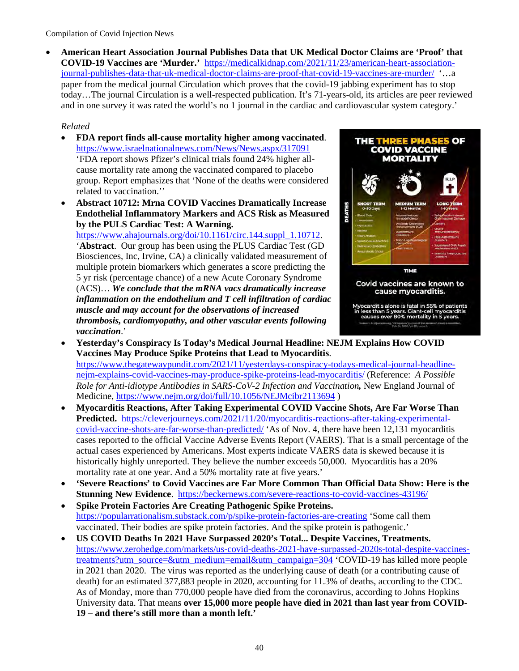• **American Heart Association Journal Publishes Data that UK Medical Doctor Claims are 'Proof' that COVID-19 Vaccines are 'Murder.'** [https://medicalkidnap.com/2021/11/23/american-heart-association](https://medicalkidnap.com/2021/11/23/american-heart-association-journal-publishes-data-that-uk-medical-doctor-claims-are-proof-that-covid-19-vaccines-are-murder/)[journal-publishes-data-that-uk-medical-doctor-claims-are-proof-that-covid-19-vaccines-are-murder/](https://medicalkidnap.com/2021/11/23/american-heart-association-journal-publishes-data-that-uk-medical-doctor-claims-are-proof-that-covid-19-vaccines-are-murder/) '…a paper from the medical journal Circulation which proves that the covid-19 jabbing experiment has to stop today…The journal Circulation is a well-respected publication. It's 71-years-old, its articles are peer reviewed and in one survey it was rated the world's no 1 journal in the cardiac and cardiovascular system category.'

## *Related*

- **FDA report finds all-cause mortality higher among vaccinated**. <https://www.israelnationalnews.com/News/News.aspx/317091> 'FDA report shows Pfizer's clinical trials found 24% higher allcause mortality rate among the vaccinated compared to placebo group. Report emphasizes that 'None of the deaths were considered related to vaccination.''
- **Abstract 10712: Mrna COVID Vaccines Dramatically Increase Endothelial Inflammatory Markers and ACS Risk as Measured by the PULS Cardiac Test: A Warning.**

[https://www.ahajournals.org/doi/10.1161/circ.144.suppl\\_1.10712.](https://www.ahajournals.org/doi/10.1161/circ.144.suppl_1.10712) '**Abstract**. Our group has been using the PLUS Cardiac Test (GD Biosciences, Inc, Irvine, CA) a clinically validated measurement of multiple protein biomarkers which generates a score predicting the 5 yr risk (percentage chance) of a new Acute Coronary Syndrome (ACS)… *We conclude that the mRNA vacs dramatically increase inflammation on the endothelium and T cell infiltration of cardiac muscle and may account for the observations of increased thrombosis, cardiomyopathy, and other vascular events following vaccination*.'



- **Yesterday's Conspiracy Is Today's Medical Journal Headline: NEJM Explains How COVID Vaccines May Produce Spike Proteins that Lead to Myocarditis**. [https://www.thegatewaypundit.com/2021/11/yesterdays-conspiracy-todays-medical-journal-headline](https://www.thegatewaypundit.com/2021/11/yesterdays-conspiracy-todays-medical-journal-headline-nejm-explains-covid-vaccines-may-produce-spike-proteins-lead-myocarditis/)[nejm-explains-covid-vaccines-may-produce-spike-proteins-lead-myocarditis/](https://www.thegatewaypundit.com/2021/11/yesterdays-conspiracy-todays-medical-journal-headline-nejm-explains-covid-vaccines-may-produce-spike-proteins-lead-myocarditis/) (Reference: *A Possible Role for Anti-idiotype Antibodies in SARS-CoV-2 Infection and Vaccination,* New England Journal of Medicine,<https://www.nejm.org/doi/full/10.1056/NEJMcibr2113694>)
- **Myocarditis Reactions, After Taking Experimental COVID Vaccine Shots, Are Far Worse Than Predicted.** [https://cleverjourneys.com/2021/11/20/myocarditis-reactions-after-taking-experimental](https://cleverjourneys.com/2021/11/20/myocarditis-reactions-after-taking-experimental-covid-vaccine-shots-are-far-worse-than-predicted/)[covid-vaccine-shots-are-far-worse-than-predicted/](https://cleverjourneys.com/2021/11/20/myocarditis-reactions-after-taking-experimental-covid-vaccine-shots-are-far-worse-than-predicted/) 'As of Nov. 4, there have been 12,131 myocarditis cases reported to the official Vaccine Adverse Events Report (VAERS). That is a small percentage of the actual cases experienced by Americans. Most experts indicate VAERS data is skewed because it is historically highly unreported. They believe the number exceeds 50,000. Myocarditis has a 20% mortality rate at one year. And a 50% mortality rate at five years.'
- **'Severe Reactions' to Covid Vaccines are Far More Common Than Official Data Show: Here is the Stunning New Evidence**. <https://beckernews.com/severe-reactions-to-covid-vaccines-43196/>
- **Spike Protein Factories Are Creating Pathogenic Spike Proteins.**  <https://popularrationalism.substack.com/p/spike-protein-factories-are-creating>'Some call them vaccinated. Their bodies are spike protein factories. And the spike protein is pathogenic.'
- **US COVID Deaths In 2021 Have Surpassed 2020's Total... Despite Vaccines, Treatments.** [https://www.zerohedge.com/markets/us-covid-deaths-2021-have-surpassed-2020s-total-despite-vaccines](https://www.zerohedge.com/markets/us-covid-deaths-2021-have-surpassed-2020s-total-despite-vaccines-treatments?utm_source=&utm_medium=email&utm_campaign=304)[treatments?utm\\_source=&utm\\_medium=email&utm\\_campaign=304](https://www.zerohedge.com/markets/us-covid-deaths-2021-have-surpassed-2020s-total-despite-vaccines-treatments?utm_source=&utm_medium=email&utm_campaign=304) 'COVID-19 has killed more people in 2021 than 2020. The virus was reported as the underlying cause of death (or a contributing cause of death) for an estimated 377,883 people in 2020, accounting for 11.3% of deaths, according to the CDC. As of Monday, more than 770,000 people have died from the coronavirus, according to Johns Hopkins University data. That means **over 15,000 more people have died in 2021 than last year from COVID-19 – and there's still more than a month left.'**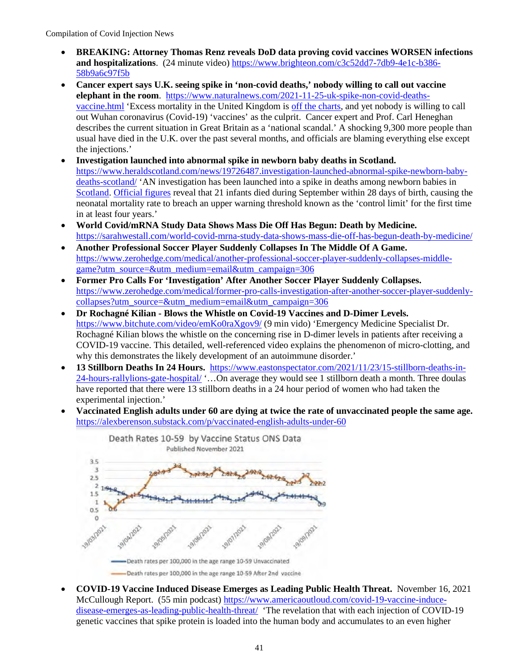- **BREAKING: Attorney Thomas Renz reveals DoD data proving covid vaccines WORSEN infections and hospitalizations**. (24 minute video[\) https://www.brighteon.com/c3c52dd7-7db9-4e1c-b386-](https://www.brighteon.com/c3c52dd7-7db9-4e1c-b386-58b9a6c97f5b) [58b9a6c97f5b](https://www.brighteon.com/c3c52dd7-7db9-4e1c-b386-58b9a6c97f5b)
- **Cancer expert says U.K. seeing spike in 'non-covid deaths,' nobody willing to call out vaccine elephant in the room.** [https://www.naturalnews.com/2021-11-25-uk-spike-non-covid-deaths](https://www.naturalnews.com/2021-11-25-uk-spike-non-covid-deaths-vaccine.html)[vaccine.html](https://www.naturalnews.com/2021-11-25-uk-spike-non-covid-deaths-vaccine.html) 'Excess mortality in the United Kingdom is [off the charts,](https://www.theepochtimes.com/rise-in-uk-non-covid-deaths-set-to-continue-cancer-expert_4113341.html) and yet nobody is willing to call out Wuhan coronavirus (Covid-19) 'vaccines' as the culprit. Cancer expert and Prof. Carl Heneghan describes the current situation in Great Britain as a 'national scandal.' A shocking 9,300 more people than usual have died in the U.K. over the past several months, and officials are blaming everything else except the injections.'
- **Investigation launched into abnormal spike in newborn baby deaths in Scotland.** [https://www.heraldscotland.com/news/19726487.investigation-launched-abnormal-spike-newborn-baby](https://www.heraldscotland.com/news/19726487.investigation-launched-abnormal-spike-newborn-baby-deaths-scotland/)[deaths-scotland/](https://www.heraldscotland.com/news/19726487.investigation-launched-abnormal-spike-newborn-baby-deaths-scotland/) 'AN investigation has been launched into a spike in deaths among newborn babies in [Scotland.](https://www.heraldscotland.com/news/homenews/) [Official figures](https://scotland.shinyapps.io/phs-covid-wider-impact/) reveal that 21 infants died during September within 28 days of birth, causing the neonatal mortality rate to breach an upper warning threshold known as the 'control limit' for the first time in at least four years.'
- **World Covid/mRNA Study Data Shows Mass Die Off Has Begun: Death by Medicine.**  <https://sarahwestall.com/world-covid-mrna-study-data-shows-mass-die-off-has-begun-death-by-medicine/>
- **Another Professional Soccer Player Suddenly Collapses In The Middle Of A Game.**  [https://www.zerohedge.com/medical/another-professional-soccer-player-suddenly-collapses-middle](https://www.zerohedge.com/medical/another-professional-soccer-player-suddenly-collapses-middle-game?utm_source=&utm_medium=email&utm_campaign=306)[game?utm\\_source=&utm\\_medium=email&utm\\_campaign=306](https://www.zerohedge.com/medical/another-professional-soccer-player-suddenly-collapses-middle-game?utm_source=&utm_medium=email&utm_campaign=306)
- **Former Pro Calls For 'Investigation' After Another Soccer Player Suddenly Collapses.**  [https://www.zerohedge.com/medical/former-pro-calls-investigation-after-another-soccer-player-suddenly](https://www.zerohedge.com/medical/former-pro-calls-investigation-after-another-soccer-player-suddenly-collapses?utm_source=&utm_medium=email&utm_campaign=306)[collapses?utm\\_source=&utm\\_medium=email&utm\\_campaign=306](https://www.zerohedge.com/medical/former-pro-calls-investigation-after-another-soccer-player-suddenly-collapses?utm_source=&utm_medium=email&utm_campaign=306)
- **Dr Rochagné Kilian Blows the Whistle on Covid-19 Vaccines and D-Dimer Levels.**  <https://www.bitchute.com/video/emKo0raXgov9/>(9 min vido) 'Emergency Medicine Specialist Dr. Rochagné Kilian blows the whistle on the concerning rise in D-dimer levels in patients after receiving a COVID-19 vaccine. This detailed, well-referenced video explains the phenomenon of micro-clotting, and why this demonstrates the likely development of an autoimmune disorder.'
- **13 Stillborn Deaths In 24 Hours.** [https://www.eastonspectator.com/2021/11/23/15-stillborn-deaths-in-](https://www.eastonspectator.com/2021/11/23/15-stillborn-deaths-in-24-hours-rallylions-gate-hospital/)[24-hours-rallylions-gate-hospital/](https://www.eastonspectator.com/2021/11/23/15-stillborn-deaths-in-24-hours-rallylions-gate-hospital/) '…On average they would see 1 stillborn death a month. Three doulas have reported that there were 13 stillborn deaths in a 24 hour period of women who had taken the experimental injection.'
- **Vaccinated English adults under 60 are dying at twice the rate of unvaccinated people the same age.**  <https://alexberenson.substack.com/p/vaccinated-english-adults-under-60>



• **COVID-19 Vaccine Induced Disease Emerges as Leading Public Health Threat.** November 16, 2021 McCullough Report. (55 min podcast) [https://www.americaoutloud.com/covid-19-vaccine-induce](https://www.americaoutloud.com/covid-19-vaccine-induce-disease-emerges-as-leading-public-health-threat/)[disease-emerges-as-leading-public-health-threat/](https://www.americaoutloud.com/covid-19-vaccine-induce-disease-emerges-as-leading-public-health-threat/) 'The revelation that with each injection of COVID-19 genetic vaccines that spike protein is loaded into the human body and accumulates to an even higher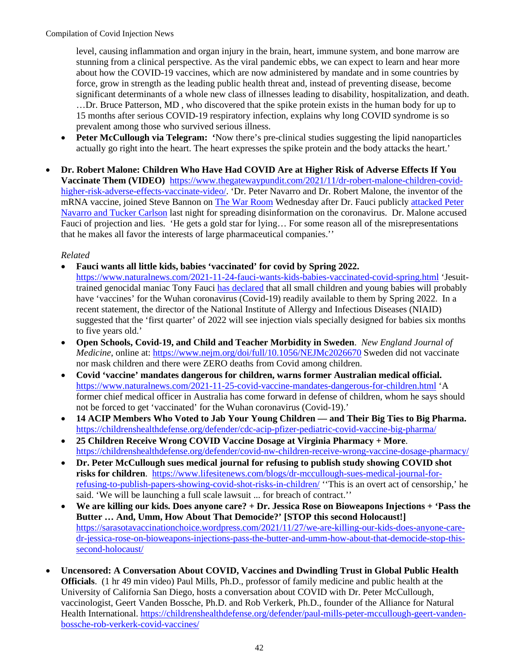level, causing inflammation and organ injury in the brain, heart, immune system, and bone marrow are stunning from a clinical perspective. As the viral pandemic ebbs, we can expect to learn and hear more about how the COVID-19 vaccines, which are now administered by mandate and in some countries by force, grow in strength as the leading public health threat and, instead of preventing disease, become significant determinants of a whole new class of illnesses leading to disability, hospitalization, and death. …Dr. Bruce Patterson, MD , who discovered that the spike protein exists in the human body for up to 15 months after serious COVID-19 respiratory infection, explains why long COVID syndrome is so prevalent among those who survived serious illness.

- **Peter McCullough via Telegram: '**Now there's pre-clinical studies suggesting the lipid nanoparticles actually go right into the heart. The heart expresses the spike protein and the body attacks the heart.'
- **Dr. Robert Malone: Children Who Have Had COVID Are at Higher Risk of Adverse Effects If You Vaccinate Them (VIDEO)** [https://www.thegatewaypundit.com/2021/11/dr-robert-malone-children-covid](https://www.thegatewaypundit.com/2021/11/dr-robert-malone-children-covid-higher-risk-adverse-effects-vaccinate-video/)[higher-risk-adverse-effects-vaccinate-video/.](https://www.thegatewaypundit.com/2021/11/dr-robert-malone-children-covid-higher-risk-adverse-effects-vaccinate-video/) 'Dr. Peter Navarro and Dr. Robert Malone, the inventor of the mRNA vaccine, joined Steve Bannon on [The War Room](https://warroom.org/) Wednesday after Dr. Fauci publicly [attacked](https://www.thegatewaypundit.com/2021/11/fauci-calls-tucker-carlson-peter-navarro-says-media-figures-criticize-killing-people-video/?ff_source=Email&ff_medium=the-gateway-pundit&ff_campaign=dailypm&ff_content=daily) Peter [Navarro and Tucker Carlson](https://www.thegatewaypundit.com/2021/11/fauci-calls-tucker-carlson-peter-navarro-says-media-figures-criticize-killing-people-video/?ff_source=Email&ff_medium=the-gateway-pundit&ff_campaign=dailypm&ff_content=daily) last night for spreading disinformation on the coronavirus. Dr. Malone accused Fauci of projection and lies. 'He gets a gold star for lying… For some reason all of the misrepresentations that he makes all favor the interests of large pharmaceutical companies.''

- **Fauci wants all little kids, babies 'vaccinated' for covid by Spring 2022.** <https://www.naturalnews.com/2021-11-24-fauci-wants-kids-babies-vaccinated-covid-spring.html>'Jesuit
	- trained genocidal maniac Tony Fauci [has declared](https://www.businessinsider.com/fauci-babies-toddlers-should-get-covid-19-vaccines-by-spring-2021-11) that all small children and young babies will probably have 'vaccines' for the Wuhan coronavirus (Covid-19) readily available to them by Spring 2022. In a recent statement, the director of the National Institute of Allergy and Infectious Diseases (NIAID) suggested that the 'first quarter' of 2022 will see injection vials specially designed for babies six months to five years old.'
- **Open Schools, Covid-19, and Child and Teacher Morbidity in Sweden**. *New England Journal of Medicine*, online at:<https://www.nejm.org/doi/full/10.1056/NEJMc2026670>Sweden did not vaccinate nor mask children and there were ZERO deaths from Covid among children.
- **Covid 'vaccine' mandates dangerous for children, warns former Australian medical official.**  <https://www.naturalnews.com/2021-11-25-covid-vaccine-mandates-dangerous-for-children.html>'A former chief medical officer in Australia has come [forward](https://www.theepochtimes.com/former-deputy-chief-medical-officer-warns-against-vaccine-mandates-for-young-children_4118537.html) in defense of children, whom he says should not be forced to get 'vaccinated' for the Wuhan coronavirus (Covid-19).'
- **14 ACIP Members Who Voted to Jab Your Young Children and Their Big Ties to Big Pharma.**  <https://childrenshealthdefense.org/defender/cdc-acip-pfizer-pediatric-covid-vaccine-big-pharma/>
- **25 Children Receive Wrong COVID Vaccine Dosage at Virginia Pharmacy + More**. <https://childrenshealthdefense.org/defender/covid-nw-children-receive-wrong-vaccine-dosage-pharmacy/>
- **Dr. Peter McCullough sues medical journal for refusing to publish study showing COVID shot risks for children**. [https://www.lifesitenews.com/blogs/dr-mccullough-sues-medical-journal-for](https://www.lifesitenews.com/blogs/dr-mccullough-sues-medical-journal-for-refusing-to-publish-papers-showing-covid-shot-risks-in-children/)[refusing-to-publish-papers-showing-covid-shot-risks-in-children/](https://www.lifesitenews.com/blogs/dr-mccullough-sues-medical-journal-for-refusing-to-publish-papers-showing-covid-shot-risks-in-children/) ''This is an overt act of censorship,' he said. 'We will be launching a full scale lawsuit ... for breach of contract.''
- **We are killing our kids. Does anyone care? + Dr. Jessica Rose on Bioweapons Injections + 'Pass the Butter … And, Umm, How About That Democide?' [STOP this second Holocaust!]**  [https://sarasotavaccinationchoice.wordpress.com/2021/11/27/we-are-killing-our-kids-does-anyone-care](https://sarasotavaccinationchoice.wordpress.com/2021/11/27/we-are-killing-our-kids-does-anyone-care-dr-jessica-rose-on-bioweapons-injections-pass-the-butter-and-umm-how-about-that-democide-stop-this-second-holocaust/)[dr-jessica-rose-on-bioweapons-injections-pass-the-butter-and-umm-how-about-that-democide-stop-this](https://sarasotavaccinationchoice.wordpress.com/2021/11/27/we-are-killing-our-kids-does-anyone-care-dr-jessica-rose-on-bioweapons-injections-pass-the-butter-and-umm-how-about-that-democide-stop-this-second-holocaust/)[second-holocaust/](https://sarasotavaccinationchoice.wordpress.com/2021/11/27/we-are-killing-our-kids-does-anyone-care-dr-jessica-rose-on-bioweapons-injections-pass-the-butter-and-umm-how-about-that-democide-stop-this-second-holocaust/)
- **Uncensored: A Conversation About COVID, Vaccines and Dwindling Trust in Global Public Health Officials**. (1 hr 49 min video) Paul Mills, Ph.D., professor of family medicine and public health at the University of California San Diego, hosts a conversation about COVID with Dr. Peter McCullough, vaccinologist, Geert Vanden Bossche, Ph.D. and Rob Verkerk, Ph.D., founder of the Alliance for Natural Health International. [https://childrenshealthdefense.org/defender/paul-mills-peter-mccullough-geert-vanden](https://childrenshealthdefense.org/defender/paul-mills-peter-mccullough-geert-vanden-bossche-rob-verkerk-covid-vaccines/)[bossche-rob-verkerk-covid-vaccines/](https://childrenshealthdefense.org/defender/paul-mills-peter-mccullough-geert-vanden-bossche-rob-verkerk-covid-vaccines/)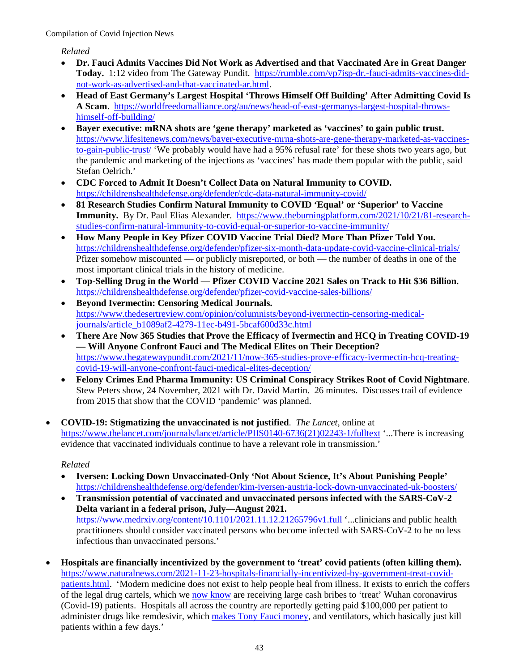*Related*

- **Dr. Fauci Admits Vaccines Did Not Work as Advertised and that Vaccinated Are in Great Danger** Today. 1:12 video from The Gateway Pundit. [https://rumble.com/vp7isp-dr.-fauci-admits-vaccines-did](https://rumble.com/vp7isp-dr.-fauci-admits-vaccines-did-not-work-as-advertised-and-that-vaccinated-ar.html)[not-work-as-advertised-and-that-vaccinated-ar.html.](https://rumble.com/vp7isp-dr.-fauci-admits-vaccines-did-not-work-as-advertised-and-that-vaccinated-ar.html)
- **Head of East Germany's Largest Hospital 'Throws Himself Off Building' After Admitting Covid Is A Scam**. [https://worldfreedomalliance.org/au/news/head-of-east-germanys-largest-hospital-throws](https://worldfreedomalliance.org/au/news/head-of-east-germanys-largest-hospital-throws-himself-off-building/)[himself-off-building/](https://worldfreedomalliance.org/au/news/head-of-east-germanys-largest-hospital-throws-himself-off-building/)
- **Bayer executive: mRNA shots are 'gene therapy' marketed as 'vaccines' to gain public trust.**  [https://www.lifesitenews.com/news/bayer-executive-mrna-shots-are-gene-therapy-marketed-as-vaccines](https://www.lifesitenews.com/news/bayer-executive-mrna-shots-are-gene-therapy-marketed-as-vaccines-to-gain-public-trust/)[to-gain-public-trust/](https://www.lifesitenews.com/news/bayer-executive-mrna-shots-are-gene-therapy-marketed-as-vaccines-to-gain-public-trust/) 'We probably would have had a 95% refusal rate' for these shots two years ago, but the pandemic and marketing of the injections as 'vaccines' has made them popular with the public, said Stefan Oelrich.'
- **CDC Forced to Admit It Doesn't Collect Data on Natural Immunity to COVID.**  <https://childrenshealthdefense.org/defender/cdc-data-natural-immunity-covid/>
- **81 Research Studies Confirm Natural Immunity to COVID 'Equal' or 'Superior' to Vaccine Immunity.** By Dr. Paul Elias Alexander. [https://www.theburningplatform.com/2021/10/21/81-research](https://www.theburningplatform.com/2021/10/21/81-research-studies-confirm-natural-immunity-to-covid-equal-or-superior-to-vaccine-immunity/)[studies-confirm-natural-immunity-to-covid-equal-or-superior-to-vaccine-immunity/](https://www.theburningplatform.com/2021/10/21/81-research-studies-confirm-natural-immunity-to-covid-equal-or-superior-to-vaccine-immunity/)
- **How Many People in Key Pfizer COVID Vaccine Trial Died? More Than Pfizer Told You.**  <https://childrenshealthdefense.org/defender/pfizer-six-month-data-update-covid-vaccine-clinical-trials/> Pfizer somehow miscounted — or publicly misreported, or both — the number of deaths in one of the most important clinical trials in the history of medicine.
- **Top-Selling Drug in the World Pfizer COVID Vaccine 2021 Sales on Track to Hit \$36 Billion.**  <https://childrenshealthdefense.org/defender/pfizer-covid-vaccine-sales-billions/>
- **Beyond Ivermectin: Censoring Medical Journals.**  [https://www.thedesertreview.com/opinion/columnists/beyond-ivermectin-censoring-medical](https://www.thedesertreview.com/opinion/columnists/beyond-ivermectin-censoring-medical-journals/article_b1089af2-4279-11ec-b491-5bcaf600d33c.html)[journals/article\\_b1089af2-4279-11ec-b491-5bcaf600d33c.html](https://www.thedesertreview.com/opinion/columnists/beyond-ivermectin-censoring-medical-journals/article_b1089af2-4279-11ec-b491-5bcaf600d33c.html)
- **There Are Now 365 Studies that Prove the Efficacy of Ivermectin and HCQ in Treating COVID-19 — Will Anyone Confront Fauci and The Medical Elites on Their Deception?**  [https://www.thegatewaypundit.com/2021/11/now-365-studies-prove-efficacy-ivermectin-hcq-treating](https://www.thegatewaypundit.com/2021/11/now-365-studies-prove-efficacy-ivermectin-hcq-treating-covid-19-will-anyone-confront-fauci-medical-elites-deception/)[covid-19-will-anyone-confront-fauci-medical-elites-deception/](https://www.thegatewaypundit.com/2021/11/now-365-studies-prove-efficacy-ivermectin-hcq-treating-covid-19-will-anyone-confront-fauci-medical-elites-deception/)
- **Felony Crimes End Pharma Immunity: US Criminal Conspiracy Strikes Root of Covid Nightmare**. Stew Peters show, 24 November, 2021 with Dr. David Martin. 26 minutes. Discusses trail of evidence from 2015 that show that the COVID 'pandemic' was planned.
- **COVID-19: Stigmatizing the unvaccinated is not justified**. *The Lancet*, online at [https://www.thelancet.com/journals/lancet/article/PIIS0140-6736\(21\)02243-1/fulltext](https://www.thelancet.com/journals/lancet/article/PIIS0140-6736(21)02243-1/fulltext) '...There is increasing evidence that vaccinated individuals continue to have a relevant role in transmission.'

- **Iversen: Locking Down Unvaccinated-Only 'Not About Science, It's About Punishing People'** <https://childrenshealthdefense.org/defender/kim-iversen-austria-lock-down-unvaccinated-uk-boosters/>
- **Transmission potential of vaccinated and unvaccinated persons infected with the SARS-CoV-2 Delta variant in a federal prison, July—August 2021.** <https://www.medrxiv.org/content/10.1101/2021.11.12.21265796v1.full>'...clinicians and public health practitioners should consider vaccinated persons who become infected with SARS-CoV-2 to be no less infectious than unvaccinated persons.'
- **Hospitals are financially incentivized by the government to 'treat' covid patients (often killing them).**  [https://www.naturalnews.com/2021-11-23-hospitals-financially-incentivized-by-government-treat-covid](https://www.naturalnews.com/2021-11-23-hospitals-financially-incentivized-by-government-treat-covid-patients.html)[patients.html.](https://www.naturalnews.com/2021-11-23-hospitals-financially-incentivized-by-government-treat-covid-patients.html) 'Modern medicine does not exist to help people heal from illness. It exists to enrich the coffers of the legal drug cartels, which we [now know](https://survivaldan101.com/governments-put-a-bounty-on-your-life-for-each-covid-patient-hospitals-receive-about-100k-incentive-payments/) are receiving large cash bribes to 'treat' Wuhan coronavirus (Covid-19) patients. Hospitals all across the country are reportedly getting paid \$100,000 per patient to administer drugs like remdesivir, which [makes Tony Fauci money,](https://naturalnews.com/2021-10-03-remdesivir-increases-risk-hospitalization-covid.html) and ventilators, which basically just kill patients within a few days.'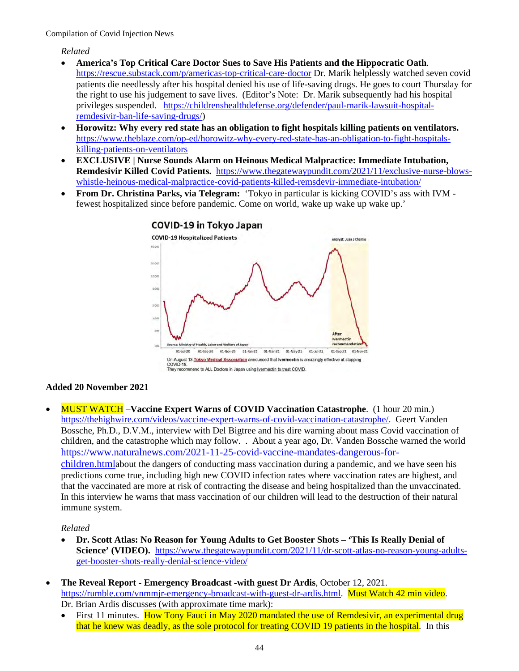*Related*

- **America's Top Critical Care Doctor Sues to Save His Patients and the Hippocratic Oath**. <https://rescue.substack.com/p/americas-top-critical-care-doctor> Dr. Marik helplessly watched seven covid patients die needlessly after his hospital denied his use of life-saving drugs. He goes to court Thursday for the right to use his judgement to save lives. (Editor's Note: Dr. Marik subsequently had his hospital privileges suspended. [https://childrenshealthdefense.org/defender/paul-marik-lawsuit-hospital](https://childrenshealthdefense.org/defender/paul-marik-lawsuit-hospital-remdesivir-ban-life-saving-drugs/)[remdesivir-ban-life-saving-drugs/\)](https://childrenshealthdefense.org/defender/paul-marik-lawsuit-hospital-remdesivir-ban-life-saving-drugs/)
- **Horowitz: Why every red state has an obligation to fight hospitals killing patients on ventilators.**  [https://www.theblaze.com/op-ed/horowitz-why-every-red-state-has-an-obligation-to-fight-hospitals](https://www.theblaze.com/op-ed/horowitz-why-every-red-state-has-an-obligation-to-fight-hospitals-killing-patients-on-ventilators)[killing-patients-on-ventilators](https://www.theblaze.com/op-ed/horowitz-why-every-red-state-has-an-obligation-to-fight-hospitals-killing-patients-on-ventilators)
- **EXCLUSIVE | Nurse Sounds Alarm on Heinous Medical Malpractice: Immediate Intubation, Remdesivir Killed Covid Patients.** [https://www.thegatewaypundit.com/2021/11/exclusive-nurse-blows](https://www.thegatewaypundit.com/2021/11/exclusive-nurse-blows-whistle-heinous-medical-malpractice-covid-patients-killed-remsdevir-immediate-intubation/)[whistle-heinous-medical-malpractice-covid-patients-killed-remsdevir-immediate-intubation/](https://www.thegatewaypundit.com/2021/11/exclusive-nurse-blows-whistle-heinous-medical-malpractice-covid-patients-killed-remsdevir-immediate-intubation/)
- **From Dr. Christina Parks, via Telegram:** 'Tokyo in particular is kicking COVID's ass with IVM fewest hospitalized since before pandemic. Come on world, wake up wake up wake up.'



#### **Added 20 November 2021**

• MUST WATCH –**Vaccine Expert Warns of COVID Vaccination Catastrophe**. (1 hour 20 min.) [https://thehighwire.com/videos/vaccine-expert-warns-of-covid-vaccination-catastrophe/.](https://thehighwire.com/videos/vaccine-expert-warns-of-covid-vaccination-catastrophe/) Geert Vanden Bossche, Ph.D., D.V.M., interview with Del Bigtree and his dire warning about mass Covid vaccination of children, and the catastrophe which may follow. . About a year ago, Dr. Vanden Bossche warned the world [https://www.naturalnews.com/2021-11-25-covid-vaccine-mandates-dangerous-for](https://www.naturalnews.com/2021-11-25-covid-vaccine-mandates-dangerous-for-children.html)[children.htmla](https://www.naturalnews.com/2021-11-25-covid-vaccine-mandates-dangerous-for-children.html)bout the dangers of conducting mass vaccination during a pandemic, and we have seen his predictions come true, including high new COVID infection rates where vaccination rates are highest, and that the vaccinated are more at risk of contracting the disease and being hospitalized than the unvaccinated. In this interview he warns that mass vaccination of our children will lead to the destruction of their natural immune system.

- **Dr. Scott Atlas: No Reason for Young Adults to Get Booster Shots 'This Is Really Denial of Science' (VIDEO).** [https://www.thegatewaypundit.com/2021/11/dr-scott-atlas-no-reason-young-adults](https://www.thegatewaypundit.com/2021/11/dr-scott-atlas-no-reason-young-adults-get-booster-shots-really-denial-science-video/)[get-booster-shots-really-denial-science-video/](https://www.thegatewaypundit.com/2021/11/dr-scott-atlas-no-reason-young-adults-get-booster-shots-really-denial-science-video/)
- **The Reveal Report Emergency Broadcast -with guest Dr Ardis**, October 12, 2021. [https://rumble.com/vnmmjr-emergency-broadcast-with-guest-dr-ardis.html.](https://rumble.com/vnmmjr-emergency-broadcast-with-guest-dr-ardis.html) Must Watch 42 min video. Dr. Brian Ardis discusses (with approximate time mark):
	- First 11 minutes. How Tony Fauci in May 2020 mandated the use of Remdesivir, an experimental drug that he knew was deadly, as the sole protocol for treating COVID 19 patients in the hospital. In this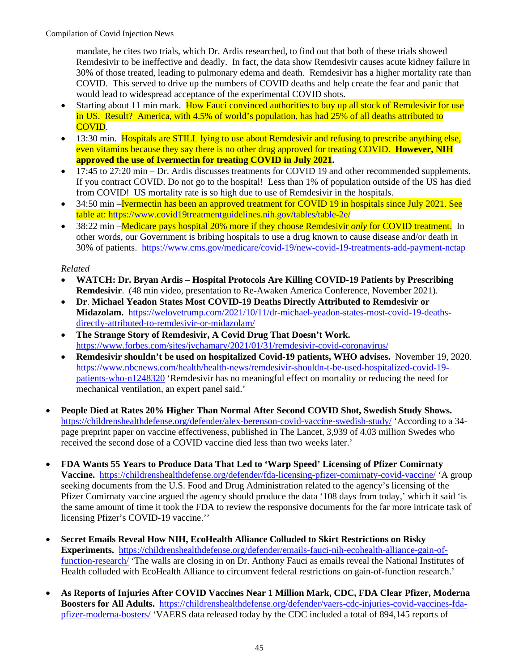mandate, he cites two trials, which Dr. Ardis researched, to find out that both of these trials showed Remdesivir to be ineffective and deadly. In fact, the data show Remdesivir causes acute kidney failure in 30% of those treated, leading to pulmonary edema and death. Remdesivir has a higher mortality rate than COVID. This served to drive up the numbers of COVID deaths and help create the fear and panic that would lead to widespread acceptance of the experimental COVID shots.

- Starting about 11 min mark. How Fauci convinced authorities to buy up all stock of Remdesivir for use in US. Result? America, with 4.5% of world's population, has had 25% of all deaths attributed to COVID.
- 13:30 min. Hospitals are STILL lying to use about Remdesivir and refusing to prescribe anything else, even vitamins because they say there is no other drug approved for treating COVID. **However, NIH approved the use of Ivermectin for treating COVID in July 2021.**
- 17:45 to 27:20 min Dr. Ardis discusses treatments for COVID 19 and other recommended supplements. If you contract COVID. Do not go to the hospital! Less than 1% of population outside of the US has died from COVID! US mortality rate is so high due to use of Remdesivir in the hospitals.
- 34:50 min –Ivermectin has been an approved treatment for COVID 19 in hospitals since July 2021. See table at:<https://www.covid19treatmentguidelines.nih.gov/tables/table-2e/>
- 38:22 min –Medicare pays hospital 20% more if they choose Remdesivir *only* for COVID treatment. In other words, our Government is bribing hospitals to use a drug known to cause disease and/or death in 30% of patients. <https://www.cms.gov/medicare/covid-19/new-covid-19-treatments-add-payment-nctap>

- **WATCH: Dr. Bryan Ardis Hospital Protocols Are Killing COVID-19 Patients by Prescribing Remdesivir**. (48 min video, presentation to Re-Awaken America Conference, November 2021).
- **Dr**. **Michael Yeadon States Most COVID-19 Deaths Directly Attributed to Remdesivir or Midazolam.** [https://welovetrump.com/2021/10/11/dr-michael-yeadon-states-most-covid-19-deaths](https://welovetrump.com/2021/10/11/dr-michael-yeadon-states-most-covid-19-deaths-directly-attributed-to-remdesivir-or-midazolam/)[directly-attributed-to-remdesivir-or-midazolam/](https://welovetrump.com/2021/10/11/dr-michael-yeadon-states-most-covid-19-deaths-directly-attributed-to-remdesivir-or-midazolam/)
- **The Strange Story of Remdesivir, A Covid Drug That Doesn't Work.**  <https://www.forbes.com/sites/jvchamary/2021/01/31/remdesivir-covid-coronavirus/>
- **Remdesivir shouldn't be used on hospitalized Covid-19 patients, WHO advises.** November 19, 2020. [https://www.nbcnews.com/health/health-news/remdesivir-shouldn-t-be-used-hospitalized-covid-19](https://www.nbcnews.com/health/health-news/remdesivir-shouldn-t-be-used-hospitalized-covid-19-patients-who-n1248320) [patients-who-n1248320](https://www.nbcnews.com/health/health-news/remdesivir-shouldn-t-be-used-hospitalized-covid-19-patients-who-n1248320) 'Remdesivir has no meaningful effect on mortality or reducing the need for mechanical ventilation, an expert panel said.'
- **People Died at Rates 20% Higher Than Normal After Second COVID Shot, Swedish Study Shows.**  <https://childrenshealthdefense.org/defender/alex-berenson-covid-vaccine-swedish-study/>'According to a 34 page preprint paper on vaccine effectiveness, published in The Lancet, 3,939 of 4.03 million Swedes who received the second dose of a COVID vaccine died less than two weeks later.'
- **FDA Wants 55 Years to Produce Data That Led to 'Warp Speed' Licensing of Pfizer Comirnaty Vaccine.** <https://childrenshealthdefense.org/defender/fda-licensing-pfizer-comirnaty-covid-vaccine/>'A group seeking documents from the U.S. Food and Drug Administration related to the agency's licensing of the Pfizer Comirnaty vaccine argued the agency should produce the data '108 days from today,' which it said 'is the same amount of time it took the FDA to review the responsive documents for the far more intricate task of licensing Pfizer's COVID-19 vaccine.''
- **Secret Emails Reveal How NIH, EcoHealth Alliance Colluded to Skirt Restrictions on Risky Experiments.** [https://childrenshealthdefense.org/defender/emails-fauci-nih-ecohealth-alliance-gain-of](https://childrenshealthdefense.org/defender/emails-fauci-nih-ecohealth-alliance-gain-of-function-research/)[function-research/](https://childrenshealthdefense.org/defender/emails-fauci-nih-ecohealth-alliance-gain-of-function-research/) 'The walls are closing in on Dr. Anthony Fauci as emails reveal the National Institutes of Health colluded with EcoHealth Alliance to circumvent federal restrictions on gain-of-function research.'
- **As Reports of Injuries After COVID Vaccines Near 1 Million Mark, CDC, FDA Clear Pfizer, Moderna Boosters for All Adults.** [https://childrenshealthdefense.org/defender/vaers-cdc-injuries-covid-vaccines-fda](https://childrenshealthdefense.org/defender/vaers-cdc-injuries-covid-vaccines-fda-pfizer-moderna-bosters/)[pfizer-moderna-bosters/](https://childrenshealthdefense.org/defender/vaers-cdc-injuries-covid-vaccines-fda-pfizer-moderna-bosters/) 'VAERS data released today by the CDC included a total of 894,145 reports of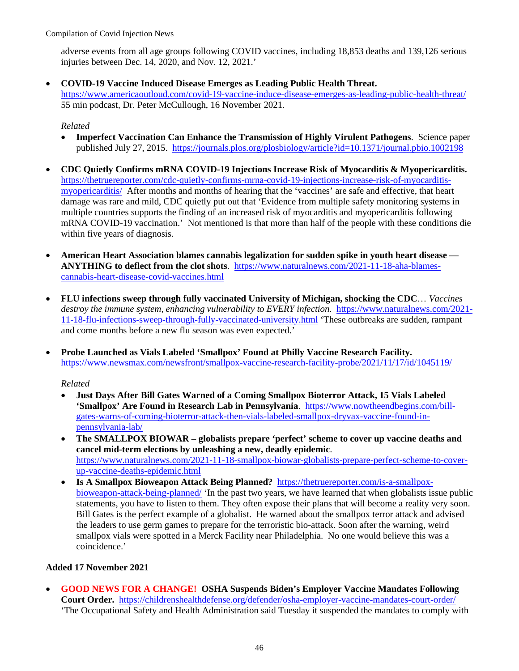adverse events from all age groups following COVID vaccines, including 18,853 deaths and 139,126 serious injuries between Dec. 14, 2020, and Nov. 12, 2021.'

• **COVID-19 Vaccine Induced Disease Emerges as Leading Public Health Threat.**

<https://www.americaoutloud.com/covid-19-vaccine-induce-disease-emerges-as-leading-public-health-threat/> 55 min podcast, Dr. Peter McCullough, 16 November 2021.

*Related*

- **Imperfect Vaccination Can Enhance the Transmission of Highly Virulent Pathogens**. Science paper published July 27, 2015. <https://journals.plos.org/plosbiology/article?id=10.1371/journal.pbio.1002198>
- **CDC Quietly Confirms mRNA COVID-19 Injections Increase Risk of Myocarditis & Myopericarditis.** [https://thetruereporter.com/cdc-quietly-confirms-mrna-covid-19-injections-increase-risk-of-myocarditis](https://thetruereporter.com/cdc-quietly-confirms-mrna-covid-19-injections-increase-risk-of-myocarditis-myopericarditis/)[myopericarditis/](https://thetruereporter.com/cdc-quietly-confirms-mrna-covid-19-injections-increase-risk-of-myocarditis-myopericarditis/) After months and months of hearing that the 'vaccines' are safe and effective, that heart damage was rare and mild, CDC quietly put out that 'Evidence from multiple safety monitoring systems in multiple countries supports the finding of an increased risk of myocarditis and myopericarditis following mRNA COVID-19 vaccination.' Not mentioned is that more than half of the people with these conditions die within five years of diagnosis.
- **American Heart Association blames cannabis legalization for sudden spike in youth heart disease ANYTHING to deflect from the clot shots**. [https://www.naturalnews.com/2021-11-18-aha-blames](https://www.naturalnews.com/2021-11-18-aha-blames-cannabis-heart-disease-covid-vaccines.html)[cannabis-heart-disease-covid-vaccines.html](https://www.naturalnews.com/2021-11-18-aha-blames-cannabis-heart-disease-covid-vaccines.html)
- **FLU infections sweep through fully vaccinated University of Michigan, shocking the CDC**… *Vaccines destroy the immune system, enhancing vulnerability to EVERY infection.* [https://www.naturalnews.com/2021-](https://www.naturalnews.com/2021-11-18-flu-infections-sweep-through-fully-vaccinated-university.html) [11-18-flu-infections-sweep-through-fully-vaccinated-university.html](https://www.naturalnews.com/2021-11-18-flu-infections-sweep-through-fully-vaccinated-university.html) 'These outbreaks are sudden, rampant and come months before a new flu season was even expected.'
- **Probe Launched as Vials Labeled 'Smallpox' Found at Philly Vaccine Research Facility.** <https://www.newsmax.com/newsfront/smallpox-vaccine-research-facility-probe/2021/11/17/id/1045119/>

#### *Related*

- **Just Days After Bill Gates Warned of a Coming Smallpox Bioterror Attack, 15 Vials Labeled 'Smallpox' Are Found in Research Lab in Pennsylvania**. [https://www.nowtheendbegins.com/bill](https://www.nowtheendbegins.com/bill-gates-warns-of-coming-bioterror-attack-then-vials-labeled-smallpox-dryvax-vaccine-found-in-pennsylvania-lab/)[gates-warns-of-coming-bioterror-attack-then-vials-labeled-smallpox-dryvax-vaccine-found-in](https://www.nowtheendbegins.com/bill-gates-warns-of-coming-bioterror-attack-then-vials-labeled-smallpox-dryvax-vaccine-found-in-pennsylvania-lab/)[pennsylvania-lab/](https://www.nowtheendbegins.com/bill-gates-warns-of-coming-bioterror-attack-then-vials-labeled-smallpox-dryvax-vaccine-found-in-pennsylvania-lab/)
- **The SMALLPOX BIOWAR globalists prepare 'perfect' scheme to cover up vaccine deaths and cancel mid-term elections by unleashing a new, deadly epidemic**. [https://www.naturalnews.com/2021-11-18-smallpox-biowar-globalists-prepare-perfect-scheme-to-cover](https://www.naturalnews.com/2021-11-18-smallpox-biowar-globalists-prepare-perfect-scheme-to-cover-up-vaccine-deaths-epidemic.html)[up-vaccine-deaths-epidemic.html](https://www.naturalnews.com/2021-11-18-smallpox-biowar-globalists-prepare-perfect-scheme-to-cover-up-vaccine-deaths-epidemic.html)
- **Is A Smallpox Bioweapon Attack Being Planned?** [https://thetruereporter.com/is-a-smallpox](https://thetruereporter.com/is-a-smallpox-bioweapon-attack-being-planned/)[bioweapon-attack-being-planned/](https://thetruereporter.com/is-a-smallpox-bioweapon-attack-being-planned/) 'In the past two years, we have learned that when globalists issue public statements, you have to listen to them. They often expose their plans that will become a reality very soon. Bill Gates is the perfect example of a globalist. He warned about the smallpox terror attack and advised the leaders to use germ games to prepare for the terroristic bio-attack. Soon after the warning, weird smallpox vials were spotted in a Merck Facility near Philadelphia. No one would believe this was a coincidence.'

#### **Added 17 November 2021**

• **GOOD NEWS FOR A CHANGE! OSHA Suspends Biden's Employer Vaccine Mandates Following Court Order.** <https://childrenshealthdefense.org/defender/osha-employer-vaccine-mandates-court-order/> 'The Occupational Safety and Health Administration said Tuesday it suspended the mandates to comply with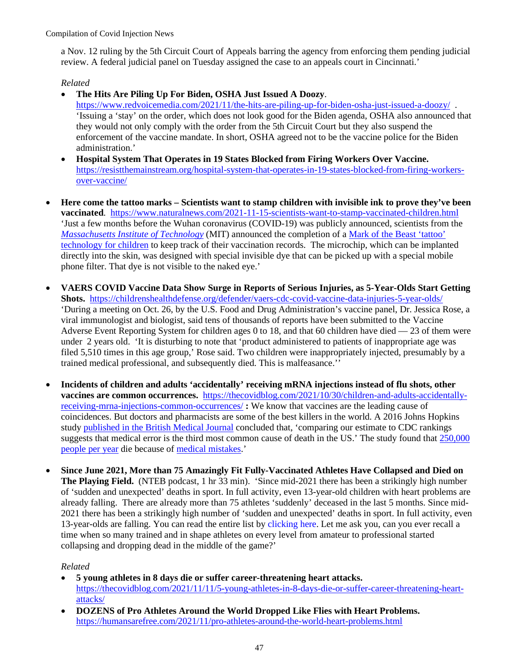a Nov. 12 ruling by the 5th Circuit Court of Appeals barring the agency from enforcing them pending judicial review. A federal judicial panel on Tuesday assigned the case to an appeals court in Cincinnati.'

## *Related*

- **The Hits Are Piling Up For Biden, OSHA Just Issued A Doozy**.
	- <https://www.redvoicemedia.com/2021/11/the-hits-are-piling-up-for-biden-osha-just-issued-a-doozy/>. 'Issuing a 'stay' on the order, which does not look good for the Biden agenda, OSHA also announced that they would not only comply with the order from the 5th Circuit Court but they also suspend the enforcement of the vaccine mandate. In short, OSHA agreed not to be the vaccine police for the Biden administration.'
- **Hospital System That Operates in 19 States Blocked from Firing Workers Over Vaccine.** [https://resistthemainstream.org/hospital-system-that-operates-in-19-states-blocked-from-firing-workers](https://resistthemainstream.org/hospital-system-that-operates-in-19-states-blocked-from-firing-workers-over-vaccine/)[over-vaccine/](https://resistthemainstream.org/hospital-system-that-operates-in-19-states-blocked-from-firing-workers-over-vaccine/)
- **Here come the tattoo marks Scientists want to stamp children with invisible ink to prove they've been vaccinated**. <https://www.naturalnews.com/2021-11-15-scientists-want-to-stamp-vaccinated-children.html> 'Just a few months before the Wuhan coronavirus (COVID-19) was publicly announced, scientists from the *[Massachusetts Institute of Technology](http://www.mit.edu/)* (MIT) announced the completion of [a Mark of the Beast 'tattoo'](https://www.scientificamerican.com/article/invisible-ink-could-reveal-whether-kids-have-been-vaccinated/)  [technology for children](https://www.scientificamerican.com/article/invisible-ink-could-reveal-whether-kids-have-been-vaccinated/) to keep track of their vaccination records. The microchip, which can be implanted directly into the skin, was designed with special invisible dye that can be picked up with a special mobile phone filter. That dye is not visible to the naked eye.'
- **VAERS COVID Vaccine Data Show Surge in Reports of Serious Injuries, as 5-Year-Olds Start Getting Shots.** <https://childrenshealthdefense.org/defender/vaers-cdc-covid-vaccine-data-injuries-5-year-olds/> 'During a meeting on Oct. 26, by the U.S. Food and Drug Administration's vaccine panel, Dr. Jessica Rose, a viral immunologist and biologist, said tens of thousands of reports have been submitted to the Vaccine Adverse Event Reporting System for children ages 0 to 18, and that 60 children have died — 23 of them were under 2 years old. 'It is disturbing to note that 'product administered to patients of inappropriate age was filed 5,510 times in this age group,' Rose said. Two children were inappropriately injected, presumably by a trained medical professional, and subsequently died. This is malfeasance.''
- **Incidents of children and adults 'accidentally' receiving mRNA injections instead of flu shots, other vaccines are common occurrences.** [https://thecovidblog.com/2021/10/30/children-and-adults-accidentally](https://thecovidblog.com/2021/10/30/children-and-adults-accidentally-receiving-mrna-injections-common-occurrences/)[receiving-mrna-injections-common-occurrences/](https://thecovidblog.com/2021/10/30/children-and-adults-accidentally-receiving-mrna-injections-common-occurrences/) **:** We know that vaccines are the leading cause of coincidences. But doctors and pharmacists are some of the best killers in the world. A 2016 Johns Hopkins study [published in the British Medical Journal](https://www.hcp.med.harvard.edu/sites/default/files/methodsmakarydaniel_2016_bmj%20%281%29.pdf) concluded that, 'comparing our estimate to CDC rankings suggests that medical error is the third most common cause of death in the US.' The study found that  $250,000$ [people per year](https://www.hopkinsmedicine.org/news/media/releases/study_suggests_medical_errors_now_third_leading_cause_of_death_in_the_us) die because of [medical mistakes.](https://www.cnbc.com/2018/02/22/medical-errors-third-leading-cause-of-death-in-america.html)'
- **Since June 2021, More than 75 Amazingly Fit Fully-Vaccinated Athletes Have Collapsed and Died on The Playing Field.** (NTEB podcast, 1 hr 33 min). 'Since mid-2021 there has been a strikingly high number of 'sudden and unexpected' deaths in sport. In full activity, even 13-year-old children with heart problems are already falling. There are already more than 75 athletes 'suddenly' deceased in the last 5 months. Since mid-2021 there has been a strikingly high number of 'sudden and unexpected' deaths in sport. In full activity, even 13-year-olds are falling. You can read the entire list by [clicking here.](https://diariodevallarta.com/en/mas-de-75-deportistas-repentinamente-fallecidos-en-5-meses/) Let me ask you, can you ever recall a time when so many trained and in shape athletes on every level from amateur to professional started collapsing and dropping dead in the middle of the game?'

- **5 young athletes in 8 days die or suffer career-threatening heart attacks.**  [https://thecovidblog.com/2021/11/11/5-young-athletes-in-8-days-die-or-suffer-career-threatening-heart](https://thecovidblog.com/2021/11/11/5-young-athletes-in-8-days-die-or-suffer-career-threatening-heart-attacks/)[attacks/](https://thecovidblog.com/2021/11/11/5-young-athletes-in-8-days-die-or-suffer-career-threatening-heart-attacks/)
- **DOZENS of Pro Athletes Around the World Dropped Like Flies with Heart Problems.**  <https://humansarefree.com/2021/11/pro-athletes-around-the-world-heart-problems.html>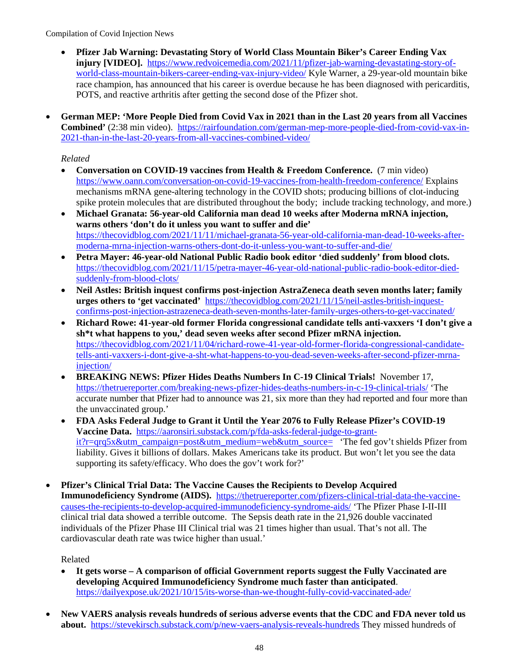- **Pfizer Jab Warning: Devastating Story of World Class Mountain Biker's Career Ending Vax injury [VIDEO].** [https://www.redvoicemedia.com/2021/11/pfizer-jab-warning-devastating-story-of](https://www.redvoicemedia.com/2021/11/pfizer-jab-warning-devastating-story-of-world-class-mountain-bikers-career-ending-vax-injury-video/)[world-class-mountain-bikers-career-ending-vax-injury-video/](https://www.redvoicemedia.com/2021/11/pfizer-jab-warning-devastating-story-of-world-class-mountain-bikers-career-ending-vax-injury-video/) Kyle Warner, a 29-year-old mountain bike race champion, has announced that his career is overdue because he has been diagnosed with pericarditis, POTS, and reactive arthritis after getting the second dose of the Pfizer shot.
- **German MEP: 'More People Died from Covid Vax in 2021 than in the Last 20 years from all Vaccines Combined'** (2:38 min video).[https://rairfoundation.com/german-mep-more-people-died-from-covid-vax-in-](https://rairfoundation.com/german-mep-more-people-died-from-covid-vax-in-2021-than-in-the-last-20-years-from-all-vaccines-combined-video/)[2021-than-in-the-last-20-years-from-all-vaccines-combined-video/](https://rairfoundation.com/german-mep-more-people-died-from-covid-vax-in-2021-than-in-the-last-20-years-from-all-vaccines-combined-video/)

## *Related*

- **Conversation on COVID-19 vaccines from Health & Freedom Conference.** (7 min video) <https://www.oann.com/conversation-on-covid-19-vaccines-from-health-freedom-conference/> Explains mechanisms mRNA gene-altering technology in the COVID shots; producing billions of clot-inducing spike protein molecules that are distributed throughout the body; include tracking technology, and more.)
- **Michael Granata: 56-year-old California man dead 10 weeks [after Moderna mRNA](https://thecovidblog.com/2021/11/11/michael-granata-56-year-old-california-man-dead-10-weeks-after-moderna-mrna-injection-warns-others-dont-do-it-unless-you-want-to-suffer-and-die/) injection, warns others 'don't do it unless you want to suffer and die'**  [https://thecovidblog.com/2021/11/11/michael-granata-56-year-old-california-man-dead-10-weeks-after](https://thecovidblog.com/2021/11/11/michael-granata-56-year-old-california-man-dead-10-weeks-after-moderna-mrna-injection-warns-others-dont-do-it-unless-you-want-to-suffer-and-die/)[moderna-mrna-injection-warns-others-dont-do-it-unless-you-want-to-suffer-and-die/](https://thecovidblog.com/2021/11/11/michael-granata-56-year-old-california-man-dead-10-weeks-after-moderna-mrna-injection-warns-others-dont-do-it-unless-you-want-to-suffer-and-die/)
- **Petra Mayer: 46-year-old National Public Radio book editor 'died suddenly' from blood clots.**  [https://thecovidblog.com/2021/11/15/petra-mayer-46-year-old-national-public-radio-book-editor-died](https://thecovidblog.com/2021/11/15/petra-mayer-46-year-old-national-public-radio-book-editor-died-suddenly-from-blood-clots/)[suddenly-from-blood-clots/](https://thecovidblog.com/2021/11/15/petra-mayer-46-year-old-national-public-radio-book-editor-died-suddenly-from-blood-clots/)
- **Neil Astles: British inquest confirms post-injection AstraZeneca death seven months later; family urges others to 'get vaccinated'** [https://thecovidblog.com/2021/11/15/neil-astles-british-inquest](https://thecovidblog.com/2021/11/15/neil-astles-british-inquest-confirms-post-injection-astrazeneca-death-seven-months-later-family-urges-others-to-get-vaccinated/)[confirms-post-injection-astrazeneca-death-seven-months-later-family-urges-others-to-get-vaccinated/](https://thecovidblog.com/2021/11/15/neil-astles-british-inquest-confirms-post-injection-astrazeneca-death-seven-months-later-family-urges-others-to-get-vaccinated/)
- **Richard Rowe: 41-year-old former Florida congressional candidate tells anti-vaxxers 'I don't give a sh\*t what happens to you,' dead seven weeks after second Pfizer mRNA injection.**  [https://thecovidblog.com/2021/11/04/richard-rowe-41-year-old-former-florida-congressional-candidate](https://thecovidblog.com/2021/11/04/richard-rowe-41-year-old-former-florida-congressional-candidate-tells-anti-vaxxers-i-dont-give-a-sht-what-happens-to-you-dead-seven-weeks-after-second-pfizer-mrna-injection/)[tells-anti-vaxxers-i-dont-give-a-sht-what-happens-to-you-dead-seven-weeks-after-second-pfizer-mrna](https://thecovidblog.com/2021/11/04/richard-rowe-41-year-old-former-florida-congressional-candidate-tells-anti-vaxxers-i-dont-give-a-sht-what-happens-to-you-dead-seven-weeks-after-second-pfizer-mrna-injection/)[injection/](https://thecovidblog.com/2021/11/04/richard-rowe-41-year-old-former-florida-congressional-candidate-tells-anti-vaxxers-i-dont-give-a-sht-what-happens-to-you-dead-seven-weeks-after-second-pfizer-mrna-injection/)
- **BREAKING NEWS: Pfizer Hides Deaths Numbers In C-19 Clinical Trials!** November 17, <https://thetruereporter.com/breaking-news-pfizer-hides-deaths-numbers-in-c-19-clinical-trials/>'The accurate number that Pfizer had to announce was 21, six more than they had reported and four more than the unvaccinated group.'
- **FDA Asks Federal Judge to Grant it Until the Year 2076 to Fully Release Pfizer's COVID-19 Vaccine Data.** [https://aaronsiri.substack.com/p/fda-asks-federal-judge-to-grant](https://aaronsiri.substack.com/p/fda-asks-federal-judge-to-grant-it?r=qrq5x&utm_campaign=post&utm_medium=web&utm_source=)[it?r=qrq5x&utm\\_campaign=post&utm\\_medium=web&utm\\_source=](https://aaronsiri.substack.com/p/fda-asks-federal-judge-to-grant-it?r=qrq5x&utm_campaign=post&utm_medium=web&utm_source=) 'The fed gov't shields Pfizer from liability. Gives it billions of dollars. Makes Americans take its product. But won't let you see the data supporting its safety/efficacy. Who does the gov't work for?'
- **Pfizer's Clinical Trial Data: The Vaccine Causes the Recipients to Develop Acquired Immunodeficiency Syndrome (AIDS).** [https://thetruereporter.com/pfizers-clinical-trial-data-the-vaccine](https://thetruereporter.com/pfizers-clinical-trial-data-the-vaccine-causes-the-recipients-to-develop-acquired-immunodeficiency-syndrome-aids/)[causes-the-recipients-to-develop-acquired-immunodeficiency-syndrome-aids/](https://thetruereporter.com/pfizers-clinical-trial-data-the-vaccine-causes-the-recipients-to-develop-acquired-immunodeficiency-syndrome-aids/) 'The Pfizer Phase I-II-III clinical trial data showed a terrible outcome. The Sepsis death rate in the 21,926 double vaccinated individuals of the Pfizer Phase III Clinical trial was 21 times higher than usual. That's not all. The cardiovascular death rate was twice higher than usual.'

- **It gets worse A comparison of official Government reports suggest the Fully Vaccinated are developing Acquired Immunodeficiency Syndrome much faster than anticipated**. <https://dailyexpose.uk/2021/10/15/its-worse-than-we-thought-fully-covid-vaccinated-ade/>
- **New VAERS analysis reveals hundreds of serious adverse events that the CDC and FDA never told us about.** <https://stevekirsch.substack.com/p/new-vaers-analysis-reveals-hundreds> They missed hundreds of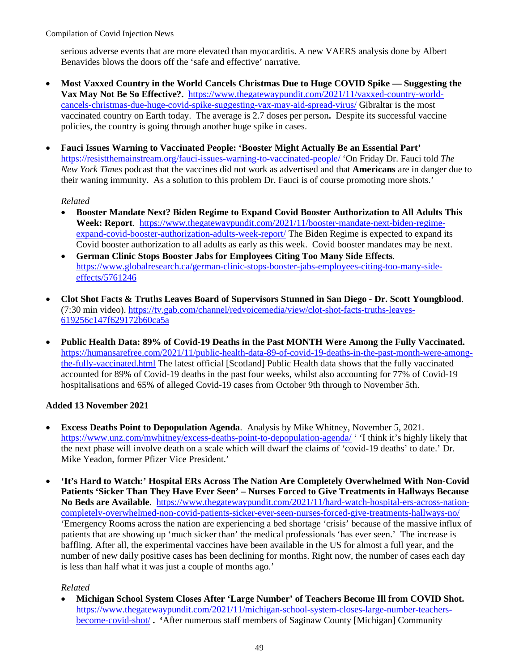serious adverse events that are more elevated than myocarditis. A new VAERS analysis done by Albert Benavides blows the doors off the 'safe and effective' narrative.

- **Most Vaxxed Country in the World Cancels Christmas Due to Huge COVID Spike Suggesting the Vax May Not Be So Effective?.** [https://www.thegatewaypundit.com/2021/11/vaxxed-country-world](https://www.thegatewaypundit.com/2021/11/vaxxed-country-world-cancels-christmas-due-huge-covid-spike-suggesting-vax-may-aid-spread-virus/)[cancels-christmas-due-huge-covid-spike-suggesting-vax-may-aid-spread-virus/](https://www.thegatewaypundit.com/2021/11/vaxxed-country-world-cancels-christmas-due-huge-covid-spike-suggesting-vax-may-aid-spread-virus/) Gibraltar is the most vaccinated country on Earth today. The average is 2.7 doses per person**.** Despite its successful vaccine policies, the country is going through another huge spike in cases.
- **Fauci Issues Warning to Vaccinated People: 'Booster Might Actually Be an Essential Part'**  <https://resistthemainstream.org/fauci-issues-warning-to-vaccinated-people/>'On Friday Dr. Fauci told *The New York Times* podcast that the vaccines did not work as advertised and that **Americans** are in danger due to their waning immunity. As a solution to this problem Dr. Fauci is of course promoting more shots.'

#### *Related*

- **Booster Mandate Next? Biden Regime to Expand Covid Booster Authorization to All Adults This Week: Report**. [https://www.thegatewaypundit.com/2021/11/booster-mandate-next-biden-regime](https://www.thegatewaypundit.com/2021/11/booster-mandate-next-biden-regime-expand-covid-booster-authorization-adults-week-report/)[expand-covid-booster-authorization-adults-week-report/](https://www.thegatewaypundit.com/2021/11/booster-mandate-next-biden-regime-expand-covid-booster-authorization-adults-week-report/) The Biden Regime is expected to expand its Covid booster authorization to all adults as early as this week. Covid booster mandates may be next.
- **German Clinic Stops Booster Jabs for Employees Citing Too Many Side Effects**. [https://www.globalresearch.ca/german-clinic-stops-booster-jabs-employees-citing-too-many-side](https://www.globalresearch.ca/german-clinic-stops-booster-jabs-employees-citing-too-many-side-effects/5761246)[effects/5761246](https://www.globalresearch.ca/german-clinic-stops-booster-jabs-employees-citing-too-many-side-effects/5761246)
- **Clot Shot Facts & Truths Leaves Board of Supervisors Stunned in San Diego Dr. Scott Youngblood**. (7:30 min video). [https://tv.gab.com/channel/redvoicemedia/view/clot-shot-facts-truths-leaves-](https://tv.gab.com/channel/redvoicemedia/view/clot-shot-facts-truths-leaves-619256c147f629172b60ca5a)[619256c147f629172b60ca5a](https://tv.gab.com/channel/redvoicemedia/view/clot-shot-facts-truths-leaves-619256c147f629172b60ca5a)
- **Public Health Data: 89% of Covid-19 Deaths in the Past MONTH Were Among the Fully Vaccinated.**  [https://humansarefree.com/2021/11/public-health-data-89-of-covid-19-deaths-in-the-past-month-were-among](https://humansarefree.com/2021/11/public-health-data-89-of-covid-19-deaths-in-the-past-month-were-among-the-fully-vaccinated.html)[the-fully-vaccinated.html](https://humansarefree.com/2021/11/public-health-data-89-of-covid-19-deaths-in-the-past-month-were-among-the-fully-vaccinated.html) The latest official [Scotland] Public Health data shows that the fully vaccinated accounted for 89% of Covid-19 deaths in the past four weeks, whilst also accounting for 77% of Covid-19 hospitalisations and 65% of alleged Covid-19 cases from October 9th through to November 5th.

## **Added 13 November 2021**

- **Excess Deaths Point to Depopulation Agenda**. Analysis by Mike Whitney, November 5, 2021. <https://www.unz.com/mwhitney/excess-deaths-point-to-depopulation-agenda/>' 'I think it's highly likely that the next phase will involve death on a scale which will dwarf the claims of 'covid-19 deaths' to date.' Dr. Mike Yeadon, former Pfizer Vice President.'
- **'It's Hard to Watch:' Hospital ERs Across The Nation Are Completely Overwhelmed With Non-Covid Patients 'Sicker Than They Have Ever Seen' – Nurses Forced to Give Treatments in Hallways Because No Beds are Available**. [https://www.thegatewaypundit.com/2021/11/hard-watch-hospital-ers-across-nation](https://www.thegatewaypundit.com/2021/11/hard-watch-hospital-ers-across-nation-completely-overwhelmed-non-covid-patients-sicker-ever-seen-nurses-forced-give-treatments-hallways-no/)[completely-overwhelmed-non-covid-patients-sicker-ever-seen-nurses-forced-give-treatments-hallways-no/](https://www.thegatewaypundit.com/2021/11/hard-watch-hospital-ers-across-nation-completely-overwhelmed-non-covid-patients-sicker-ever-seen-nurses-forced-give-treatments-hallways-no/) 'Emergency Rooms across the nation are experiencing a bed shortage 'crisis' because of the massive influx of patients that are showing up 'much sicker than' the medical professionals 'has ever seen.' The increase is baffling. After all, the experimental vaccines have been available in the US for almost a full year, and the number of new daily positive cases has been declining for months. Right now, the number of cases each day is less than half what it was just a couple of months ago.'

#### *Related*

• **Michigan School System Closes After 'Large Number' of Teachers Become Ill from COVID Shot.**  [https://www.thegatewaypundit.com/2021/11/michigan-school-system-closes-large-number-teachers](https://www.thegatewaypundit.com/2021/11/michigan-school-system-closes-large-number-teachers-become-covid-shot/)[become-covid-shot/](https://www.thegatewaypundit.com/2021/11/michigan-school-system-closes-large-number-teachers-become-covid-shot/) **. '**After numerous staff members of Saginaw County [Michigan] Community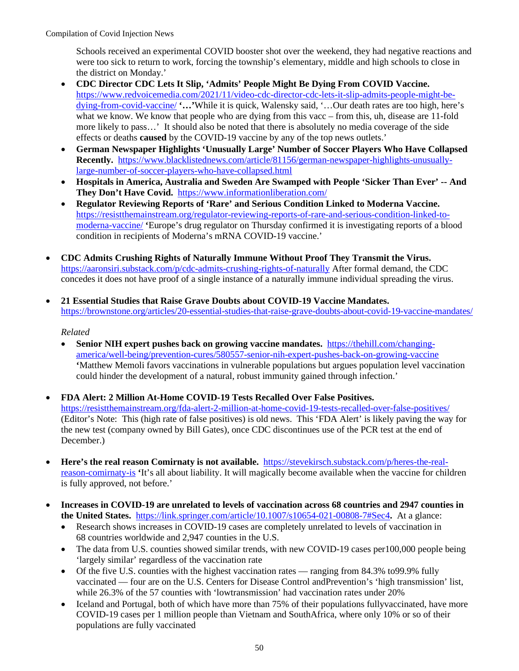Schools received an experimental COVID booster shot over the weekend, they had negative reactions and were too sick to return to work, forcing the township's elementary, middle and high schools to close in the district on Monday.'

- **CDC Director CDC Lets It Slip, 'Admits' People Might Be Dying From COVID Vaccine.**  [https://www.redvoicemedia.com/2021/11/video-cdc-director-cdc-lets-it-slip-admits-people-might-be](https://www.redvoicemedia.com/2021/11/video-cdc-director-cdc-lets-it-slip-admits-people-might-be-dying-from-covid-vaccine/)[dying-from-covid-vaccine/](https://www.redvoicemedia.com/2021/11/video-cdc-director-cdc-lets-it-slip-admits-people-might-be-dying-from-covid-vaccine/) **'…'**While it is quick, Walensky said, '…Our death rates are too high, here's what we know. We know that people who are dying from this vacc – from this, uh, disease are 11-fold more likely to pass…' It should also be noted that there is absolutely no media coverage of the side effects or deaths **caused** by the COVID-19 vaccine by any of the top news outlets.'
- **German Newspaper Highlights 'Unusually Large' Number of Soccer Players Who Have Collapsed Recently.** [https://www.blacklistednews.com/article/81156/german-newspaper-highlights-unusually](https://www.blacklistednews.com/article/81156/german-newspaper-highlights-unusually-large-number-of-soccer-players-who-have-collapsed.html)[large-number-of-soccer-players-who-have-collapsed.html](https://www.blacklistednews.com/article/81156/german-newspaper-highlights-unusually-large-number-of-soccer-players-who-have-collapsed.html)
- **Hospitals in America, Australia and Sweden Are Swamped with People 'Sicker Than Ever' -- And They Don't Have Covid.** <https://www.informationliberation.com/>
- **Regulator Reviewing Reports of 'Rare' and Serious Condition Linked to Moderna Vaccine.**  [https://resistthemainstream.org/regulator-reviewing-reports-of-rare-and-serious-condition-linked-to](https://resistthemainstream.org/regulator-reviewing-reports-of-rare-and-serious-condition-linked-to-moderna-vaccine/)[moderna-vaccine/](https://resistthemainstream.org/regulator-reviewing-reports-of-rare-and-serious-condition-linked-to-moderna-vaccine/) **'**Europe's drug regulator on Thursday confirmed it is investigating reports of a blood condition in recipients of Moderna's mRNA COVID-19 vaccine.'
- **CDC Admits Crushing Rights of Naturally Immune Without Proof They Transmit the Virus.**  <https://aaronsiri.substack.com/p/cdc-admits-crushing-rights-of-naturally> After formal demand, the CDC concedes it does not have proof of a single instance of a naturally immune individual spreading the virus.
- **21 Essential Studies that Raise Grave Doubts about COVID-19 Vaccine Mandates.**  <https://brownstone.org/articles/20-essential-studies-that-raise-grave-doubts-about-covid-19-vaccine-mandates/>

- **Senior NIH expert pushes back on growing vaccine mandates.** [https://thehill.com/changing](https://thehill.com/changing-america/well-being/prevention-cures/580557-senior-nih-expert-pushes-back-on-growing-vaccine)[america/well-being/prevention-cures/580557-senior-nih-expert-pushes-back-on-growing-vaccine](https://thehill.com/changing-america/well-being/prevention-cures/580557-senior-nih-expert-pushes-back-on-growing-vaccine) **'**Matthew Memoli favors vaccinations in vulnerable populations but argues population level vaccination could hinder the development of a natural, robust immunity gained through infection.'
- **FDA Alert: 2 Million At-Home COVID-19 Tests Recalled Over False Positives.**  <https://resistthemainstream.org/fda-alert-2-million-at-home-covid-19-tests-recalled-over-false-positives/> (Editor's Note: This (high rate of false positives) is old news. This 'FDA Alert' is likely paving the way for the new test (company owned by Bill Gates), once CDC discontinues use of the PCR test at the end of December.)
- **Here's the real reason Comirnaty is not available.** [https://stevekirsch.substack.com/p/heres-the-real](https://stevekirsch.substack.com/p/heres-the-real-reason-comirnaty-is)[reason-comirnaty-is](https://stevekirsch.substack.com/p/heres-the-real-reason-comirnaty-is) **'**It's all about liability. It will magically become available when the vaccine for children is fully approved, not before.'
- **Increases in COVID-19 are unrelated to levels of vaccination across 68 countries and 2947 counties in the United States.** <https://link.springer.com/article/10.1007/s10654-021-00808-7#Sec4>**.** At a glance:
	- Research shows increases in COVID-19 cases are completely unrelated to levels of vaccination in 68 countries worldwide and 2,947 counties in the U.S.
	- The data from U.S. counties showed similar trends, with new COVID-19 cases per100,000 people being 'largely similar' regardless of the vaccination rate
	- Of the five U.S. counties with the highest vaccination rates ranging from 84.3% to99.9% fully vaccinated — four are on the U.S. Centers for Disease Control andPrevention's 'high transmission' list, while 26.3% of the 57 counties with 'lowtransmission' had vaccination rates under 20%
	- Iceland and Portugal, both of which have more than 75% of their populations fullyvaccinated, have more COVID-19 cases per 1 million people than Vietnam and SouthAfrica, where only 10% or so of their populations are fully vaccinated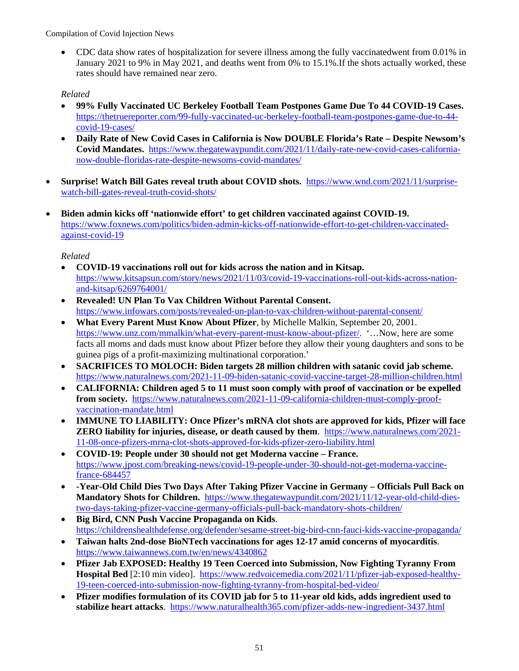• CDC data show rates of hospitalization for severe illness among the fully vaccinatedwent from 0.01% in January 2021 to 9% in May 2021, and deaths went from 0% to 15.1%.If the shots actually worked, these rates should have remained near zero.

# *Related*

- **99% Fully Vaccinated UC Berkeley Football Team Postpones Game Due To 44 COVID-19 Cases.**  [https://thetruereporter.com/99-fully-vaccinated-uc-berkeley-football-team-postpones-game-due-to-44](https://thetruereporter.com/99-fully-vaccinated-uc-berkeley-football-team-postpones-game-due-to-44-covid-19-cases/) [covid-19-cases/](https://thetruereporter.com/99-fully-vaccinated-uc-berkeley-football-team-postpones-game-due-to-44-covid-19-cases/)
- **Daily Rate of New Covid Cases in California is Now DOUBLE Florida's Rate Despite Newsom's Covid Mandates.** [https://www.thegatewaypundit.com/2021/11/daily-rate-new-covid-cases-california](https://www.thegatewaypundit.com/2021/11/daily-rate-new-covid-cases-california-now-double-floridas-rate-despite-newsoms-covid-mandates/)[now-double-floridas-rate-despite-newsoms-covid-mandates/](https://www.thegatewaypundit.com/2021/11/daily-rate-new-covid-cases-california-now-double-floridas-rate-despite-newsoms-covid-mandates/)
- **Surprise! Watch Bill Gates reveal truth about COVID shots.** [https://www.wnd.com/2021/11/surprise](https://www.wnd.com/2021/11/surprise-watch-bill-gates-reveal-truth-covid-shots/)[watch-bill-gates-reveal-truth-covid-shots/](https://www.wnd.com/2021/11/surprise-watch-bill-gates-reveal-truth-covid-shots/)
- **Biden admin kicks off 'nationwide effort' to get children vaccinated against COVID-19.**  [https://www.foxnews.com/politics/biden-admin-kicks-off-nationwide-effort-to-get-children-vaccinated](https://www.foxnews.com/politics/biden-admin-kicks-off-nationwide-effort-to-get-children-vaccinated-against-covid-19)[against-covid-19](https://www.foxnews.com/politics/biden-admin-kicks-off-nationwide-effort-to-get-children-vaccinated-against-covid-19)

- **COVID-19 vaccinations roll out for kids across the nation and in Kitsap.** [https://www.kitsapsun.com/story/news/2021/11/03/covid-19-vaccinations-roll-out-kids-across-nation](https://www.kitsapsun.com/story/news/2021/11/03/covid-19-vaccinations-roll-out-kids-across-nation-and-kitsap/6269764001/)[and-kitsap/6269764001/](https://www.kitsapsun.com/story/news/2021/11/03/covid-19-vaccinations-roll-out-kids-across-nation-and-kitsap/6269764001/)
- **Revealed! UN Plan To Vax Children Without Parental Consent.**  <https://www.infowars.com/posts/revealed-un-plan-to-vax-children-without-parental-consent/>
- **What Every Parent Must Know About Pfizer**, by Michelle Malkin, September 20, 2001. [https://www.unz.com/mmalkin/what-every-parent-must-know-about-pfizer/.](https://www.unz.com/mmalkin/what-every-parent-must-know-about-pfizer/) '…Now, here are some facts all moms and dads must know about Pfizer before they allow their young daughters and sons to be guinea pigs of a profit-maximizing multinational corporation.'
- **SACRIFICES TO MOLOCH: Biden targets 28 million children with satanic covid jab scheme.**  <https://www.naturalnews.com/2021-11-09-biden-satanic-covid-vaccine-target-28-million-children.html>
- **CALIFORNIA: Children aged 5 to 11 must soon comply with proof of vaccination or be expelled from society.** [https://www.naturalnews.com/2021-11-09-california-children-must-comply-proof](https://www.naturalnews.com/2021-11-09-california-children-must-comply-proof-vaccination-mandate.html)[vaccination-mandate.html](https://www.naturalnews.com/2021-11-09-california-children-must-comply-proof-vaccination-mandate.html)
- **IMMUNE TO LIABILITY: Once Pfizer's mRNA clot shots are approved for kids, Pfizer will face ZERO liability for injuries, disease, or death caused by them**. [https://www.naturalnews.com/2021-](https://www.naturalnews.com/2021-11-08-once-pfizers-mrna-clot-shots-approved-for-kids-pfizer-zero-liability.html) [11-08-once-pfizers-mrna-clot-shots-approved-for-kids-pfizer-zero-liability.html](https://www.naturalnews.com/2021-11-08-once-pfizers-mrna-clot-shots-approved-for-kids-pfizer-zero-liability.html)
- **COVID-19: People under 30 should not get Moderna vaccine France.**  [https://www.jpost.com/breaking-news/covid-19-people-under-30-should-not-get-moderna-vaccine](https://www.jpost.com/breaking-news/covid-19-people-under-30-should-not-get-moderna-vaccine-france-684457)[france-684457](https://www.jpost.com/breaking-news/covid-19-people-under-30-should-not-get-moderna-vaccine-france-684457)
- **-Year-Old Child Dies Two Days After Taking Pfizer Vaccine in Germany Officials Pull Back on Mandatory Shots for Children.** [https://www.thegatewaypundit.com/2021/11/12-year-old-child-dies](https://www.thegatewaypundit.com/2021/11/12-year-old-child-dies-two-days-taking-pfizer-vaccine-germany-officials-pull-back-mandatory-shots-children/)[two-days-taking-pfizer-vaccine-germany-officials-pull-back-mandatory-shots-children/](https://www.thegatewaypundit.com/2021/11/12-year-old-child-dies-two-days-taking-pfizer-vaccine-germany-officials-pull-back-mandatory-shots-children/)
- **Big Bird, CNN Push Vaccine Propaganda on Kids**. <https://childrenshealthdefense.org/defender/sesame-street-big-bird-cnn-fauci-kids-vaccine-propaganda/>
- **Taiwan halts 2nd-dose BioNTech vaccinations for ages 12-17 amid concerns of myocarditis**. <https://www.taiwannews.com.tw/en/news/4340862>
- **Pfizer Jab EXPOSED: Healthy 19 Teen Coerced into Submission, Now Fighting Tyranny From Hospital Bed** [2:10 min video]. [https://www.redvoicemedia.com/2021/11/pfizer-jab-exposed-healthy-](https://www.redvoicemedia.com/2021/11/pfizer-jab-exposed-healthy-19-teen-coerced-into-submission-now-fighting-tyranny-from-hospital-bed-video/)[19-teen-coerced-into-submission-now-fighting-tyranny-from-hospital-bed-video/](https://www.redvoicemedia.com/2021/11/pfizer-jab-exposed-healthy-19-teen-coerced-into-submission-now-fighting-tyranny-from-hospital-bed-video/)
- **Pfizer modifies formulation of its COVID jab for 5 to 11-year old kids, adds ingredient used to stabilize heart attacks**. <https://www.naturalhealth365.com/pfizer-adds-new-ingredient-3437.html>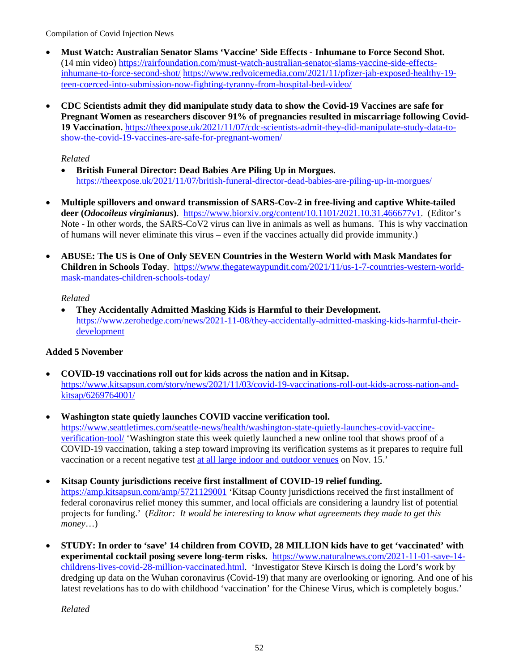- **Must Watch: Australian Senator Slams 'Vaccine' Side Effects Inhumane to Force Second Shot.**  (14 min video) [https://rairfoundation.com/must-watch-australian-senator-slams-vaccine-side-effects](https://rairfoundation.com/must-watch-australian-senator-slams-vaccine-side-effects-inhumane-to-force-second-shot/)[inhumane-to-force-second-shot/](https://rairfoundation.com/must-watch-australian-senator-slams-vaccine-side-effects-inhumane-to-force-second-shot/) [https://www.redvoicemedia.com/2021/11/pfizer-jab-exposed-healthy-19](https://www.redvoicemedia.com/2021/11/pfizer-jab-exposed-healthy-19-teen-coerced-into-submission-now-fighting-tyranny-from-hospital-bed-video/) [teen-coerced-into-submission-now-fighting-tyranny-from-hospital-bed-video/](https://www.redvoicemedia.com/2021/11/pfizer-jab-exposed-healthy-19-teen-coerced-into-submission-now-fighting-tyranny-from-hospital-bed-video/)
- **CDC Scientists admit they did manipulate study data to show the Covid-19 Vaccines are safe for Pregnant Women as researchers discover 91% of pregnancies resulted in miscarriage following Covid-19 Vaccination.** [https://theexpose.uk/2021/11/07/cdc-scientists-admit-they-did-manipulate-study-data-to](https://theexpose.uk/2021/11/07/cdc-scientists-admit-they-did-manipulate-study-data-to-show-the-covid-19-vaccines-are-safe-for-pregnant-women/)[show-the-covid-19-vaccines-are-safe-for-pregnant-women/](https://theexpose.uk/2021/11/07/cdc-scientists-admit-they-did-manipulate-study-data-to-show-the-covid-19-vaccines-are-safe-for-pregnant-women/)

#### *Related*

- **British Funeral Director: Dead Babies Are Piling Up in Morgues**. <https://theexpose.uk/2021/11/07/british-funeral-director-dead-babies-are-piling-up-in-morgues/>
- **Multiple spillovers and onward transmission of SARS-Cov-2 in free-living and captive White-tailed deer (***Odocoileus virginianus***)**. [https://www.biorxiv.org/content/10.1101/2021.10.31.466677v1.](https://www.biorxiv.org/content/10.1101/2021.10.31.466677v1) (Editor's Note - In other words, the SARS-CoV2 virus can live in animals as well as humans. This is why vaccination of humans will never eliminate this virus – even if the vaccines actually did provide immunity.)
- **ABUSE: The US is One of Only SEVEN Countries in the Western World with Mask Mandates for Children in Schools Today**. [https://www.thegatewaypundit.com/2021/11/us-1-7-countries-western-world](https://www.thegatewaypundit.com/2021/11/us-1-7-countries-western-world-mask-mandates-children-schools-today/)[mask-mandates-children-schools-today/](https://www.thegatewaypundit.com/2021/11/us-1-7-countries-western-world-mask-mandates-children-schools-today/)

#### *Related*

• **They Accidentally Admitted Masking Kids is Harmful to their Development.** [https://www.zerohedge.com/news/2021-11-08/they-accidentally-admitted-masking-kids-harmful-their](https://www.zerohedge.com/news/2021-11-08/they-accidentally-admitted-masking-kids-harmful-their-development)[development](https://www.zerohedge.com/news/2021-11-08/they-accidentally-admitted-masking-kids-harmful-their-development) 

## **Added 5 November**

- **COVID-19 vaccinations roll out for kids across the nation and in Kitsap.** [https://www.kitsapsun.com/story/news/2021/11/03/covid-19-vaccinations-roll-out-kids-across-nation-and](https://www.kitsapsun.com/story/news/2021/11/03/covid-19-vaccinations-roll-out-kids-across-nation-and-kitsap/6269764001/)[kitsap/6269764001/](https://www.kitsapsun.com/story/news/2021/11/03/covid-19-vaccinations-roll-out-kids-across-nation-and-kitsap/6269764001/)
- **Washington state quietly launches COVID vaccine verification tool.** [https://www.seattletimes.com/seattle-news/health/washington-state-quietly-launches-covid-vaccine](https://www.seattletimes.com/seattle-news/health/washington-state-quietly-launches-covid-vaccine-verification-tool/)[verification-tool/](https://www.seattletimes.com/seattle-news/health/washington-state-quietly-launches-covid-vaccine-verification-tool/) 'Washington state this week quietly launched a new online tool that shows proof of a COVID-19 vaccination, taking a step toward improving its verification systems as it prepares to require full vaccination or a recent negative test at all [large indoor and outdoor venues](https://www.seattletimes.com/seattle-news/health/large-events-in-washington-state-will-soon-require-proof-of-vaccination-or-a-recent-negative-covid-test/) on Nov. 15.'
- **Kitsap County jurisdictions receive first installment of COVID-19 relief funding.**

<https://amp.kitsapsun.com/amp/5721129001>'Kitsap County jurisdictions received the first installment of federal coronavirus relief money this summer, and local officials are considering a laundry list of potential projects for funding.' (*Editor: It would be interesting to know what agreements they made to get this money*…)

• **STUDY: In order to 'save' 14 children from COVID, 28 MILLION kids have to get 'vaccinated' with experimental cocktail posing severe long-term risks.** [https://www.naturalnews.com/2021-11-01-save-14](https://www.naturalnews.com/2021-11-01-save-14-childrens-lives-covid-28-million-vaccinated.html) [childrens-lives-covid-28-million-vaccinated.html.](https://www.naturalnews.com/2021-11-01-save-14-childrens-lives-covid-28-million-vaccinated.html) 'Investigator Steve Kirsch is doing the Lord's work by dredging up data on the Wuhan coronavirus (Covid-19) that many are overlooking or ignoring. And one of his latest revelations has to do with childhood 'vaccination' for the Chinese Virus, which is completely bogus.'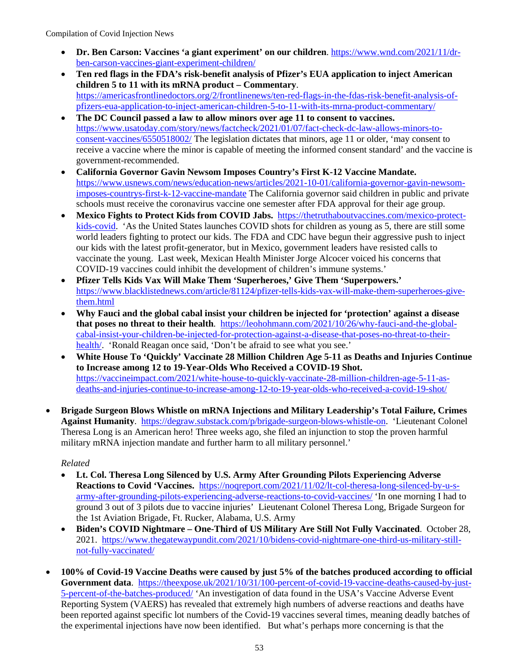- **Dr. Ben Carson: Vaccines 'a giant experiment' on our children**. [https://www.wnd.com/2021/11/dr](https://www.wnd.com/2021/11/dr-ben-carson-vaccines-giant-experiment-children/)[ben-carson-vaccines-giant-experiment-children/](https://www.wnd.com/2021/11/dr-ben-carson-vaccines-giant-experiment-children/)
- **Ten red flags in the FDA's risk-benefit analysis of Pfizer's EUA application to inject American children 5 to 11 with its mRNA product – Commentary**. [https://americasfrontlinedoctors.org/2/frontlinenews/ten-red-flags-in-the-fdas-risk-benefit-analysis-of](https://americasfrontlinedoctors.org/2/frontlinenews/ten-red-flags-in-the-fdas-risk-benefit-analysis-of-pfizers-eua-application-to-inject-american-children-5-to-11-with-its-mrna-product-commentary/)[pfizers-eua-application-to-inject-american-children-5-to-11-with-its-mrna-product-commentary/](https://americasfrontlinedoctors.org/2/frontlinenews/ten-red-flags-in-the-fdas-risk-benefit-analysis-of-pfizers-eua-application-to-inject-american-children-5-to-11-with-its-mrna-product-commentary/)
- **The DC Council passed a law to allow minors over age 11 to consent to vaccines.**  [https://www.usatoday.com/story/news/factcheck/2021/01/07/fact-check-dc-law-allows-minors-to](https://www.usatoday.com/story/news/factcheck/2021/01/07/fact-check-dc-law-allows-minors-to-consent-vaccines/6550518002/)[consent-vaccines/6550518002/](https://www.usatoday.com/story/news/factcheck/2021/01/07/fact-check-dc-law-allows-minors-to-consent-vaccines/6550518002/) The legislation dictates that minors, age 11 or older, 'may consent to receive a vaccine where the minor is capable of meeting the informed consent standard' and the vaccine is government-recommended.
- **California Governor Gavin Newsom Imposes Country's First K-12 Vaccine Mandate.** [https://www.usnews.com/news/education-news/articles/2021-10-01/california-governor-gavin-newsom](https://www.usnews.com/news/education-news/articles/2021-10-01/california-governor-gavin-newsom-imposes-countrys-first-k-12-vaccine-mandate)[imposes-countrys-first-k-12-vaccine-mandate](https://www.usnews.com/news/education-news/articles/2021-10-01/california-governor-gavin-newsom-imposes-countrys-first-k-12-vaccine-mandate) The California governor said children in public and private schools must receive the coronavirus vaccine one semester after FDA approval for their age group.
- **Mexico Fights to Protect Kids from COVID Jabs.** [https://thetruthaboutvaccines.com/mexico-protect](https://thetruthaboutvaccines.com/mexico-protect-kids-covid)[kids-covid.](https://thetruthaboutvaccines.com/mexico-protect-kids-covid) 'As the United States launches COVID shots for children as young as 5, there are still some world leaders fighting to protect our kids. The FDA and CDC have begun their aggressive push to inject our kids with the latest profit-generator, but in Mexico, government leaders have resisted calls to vaccinate the young. Last week, Mexican Health Minister Jorge Alcocer voiced his concerns that COVID-19 vaccines could inhibit the development of children's immune systems.'
- **Pfizer Tells Kids Vax Will Make Them 'Superheroes,' Give Them 'Superpowers.'** [https://www.blacklistednews.com/article/81124/pfizer-tells-kids-vax-will-make-them-superheroes-give](https://www.blacklistednews.com/article/81124/pfizer-tells-kids-vax-will-make-them-superheroes-give-them.html)[them.html](https://www.blacklistednews.com/article/81124/pfizer-tells-kids-vax-will-make-them-superheroes-give-them.html)
- **Why Fauci and the global cabal insist your children be injected for 'protection' against a disease that poses no threat to their health**. [https://leohohmann.com/2021/10/26/why-fauci-and-the-global](https://leohohmann.com/2021/10/26/why-fauci-and-the-global-cabal-insist-your-children-be-injected-for-protection-against-a-disease-that-poses-no-threat-to-their-health/)[cabal-insist-your-children-be-injected-for-protection-against-a-disease-that-poses-no-threat-to-their](https://leohohmann.com/2021/10/26/why-fauci-and-the-global-cabal-insist-your-children-be-injected-for-protection-against-a-disease-that-poses-no-threat-to-their-health/)[health/.](https://leohohmann.com/2021/10/26/why-fauci-and-the-global-cabal-insist-your-children-be-injected-for-protection-against-a-disease-that-poses-no-threat-to-their-health/) 'Ronald Reagan once said, 'Don't be afraid to see what you see.'
- **White House To 'Quickly' Vaccinate 28 Million Children Age 5-11 as Deaths and Injuries Continue to Increase among 12 to 19-Year-Olds Who Received a COVID-19 Shot.** [https://vaccineimpact.com/2021/white-house-to-quickly-vaccinate-28-million-children-age-5-11-as](https://vaccineimpact.com/2021/white-house-to-quickly-vaccinate-28-million-children-age-5-11-as-deaths-and-injuries-continue-to-increase-among-12-to-19-year-olds-who-received-a-covid-19-shot/)[deaths-and-injuries-continue-to-increase-among-12-to-19-year-olds-who-received-a-covid-19-shot/](https://vaccineimpact.com/2021/white-house-to-quickly-vaccinate-28-million-children-age-5-11-as-deaths-and-injuries-continue-to-increase-among-12-to-19-year-olds-who-received-a-covid-19-shot/)
- **Brigade Surgeon Blows Whistle on mRNA Injections and Military Leadership's Total Failure, Crimes Against Humanity**. [https://degraw.substack.com/p/brigade-surgeon-blows-whistle-on.](https://degraw.substack.com/p/brigade-surgeon-blows-whistle-on) 'Lieutenant Colonel Theresa Long is an American hero! Three weeks ago, she filed an injunction to stop the proven harmful military mRNA injection mandate and further harm to all military personnel.'

- **Lt. Col. Theresa Long Silenced by U.S. Army After Grounding Pilots Experiencing Adverse Reactions to Covid 'Vaccines.** [https://noqreport.com/2021/11/02/lt-col-theresa-long-silenced-by-u-s](https://noqreport.com/2021/11/02/lt-col-theresa-long-silenced-by-u-s-army-after-grounding-pilots-experiencing-adverse-reactions-to-covid-vaccines/)[army-after-grounding-pilots-experiencing-adverse-reactions-to-covid-vaccines/](https://noqreport.com/2021/11/02/lt-col-theresa-long-silenced-by-u-s-army-after-grounding-pilots-experiencing-adverse-reactions-to-covid-vaccines/) 'In one morning I had to ground 3 out of 3 pilots due to vaccine injuries' Lieutenant Colonel Theresa Long, Brigade Surgeon for the 1st Aviation Brigade, Ft. Rucker, Alabama, U.S. Army
- **Biden's COVID Nightmare One-Third of US Military Are Still Not Fully Vaccinated**. October 28, 2021. [https://www.thegatewaypundit.com/2021/10/bidens-covid-nightmare-one-third-us-military-still](https://www.thegatewaypundit.com/2021/10/bidens-covid-nightmare-one-third-us-military-still-not-fully-vaccinated/)[not-fully-vaccinated/](https://www.thegatewaypundit.com/2021/10/bidens-covid-nightmare-one-third-us-military-still-not-fully-vaccinated/)
- **100% of Covid-19 Vaccine Deaths were caused by just 5% of the batches produced according to official**  Government data. [https://theexpose.uk/2021/10/31/100-percent-of-covid-19-vaccine-deaths-caused-by-just-](https://theexpose.uk/2021/10/31/100-percent-of-covid-19-vaccine-deaths-caused-by-just-5-percent-of-the-batches-produced/)[5-percent-of-the-batches-produced/](https://theexpose.uk/2021/10/31/100-percent-of-covid-19-vaccine-deaths-caused-by-just-5-percent-of-the-batches-produced/) 'An investigation of data found in the USA's Vaccine Adverse Event Reporting System (VAERS) has revealed that extremely high numbers of adverse reactions and deaths have been reported against specific lot numbers of the Covid-19 vaccines several times, meaning deadly batches of the experimental injections have now been identified. But what's perhaps more concerning is that the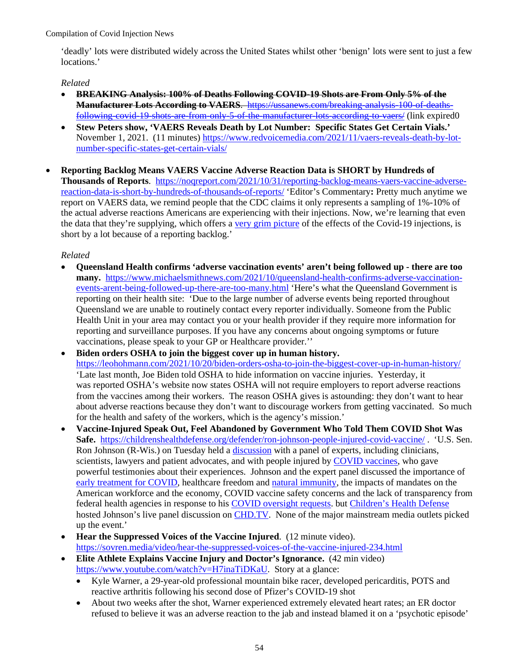'deadly' lots were distributed widely across the United States whilst other 'benign' lots were sent to just a few locations.'

#### *Related*

- **BREAKING Analysis: 100% of Deaths Following COVID-19 Shots are From Only 5% of the Manufacturer Lots According to VAERS**. [https://ussanews.com/breaking-analysis-100-of-deaths](https://ussanews.com/breaking-analysis-100-of-deaths-following-covid-19-shots-are-from-only-5-of-the-manufacturer-lots-according-to-vaers/)following-covid-19 shots-are-from-only-5-of-the-manufacturer-lots-according-to-vaers/ (link expired0
- **Stew Peters show, 'VAERS Reveals Death by Lot Number: Specific States Get Certain Vials.'**  November 1, 2021. (11 minutes) [https://www.redvoicemedia.com/2021/11/vaers-reveals-death-by-lot](https://www.redvoicemedia.com/2021/11/vaers-reveals-death-by-lot-number-specific-states-get-certain-vials/)[number-specific-states-get-certain-vials/](https://www.redvoicemedia.com/2021/11/vaers-reveals-death-by-lot-number-specific-states-get-certain-vials/)
- **Reporting Backlog Means VAERS Vaccine Adverse Reaction Data is SHORT by Hundreds of Thousands of Reports**. [https://noqreport.com/2021/10/31/reporting-backlog-means-vaers-vaccine-adverse](https://noqreport.com/2021/10/31/reporting-backlog-means-vaers-vaccine-adverse-reaction-data-is-short-by-hundreds-of-thousands-of-reports/)[reaction-data-is-short-by-hundreds-of-thousands-of-reports/](https://noqreport.com/2021/10/31/reporting-backlog-means-vaers-vaccine-adverse-reaction-data-is-short-by-hundreds-of-thousands-of-reports/) 'Editor's Commentary**:** Pretty much anytime we report on VAERS data, we remind people that the CDC claims it only represents a sampling of 1%-10% of the actual adverse reactions Americans are experiencing with their injections. Now, we're learning that even the data that they're supplying, which offers a [very grim picture](https://noqreport.com/2021/10/30/how-to-counter-government-programming-and-wake-people-up-to-the-astronomical-adverse-reaction-reports/) of the effects of the Covid-19 injections, is short by a lot because of a reporting backlog.'

- **[Queensland Health confirms 'adverse vaccination events' aren't being followed up there are too](https://www.michaelsmithnews.com/2021/10/queensland-health-confirms-adverse-vaccination-events-arent-being-followed-up-there-are-too-many.html) [many.](https://www.michaelsmithnews.com/2021/10/queensland-health-confirms-adverse-vaccination-events-arent-being-followed-up-there-are-too-many.html)** [https://www.michaelsmithnews.com/2021/10/queensland-health-confirms-adverse-vaccination](https://www.michaelsmithnews.com/2021/10/queensland-health-confirms-adverse-vaccination-events-arent-being-followed-up-there-are-too-many.html)[events-arent-being-followed-up-there-are-too-many.html](https://www.michaelsmithnews.com/2021/10/queensland-health-confirms-adverse-vaccination-events-arent-being-followed-up-there-are-too-many.html) 'Here's what the Queensland Government is reporting on their health site: 'Due to the large number of adverse events being reported throughout Queensland we are unable to routinely contact every reporter individually. Someone from the Public Health Unit in your area may contact you or your health provider if they require more information for reporting and surveillance purposes. If you have any concerns about ongoing symptoms or future vaccinations, please speak to your GP or Healthcare provider.''
- **Biden orders OSHA to join the biggest cover up in human history.** <https://leohohmann.com/2021/10/20/biden-orders-osha-to-join-the-biggest-cover-up-in-human-history/> 'Late last month, Joe Biden told OSHA to hide information on vaccine injuries. Yesterday, it was reported OSHA's website now states OSHA will not require employers to report adverse reactions from the vaccines among their workers. The reason OSHA gives is astounding: they don't want to hear about adverse reactions because they don't want to discourage workers from getting vaccinated. So much for the health and safety of the workers, which is the agency's mission.'
- **Vaccine-Injured Speak Out, Feel Abandoned by Government Who Told Them COVID Shot Was Safe.** <https://childrenshealthdefense.org/defender/ron-johnson-people-injured-covid-vaccine/> . 'U.S. Sen. Ron Johnson (R-Wis.) on Tuesday held a [discussion](https://childrenshealthdefense.org/defender/nov-2-sen-ron-johnson-cdh-covid-vaccine-injuries-federal-mandates/) with a panel of experts, including clinicians, scientists, lawyers and patient advocates, and with people injured by [COVID vaccines,](https://childrenshealthdefense.org/defender_category/covid/) who gave powerful testimonies about their experiences. Johnson and the expert panel discussed the importance of [early treatment for COVID,](https://childrenshealthdefense.org/defender/nebraska-ag-doug-peterson-legal-opinion-ivermectin-hcq-covid/) healthcare freedom and [natural immunity,](https://childrenshealthdefense.org/defender/sen-rand-paul-sec-becerra-denying-natural-immunity/) the impacts of mandates on the American workforce and the economy, COVID vaccine safety concerns and the lack of transparency from federal health agencies in response to his [COVID oversight requests.](https://childrenshealthdefense.org/defender/sen-ron-johnson-questions-fda-pfizer-vaccine-approval/) but [Children's Health Defense](https://childrenshealthdefense.org/) hosted Johnson's live panel discussion on **CHD.TV**. None of the major mainstream media outlets picked up the event.'
- **Hear the Suppressed Voices of the Vaccine Injured**. (12 minute video). <https://sovren.media/video/hear-the-suppressed-voices-of-the-vaccine-injured-234.html>
- **Elite Athlete Explains Vaccine Injury and Doctor's Ignorance.** (42 min video) [https://www.youtube.com/watch?v=H7inaTiDKaU.](https://www.youtube.com/watch?v=H7inaTiDKaU) Story at a glance:
	- Kyle Warner, a 29-year-old professional mountain bike racer, developed pericarditis, POTS and reactive arthritis following his second dose of Pfizer's COVID-19 shot
	- About two weeks after the shot, Warner experienced extremely elevated heart rates; an ER doctor refused to believe it was an adverse reaction to the jab and instead blamed it on a 'psychotic episode'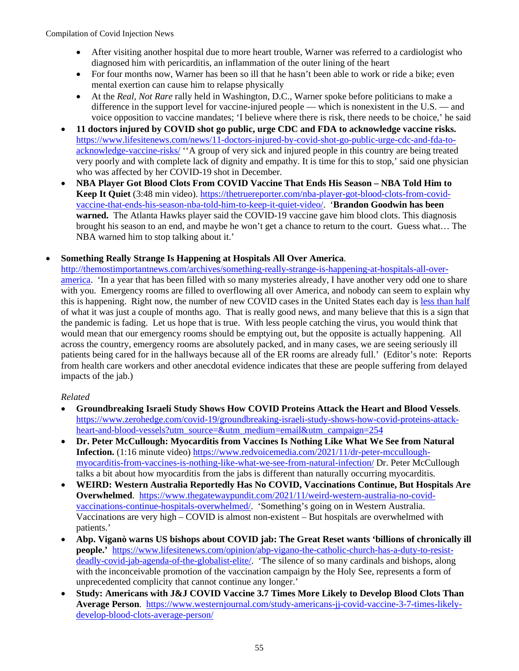- After visiting another hospital due to more heart trouble, Warner was referred to a cardiologist who diagnosed him with pericarditis, an inflammation of the outer lining of the heart
- For four months now, Warner has been so ill that he hasn't been able to work or ride a bike; even mental exertion can cause him to relapse physically
- At the *Real, Not Rare* rally held in Washington, D.C., Warner spoke before politicians to make a difference in the support level for vaccine-injured people — which is nonexistent in the U.S. — and voice opposition to vaccine mandates; 'I believe where there is risk, there needs to be choice,' he said
- **11 doctors injured by COVID shot go public, urge CDC and FDA to acknowledge vaccine risks.**  [https://www.lifesitenews.com/news/11-doctors-injured-by-covid-shot-go-public-urge-cdc-and-fda-to](https://www.lifesitenews.com/news/11-doctors-injured-by-covid-shot-go-public-urge-cdc-and-fda-to-acknowledge-vaccine-risks/)[acknowledge-vaccine-risks/](https://www.lifesitenews.com/news/11-doctors-injured-by-covid-shot-go-public-urge-cdc-and-fda-to-acknowledge-vaccine-risks/) ''A group of very sick and injured people in this country are being treated very poorly and with complete lack of dignity and empathy. It is time for this to stop,' said one physician who was affected by her COVID-19 shot in December.
- **NBA Player Got Blood Clots From COVID Vaccine That Ends His Season NBA Told Him to Keep It Quiet** (3:48 min video). [https://thetruereporter.com/nba-player-got-blood-clots-from-covid](https://thetruereporter.com/nba-player-got-blood-clots-from-covid-vaccine-that-ends-his-season-nba-told-him-to-keep-it-quiet-video/)[vaccine-that-ends-his-season-nba-told-him-to-keep-it-quiet-video/.](https://thetruereporter.com/nba-player-got-blood-clots-from-covid-vaccine-that-ends-his-season-nba-told-him-to-keep-it-quiet-video/) '**Brandon Goodwin has been warned.** The Atlanta Hawks player said the COVID-19 vaccine gave him blood clots. This diagnosis brought his season to an end, and maybe he won't get a chance to return to the court. Guess what… The NBA warned him to stop talking about it.'

## • **Something Really Strange Is Happening at Hospitals All Over America**.

[http://themostimportantnews.com/archives/something-really-strange-is-happening-at-hospitals-all-over](http://themostimportantnews.com/archives/something-really-strange-is-happening-at-hospitals-all-over-america)[america.](http://themostimportantnews.com/archives/something-really-strange-is-happening-at-hospitals-all-over-america) 'In a year that has been filled with so many mysteries already, I have another very odd one to share with you. Emergency rooms are filled to overflowing all over America, and nobody can seem to explain why this is happening. Right now, the number of new COVID cases in the United States each day is [less than half](https://www.worldometers.info/coronavirus/country/us/) of what it was just a couple of months ago. That is really good news, and many believe that this is a sign that the pandemic is fading. Let us hope that is true. With less people catching the virus, you would think that would mean that our emergency rooms should be emptying out, but the opposite is actually happening. All across the country, emergency rooms are absolutely packed, and in many cases, we are seeing seriously ill patients being cared for in the hallways because all of the ER rooms are already full.' (Editor's note: Reports from health care workers and other anecdotal evidence indicates that these are people suffering from delayed impacts of the jab.)

- **Groundbreaking Israeli Study Shows How COVID Proteins Attack the Heart and Blood Vessels**. [https://www.zerohedge.com/covid-19/groundbreaking-israeli-study-shows-how-covid-proteins-attack](https://www.zerohedge.com/covid-19/groundbreaking-israeli-study-shows-how-covid-proteins-attack-heart-and-blood-vessels?utm_source=&utm_medium=email&utm_campaign=254)[heart-and-blood-vessels?utm\\_source=&utm\\_medium=email&utm\\_campaign=254](https://www.zerohedge.com/covid-19/groundbreaking-israeli-study-shows-how-covid-proteins-attack-heart-and-blood-vessels?utm_source=&utm_medium=email&utm_campaign=254)
- **Dr. Peter McCullough: Myocarditis from Vaccines Is Nothing Like What We See from Natural Infection.** (1:16 minute video) [https://www.redvoicemedia.com/2021/11/dr-peter-mccullough](https://www.redvoicemedia.com/2021/11/dr-peter-mccullough-myocarditis-from-vaccines-is-nothing-like-what-we-see-from-natural-infection/)[myocarditis-from-vaccines-is-nothing-like-what-we-see-from-natural-infection/](https://www.redvoicemedia.com/2021/11/dr-peter-mccullough-myocarditis-from-vaccines-is-nothing-like-what-we-see-from-natural-infection/) Dr. Peter McCullough talks a bit about how myocarditis from the jabs is different than naturally occurring myocarditis.
- **WEIRD: Western Australia Reportedly Has No COVID, Vaccinations Continue, But Hospitals Are Overwhelmed**. [https://www.thegatewaypundit.com/2021/11/weird-western-australia-no-covid](https://www.thegatewaypundit.com/2021/11/weird-western-australia-no-covid-vaccinations-continue-hospitals-overwhelmed/)[vaccinations-continue-hospitals-overwhelmed/.](https://www.thegatewaypundit.com/2021/11/weird-western-australia-no-covid-vaccinations-continue-hospitals-overwhelmed/) 'Something's going on in Western Australia. Vaccinations are very high – COVID is almost non-existent – But hospitals are overwhelmed with patients.'
- **Abp. Viganò warns US bishops about COVID jab: The Great Reset wants 'billions of chronically ill people.'** [https://www.lifesitenews.com/opinion/abp-vigano-the-catholic-church-has-a-duty-to-resist](https://www.lifesitenews.com/opinion/abp-vigano-the-catholic-church-has-a-duty-to-resist-deadly-covid-jab-agenda-of-the-globalist-elite/)[deadly-covid-jab-agenda-of-the-globalist-elite/.](https://www.lifesitenews.com/opinion/abp-vigano-the-catholic-church-has-a-duty-to-resist-deadly-covid-jab-agenda-of-the-globalist-elite/) 'The silence of so many cardinals and bishops, along with the inconceivable promotion of the vaccination campaign by the Holy See, represents a form of unprecedented complicity that cannot continue any longer.'
- **Study: Americans with J&J COVID Vaccine 3.7 Times More Likely to Develop Blood Clots Than Average Person**. [https://www.westernjournal.com/study-americans-jj-covid-vaccine-3-7-times-likely](https://www.westernjournal.com/study-americans-jj-covid-vaccine-3-7-times-likely-develop-blood-clots-average-person/)[develop-blood-clots-average-person/](https://www.westernjournal.com/study-americans-jj-covid-vaccine-3-7-times-likely-develop-blood-clots-average-person/)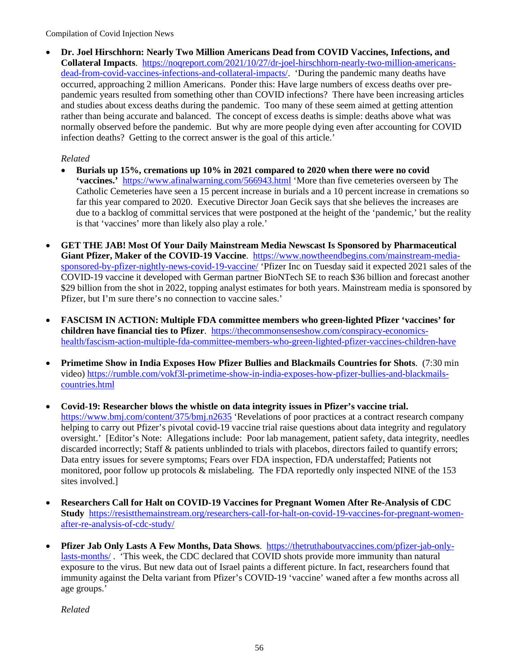• **Dr. Joel Hirschhorn: Nearly Two Million Americans Dead from COVID Vaccines, Infections, and Collateral Impacts**. [https://noqreport.com/2021/10/27/dr-joel-hirschhorn-nearly-two-million-americans](https://noqreport.com/2021/10/27/dr-joel-hirschhorn-nearly-two-million-americans-dead-from-covid-vaccines-infections-and-collateral-impacts/)[dead-from-covid-vaccines-infections-and-collateral-impacts/.](https://noqreport.com/2021/10/27/dr-joel-hirschhorn-nearly-two-million-americans-dead-from-covid-vaccines-infections-and-collateral-impacts/) 'During the pandemic many deaths have occurred, approaching 2 million Americans. Ponder this: Have large numbers of excess deaths over prepandemic years resulted from something other than COVID infections? There have been increasing articles and studies about excess deaths during the pandemic. Too many of these seem aimed at getting attention rather than being accurate and balanced. The concept of excess deaths is simple: deaths above what was normally observed before the pandemic. But why are more people dying even after accounting for COVID infection deaths? Getting to the correct answer is the goal of this article.'

*Related* 

- **Burials up 15%, cremations up 10% in 2021 compared to 2020 when there were no covid 'vaccines.'**<https://www.afinalwarning.com/566943.html>'More than five cemeteries overseen by The Catholic Cemeteries have seen a 15 percent increase in burials and a 10 percent increase in cremations so far this year compared to 2020. Executive Director Joan Gecik says that she believes the increases are due to a backlog of committal services that were postponed at the height of the 'pandemic,' but the reality is that 'vaccines' more than likely also play a role.'
- **GET THE JAB! Most Of Your Daily Mainstream Media Newscast Is Sponsored by Pharmaceutical**  Giant Pfizer, Maker of the COVID-19 Vaccine. [https://www.nowtheendbegins.com/mainstream-media](https://www.nowtheendbegins.com/mainstream-media-sponsored-by-pfizer-nightly-news-covid-19-vaccine/)[sponsored-by-pfizer-nightly-news-covid-19-vaccine/](https://www.nowtheendbegins.com/mainstream-media-sponsored-by-pfizer-nightly-news-covid-19-vaccine/) 'Pfizer Inc on Tuesday said it expected 2021 sales of the COVID-19 vaccine it developed with German partner BioNTech SE to reach \$36 billion and forecast another \$29 billion from the shot in 2022, topping analyst estimates for both years. Mainstream media is sponsored by Pfizer, but I'm sure there's no connection to vaccine sales.'
- **FASCISM IN ACTION: Multiple FDA committee members who green-lighted Pfizer 'vaccines' for children have financial ties to Pfizer**. [https://thecommonsenseshow.com/conspiracy-economics](https://thecommonsenseshow.com/conspiracy-economics-health/fascism-action-multiple-fda-committee-members-who-green-lighted-pfizer-vaccines-children-have)[health/fascism-action-multiple-fda-committee-members-who-green-lighted-pfizer-vaccines-children-have](https://thecommonsenseshow.com/conspiracy-economics-health/fascism-action-multiple-fda-committee-members-who-green-lighted-pfizer-vaccines-children-have)
- **Primetime Show in India Exposes How Pfizer Bullies and Blackmails Countries for Shots**. (7:30 min video) [https://rumble.com/vokf3l-primetime-show-in-india-exposes-how-pfizer-bullies-and-blackmails](https://rumble.com/vokf3l-primetime-show-in-india-exposes-how-pfizer-bullies-and-blackmails-countries.html)[countries.html](https://rumble.com/vokf3l-primetime-show-in-india-exposes-how-pfizer-bullies-and-blackmails-countries.html)
- **Covid-19: Researcher blows the whistle on data integrity issues in Pfizer's vaccine trial.** <https://www.bmj.com/content/375/bmj.n2635>'Revelations of poor practices at a contract research company helping to carry out Pfizer's pivotal covid-19 vaccine trial raise questions about data integrity and regulatory oversight.' [Editor's Note: Allegations include: Poor lab management, patient safety, data integrity, needles discarded incorrectly; Staff & patients unblinded to trials with placebos, directors failed to quantify errors; Data entry issues for severe symptoms; Fears over FDA inspection, FDA understaffed; Patients not monitored, poor follow up protocols & mislabeling. The FDA reportedly only inspected NINE of the 153 sites involved.]
- **Researchers Call for Halt on COVID-19 Vaccines for Pregnant Women After Re-Analysis of CDC Study** [https://resistthemainstream.org/researchers-call-for-halt-on-covid-19-vaccines-for-pregnant-women](https://resistthemainstream.org/researchers-call-for-halt-on-covid-19-vaccines-for-pregnant-women-after-re-analysis-of-cdc-study/)[after-re-analysis-of-cdc-study/](https://resistthemainstream.org/researchers-call-for-halt-on-covid-19-vaccines-for-pregnant-women-after-re-analysis-of-cdc-study/)
- **Pfizer Jab Only Lasts A Few Months, Data Shows**. [https://thetruthaboutvaccines.com/pfizer-jab-only](https://thetruthaboutvaccines.com/pfizer-jab-only-lasts-months/)[lasts-months/](https://thetruthaboutvaccines.com/pfizer-jab-only-lasts-months/) . 'This week, the CDC declared that COVID shots provide more immunity than natural exposure to the virus. But new data out of Israel paints a different picture. In fact, researchers found that immunity against the Delta variant from Pfizer's COVID-19 'vaccine' waned after a few months across all age groups.'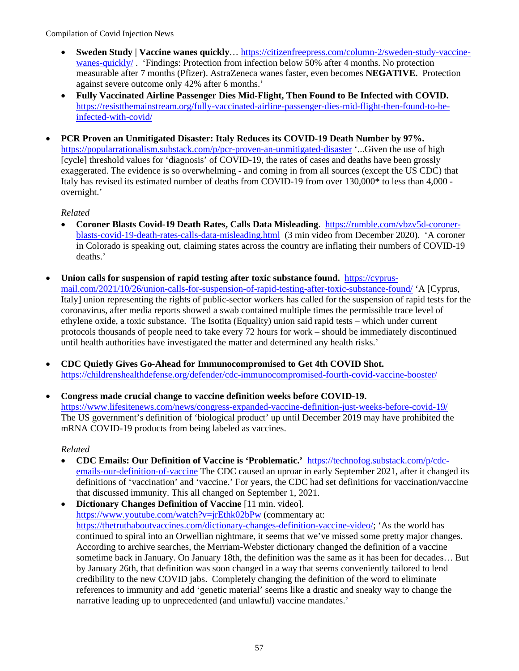- **Sweden Study | Vaccine wanes quickly**… [https://citizenfreepress.com/column-2/sweden-study-vaccine](https://citizenfreepress.com/column-2/sweden-study-vaccine-wanes-quickly/)[wanes-quickly/](https://citizenfreepress.com/column-2/sweden-study-vaccine-wanes-quickly/) . 'Findings: Protection from infection below 50% after 4 months. No protection measurable after 7 months (Pfizer). AstraZeneca wanes faster, even becomes **NEGATIVE.** Protection against severe outcome only 42% after 6 months.'
- **Fully Vaccinated Airline Passenger Dies Mid-Flight, Then Found to Be Infected with COVID.** [https://resistthemainstream.org/fully-vaccinated-airline-passenger-dies-mid-flight-then-found-to-be](https://resistthemainstream.org/fully-vaccinated-airline-passenger-dies-mid-flight-then-found-to-be-infected-with-covid/)[infected-with-covid/](https://resistthemainstream.org/fully-vaccinated-airline-passenger-dies-mid-flight-then-found-to-be-infected-with-covid/)
- **PCR Proven an Unmitigated Disaster: Italy Reduces its COVID-19 Death Number by 97%.** <https://popularrationalism.substack.com/p/pcr-proven-an-unmitigated-disaster>'...Given the use of high [cycle] threshold values for 'diagnosis' of COVID-19, the rates of cases and deaths have been grossly exaggerated. The evidence is so overwhelming - and coming in from all sources (except the US CDC) that Italy has revised its estimated number of deaths from COVID-19 from over 130,000\* to less than 4,000 overnight.'

## *Related*

- **Coroner Blasts Covid-19 Death Rates, Calls Data Misleading**. [https://rumble.com/vbzv5d-coroner](https://rumble.com/vbzv5d-coroner-blasts-covid-19-death-rates-calls-data-misleading.html)[blasts-covid-19-death-rates-calls-data-misleading.html](https://rumble.com/vbzv5d-coroner-blasts-covid-19-death-rates-calls-data-misleading.html) (3 min video from December 2020). 'A coroner in Colorado is speaking out, claiming states across the country are inflating their numbers of COVID-19 deaths.'
- **Union calls for suspension of rapid testing after toxic substance found.** [https://cyprus](https://cyprus-mail.com/2021/10/26/union-calls-for-suspension-of-rapid-testing-after-toxic-substance-found/)[mail.com/2021/10/26/union-calls-for-suspension-of-rapid-testing-after-toxic-substance-found/](https://cyprus-mail.com/2021/10/26/union-calls-for-suspension-of-rapid-testing-after-toxic-substance-found/) 'A [Cyprus, Italy] union representing the rights of public-sector workers has called for the suspension of rapid tests for the coronavirus, after media reports showed a swab contained multiple times the permissible trace level of ethylene oxide, a toxic substance. The Isotita (Equality) union said rapid tests – which under current protocols thousands of people need to take every 72 hours for work – should be immediately discontinued until health authorities have investigated the matter and determined any health risks.'
- **CDC Quietly Gives Go-Ahead for Immunocompromised to Get 4th COVID Shot.** <https://childrenshealthdefense.org/defender/cdc-immunocompromised-fourth-covid-vaccine-booster/>
- **Congress made crucial change to vaccine definition weeks before COVID-19.**  <https://www.lifesitenews.com/news/congress-expanded-vaccine-definition-just-weeks-before-covid-19/> The US government's definition of 'biological product' up until December 2019 may have prohibited the mRNA COVID-19 products from being labeled as vaccines.

- **CDC Emails: Our Definition of Vaccine is 'Problematic.'** [https://technofog.substack.com/p/cdc](https://technofog.substack.com/p/cdc-emails-our-definition-of-vaccine)[emails-our-definition-of-vaccine](https://technofog.substack.com/p/cdc-emails-our-definition-of-vaccine) The CDC caused an uproar in early September 2021, after it changed its definitions of 'vaccination' and 'vaccine.' For years, the CDC had set definitions for vaccination/vaccine that discussed immunity. This all changed on September 1, 2021.
- **Dictionary Changes Definition of Vaccine** [11 min. video]. <https://www.youtube.com/watch?v=jrEthk02bPw>(commentary at: [https://thetruthaboutvaccines.com/dictionary-changes-definition-vaccine-video/;](https://thetruthaboutvaccines.com/dictionary-changes-definition-vaccine-video/) 'As the world has continued to spiral into an Orwellian nightmare, it seems that we've missed some pretty major changes. According to archive searches, the Merriam-Webster dictionary changed the definition of a vaccine sometime back in January. On January 18th, the definition was the same as it has been for decades… But by January 26th, that definition was soon changed in a way that seems conveniently tailored to lend credibility to the new COVID jabs. Completely changing the definition of the word to eliminate references to immunity and add 'genetic material' seems like a drastic and sneaky way to change the narrative leading up to unprecedented (and unlawful) vaccine mandates.'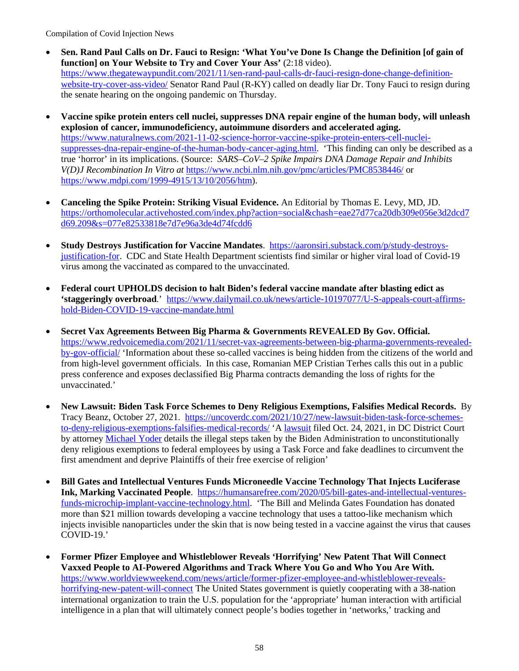- **Sen. Rand Paul Calls on Dr. Fauci to Resign: 'What You've Done Is Change the Definition [of gain of function] on Your Website to Try and Cover Your Ass'** (2:18 video). [https://www.thegatewaypundit.com/2021/11/sen-rand-paul-calls-dr-fauci-resign-done-change-definition](https://www.thegatewaypundit.com/2021/11/sen-rand-paul-calls-dr-fauci-resign-done-change-definition-website-try-cover-ass-video/)[website-try-cover-ass-video/](https://www.thegatewaypundit.com/2021/11/sen-rand-paul-calls-dr-fauci-resign-done-change-definition-website-try-cover-ass-video/) Senator Rand Paul (R-KY) called on deadly liar Dr. Tony Fauci to resign during the senate hearing on the ongoing pandemic on Thursday.
- **Vaccine spike protein enters cell nuclei, suppresses DNA repair engine of the human body, will unleash explosion of cancer, immunodeficiency, autoimmune disorders and accelerated aging.** [https://www.naturalnews.com/2021-11-02-science-horror-vaccine-spike-protein-enters-cell-nuclei](https://www.naturalnews.com/2021-11-02-science-horror-vaccine-spike-protein-enters-cell-nuclei-suppresses-dna-repair-engine-of-the-human-body-cancer-aging.html)[suppresses-dna-repair-engine-of-the-human-body-cancer-aging.html.](https://www.naturalnews.com/2021-11-02-science-horror-vaccine-spike-protein-enters-cell-nuclei-suppresses-dna-repair-engine-of-the-human-body-cancer-aging.html) 'This finding can only be described as a true 'horror' in its implications. (Source: *SARS–CoV–2 Spike Impairs DNA Damage Repair and Inhibits V(D)J Recombination In Vitro at* <https://www.ncbi.nlm.nih.gov/pmc/articles/PMC8538446/>or [https://www.mdpi.com/1999-4915/13/10/2056/htm\)](https://www.mdpi.com/1999-4915/13/10/2056/htm).
- **Canceling the Spike Protein: Striking Visual Evidence.** An Editorial by Thomas E. Levy, MD, JD. [https://orthomolecular.activehosted.com/index.php?action=social&chash=eae27d77ca20db309e056e3d2dcd7](https://orthomolecular.activehosted.com/index.php?action=social&chash=eae27d77ca20db309e056e3d2dcd7d69.209&s=077e82533818e7d7e96a3de4d74fcdd6) [d69.209&s=077e82533818e7d7e96a3de4d74fcdd6](https://orthomolecular.activehosted.com/index.php?action=social&chash=eae27d77ca20db309e056e3d2dcd7d69.209&s=077e82533818e7d7e96a3de4d74fcdd6)
- **Study Destroys Justification for Vaccine Mandates**. [https://aaronsiri.substack.com/p/study-destroys](https://aaronsiri.substack.com/p/study-destroys-justification-for)[justification-for.](https://aaronsiri.substack.com/p/study-destroys-justification-for) CDC and State Health Department scientists find similar or higher viral load of Covid-19 virus among the vaccinated as compared to the unvaccinated.
- **Federal court UPHOLDS decision to halt Biden's federal vaccine mandate after blasting edict as 'staggeringly overbroad**.' [https://www.dailymail.co.uk/news/article-10197077/U-S-appeals-court-affirms](https://www.dailymail.co.uk/news/article-10197077/U-S-appeals-court-affirms-hold-Biden-COVID-19-vaccine-mandate.html)[hold-Biden-COVID-19-vaccine-mandate.html](https://www.dailymail.co.uk/news/article-10197077/U-S-appeals-court-affirms-hold-Biden-COVID-19-vaccine-mandate.html)
- **Secret Vax Agreements Between Big Pharma & Governments REVEALED By Gov. Official.**  [https://www.redvoicemedia.com/2021/11/secret-vax-agreements-between-big-pharma-governments-revealed](https://www.redvoicemedia.com/2021/11/secret-vax-agreements-between-big-pharma-governments-revealed-by-gov-official/)[by-gov-official/](https://www.redvoicemedia.com/2021/11/secret-vax-agreements-between-big-pharma-governments-revealed-by-gov-official/) 'Information about these so-called vaccines is being hidden from the citizens of the world and from high-level government officials. In this case, Romanian MEP Cristian Terhes calls this out in a public press conference and exposes declassified Big Pharma contracts demanding the loss of rights for the unvaccinated.'
- **New Lawsuit: Biden Task Force Schemes to Deny Religious Exemptions, Falsifies Medical Records.** By [Tracy Beanz,](https://uncoverdc.com/author/admin/) October 27, 2021. [https://uncoverdc.com/2021/10/27/new-lawsuit-biden-task-force-schemes](https://uncoverdc.com/2021/10/27/new-lawsuit-biden-task-force-schemes-to-deny-religious-exemptions-falsifies-medical-records/)[to-deny-religious-exemptions-falsifies-medical-records/](https://uncoverdc.com/2021/10/27/new-lawsuit-biden-task-force-schemes-to-deny-religious-exemptions-falsifies-medical-records/) 'A [lawsuit](https://www.yoderesq.com/bidenvaxlawsuit) filed Oct. 24, 2021, in DC District Court by attorney [Michael Yoder](https://www.yoderesq.com/about) details the illegal steps taken by the Biden Administration to unconstitutionally deny religious exemptions to federal employees by using a Task Force and fake deadlines to circumvent the first amendment and deprive Plaintiffs of their free exercise of religion'
- **Bill Gates and Intellectual Ventures Funds Microneedle Vaccine Technology That Injects Luciferase Ink, Marking Vaccinated People**. [https://humansarefree.com/2020/05/bill-gates-and-intellectual-ventures](https://humansarefree.com/2020/05/bill-gates-and-intellectual-ventures-funds-microchip-implant-vaccine-technology.html)[funds-microchip-implant-vaccine-technology.html.](https://humansarefree.com/2020/05/bill-gates-and-intellectual-ventures-funds-microchip-implant-vaccine-technology.html) 'The Bill and Melinda Gates Foundation has donated more than \$21 million towards developing a vaccine technology that uses a tattoo-like mechanism which injects invisible nanoparticles under the skin that is now being tested in a vaccine against the virus that causes COVID-19.'
- **Former Pfizer Employee and Whistleblower Reveals 'Horrifying' New Patent That Will Connect Vaxxed People to AI-Powered Algorithms and Track Where You Go and Who You Are With.** [https://www.worldviewweekend.com/news/article/former-pfizer-employee-and-whistleblower-reveals](https://www.worldviewweekend.com/news/article/former-pfizer-employee-and-whistleblower-reveals-horrifying-new-patent-will-connect)[horrifying-new-patent-will-connect](https://www.worldviewweekend.com/news/article/former-pfizer-employee-and-whistleblower-reveals-horrifying-new-patent-will-connect) The United States government is quietly cooperating with a 38-nation international organization to train the U.S. population for the 'appropriate' human interaction with artificial intelligence in a plan that will ultimately connect people's bodies together in 'networks,' tracking and